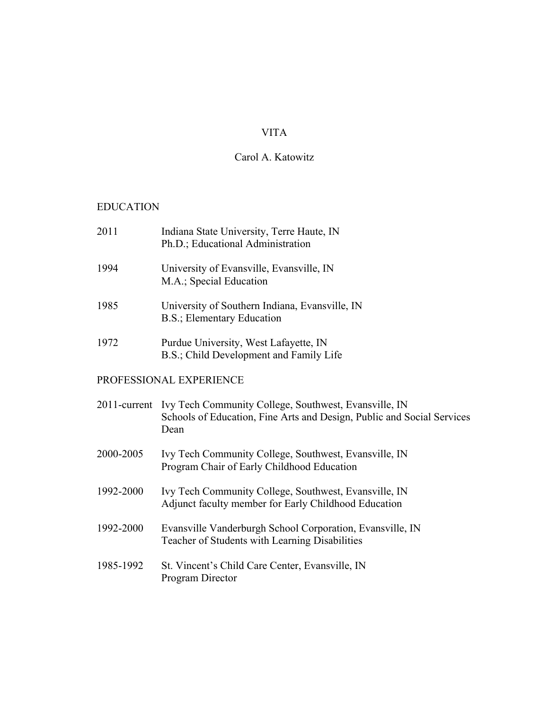# VITA

# Carol A. Katowitz

# EDUCATION

| 2011      | Indiana State University, Terre Haute, IN<br>Ph.D.; Educational Administration                                                                       |
|-----------|------------------------------------------------------------------------------------------------------------------------------------------------------|
| 1994      | University of Evansville, Evansville, IN<br>M.A.; Special Education                                                                                  |
| 1985      | University of Southern Indiana, Evansville, IN<br>B.S.; Elementary Education                                                                         |
| 1972      | Purdue University, West Lafayette, IN<br>B.S.; Child Development and Family Life                                                                     |
|           | PROFESSIONAL EXPERIENCE                                                                                                                              |
|           | 2011-current Ivy Tech Community College, Southwest, Evansville, IN<br>Schools of Education, Fine Arts and Design, Public and Social Services<br>Dean |
| 2000-2005 | Ivy Tech Community College, Southwest, Evansville, IN<br>Program Chair of Early Childhood Education                                                  |
| 1992-2000 | Ivy Tech Community College, Southwest, Evansville, IN<br>Adjunct faculty member for Early Childhood Education                                        |
| 1992-2000 | Evansville Vanderburgh School Corporation, Evansville, IN<br>Teacher of Students with Learning Disabilities                                          |
| 1985-1992 | St. Vincent's Child Care Center, Evansville, IN<br>Program Director                                                                                  |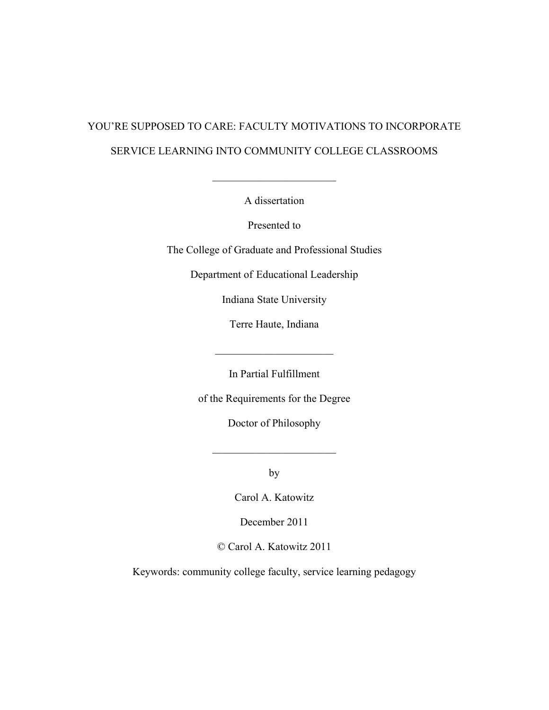# YOU'RE SUPPOSED TO CARE: FACULTY MOTIVATIONS TO INCORPORATE SERVICE LEARNING INTO COMMUNITY COLLEGE CLASSROOMS

A dissertation

 $\mathcal{L}_\text{max}$  , where  $\mathcal{L}_\text{max}$  , we have the set of  $\mathcal{L}_\text{max}$ 

Presented to

The College of Graduate and Professional Studies

Department of Educational Leadership

Indiana State University

Terre Haute, Indiana

In Partial Fulfillment

 $\mathcal{L}_\text{max}$ 

of the Requirements for the Degree

Doctor of Philosophy

 $\mathcal{L}_\text{max}$  , where  $\mathcal{L}_\text{max}$  , we have the set of  $\mathcal{L}_\text{max}$ 

by

Carol A. Katowitz

December 2011

© Carol A. Katowitz 2011

Keywords: community college faculty, service learning pedagogy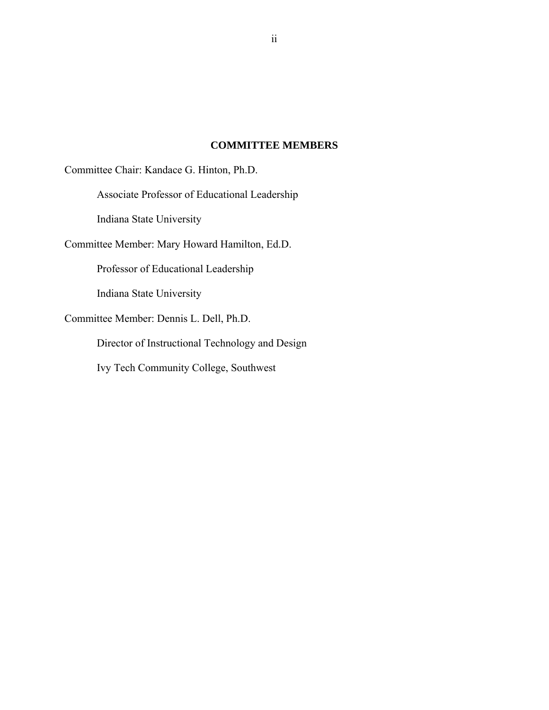## **COMMITTEE MEMBERS**

Committee Chair: Kandace G. Hinton, Ph.D.

Associate Professor of Educational Leadership

Indiana State University

Committee Member: Mary Howard Hamilton, Ed.D.

Professor of Educational Leadership

Indiana State University

Committee Member: Dennis L. Dell, Ph.D.

Director of Instructional Technology and Design

Ivy Tech Community College, Southwest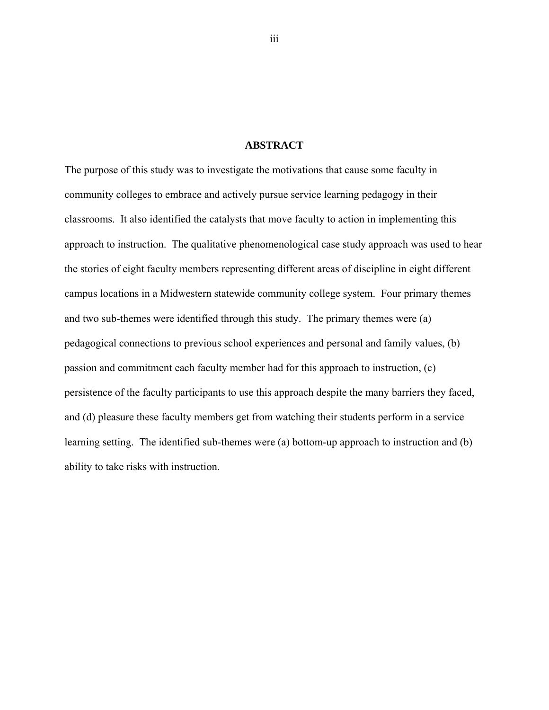#### **ABSTRACT**

The purpose of this study was to investigate the motivations that cause some faculty in community colleges to embrace and actively pursue service learning pedagogy in their classrooms. It also identified the catalysts that move faculty to action in implementing this approach to instruction. The qualitative phenomenological case study approach was used to hear the stories of eight faculty members representing different areas of discipline in eight different campus locations in a Midwestern statewide community college system. Four primary themes and two sub-themes were identified through this study. The primary themes were (a) pedagogical connections to previous school experiences and personal and family values, (b) passion and commitment each faculty member had for this approach to instruction, (c) persistence of the faculty participants to use this approach despite the many barriers they faced, and (d) pleasure these faculty members get from watching their students perform in a service learning setting. The identified sub-themes were (a) bottom-up approach to instruction and (b) ability to take risks with instruction.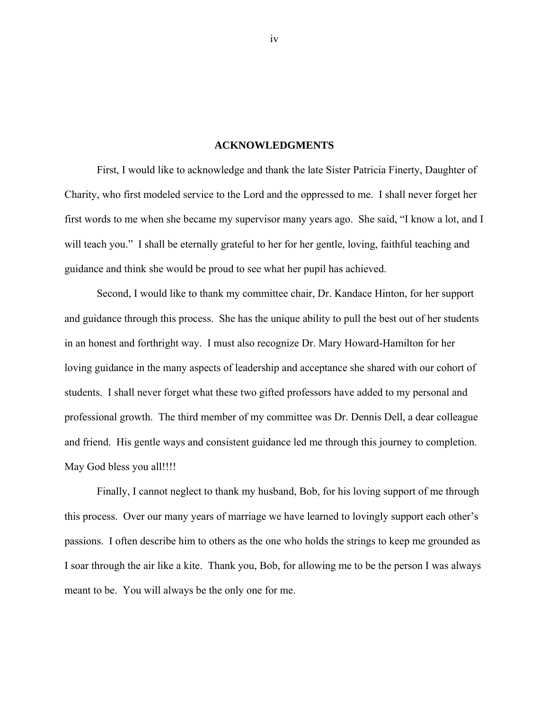#### **ACKNOWLEDGMENTS**

First, I would like to acknowledge and thank the late Sister Patricia Finerty, Daughter of Charity, who first modeled service to the Lord and the oppressed to me. I shall never forget her first words to me when she became my supervisor many years ago. She said, "I know a lot, and I will teach you." I shall be eternally grateful to her for her gentle, loving, faithful teaching and guidance and think she would be proud to see what her pupil has achieved.

Second, I would like to thank my committee chair, Dr. Kandace Hinton, for her support and guidance through this process. She has the unique ability to pull the best out of her students in an honest and forthright way. I must also recognize Dr. Mary Howard-Hamilton for her loving guidance in the many aspects of leadership and acceptance she shared with our cohort of students. I shall never forget what these two gifted professors have added to my personal and professional growth. The third member of my committee was Dr. Dennis Dell, a dear colleague and friend. His gentle ways and consistent guidance led me through this journey to completion. May God bless you all!!!!

Finally, I cannot neglect to thank my husband, Bob, for his loving support of me through this process. Over our many years of marriage we have learned to lovingly support each other's passions. I often describe him to others as the one who holds the strings to keep me grounded as I soar through the air like a kite. Thank you, Bob, for allowing me to be the person I was always meant to be. You will always be the only one for me.

iv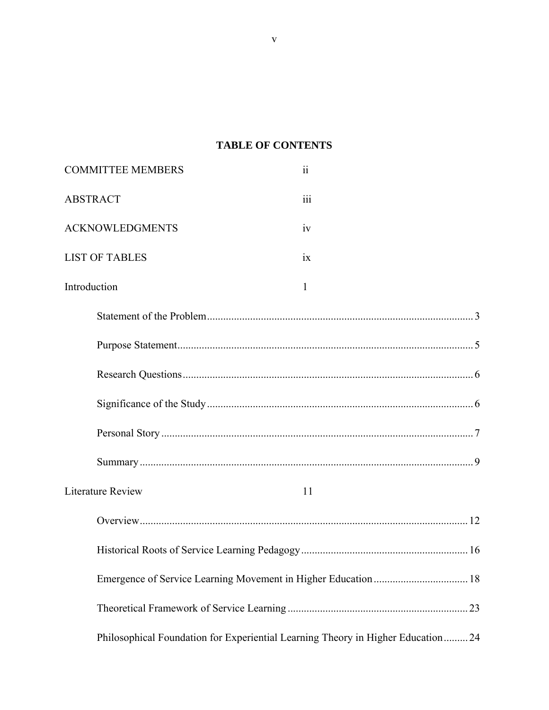# **TABLE OF CONTENTS**

| <b>COMMITTEE MEMBERS</b> | $\overline{\mathbf{ii}}$                                                         |
|--------------------------|----------------------------------------------------------------------------------|
| <b>ABSTRACT</b>          | iii                                                                              |
| <b>ACKNOWLEDGMENTS</b>   | iv                                                                               |
| <b>LIST OF TABLES</b>    | $\overline{1}X$                                                                  |
| Introduction             | 1                                                                                |
|                          |                                                                                  |
|                          |                                                                                  |
|                          |                                                                                  |
|                          |                                                                                  |
|                          |                                                                                  |
|                          |                                                                                  |
| <b>Literature Review</b> | 11                                                                               |
|                          |                                                                                  |
|                          |                                                                                  |
|                          |                                                                                  |
|                          |                                                                                  |
|                          | Philosophical Foundation for Experiential Learning Theory in Higher Education 24 |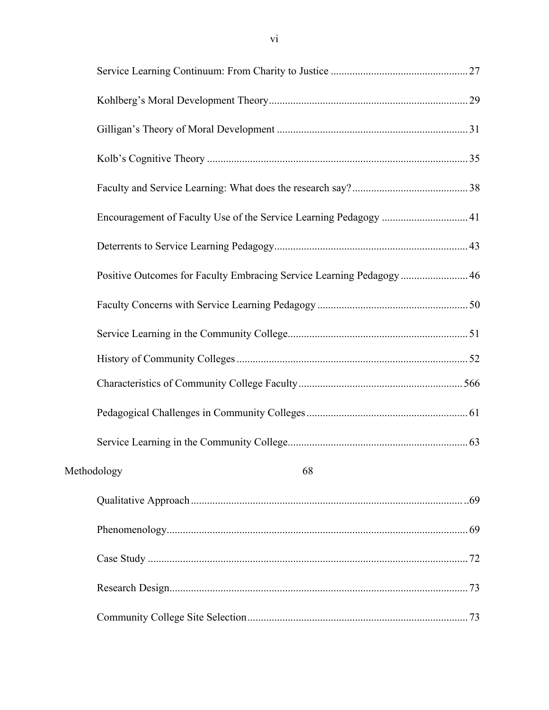| Encouragement of Faculty Use of the Service Learning Pedagogy  41    |  |
|----------------------------------------------------------------------|--|
|                                                                      |  |
| Positive Outcomes for Faculty Embracing Service Learning Pedagogy 46 |  |
|                                                                      |  |
|                                                                      |  |
|                                                                      |  |
|                                                                      |  |
|                                                                      |  |
|                                                                      |  |
| Methodology<br>68                                                    |  |
|                                                                      |  |
|                                                                      |  |
|                                                                      |  |
|                                                                      |  |
|                                                                      |  |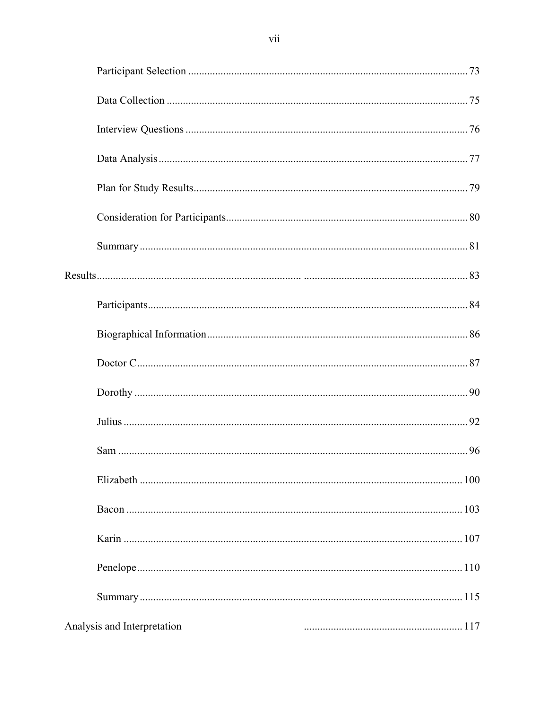|                             | 100 |
|-----------------------------|-----|
|                             |     |
|                             |     |
|                             |     |
|                             |     |
| Analysis and Interpretation | 117 |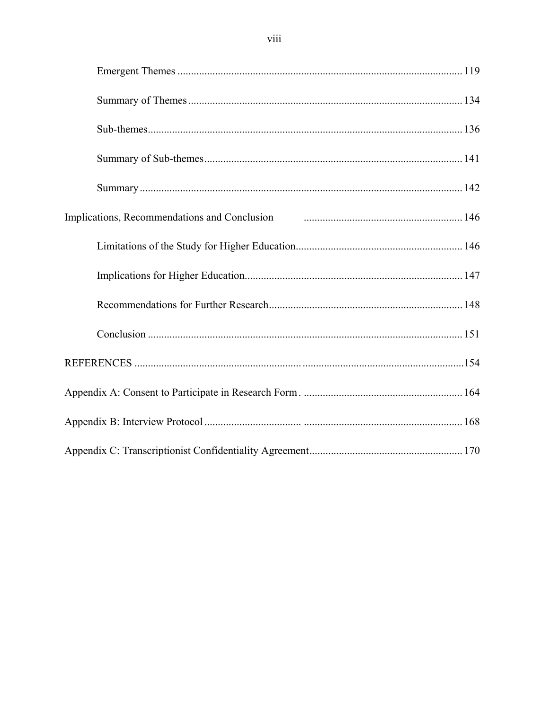| Implications, Recommendations and Conclusion <b>Fig. 146</b> materials and the state of the state of the state of the state of the state of the state of the state of the state of the state of the state of the state of the state |  |
|-------------------------------------------------------------------------------------------------------------------------------------------------------------------------------------------------------------------------------------|--|
|                                                                                                                                                                                                                                     |  |
|                                                                                                                                                                                                                                     |  |
|                                                                                                                                                                                                                                     |  |
|                                                                                                                                                                                                                                     |  |
|                                                                                                                                                                                                                                     |  |
|                                                                                                                                                                                                                                     |  |
|                                                                                                                                                                                                                                     |  |
|                                                                                                                                                                                                                                     |  |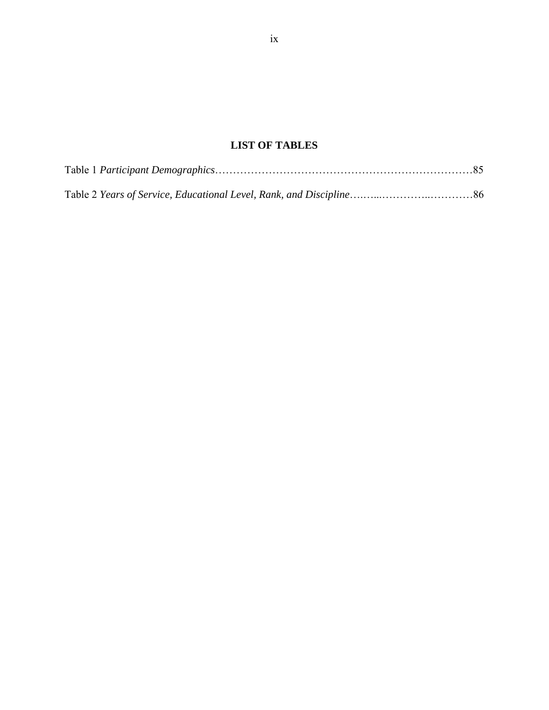# **LIST OF TABLES**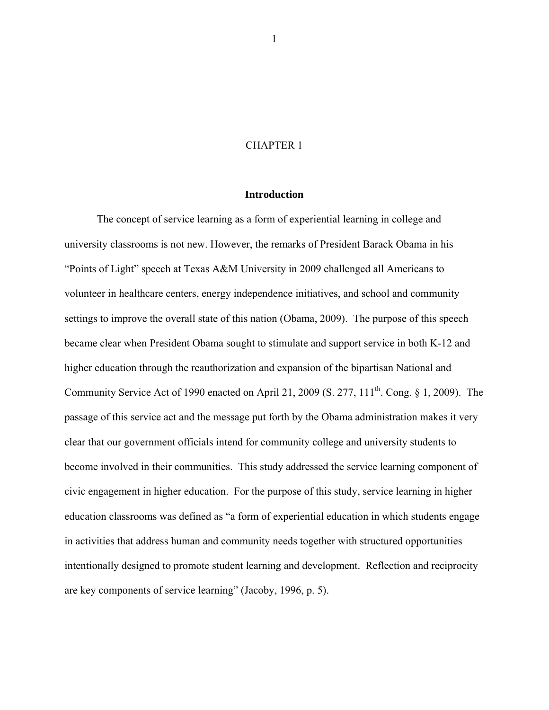## CHAPTER 1

## **Introduction**

The concept of service learning as a form of experiential learning in college and university classrooms is not new. However, the remarks of President Barack Obama in his "Points of Light" speech at Texas A&M University in 2009 challenged all Americans to volunteer in healthcare centers, energy independence initiatives, and school and community settings to improve the overall state of this nation (Obama, 2009). The purpose of this speech became clear when President Obama sought to stimulate and support service in both K-12 and higher education through the reauthorization and expansion of the bipartisan National and Community Service Act of 1990 enacted on April 21, 2009 (S. 277,  $111<sup>th</sup>$ . Cong. § 1, 2009). The passage of this service act and the message put forth by the Obama administration makes it very clear that our government officials intend for community college and university students to become involved in their communities. This study addressed the service learning component of civic engagement in higher education. For the purpose of this study, service learning in higher education classrooms was defined as "a form of experiential education in which students engage in activities that address human and community needs together with structured opportunities intentionally designed to promote student learning and development. Reflection and reciprocity are key components of service learning" (Jacoby, 1996, p. 5).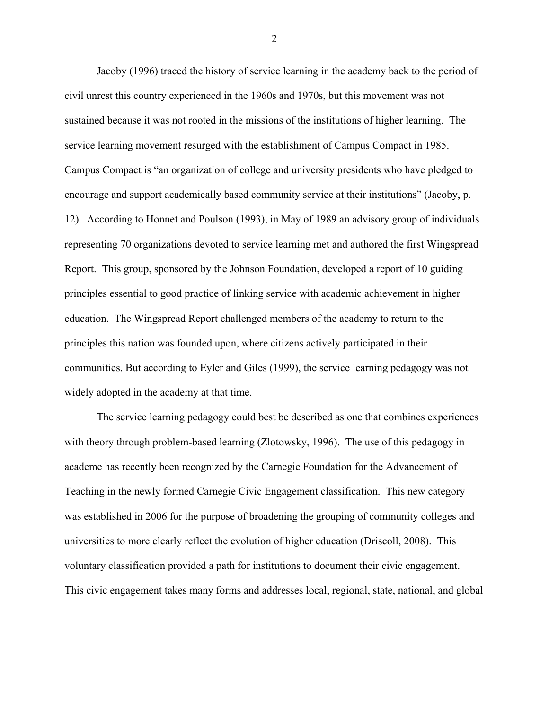Jacoby (1996) traced the history of service learning in the academy back to the period of civil unrest this country experienced in the 1960s and 1970s, but this movement was not sustained because it was not rooted in the missions of the institutions of higher learning. The service learning movement resurged with the establishment of Campus Compact in 1985. Campus Compact is "an organization of college and university presidents who have pledged to encourage and support academically based community service at their institutions" (Jacoby, p. 12). According to Honnet and Poulson (1993), in May of 1989 an advisory group of individuals representing 70 organizations devoted to service learning met and authored the first Wingspread Report. This group, sponsored by the Johnson Foundation, developed a report of 10 guiding principles essential to good practice of linking service with academic achievement in higher education. The Wingspread Report challenged members of the academy to return to the principles this nation was founded upon, where citizens actively participated in their communities. But according to Eyler and Giles (1999), the service learning pedagogy was not widely adopted in the academy at that time.

The service learning pedagogy could best be described as one that combines experiences with theory through problem-based learning (Zlotowsky, 1996). The use of this pedagogy in academe has recently been recognized by the Carnegie Foundation for the Advancement of Teaching in the newly formed Carnegie Civic Engagement classification. This new category was established in 2006 for the purpose of broadening the grouping of community colleges and universities to more clearly reflect the evolution of higher education (Driscoll, 2008). This voluntary classification provided a path for institutions to document their civic engagement. This civic engagement takes many forms and addresses local, regional, state, national, and global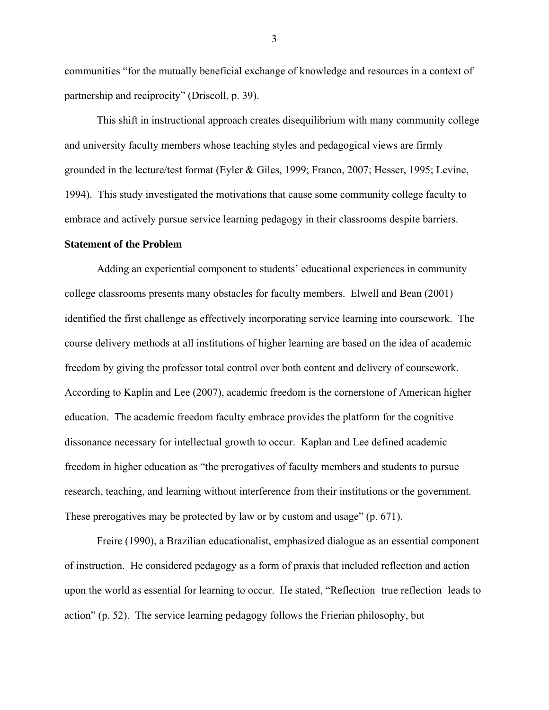communities "for the mutually beneficial exchange of knowledge and resources in a context of partnership and reciprocity" (Driscoll, p. 39).

This shift in instructional approach creates disequilibrium with many community college and university faculty members whose teaching styles and pedagogical views are firmly grounded in the lecture/test format (Eyler & Giles, 1999; Franco, 2007; Hesser, 1995; Levine, 1994). This study investigated the motivations that cause some community college faculty to embrace and actively pursue service learning pedagogy in their classrooms despite barriers.

## **Statement of the Problem**

Adding an experiential component to students' educational experiences in community college classrooms presents many obstacles for faculty members. Elwell and Bean (2001) identified the first challenge as effectively incorporating service learning into coursework. The course delivery methods at all institutions of higher learning are based on the idea of academic freedom by giving the professor total control over both content and delivery of coursework. According to Kaplin and Lee (2007), academic freedom is the cornerstone of American higher education. The academic freedom faculty embrace provides the platform for the cognitive dissonance necessary for intellectual growth to occur. Kaplan and Lee defined academic freedom in higher education as "the prerogatives of faculty members and students to pursue research, teaching, and learning without interference from their institutions or the government. These prerogatives may be protected by law or by custom and usage" (p. 671).

Freire (1990), a Brazilian educationalist, emphasized dialogue as an essential component of instruction. He considered pedagogy as a form of praxis that included reflection and action upon the world as essential for learning to occur. He stated, "Reflection−true reflection−leads to action" (p. 52). The service learning pedagogy follows the Frierian philosophy, but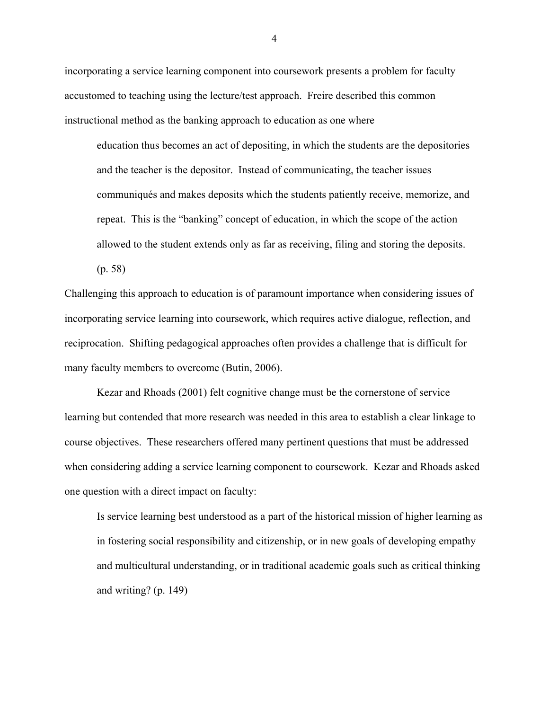incorporating a service learning component into coursework presents a problem for faculty accustomed to teaching using the lecture/test approach. Freire described this common instructional method as the banking approach to education as one where

education thus becomes an act of depositing, in which the students are the depositories and the teacher is the depositor. Instead of communicating, the teacher issues communiqués and makes deposits which the students patiently receive, memorize, and repeat. This is the "banking" concept of education, in which the scope of the action allowed to the student extends only as far as receiving, filing and storing the deposits.

(p. 58)

Challenging this approach to education is of paramount importance when considering issues of incorporating service learning into coursework, which requires active dialogue, reflection, and reciprocation. Shifting pedagogical approaches often provides a challenge that is difficult for many faculty members to overcome (Butin, 2006).

Kezar and Rhoads (2001) felt cognitive change must be the cornerstone of service learning but contended that more research was needed in this area to establish a clear linkage to course objectives. These researchers offered many pertinent questions that must be addressed when considering adding a service learning component to coursework. Kezar and Rhoads asked one question with a direct impact on faculty:

Is service learning best understood as a part of the historical mission of higher learning as in fostering social responsibility and citizenship, or in new goals of developing empathy and multicultural understanding, or in traditional academic goals such as critical thinking and writing? (p. 149)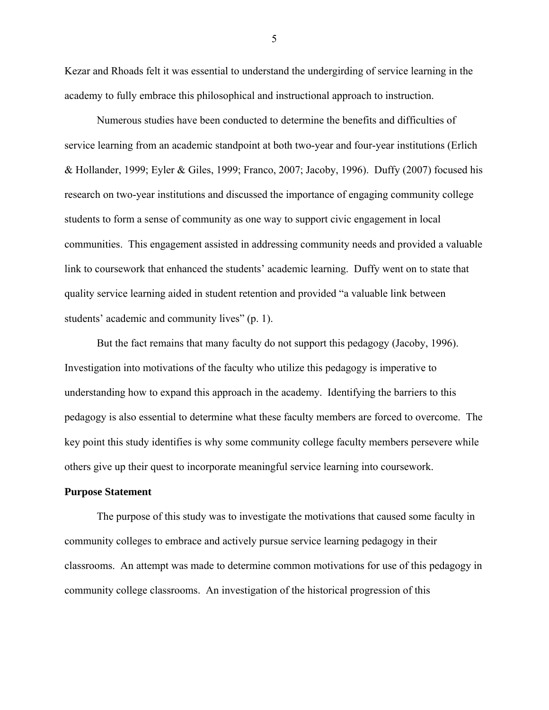Kezar and Rhoads felt it was essential to understand the undergirding of service learning in the academy to fully embrace this philosophical and instructional approach to instruction.

Numerous studies have been conducted to determine the benefits and difficulties of service learning from an academic standpoint at both two-year and four-year institutions (Erlich & Hollander, 1999; Eyler & Giles, 1999; Franco, 2007; Jacoby, 1996). Duffy (2007) focused his research on two-year institutions and discussed the importance of engaging community college students to form a sense of community as one way to support civic engagement in local communities. This engagement assisted in addressing community needs and provided a valuable link to coursework that enhanced the students' academic learning. Duffy went on to state that quality service learning aided in student retention and provided "a valuable link between students' academic and community lives" (p. 1).

But the fact remains that many faculty do not support this pedagogy (Jacoby, 1996). Investigation into motivations of the faculty who utilize this pedagogy is imperative to understanding how to expand this approach in the academy. Identifying the barriers to this pedagogy is also essential to determine what these faculty members are forced to overcome. The key point this study identifies is why some community college faculty members persevere while others give up their quest to incorporate meaningful service learning into coursework.

#### **Purpose Statement**

The purpose of this study was to investigate the motivations that caused some faculty in community colleges to embrace and actively pursue service learning pedagogy in their classrooms. An attempt was made to determine common motivations for use of this pedagogy in community college classrooms. An investigation of the historical progression of this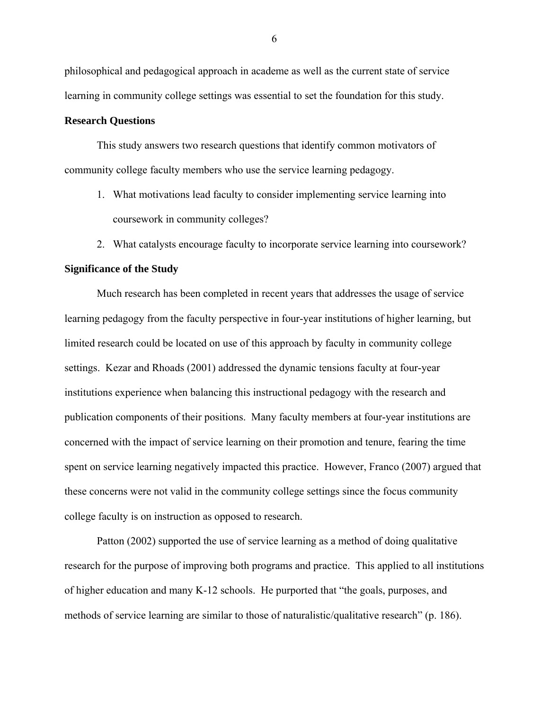philosophical and pedagogical approach in academe as well as the current state of service learning in community college settings was essential to set the foundation for this study.

#### **Research Questions**

This study answers two research questions that identify common motivators of community college faculty members who use the service learning pedagogy.

- 1. What motivations lead faculty to consider implementing service learning into coursework in community colleges?
- 2. What catalysts encourage faculty to incorporate service learning into coursework?

#### **Significance of the Study**

Much research has been completed in recent years that addresses the usage of service learning pedagogy from the faculty perspective in four-year institutions of higher learning, but limited research could be located on use of this approach by faculty in community college settings. Kezar and Rhoads (2001) addressed the dynamic tensions faculty at four-year institutions experience when balancing this instructional pedagogy with the research and publication components of their positions. Many faculty members at four-year institutions are concerned with the impact of service learning on their promotion and tenure, fearing the time spent on service learning negatively impacted this practice. However, Franco (2007) argued that these concerns were not valid in the community college settings since the focus community college faculty is on instruction as opposed to research.

Patton (2002) supported the use of service learning as a method of doing qualitative research for the purpose of improving both programs and practice. This applied to all institutions of higher education and many K-12 schools. He purported that "the goals, purposes, and methods of service learning are similar to those of naturalistic/qualitative research" (p. 186).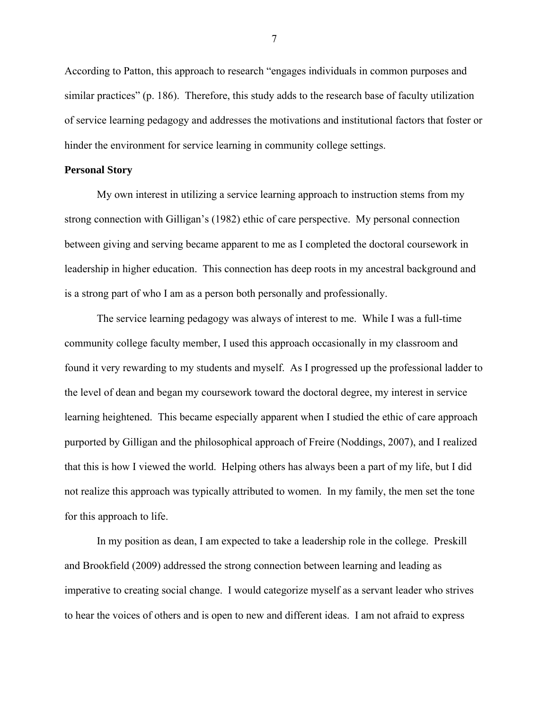According to Patton, this approach to research "engages individuals in common purposes and similar practices" (p. 186). Therefore, this study adds to the research base of faculty utilization of service learning pedagogy and addresses the motivations and institutional factors that foster or hinder the environment for service learning in community college settings.

#### **Personal Story**

My own interest in utilizing a service learning approach to instruction stems from my strong connection with Gilligan's (1982) ethic of care perspective. My personal connection between giving and serving became apparent to me as I completed the doctoral coursework in leadership in higher education. This connection has deep roots in my ancestral background and is a strong part of who I am as a person both personally and professionally.

The service learning pedagogy was always of interest to me. While I was a full-time community college faculty member, I used this approach occasionally in my classroom and found it very rewarding to my students and myself. As I progressed up the professional ladder to the level of dean and began my coursework toward the doctoral degree, my interest in service learning heightened. This became especially apparent when I studied the ethic of care approach purported by Gilligan and the philosophical approach of Freire (Noddings, 2007), and I realized that this is how I viewed the world. Helping others has always been a part of my life, but I did not realize this approach was typically attributed to women. In my family, the men set the tone for this approach to life.

In my position as dean, I am expected to take a leadership role in the college. Preskill and Brookfield (2009) addressed the strong connection between learning and leading as imperative to creating social change. I would categorize myself as a servant leader who strives to hear the voices of others and is open to new and different ideas. I am not afraid to express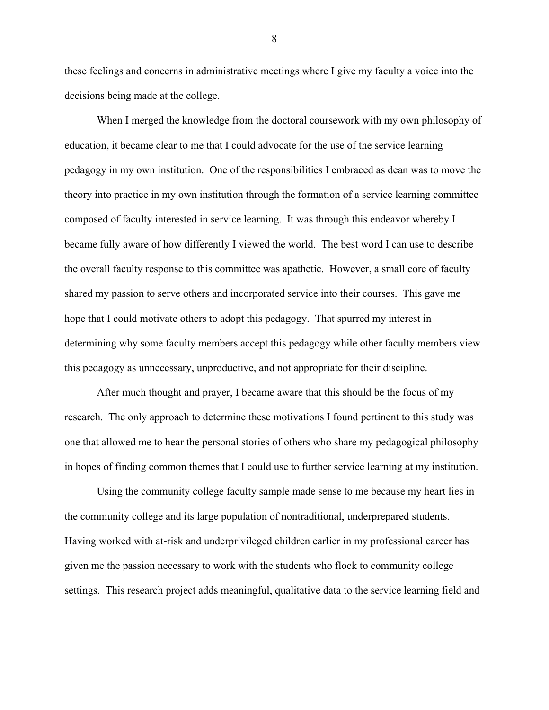these feelings and concerns in administrative meetings where I give my faculty a voice into the decisions being made at the college.

When I merged the knowledge from the doctoral coursework with my own philosophy of education, it became clear to me that I could advocate for the use of the service learning pedagogy in my own institution. One of the responsibilities I embraced as dean was to move the theory into practice in my own institution through the formation of a service learning committee composed of faculty interested in service learning. It was through this endeavor whereby I became fully aware of how differently I viewed the world. The best word I can use to describe the overall faculty response to this committee was apathetic. However, a small core of faculty shared my passion to serve others and incorporated service into their courses. This gave me hope that I could motivate others to adopt this pedagogy. That spurred my interest in determining why some faculty members accept this pedagogy while other faculty members view this pedagogy as unnecessary, unproductive, and not appropriate for their discipline.

After much thought and prayer, I became aware that this should be the focus of my research. The only approach to determine these motivations I found pertinent to this study was one that allowed me to hear the personal stories of others who share my pedagogical philosophy in hopes of finding common themes that I could use to further service learning at my institution.

Using the community college faculty sample made sense to me because my heart lies in the community college and its large population of nontraditional, underprepared students. Having worked with at-risk and underprivileged children earlier in my professional career has given me the passion necessary to work with the students who flock to community college settings. This research project adds meaningful, qualitative data to the service learning field and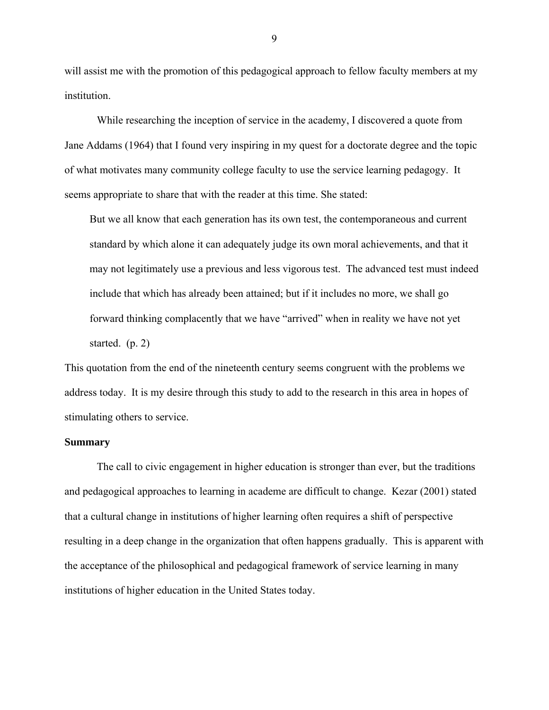will assist me with the promotion of this pedagogical approach to fellow faculty members at my institution.

While researching the inception of service in the academy, I discovered a quote from Jane Addams (1964) that I found very inspiring in my quest for a doctorate degree and the topic of what motivates many community college faculty to use the service learning pedagogy. It seems appropriate to share that with the reader at this time. She stated:

But we all know that each generation has its own test, the contemporaneous and current standard by which alone it can adequately judge its own moral achievements, and that it may not legitimately use a previous and less vigorous test. The advanced test must indeed include that which has already been attained; but if it includes no more, we shall go forward thinking complacently that we have "arrived" when in reality we have not yet started. (p. 2)

This quotation from the end of the nineteenth century seems congruent with the problems we address today. It is my desire through this study to add to the research in this area in hopes of stimulating others to service.

### **Summary**

The call to civic engagement in higher education is stronger than ever, but the traditions and pedagogical approaches to learning in academe are difficult to change. Kezar (2001) stated that a cultural change in institutions of higher learning often requires a shift of perspective resulting in a deep change in the organization that often happens gradually. This is apparent with the acceptance of the philosophical and pedagogical framework of service learning in many institutions of higher education in the United States today.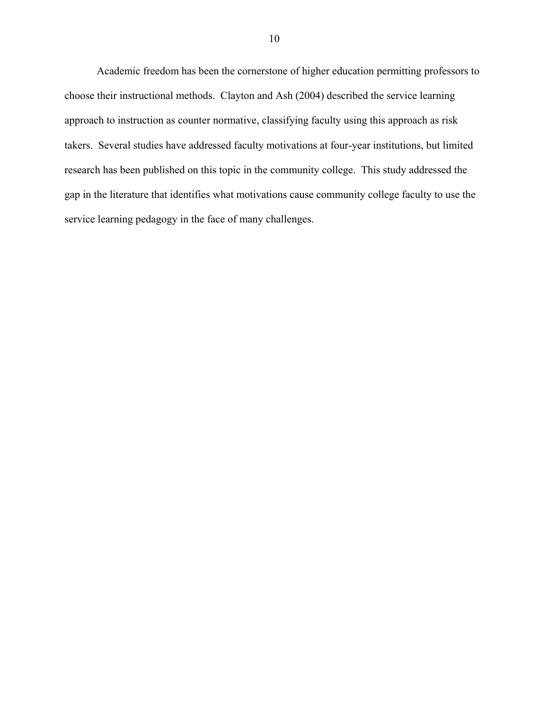Academic freedom has been the cornerstone of higher education permitting professors to choose their instructional methods. Clayton and Ash (2004) described the service learning approach to instruction as counter normative, classifying faculty using this approach as risk takers. Several studies have addressed faculty motivations at four-year institutions, but limited research has been published on this topic in the community college. This study addressed the gap in the literature that identifies what motivations cause community college faculty to use the service learning pedagogy in the face of many challenges.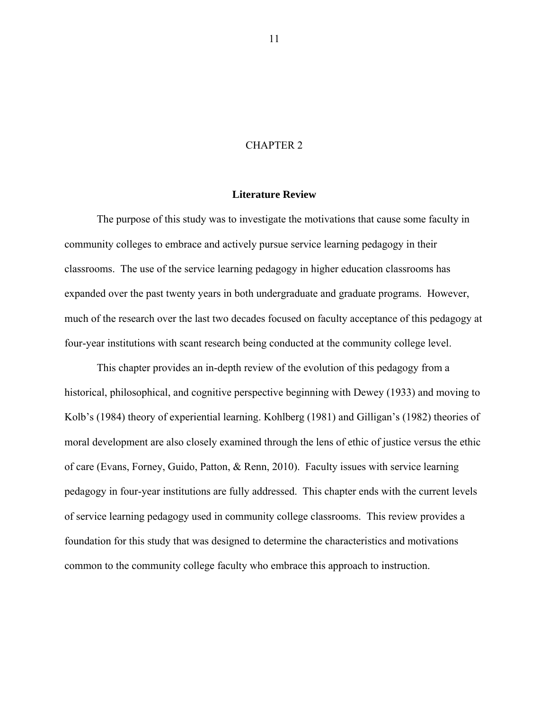#### CHAPTER 2

## **Literature Review**

The purpose of this study was to investigate the motivations that cause some faculty in community colleges to embrace and actively pursue service learning pedagogy in their classrooms. The use of the service learning pedagogy in higher education classrooms has expanded over the past twenty years in both undergraduate and graduate programs. However, much of the research over the last two decades focused on faculty acceptance of this pedagogy at four-year institutions with scant research being conducted at the community college level.

This chapter provides an in-depth review of the evolution of this pedagogy from a historical, philosophical, and cognitive perspective beginning with Dewey (1933) and moving to Kolb's (1984) theory of experiential learning. Kohlberg (1981) and Gilligan's (1982) theories of moral development are also closely examined through the lens of ethic of justice versus the ethic of care (Evans, Forney, Guido, Patton, & Renn, 2010). Faculty issues with service learning pedagogy in four-year institutions are fully addressed. This chapter ends with the current levels of service learning pedagogy used in community college classrooms. This review provides a foundation for this study that was designed to determine the characteristics and motivations common to the community college faculty who embrace this approach to instruction.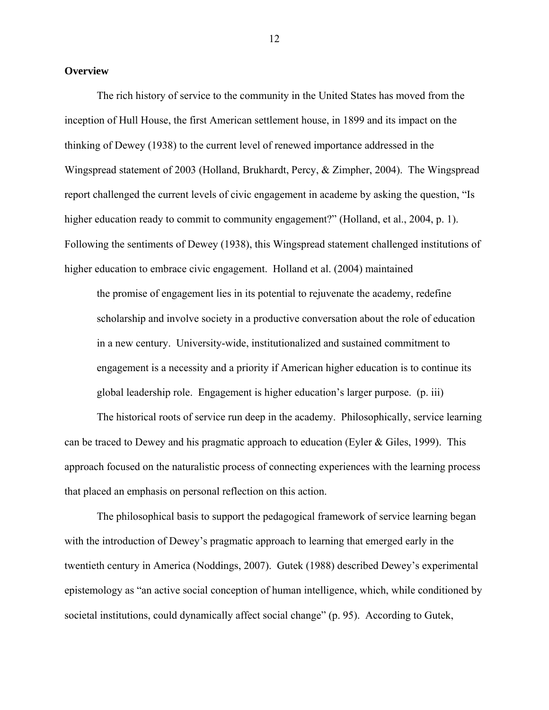#### **Overview**

The rich history of service to the community in the United States has moved from the inception of Hull House, the first American settlement house, in 1899 and its impact on the thinking of Dewey (1938) to the current level of renewed importance addressed in the Wingspread statement of 2003 (Holland, Brukhardt, Percy, & Zimpher, 2004). The Wingspread report challenged the current levels of civic engagement in academe by asking the question, "Is higher education ready to commit to community engagement?" (Holland, et al., 2004, p. 1). Following the sentiments of Dewey (1938), this Wingspread statement challenged institutions of higher education to embrace civic engagement. Holland et al. (2004) maintained

the promise of engagement lies in its potential to rejuvenate the academy, redefine scholarship and involve society in a productive conversation about the role of education in a new century. University-wide, institutionalized and sustained commitment to engagement is a necessity and a priority if American higher education is to continue its global leadership role. Engagement is higher education's larger purpose. (p. iii)

The historical roots of service run deep in the academy. Philosophically, service learning can be traced to Dewey and his pragmatic approach to education (Eyler & Giles, 1999). This approach focused on the naturalistic process of connecting experiences with the learning process that placed an emphasis on personal reflection on this action.

The philosophical basis to support the pedagogical framework of service learning began with the introduction of Dewey's pragmatic approach to learning that emerged early in the twentieth century in America (Noddings, 2007). Gutek (1988) described Dewey's experimental epistemology as "an active social conception of human intelligence, which, while conditioned by societal institutions, could dynamically affect social change" (p. 95). According to Gutek,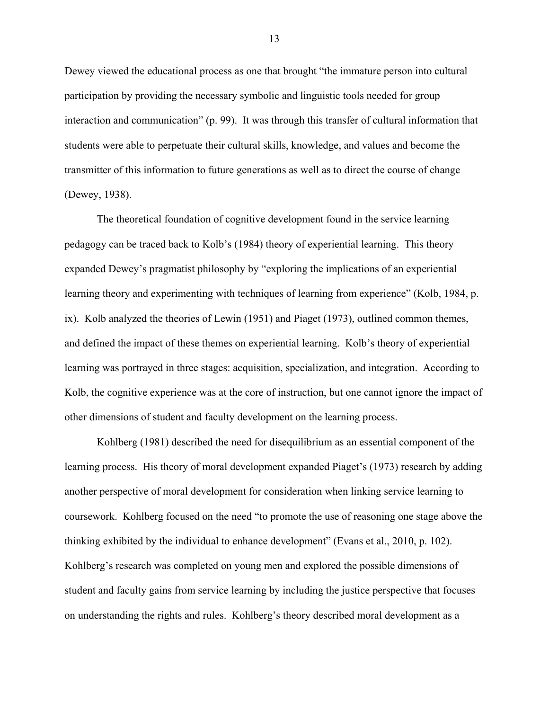Dewey viewed the educational process as one that brought "the immature person into cultural participation by providing the necessary symbolic and linguistic tools needed for group interaction and communication" (p. 99). It was through this transfer of cultural information that students were able to perpetuate their cultural skills, knowledge, and values and become the transmitter of this information to future generations as well as to direct the course of change (Dewey, 1938).

The theoretical foundation of cognitive development found in the service learning pedagogy can be traced back to Kolb's (1984) theory of experiential learning. This theory expanded Dewey's pragmatist philosophy by "exploring the implications of an experiential learning theory and experimenting with techniques of learning from experience" (Kolb, 1984, p. ix). Kolb analyzed the theories of Lewin (1951) and Piaget (1973), outlined common themes, and defined the impact of these themes on experiential learning. Kolb's theory of experiential learning was portrayed in three stages: acquisition, specialization, and integration. According to Kolb, the cognitive experience was at the core of instruction, but one cannot ignore the impact of other dimensions of student and faculty development on the learning process.

Kohlberg (1981) described the need for disequilibrium as an essential component of the learning process. His theory of moral development expanded Piaget's (1973) research by adding another perspective of moral development for consideration when linking service learning to coursework. Kohlberg focused on the need "to promote the use of reasoning one stage above the thinking exhibited by the individual to enhance development" (Evans et al., 2010, p. 102). Kohlberg's research was completed on young men and explored the possible dimensions of student and faculty gains from service learning by including the justice perspective that focuses on understanding the rights and rules. Kohlberg's theory described moral development as a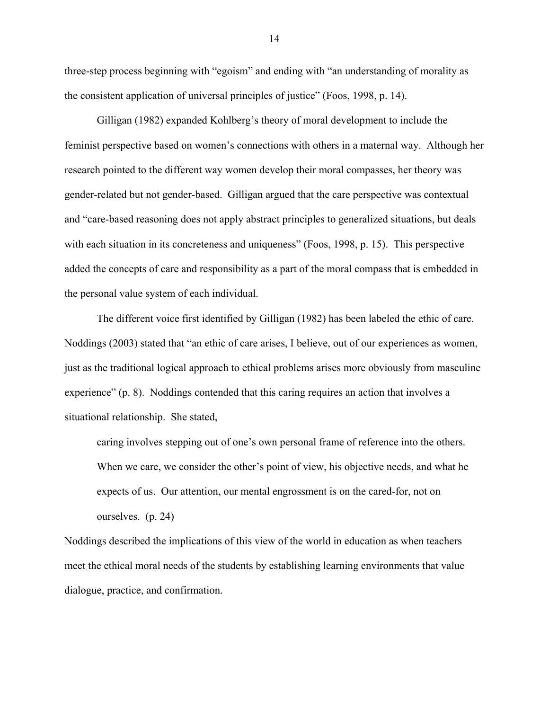three-step process beginning with "egoism" and ending with "an understanding of morality as the consistent application of universal principles of justice" (Foos, 1998, p. 14).

Gilligan (1982) expanded Kohlberg's theory of moral development to include the feminist perspective based on women's connections with others in a maternal way. Although her research pointed to the different way women develop their moral compasses, her theory was gender-related but not gender-based. Gilligan argued that the care perspective was contextual and "care-based reasoning does not apply abstract principles to generalized situations, but deals with each situation in its concreteness and uniqueness" (Foos, 1998, p. 15). This perspective added the concepts of care and responsibility as a part of the moral compass that is embedded in the personal value system of each individual.

The different voice first identified by Gilligan (1982) has been labeled the ethic of care. Noddings (2003) stated that "an ethic of care arises, I believe, out of our experiences as women, just as the traditional logical approach to ethical problems arises more obviously from masculine experience" (p. 8). Noddings contended that this caring requires an action that involves a situational relationship. She stated,

caring involves stepping out of one's own personal frame of reference into the others. When we care, we consider the other's point of view, his objective needs, and what he expects of us. Our attention, our mental engrossment is on the cared-for, not on ourselves. (p. 24)

Noddings described the implications of this view of the world in education as when teachers meet the ethical moral needs of the students by establishing learning environments that value dialogue, practice, and confirmation.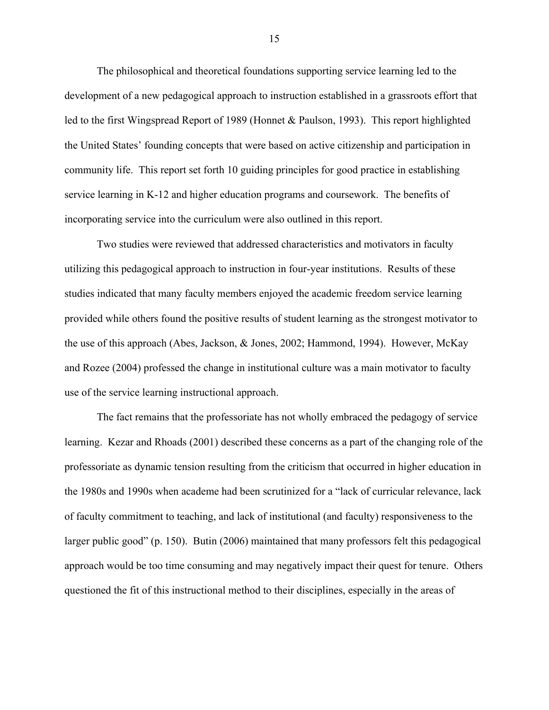The philosophical and theoretical foundations supporting service learning led to the development of a new pedagogical approach to instruction established in a grassroots effort that led to the first Wingspread Report of 1989 (Honnet & Paulson, 1993). This report highlighted the United States' founding concepts that were based on active citizenship and participation in community life. This report set forth 10 guiding principles for good practice in establishing service learning in K-12 and higher education programs and coursework. The benefits of incorporating service into the curriculum were also outlined in this report.

Two studies were reviewed that addressed characteristics and motivators in faculty utilizing this pedagogical approach to instruction in four-year institutions. Results of these studies indicated that many faculty members enjoyed the academic freedom service learning provided while others found the positive results of student learning as the strongest motivator to the use of this approach (Abes, Jackson, & Jones, 2002; Hammond, 1994). However, McKay and Rozee (2004) professed the change in institutional culture was a main motivator to faculty use of the service learning instructional approach.

The fact remains that the professoriate has not wholly embraced the pedagogy of service learning. Kezar and Rhoads (2001) described these concerns as a part of the changing role of the professoriate as dynamic tension resulting from the criticism that occurred in higher education in the 1980s and 1990s when academe had been scrutinized for a "lack of curricular relevance, lack of faculty commitment to teaching, and lack of institutional (and faculty) responsiveness to the larger public good" (p. 150). Butin (2006) maintained that many professors felt this pedagogical approach would be too time consuming and may negatively impact their quest for tenure. Others questioned the fit of this instructional method to their disciplines, especially in the areas of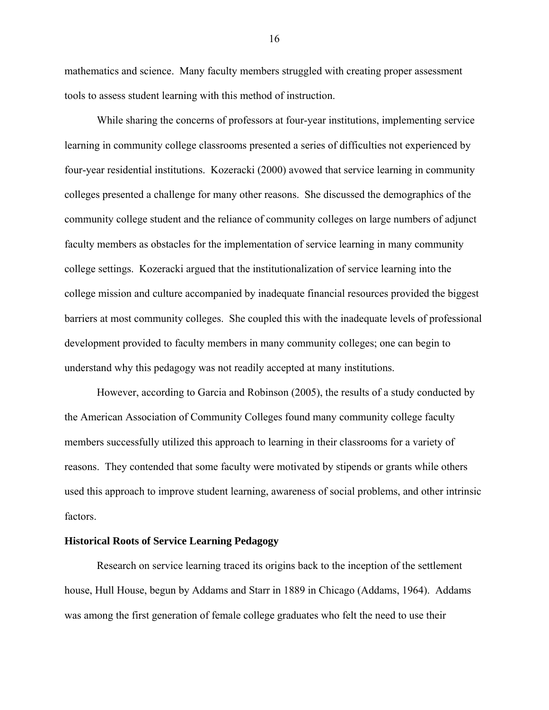mathematics and science. Many faculty members struggled with creating proper assessment tools to assess student learning with this method of instruction.

While sharing the concerns of professors at four-year institutions, implementing service learning in community college classrooms presented a series of difficulties not experienced by four-year residential institutions. Kozeracki (2000) avowed that service learning in community colleges presented a challenge for many other reasons. She discussed the demographics of the community college student and the reliance of community colleges on large numbers of adjunct faculty members as obstacles for the implementation of service learning in many community college settings. Kozeracki argued that the institutionalization of service learning into the college mission and culture accompanied by inadequate financial resources provided the biggest barriers at most community colleges. She coupled this with the inadequate levels of professional development provided to faculty members in many community colleges; one can begin to understand why this pedagogy was not readily accepted at many institutions.

However, according to Garcia and Robinson (2005), the results of a study conducted by the American Association of Community Colleges found many community college faculty members successfully utilized this approach to learning in their classrooms for a variety of reasons. They contended that some faculty were motivated by stipends or grants while others used this approach to improve student learning, awareness of social problems, and other intrinsic factors.

#### **Historical Roots of Service Learning Pedagogy**

Research on service learning traced its origins back to the inception of the settlement house, Hull House, begun by Addams and Starr in 1889 in Chicago (Addams, 1964). Addams was among the first generation of female college graduates who felt the need to use their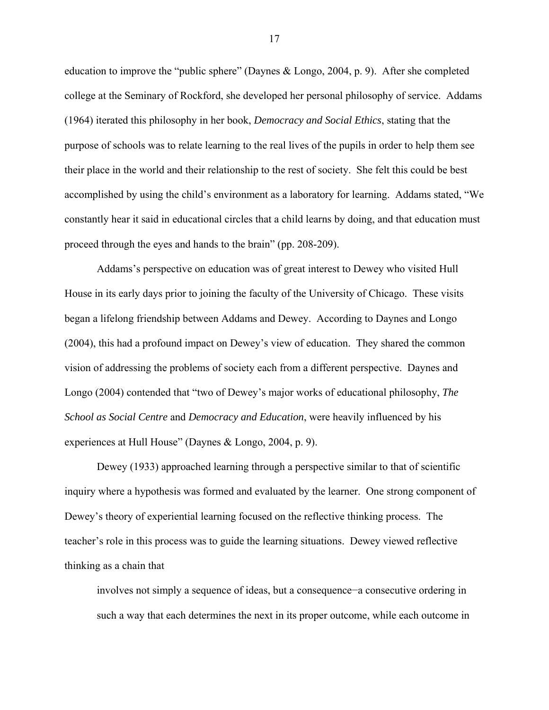education to improve the "public sphere" (Daynes & Longo, 2004, p. 9). After she completed college at the Seminary of Rockford, she developed her personal philosophy of service. Addams (1964) iterated this philosophy in her book, *Democracy and Social Ethics*, stating that the purpose of schools was to relate learning to the real lives of the pupils in order to help them see their place in the world and their relationship to the rest of society. She felt this could be best accomplished by using the child's environment as a laboratory for learning. Addams stated, "We constantly hear it said in educational circles that a child learns by doing, and that education must proceed through the eyes and hands to the brain" (pp. 208-209).

Addams's perspective on education was of great interest to Dewey who visited Hull House in its early days prior to joining the faculty of the University of Chicago. These visits began a lifelong friendship between Addams and Dewey. According to Daynes and Longo (2004), this had a profound impact on Dewey's view of education. They shared the common vision of addressing the problems of society each from a different perspective. Daynes and Longo (2004) contended that "two of Dewey's major works of educational philosophy, *The School as Social Centre* and *Democracy and Education*, were heavily influenced by his experiences at Hull House" (Daynes & Longo, 2004, p. 9).

Dewey (1933) approached learning through a perspective similar to that of scientific inquiry where a hypothesis was formed and evaluated by the learner. One strong component of Dewey's theory of experiential learning focused on the reflective thinking process. The teacher's role in this process was to guide the learning situations. Dewey viewed reflective thinking as a chain that

involves not simply a sequence of ideas, but a consequence−a consecutive ordering in such a way that each determines the next in its proper outcome, while each outcome in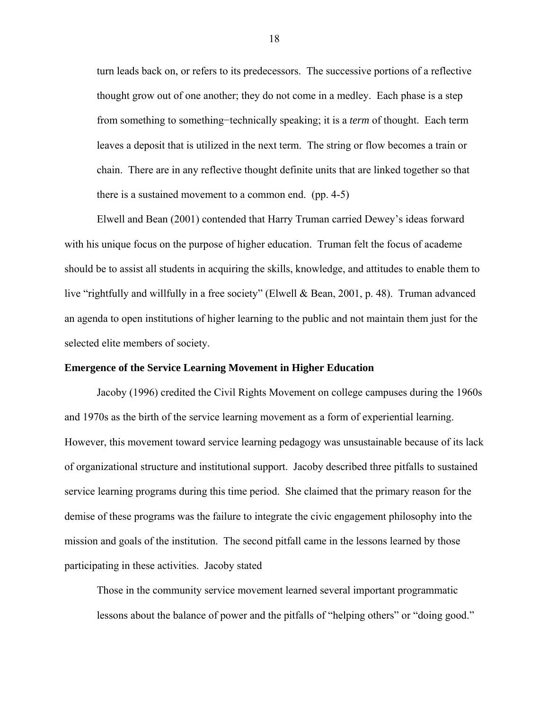turn leads back on, or refers to its predecessors. The successive portions of a reflective thought grow out of one another; they do not come in a medley. Each phase is a step from something to something−technically speaking; it is a *term* of thought. Each term leaves a deposit that is utilized in the next term. The string or flow becomes a train or chain. There are in any reflective thought definite units that are linked together so that there is a sustained movement to a common end. (pp. 4-5)

Elwell and Bean (2001) contended that Harry Truman carried Dewey's ideas forward with his unique focus on the purpose of higher education. Truman felt the focus of academe should be to assist all students in acquiring the skills, knowledge, and attitudes to enable them to live "rightfully and willfully in a free society" (Elwell & Bean, 2001, p. 48). Truman advanced an agenda to open institutions of higher learning to the public and not maintain them just for the selected elite members of society.

## **Emergence of the Service Learning Movement in Higher Education**

Jacoby (1996) credited the Civil Rights Movement on college campuses during the 1960s and 1970s as the birth of the service learning movement as a form of experiential learning. However, this movement toward service learning pedagogy was unsustainable because of its lack of organizational structure and institutional support. Jacoby described three pitfalls to sustained service learning programs during this time period. She claimed that the primary reason for the demise of these programs was the failure to integrate the civic engagement philosophy into the mission and goals of the institution. The second pitfall came in the lessons learned by those participating in these activities. Jacoby stated

Those in the community service movement learned several important programmatic lessons about the balance of power and the pitfalls of "helping others" or "doing good."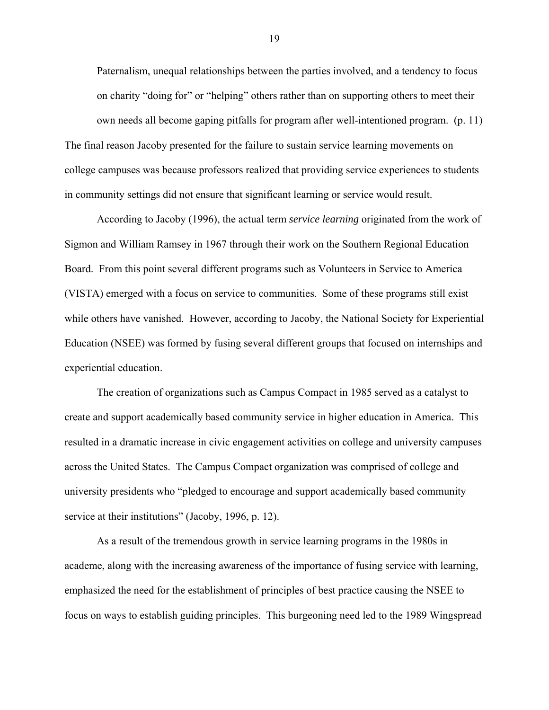Paternalism, unequal relationships between the parties involved, and a tendency to focus on charity "doing for" or "helping" others rather than on supporting others to meet their own needs all become gaping pitfalls for program after well-intentioned program. (p. 11)

The final reason Jacoby presented for the failure to sustain service learning movements on college campuses was because professors realized that providing service experiences to students in community settings did not ensure that significant learning or service would result.

According to Jacoby (1996), the actual term *service learning* originated from the work of Sigmon and William Ramsey in 1967 through their work on the Southern Regional Education Board. From this point several different programs such as Volunteers in Service to America (VISTA) emerged with a focus on service to communities. Some of these programs still exist while others have vanished. However, according to Jacoby, the National Society for Experiential Education (NSEE) was formed by fusing several different groups that focused on internships and experiential education.

The creation of organizations such as Campus Compact in 1985 served as a catalyst to create and support academically based community service in higher education in America. This resulted in a dramatic increase in civic engagement activities on college and university campuses across the United States. The Campus Compact organization was comprised of college and university presidents who "pledged to encourage and support academically based community service at their institutions" (Jacoby, 1996, p. 12).

As a result of the tremendous growth in service learning programs in the 1980s in academe, along with the increasing awareness of the importance of fusing service with learning, emphasized the need for the establishment of principles of best practice causing the NSEE to focus on ways to establish guiding principles. This burgeoning need led to the 1989 Wingspread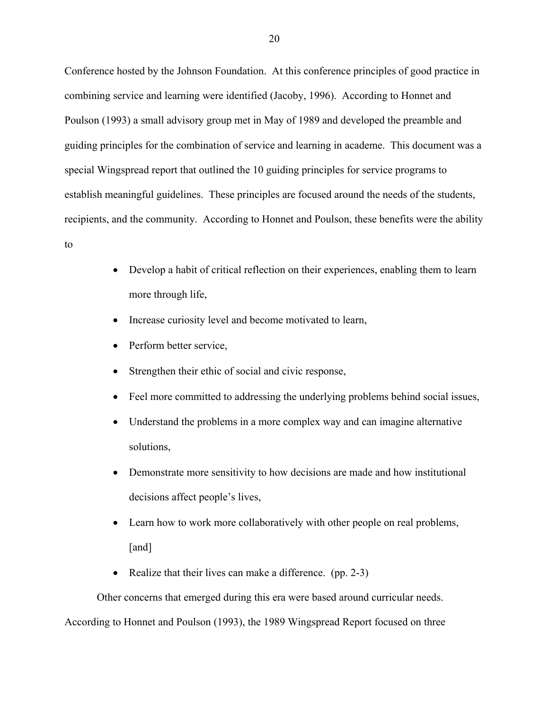Conference hosted by the Johnson Foundation. At this conference principles of good practice in combining service and learning were identified (Jacoby, 1996). According to Honnet and Poulson (1993) a small advisory group met in May of 1989 and developed the preamble and guiding principles for the combination of service and learning in academe. This document was a special Wingspread report that outlined the 10 guiding principles for service programs to establish meaningful guidelines. These principles are focused around the needs of the students, recipients, and the community. According to Honnet and Poulson, these benefits were the ability

- to
- Develop a habit of critical reflection on their experiences, enabling them to learn more through life,
- Increase curiosity level and become motivated to learn,
- Perform better service,
- Strengthen their ethic of social and civic response,
- Feel more committed to addressing the underlying problems behind social issues,
- Understand the problems in a more complex way and can imagine alternative solutions,
- Demonstrate more sensitivity to how decisions are made and how institutional decisions affect people's lives,
- Learn how to work more collaboratively with other people on real problems, [and]
- Realize that their lives can make a difference. (pp. 2-3)

Other concerns that emerged during this era were based around curricular needs. According to Honnet and Poulson (1993), the 1989 Wingspread Report focused on three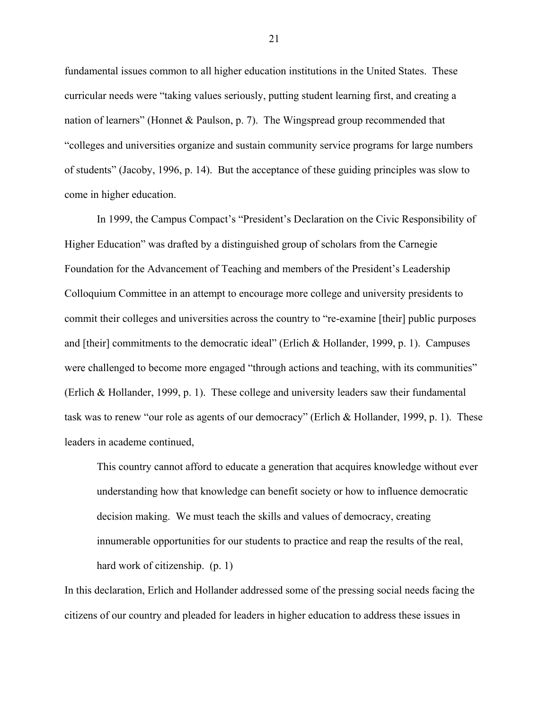fundamental issues common to all higher education institutions in the United States. These curricular needs were "taking values seriously, putting student learning first, and creating a nation of learners" (Honnet & Paulson, p. 7). The Wingspread group recommended that "colleges and universities organize and sustain community service programs for large numbers of students" (Jacoby, 1996, p. 14). But the acceptance of these guiding principles was slow to come in higher education.

In 1999, the Campus Compact's "President's Declaration on the Civic Responsibility of Higher Education" was drafted by a distinguished group of scholars from the Carnegie Foundation for the Advancement of Teaching and members of the President's Leadership Colloquium Committee in an attempt to encourage more college and university presidents to commit their colleges and universities across the country to "re-examine [their] public purposes and [their] commitments to the democratic ideal" (Erlich & Hollander, 1999, p. 1). Campuses were challenged to become more engaged "through actions and teaching, with its communities" (Erlich & Hollander, 1999, p. 1). These college and university leaders saw their fundamental task was to renew "our role as agents of our democracy" (Erlich & Hollander, 1999, p. 1). These leaders in academe continued,

This country cannot afford to educate a generation that acquires knowledge without ever understanding how that knowledge can benefit society or how to influence democratic decision making. We must teach the skills and values of democracy, creating innumerable opportunities for our students to practice and reap the results of the real, hard work of citizenship. (p. 1)

In this declaration, Erlich and Hollander addressed some of the pressing social needs facing the citizens of our country and pleaded for leaders in higher education to address these issues in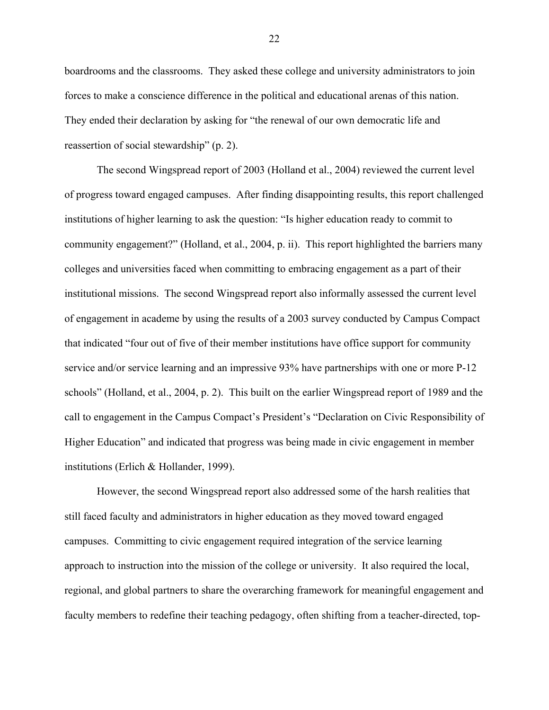boardrooms and the classrooms. They asked these college and university administrators to join forces to make a conscience difference in the political and educational arenas of this nation. They ended their declaration by asking for "the renewal of our own democratic life and reassertion of social stewardship" (p. 2).

The second Wingspread report of 2003 (Holland et al., 2004) reviewed the current level of progress toward engaged campuses. After finding disappointing results, this report challenged institutions of higher learning to ask the question: "Is higher education ready to commit to community engagement?" (Holland, et al., 2004, p. ii). This report highlighted the barriers many colleges and universities faced when committing to embracing engagement as a part of their institutional missions. The second Wingspread report also informally assessed the current level of engagement in academe by using the results of a 2003 survey conducted by Campus Compact that indicated "four out of five of their member institutions have office support for community service and/or service learning and an impressive 93% have partnerships with one or more P-12 schools" (Holland, et al., 2004, p. 2). This built on the earlier Wingspread report of 1989 and the call to engagement in the Campus Compact's President's "Declaration on Civic Responsibility of Higher Education" and indicated that progress was being made in civic engagement in member institutions (Erlich & Hollander, 1999).

However, the second Wingspread report also addressed some of the harsh realities that still faced faculty and administrators in higher education as they moved toward engaged campuses. Committing to civic engagement required integration of the service learning approach to instruction into the mission of the college or university. It also required the local, regional, and global partners to share the overarching framework for meaningful engagement and faculty members to redefine their teaching pedagogy, often shifting from a teacher-directed, top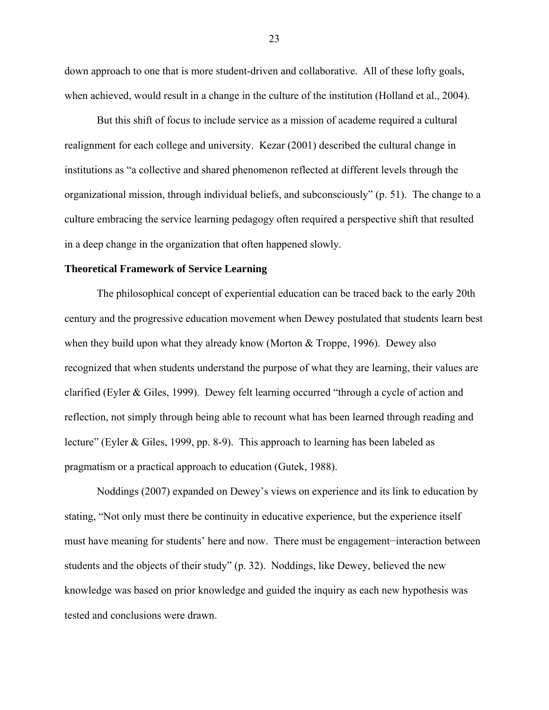down approach to one that is more student-driven and collaborative. All of these lofty goals, when achieved, would result in a change in the culture of the institution (Holland et al., 2004).

But this shift of focus to include service as a mission of academe required a cultural realignment for each college and university. Kezar (2001) described the cultural change in institutions as "a collective and shared phenomenon reflected at different levels through the organizational mission, through individual beliefs, and subconsciously" (p. 51). The change to a culture embracing the service learning pedagogy often required a perspective shift that resulted in a deep change in the organization that often happened slowly.

#### **Theoretical Framework of Service Learning**

The philosophical concept of experiential education can be traced back to the early 20th century and the progressive education movement when Dewey postulated that students learn best when they build upon what they already know (Morton  $&$  Troppe, 1996). Dewey also recognized that when students understand the purpose of what they are learning, their values are clarified (Eyler & Giles, 1999). Dewey felt learning occurred "through a cycle of action and reflection, not simply through being able to recount what has been learned through reading and lecture" (Eyler & Giles, 1999, pp. 8-9). This approach to learning has been labeled as pragmatism or a practical approach to education (Gutek, 1988).

Noddings (2007) expanded on Dewey's views on experience and its link to education by stating, "Not only must there be continuity in educative experience, but the experience itself must have meaning for students' here and now. There must be engagement−interaction between students and the objects of their study" (p. 32). Noddings, like Dewey, believed the new knowledge was based on prior knowledge and guided the inquiry as each new hypothesis was tested and conclusions were drawn.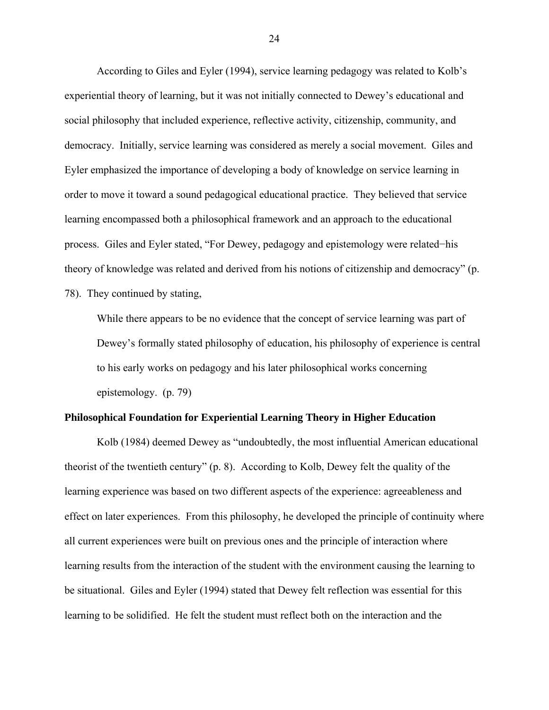According to Giles and Eyler (1994), service learning pedagogy was related to Kolb's experiential theory of learning, but it was not initially connected to Dewey's educational and social philosophy that included experience, reflective activity, citizenship, community, and democracy. Initially, service learning was considered as merely a social movement. Giles and Eyler emphasized the importance of developing a body of knowledge on service learning in order to move it toward a sound pedagogical educational practice. They believed that service learning encompassed both a philosophical framework and an approach to the educational process. Giles and Eyler stated, "For Dewey, pedagogy and epistemology were related−his theory of knowledge was related and derived from his notions of citizenship and democracy" (p. 78). They continued by stating,

While there appears to be no evidence that the concept of service learning was part of Dewey's formally stated philosophy of education, his philosophy of experience is central to his early works on pedagogy and his later philosophical works concerning epistemology. (p. 79)

#### **Philosophical Foundation for Experiential Learning Theory in Higher Education**

Kolb (1984) deemed Dewey as "undoubtedly, the most influential American educational theorist of the twentieth century" (p. 8). According to Kolb, Dewey felt the quality of the learning experience was based on two different aspects of the experience: agreeableness and effect on later experiences. From this philosophy, he developed the principle of continuity where all current experiences were built on previous ones and the principle of interaction where learning results from the interaction of the student with the environment causing the learning to be situational. Giles and Eyler (1994) stated that Dewey felt reflection was essential for this learning to be solidified. He felt the student must reflect both on the interaction and the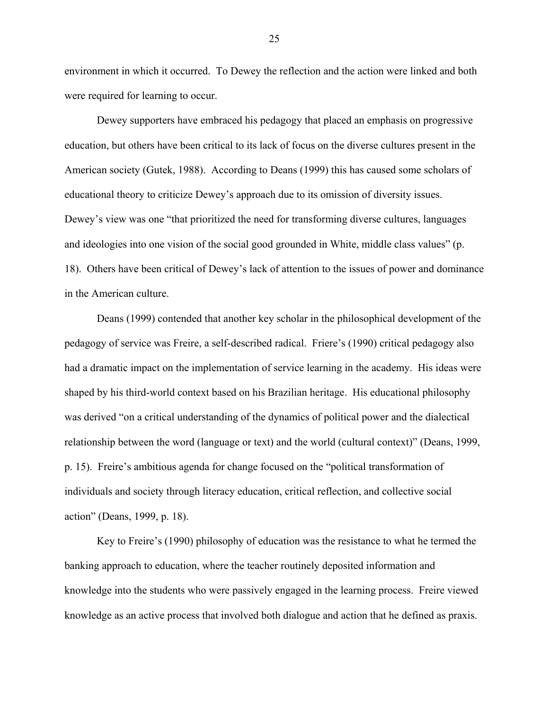environment in which it occurred. To Dewey the reflection and the action were linked and both were required for learning to occur.

Dewey supporters have embraced his pedagogy that placed an emphasis on progressive education, but others have been critical to its lack of focus on the diverse cultures present in the American society (Gutek, 1988). According to Deans (1999) this has caused some scholars of educational theory to criticize Dewey's approach due to its omission of diversity issues. Dewey's view was one "that prioritized the need for transforming diverse cultures, languages and ideologies into one vision of the social good grounded in White, middle class values" (p. 18). Others have been critical of Dewey's lack of attention to the issues of power and dominance in the American culture.

Deans (1999) contended that another key scholar in the philosophical development of the pedagogy of service was Freire, a self-described radical. Friere's (1990) critical pedagogy also had a dramatic impact on the implementation of service learning in the academy. His ideas were shaped by his third-world context based on his Brazilian heritage. His educational philosophy was derived "on a critical understanding of the dynamics of political power and the dialectical relationship between the word (language or text) and the world (cultural context)" (Deans, 1999, p. 15). Freire's ambitious agenda for change focused on the "political transformation of individuals and society through literacy education, critical reflection, and collective social action" (Deans, 1999, p. 18).

Key to Freire's (1990) philosophy of education was the resistance to what he termed the banking approach to education, where the teacher routinely deposited information and knowledge into the students who were passively engaged in the learning process. Freire viewed knowledge as an active process that involved both dialogue and action that he defined as praxis.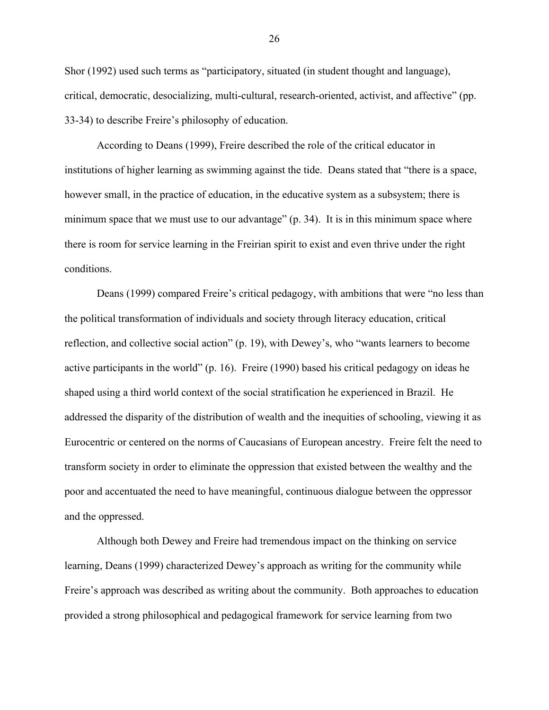Shor (1992) used such terms as "participatory, situated (in student thought and language), critical, democratic, desocializing, multi-cultural, research-oriented, activist, and affective" (pp. 33-34) to describe Freire's philosophy of education.

According to Deans (1999), Freire described the role of the critical educator in institutions of higher learning as swimming against the tide. Deans stated that "there is a space, however small, in the practice of education, in the educative system as a subsystem; there is minimum space that we must use to our advantage" (p. 34). It is in this minimum space where there is room for service learning in the Freirian spirit to exist and even thrive under the right conditions.

Deans (1999) compared Freire's critical pedagogy, with ambitions that were "no less than the political transformation of individuals and society through literacy education, critical reflection, and collective social action" (p. 19), with Dewey's, who "wants learners to become active participants in the world" (p. 16). Freire (1990) based his critical pedagogy on ideas he shaped using a third world context of the social stratification he experienced in Brazil. He addressed the disparity of the distribution of wealth and the inequities of schooling, viewing it as Eurocentric or centered on the norms of Caucasians of European ancestry. Freire felt the need to transform society in order to eliminate the oppression that existed between the wealthy and the poor and accentuated the need to have meaningful, continuous dialogue between the oppressor and the oppressed.

Although both Dewey and Freire had tremendous impact on the thinking on service learning, Deans (1999) characterized Dewey's approach as writing for the community while Freire's approach was described as writing about the community. Both approaches to education provided a strong philosophical and pedagogical framework for service learning from two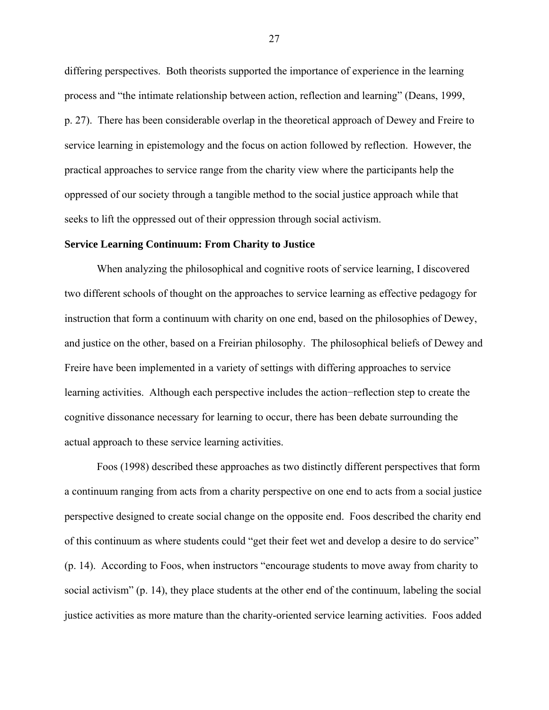differing perspectives. Both theorists supported the importance of experience in the learning process and "the intimate relationship between action, reflection and learning" (Deans, 1999, p. 27). There has been considerable overlap in the theoretical approach of Dewey and Freire to service learning in epistemology and the focus on action followed by reflection. However, the practical approaches to service range from the charity view where the participants help the oppressed of our society through a tangible method to the social justice approach while that seeks to lift the oppressed out of their oppression through social activism.

#### **Service Learning Continuum: From Charity to Justice**

When analyzing the philosophical and cognitive roots of service learning, I discovered two different schools of thought on the approaches to service learning as effective pedagogy for instruction that form a continuum with charity on one end, based on the philosophies of Dewey, and justice on the other, based on a Freirian philosophy. The philosophical beliefs of Dewey and Freire have been implemented in a variety of settings with differing approaches to service learning activities. Although each perspective includes the action−reflection step to create the cognitive dissonance necessary for learning to occur, there has been debate surrounding the actual approach to these service learning activities.

Foos (1998) described these approaches as two distinctly different perspectives that form a continuum ranging from acts from a charity perspective on one end to acts from a social justice perspective designed to create social change on the opposite end. Foos described the charity end of this continuum as where students could "get their feet wet and develop a desire to do service" (p. 14). According to Foos, when instructors "encourage students to move away from charity to social activism" (p. 14), they place students at the other end of the continuum, labeling the social justice activities as more mature than the charity-oriented service learning activities. Foos added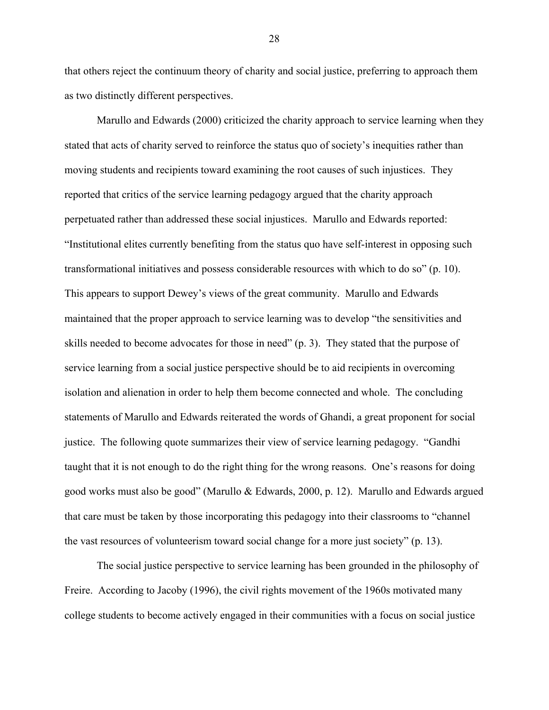that others reject the continuum theory of charity and social justice, preferring to approach them as two distinctly different perspectives.

Marullo and Edwards (2000) criticized the charity approach to service learning when they stated that acts of charity served to reinforce the status quo of society's inequities rather than moving students and recipients toward examining the root causes of such injustices. They reported that critics of the service learning pedagogy argued that the charity approach perpetuated rather than addressed these social injustices. Marullo and Edwards reported: "Institutional elites currently benefiting from the status quo have self-interest in opposing such transformational initiatives and possess considerable resources with which to do so" (p. 10). This appears to support Dewey's views of the great community. Marullo and Edwards maintained that the proper approach to service learning was to develop "the sensitivities and skills needed to become advocates for those in need" (p. 3). They stated that the purpose of service learning from a social justice perspective should be to aid recipients in overcoming isolation and alienation in order to help them become connected and whole. The concluding statements of Marullo and Edwards reiterated the words of Ghandi, a great proponent for social justice. The following quote summarizes their view of service learning pedagogy. "Gandhi taught that it is not enough to do the right thing for the wrong reasons. One's reasons for doing good works must also be good" (Marullo & Edwards, 2000, p. 12). Marullo and Edwards argued that care must be taken by those incorporating this pedagogy into their classrooms to "channel the vast resources of volunteerism toward social change for a more just society" (p. 13).

The social justice perspective to service learning has been grounded in the philosophy of Freire. According to Jacoby (1996), the civil rights movement of the 1960s motivated many college students to become actively engaged in their communities with a focus on social justice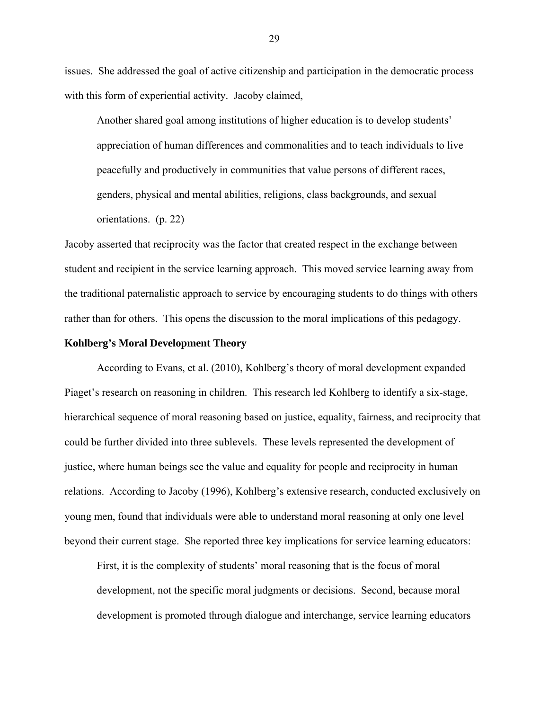issues. She addressed the goal of active citizenship and participation in the democratic process with this form of experiential activity. Jacoby claimed,

Another shared goal among institutions of higher education is to develop students' appreciation of human differences and commonalities and to teach individuals to live peacefully and productively in communities that value persons of different races, genders, physical and mental abilities, religions, class backgrounds, and sexual orientations. (p. 22)

Jacoby asserted that reciprocity was the factor that created respect in the exchange between student and recipient in the service learning approach. This moved service learning away from the traditional paternalistic approach to service by encouraging students to do things with others rather than for others. This opens the discussion to the moral implications of this pedagogy.

### **Kohlberg's Moral Development Theory**

According to Evans, et al. (2010), Kohlberg's theory of moral development expanded Piaget's research on reasoning in children. This research led Kohlberg to identify a six-stage, hierarchical sequence of moral reasoning based on justice, equality, fairness, and reciprocity that could be further divided into three sublevels. These levels represented the development of justice, where human beings see the value and equality for people and reciprocity in human relations. According to Jacoby (1996), Kohlberg's extensive research, conducted exclusively on young men, found that individuals were able to understand moral reasoning at only one level beyond their current stage. She reported three key implications for service learning educators:

First, it is the complexity of students' moral reasoning that is the focus of moral development, not the specific moral judgments or decisions. Second, because moral development is promoted through dialogue and interchange, service learning educators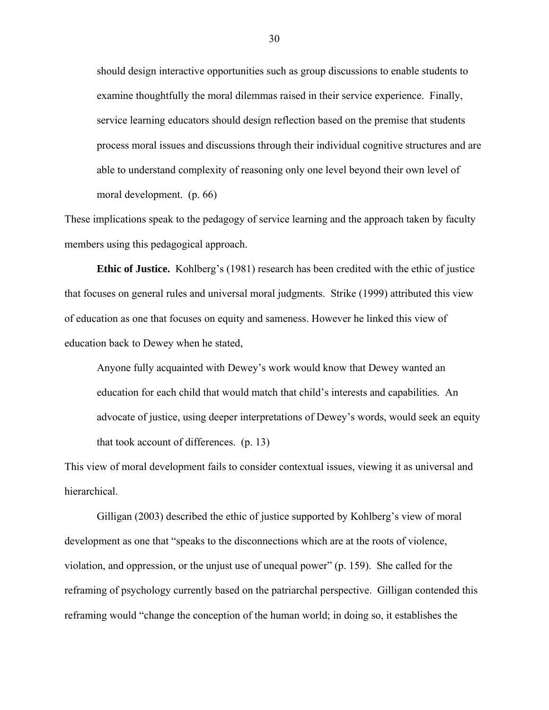should design interactive opportunities such as group discussions to enable students to examine thoughtfully the moral dilemmas raised in their service experience. Finally, service learning educators should design reflection based on the premise that students process moral issues and discussions through their individual cognitive structures and are able to understand complexity of reasoning only one level beyond their own level of moral development. (p. 66)

These implications speak to the pedagogy of service learning and the approach taken by faculty members using this pedagogical approach.

**Ethic of Justice.** Kohlberg's (1981) research has been credited with the ethic of justice that focuses on general rules and universal moral judgments. Strike (1999) attributed this view of education as one that focuses on equity and sameness. However he linked this view of education back to Dewey when he stated,

Anyone fully acquainted with Dewey's work would know that Dewey wanted an education for each child that would match that child's interests and capabilities. An advocate of justice, using deeper interpretations of Dewey's words, would seek an equity that took account of differences. (p. 13)

This view of moral development fails to consider contextual issues, viewing it as universal and hierarchical.

Gilligan (2003) described the ethic of justice supported by Kohlberg's view of moral development as one that "speaks to the disconnections which are at the roots of violence, violation, and oppression, or the unjust use of unequal power" (p. 159). She called for the reframing of psychology currently based on the patriarchal perspective. Gilligan contended this reframing would "change the conception of the human world; in doing so, it establishes the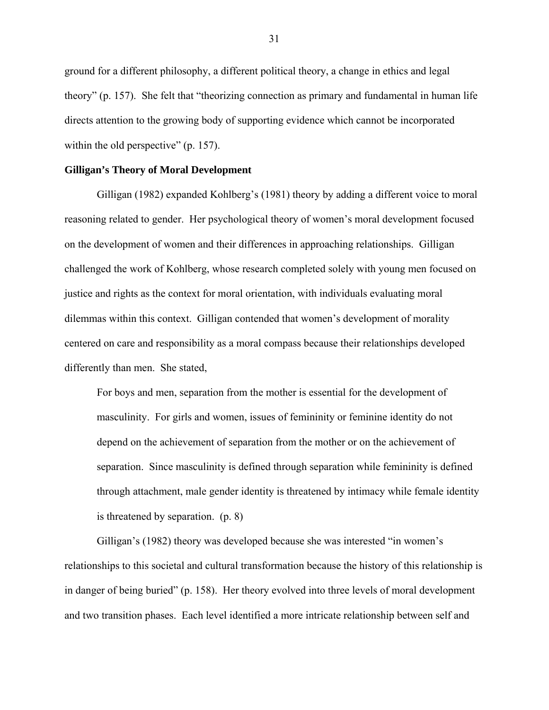ground for a different philosophy, a different political theory, a change in ethics and legal theory" (p. 157). She felt that "theorizing connection as primary and fundamental in human life directs attention to the growing body of supporting evidence which cannot be incorporated within the old perspective" (p. 157).

#### **Gilligan's Theory of Moral Development**

Gilligan (1982) expanded Kohlberg's (1981) theory by adding a different voice to moral reasoning related to gender. Her psychological theory of women's moral development focused on the development of women and their differences in approaching relationships. Gilligan challenged the work of Kohlberg, whose research completed solely with young men focused on justice and rights as the context for moral orientation, with individuals evaluating moral dilemmas within this context. Gilligan contended that women's development of morality centered on care and responsibility as a moral compass because their relationships developed differently than men. She stated,

For boys and men, separation from the mother is essential for the development of masculinity. For girls and women, issues of femininity or feminine identity do not depend on the achievement of separation from the mother or on the achievement of separation. Since masculinity is defined through separation while femininity is defined through attachment, male gender identity is threatened by intimacy while female identity is threatened by separation. (p. 8)

Gilligan's (1982) theory was developed because she was interested "in women's relationships to this societal and cultural transformation because the history of this relationship is in danger of being buried" (p. 158). Her theory evolved into three levels of moral development and two transition phases. Each level identified a more intricate relationship between self and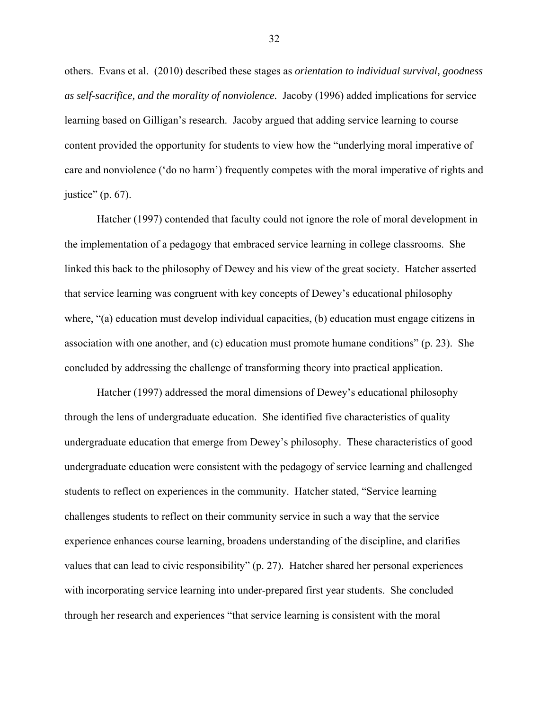others. Evans et al. (2010) described these stages as *orientation to individual survival, goodness as self-sacrifice, and the morality of nonviolence.* Jacoby (1996) added implications for service learning based on Gilligan's research. Jacoby argued that adding service learning to course content provided the opportunity for students to view how the "underlying moral imperative of care and nonviolence ('do no harm') frequently competes with the moral imperative of rights and justice" (p. 67).

Hatcher (1997) contended that faculty could not ignore the role of moral development in the implementation of a pedagogy that embraced service learning in college classrooms. She linked this back to the philosophy of Dewey and his view of the great society. Hatcher asserted that service learning was congruent with key concepts of Dewey's educational philosophy where, "(a) education must develop individual capacities, (b) education must engage citizens in association with one another, and (c) education must promote humane conditions" (p. 23). She concluded by addressing the challenge of transforming theory into practical application.

Hatcher (1997) addressed the moral dimensions of Dewey's educational philosophy through the lens of undergraduate education. She identified five characteristics of quality undergraduate education that emerge from Dewey's philosophy. These characteristics of good undergraduate education were consistent with the pedagogy of service learning and challenged students to reflect on experiences in the community. Hatcher stated, "Service learning challenges students to reflect on their community service in such a way that the service experience enhances course learning, broadens understanding of the discipline, and clarifies values that can lead to civic responsibility" (p. 27). Hatcher shared her personal experiences with incorporating service learning into under-prepared first year students. She concluded through her research and experiences "that service learning is consistent with the moral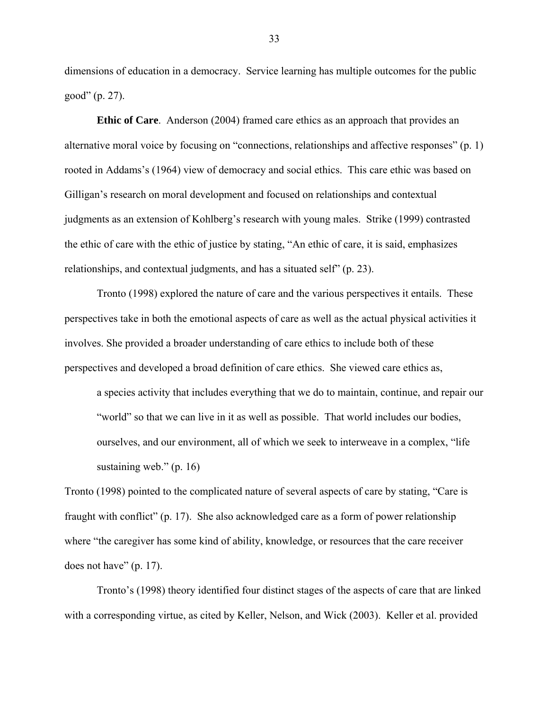dimensions of education in a democracy. Service learning has multiple outcomes for the public good" (p. 27).

**Ethic of Care**. Anderson (2004) framed care ethics as an approach that provides an alternative moral voice by focusing on "connections, relationships and affective responses" (p. 1) rooted in Addams's (1964) view of democracy and social ethics. This care ethic was based on Gilligan's research on moral development and focused on relationships and contextual judgments as an extension of Kohlberg's research with young males. Strike (1999) contrasted the ethic of care with the ethic of justice by stating, "An ethic of care, it is said, emphasizes relationships, and contextual judgments, and has a situated self" (p. 23).

Tronto (1998) explored the nature of care and the various perspectives it entails. These perspectives take in both the emotional aspects of care as well as the actual physical activities it involves. She provided a broader understanding of care ethics to include both of these perspectives and developed a broad definition of care ethics. She viewed care ethics as,

a species activity that includes everything that we do to maintain, continue, and repair our "world" so that we can live in it as well as possible. That world includes our bodies, ourselves, and our environment, all of which we seek to interweave in a complex, "life sustaining web." (p. 16)

Tronto (1998) pointed to the complicated nature of several aspects of care by stating, "Care is fraught with conflict" (p. 17). She also acknowledged care as a form of power relationship where "the caregiver has some kind of ability, knowledge, or resources that the care receiver does not have" (p. 17).

Tronto's (1998) theory identified four distinct stages of the aspects of care that are linked with a corresponding virtue, as cited by Keller, Nelson, and Wick (2003). Keller et al. provided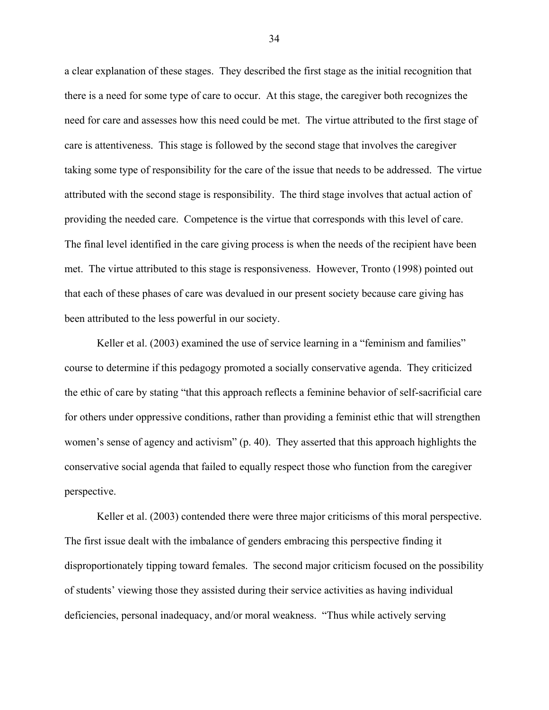a clear explanation of these stages. They described the first stage as the initial recognition that there is a need for some type of care to occur. At this stage, the caregiver both recognizes the need for care and assesses how this need could be met. The virtue attributed to the first stage of care is attentiveness. This stage is followed by the second stage that involves the caregiver taking some type of responsibility for the care of the issue that needs to be addressed. The virtue attributed with the second stage is responsibility. The third stage involves that actual action of providing the needed care. Competence is the virtue that corresponds with this level of care. The final level identified in the care giving process is when the needs of the recipient have been met. The virtue attributed to this stage is responsiveness. However, Tronto (1998) pointed out that each of these phases of care was devalued in our present society because care giving has been attributed to the less powerful in our society.

Keller et al. (2003) examined the use of service learning in a "feminism and families" course to determine if this pedagogy promoted a socially conservative agenda. They criticized the ethic of care by stating "that this approach reflects a feminine behavior of self-sacrificial care for others under oppressive conditions, rather than providing a feminist ethic that will strengthen women's sense of agency and activism" (p. 40). They asserted that this approach highlights the conservative social agenda that failed to equally respect those who function from the caregiver perspective.

Keller et al. (2003) contended there were three major criticisms of this moral perspective. The first issue dealt with the imbalance of genders embracing this perspective finding it disproportionately tipping toward females. The second major criticism focused on the possibility of students' viewing those they assisted during their service activities as having individual deficiencies, personal inadequacy, and/or moral weakness. "Thus while actively serving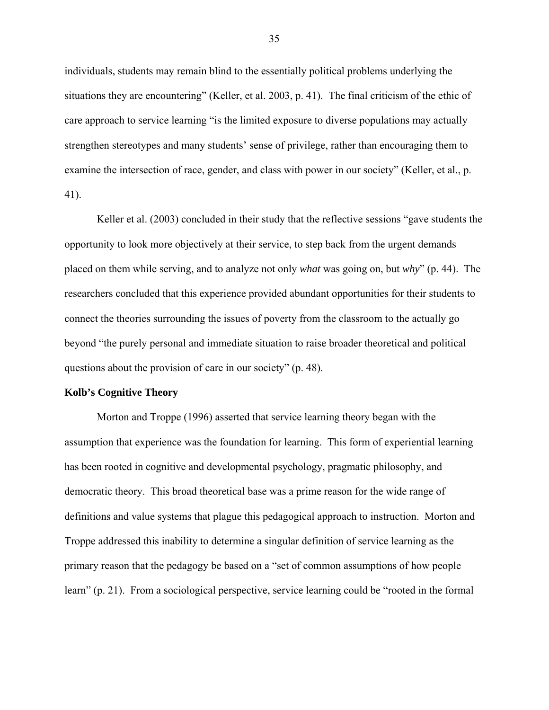individuals, students may remain blind to the essentially political problems underlying the situations they are encountering" (Keller, et al. 2003, p. 41). The final criticism of the ethic of care approach to service learning "is the limited exposure to diverse populations may actually strengthen stereotypes and many students' sense of privilege, rather than encouraging them to examine the intersection of race, gender, and class with power in our society" (Keller, et al., p. 41).

Keller et al. (2003) concluded in their study that the reflective sessions "gave students the opportunity to look more objectively at their service, to step back from the urgent demands placed on them while serving, and to analyze not only *what* was going on, but *why*" (p. 44). The researchers concluded that this experience provided abundant opportunities for their students to connect the theories surrounding the issues of poverty from the classroom to the actually go beyond "the purely personal and immediate situation to raise broader theoretical and political questions about the provision of care in our society" (p. 48).

# **Kolb's Cognitive Theory**

Morton and Troppe (1996) asserted that service learning theory began with the assumption that experience was the foundation for learning. This form of experiential learning has been rooted in cognitive and developmental psychology, pragmatic philosophy, and democratic theory. This broad theoretical base was a prime reason for the wide range of definitions and value systems that plague this pedagogical approach to instruction. Morton and Troppe addressed this inability to determine a singular definition of service learning as the primary reason that the pedagogy be based on a "set of common assumptions of how people learn" (p. 21). From a sociological perspective, service learning could be "rooted in the formal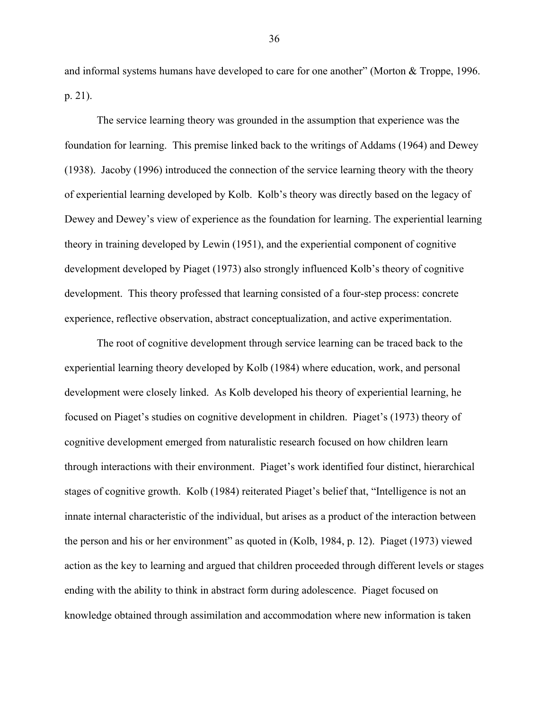and informal systems humans have developed to care for one another" (Morton & Troppe, 1996. p. 21).

The service learning theory was grounded in the assumption that experience was the foundation for learning. This premise linked back to the writings of Addams (1964) and Dewey (1938). Jacoby (1996) introduced the connection of the service learning theory with the theory of experiential learning developed by Kolb. Kolb's theory was directly based on the legacy of Dewey and Dewey's view of experience as the foundation for learning. The experiential learning theory in training developed by Lewin (1951), and the experiential component of cognitive development developed by Piaget (1973) also strongly influenced Kolb's theory of cognitive development. This theory professed that learning consisted of a four-step process: concrete experience, reflective observation, abstract conceptualization, and active experimentation.

The root of cognitive development through service learning can be traced back to the experiential learning theory developed by Kolb (1984) where education, work, and personal development were closely linked. As Kolb developed his theory of experiential learning, he focused on Piaget's studies on cognitive development in children. Piaget's (1973) theory of cognitive development emerged from naturalistic research focused on how children learn through interactions with their environment. Piaget's work identified four distinct, hierarchical stages of cognitive growth. Kolb (1984) reiterated Piaget's belief that, "Intelligence is not an innate internal characteristic of the individual, but arises as a product of the interaction between the person and his or her environment" as quoted in (Kolb, 1984, p. 12). Piaget (1973) viewed action as the key to learning and argued that children proceeded through different levels or stages ending with the ability to think in abstract form during adolescence. Piaget focused on knowledge obtained through assimilation and accommodation where new information is taken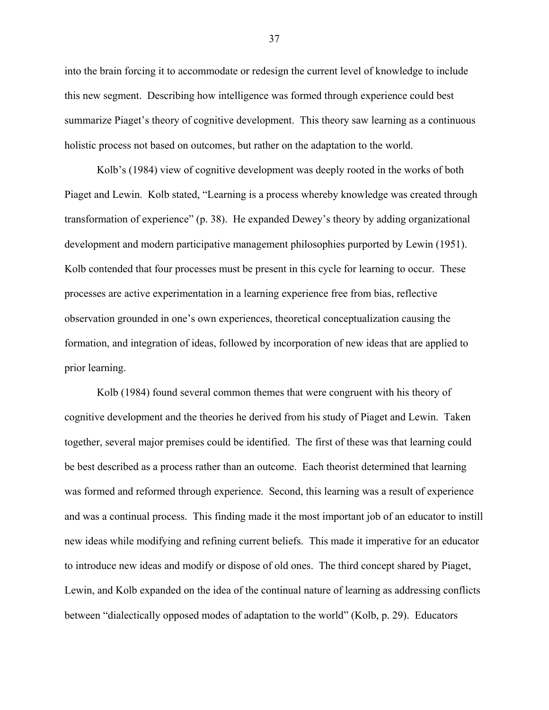into the brain forcing it to accommodate or redesign the current level of knowledge to include this new segment. Describing how intelligence was formed through experience could best summarize Piaget's theory of cognitive development. This theory saw learning as a continuous holistic process not based on outcomes, but rather on the adaptation to the world.

Kolb's (1984) view of cognitive development was deeply rooted in the works of both Piaget and Lewin. Kolb stated, "Learning is a process whereby knowledge was created through transformation of experience" (p. 38). He expanded Dewey's theory by adding organizational development and modern participative management philosophies purported by Lewin (1951). Kolb contended that four processes must be present in this cycle for learning to occur. These processes are active experimentation in a learning experience free from bias, reflective observation grounded in one's own experiences, theoretical conceptualization causing the formation, and integration of ideas, followed by incorporation of new ideas that are applied to prior learning.

Kolb (1984) found several common themes that were congruent with his theory of cognitive development and the theories he derived from his study of Piaget and Lewin. Taken together, several major premises could be identified. The first of these was that learning could be best described as a process rather than an outcome. Each theorist determined that learning was formed and reformed through experience. Second, this learning was a result of experience and was a continual process. This finding made it the most important job of an educator to instill new ideas while modifying and refining current beliefs. This made it imperative for an educator to introduce new ideas and modify or dispose of old ones. The third concept shared by Piaget, Lewin, and Kolb expanded on the idea of the continual nature of learning as addressing conflicts between "dialectically opposed modes of adaptation to the world" (Kolb, p. 29). Educators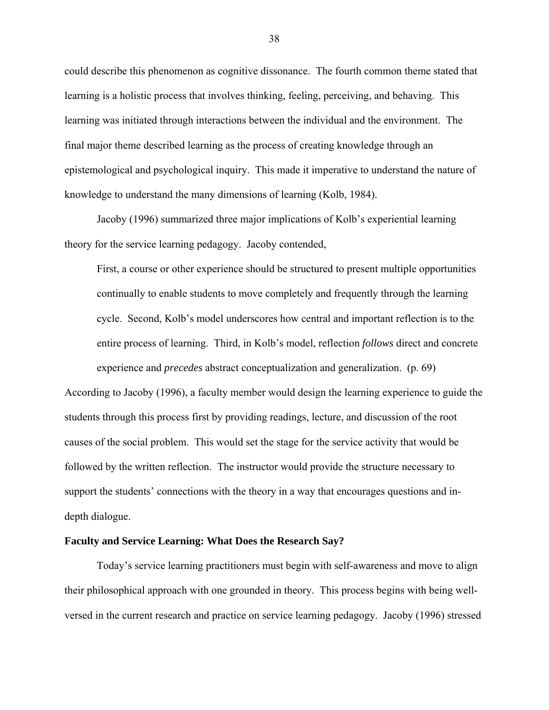could describe this phenomenon as cognitive dissonance. The fourth common theme stated that learning is a holistic process that involves thinking, feeling, perceiving, and behaving. This learning was initiated through interactions between the individual and the environment. The final major theme described learning as the process of creating knowledge through an epistemological and psychological inquiry. This made it imperative to understand the nature of knowledge to understand the many dimensions of learning (Kolb, 1984).

Jacoby (1996) summarized three major implications of Kolb's experiential learning theory for the service learning pedagogy. Jacoby contended,

First, a course or other experience should be structured to present multiple opportunities continually to enable students to move completely and frequently through the learning cycle. Second, Kolb's model underscores how central and important reflection is to the entire process of learning. Third, in Kolb's model, reflection *follows* direct and concrete experience and *precedes* abstract conceptualization and generalization. (p. 69)

According to Jacoby (1996), a faculty member would design the learning experience to guide the students through this process first by providing readings, lecture, and discussion of the root causes of the social problem. This would set the stage for the service activity that would be followed by the written reflection. The instructor would provide the structure necessary to support the students' connections with the theory in a way that encourages questions and indepth dialogue.

#### **Faculty and Service Learning: What Does the Research Say?**

Today's service learning practitioners must begin with self-awareness and move to align their philosophical approach with one grounded in theory. This process begins with being wellversed in the current research and practice on service learning pedagogy. Jacoby (1996) stressed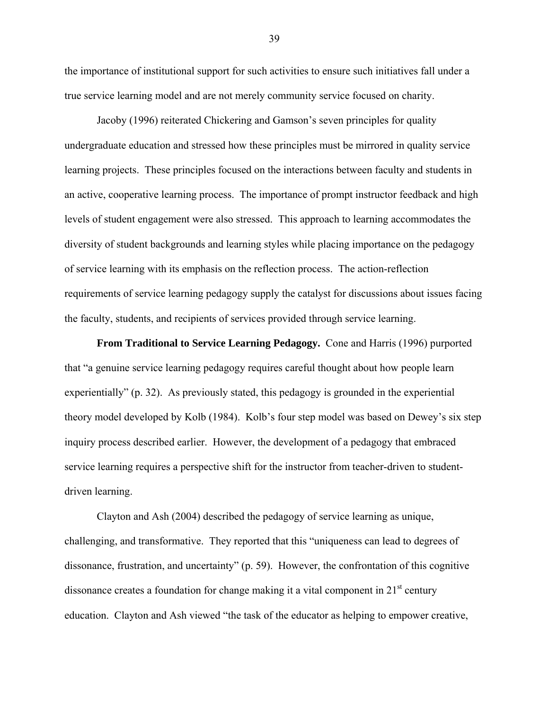the importance of institutional support for such activities to ensure such initiatives fall under a true service learning model and are not merely community service focused on charity.

Jacoby (1996) reiterated Chickering and Gamson's seven principles for quality undergraduate education and stressed how these principles must be mirrored in quality service learning projects. These principles focused on the interactions between faculty and students in an active, cooperative learning process. The importance of prompt instructor feedback and high levels of student engagement were also stressed. This approach to learning accommodates the diversity of student backgrounds and learning styles while placing importance on the pedagogy of service learning with its emphasis on the reflection process. The action-reflection requirements of service learning pedagogy supply the catalyst for discussions about issues facing the faculty, students, and recipients of services provided through service learning.

**From Traditional to Service Learning Pedagogy.** Cone and Harris (1996) purported that "a genuine service learning pedagogy requires careful thought about how people learn experientially" (p. 32). As previously stated, this pedagogy is grounded in the experiential theory model developed by Kolb (1984). Kolb's four step model was based on Dewey's six step inquiry process described earlier. However, the development of a pedagogy that embraced service learning requires a perspective shift for the instructor from teacher-driven to studentdriven learning.

Clayton and Ash (2004) described the pedagogy of service learning as unique, challenging, and transformative. They reported that this "uniqueness can lead to degrees of dissonance, frustration, and uncertainty" (p. 59). However, the confrontation of this cognitive dissonance creates a foundation for change making it a vital component in  $21<sup>st</sup>$  century education. Clayton and Ash viewed "the task of the educator as helping to empower creative,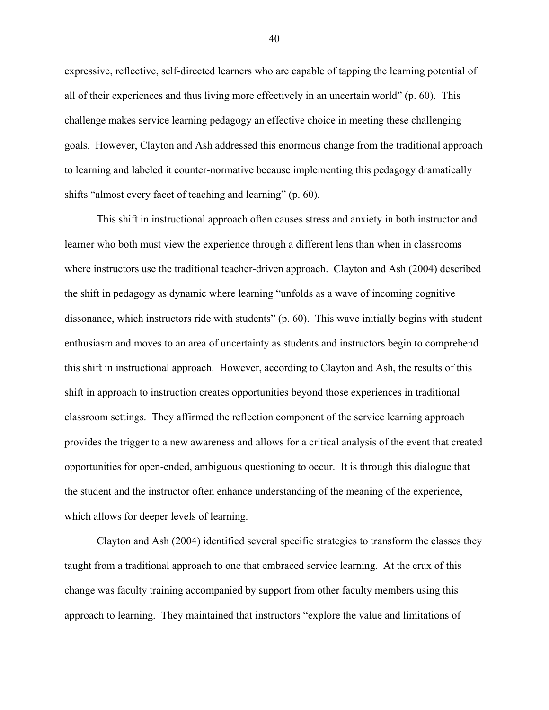expressive, reflective, self-directed learners who are capable of tapping the learning potential of all of their experiences and thus living more effectively in an uncertain world" (p. 60). This challenge makes service learning pedagogy an effective choice in meeting these challenging goals. However, Clayton and Ash addressed this enormous change from the traditional approach to learning and labeled it counter-normative because implementing this pedagogy dramatically shifts "almost every facet of teaching and learning" (p. 60).

This shift in instructional approach often causes stress and anxiety in both instructor and learner who both must view the experience through a different lens than when in classrooms where instructors use the traditional teacher-driven approach. Clayton and Ash (2004) described the shift in pedagogy as dynamic where learning "unfolds as a wave of incoming cognitive dissonance, which instructors ride with students" (p. 60). This wave initially begins with student enthusiasm and moves to an area of uncertainty as students and instructors begin to comprehend this shift in instructional approach. However, according to Clayton and Ash, the results of this shift in approach to instruction creates opportunities beyond those experiences in traditional classroom settings. They affirmed the reflection component of the service learning approach provides the trigger to a new awareness and allows for a critical analysis of the event that created opportunities for open-ended, ambiguous questioning to occur. It is through this dialogue that the student and the instructor often enhance understanding of the meaning of the experience, which allows for deeper levels of learning.

Clayton and Ash (2004) identified several specific strategies to transform the classes they taught from a traditional approach to one that embraced service learning. At the crux of this change was faculty training accompanied by support from other faculty members using this approach to learning. They maintained that instructors "explore the value and limitations of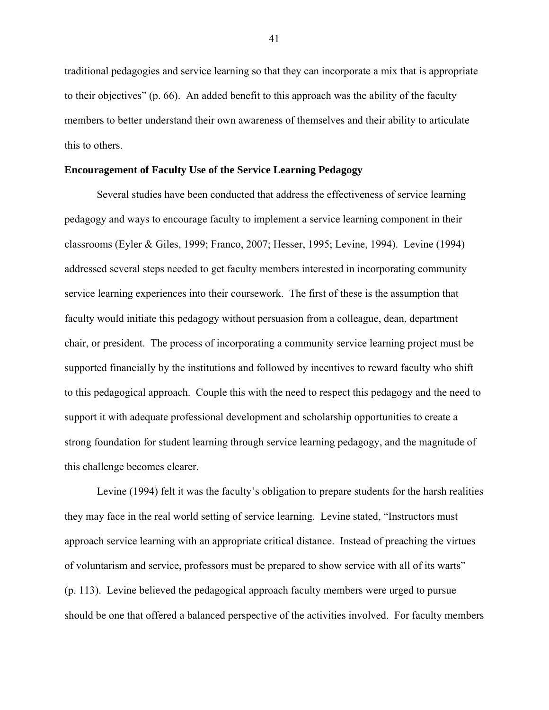traditional pedagogies and service learning so that they can incorporate a mix that is appropriate to their objectives" (p. 66). An added benefit to this approach was the ability of the faculty members to better understand their own awareness of themselves and their ability to articulate this to others.

## **Encouragement of Faculty Use of the Service Learning Pedagogy**

Several studies have been conducted that address the effectiveness of service learning pedagogy and ways to encourage faculty to implement a service learning component in their classrooms (Eyler & Giles, 1999; Franco, 2007; Hesser, 1995; Levine, 1994). Levine (1994) addressed several steps needed to get faculty members interested in incorporating community service learning experiences into their coursework. The first of these is the assumption that faculty would initiate this pedagogy without persuasion from a colleague, dean, department chair, or president. The process of incorporating a community service learning project must be supported financially by the institutions and followed by incentives to reward faculty who shift to this pedagogical approach. Couple this with the need to respect this pedagogy and the need to support it with adequate professional development and scholarship opportunities to create a strong foundation for student learning through service learning pedagogy, and the magnitude of this challenge becomes clearer.

Levine (1994) felt it was the faculty's obligation to prepare students for the harsh realities they may face in the real world setting of service learning. Levine stated, "Instructors must approach service learning with an appropriate critical distance. Instead of preaching the virtues of voluntarism and service, professors must be prepared to show service with all of its warts" (p. 113). Levine believed the pedagogical approach faculty members were urged to pursue should be one that offered a balanced perspective of the activities involved. For faculty members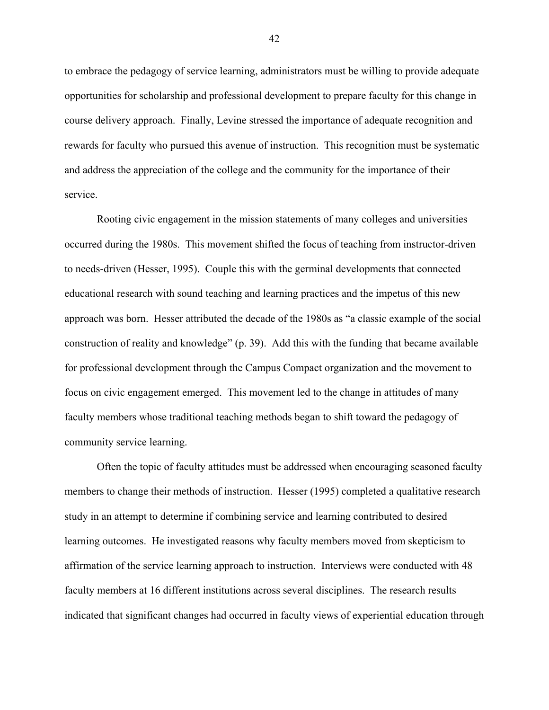to embrace the pedagogy of service learning, administrators must be willing to provide adequate opportunities for scholarship and professional development to prepare faculty for this change in course delivery approach. Finally, Levine stressed the importance of adequate recognition and rewards for faculty who pursued this avenue of instruction. This recognition must be systematic and address the appreciation of the college and the community for the importance of their service.

Rooting civic engagement in the mission statements of many colleges and universities occurred during the 1980s. This movement shifted the focus of teaching from instructor-driven to needs-driven (Hesser, 1995). Couple this with the germinal developments that connected educational research with sound teaching and learning practices and the impetus of this new approach was born. Hesser attributed the decade of the 1980s as "a classic example of the social construction of reality and knowledge" (p. 39). Add this with the funding that became available for professional development through the Campus Compact organization and the movement to focus on civic engagement emerged. This movement led to the change in attitudes of many faculty members whose traditional teaching methods began to shift toward the pedagogy of community service learning.

Often the topic of faculty attitudes must be addressed when encouraging seasoned faculty members to change their methods of instruction. Hesser (1995) completed a qualitative research study in an attempt to determine if combining service and learning contributed to desired learning outcomes. He investigated reasons why faculty members moved from skepticism to affirmation of the service learning approach to instruction. Interviews were conducted with 48 faculty members at 16 different institutions across several disciplines. The research results indicated that significant changes had occurred in faculty views of experiential education through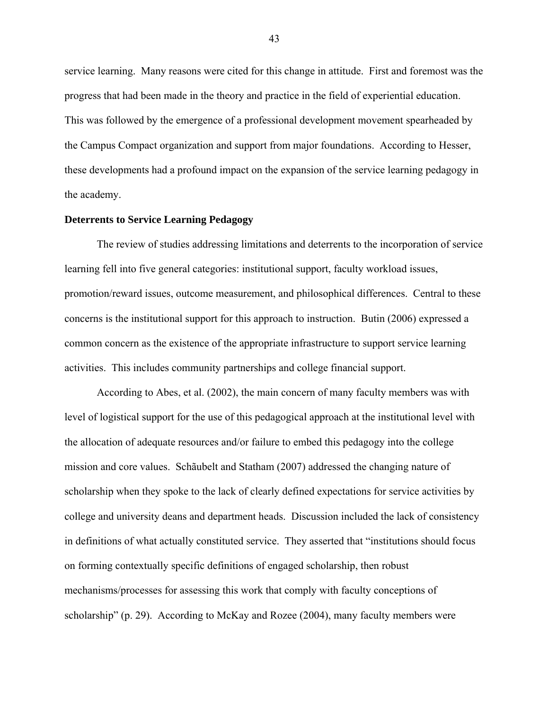service learning. Many reasons were cited for this change in attitude. First and foremost was the progress that had been made in the theory and practice in the field of experiential education. This was followed by the emergence of a professional development movement spearheaded by the Campus Compact organization and support from major foundations. According to Hesser, these developments had a profound impact on the expansion of the service learning pedagogy in the academy.

## **Deterrents to Service Learning Pedagogy**

The review of studies addressing limitations and deterrents to the incorporation of service learning fell into five general categories: institutional support, faculty workload issues, promotion/reward issues, outcome measurement, and philosophical differences. Central to these concerns is the institutional support for this approach to instruction. Butin (2006) expressed a common concern as the existence of the appropriate infrastructure to support service learning activities. This includes community partnerships and college financial support.

According to Abes, et al. (2002), the main concern of many faculty members was with level of logistical support for the use of this pedagogical approach at the institutional level with the allocation of adequate resources and/or failure to embed this pedagogy into the college mission and core values. Schãubelt and Statham (2007) addressed the changing nature of scholarship when they spoke to the lack of clearly defined expectations for service activities by college and university deans and department heads. Discussion included the lack of consistency in definitions of what actually constituted service. They asserted that "institutions should focus on forming contextually specific definitions of engaged scholarship, then robust mechanisms/processes for assessing this work that comply with faculty conceptions of scholarship" (p. 29). According to McKay and Rozee (2004), many faculty members were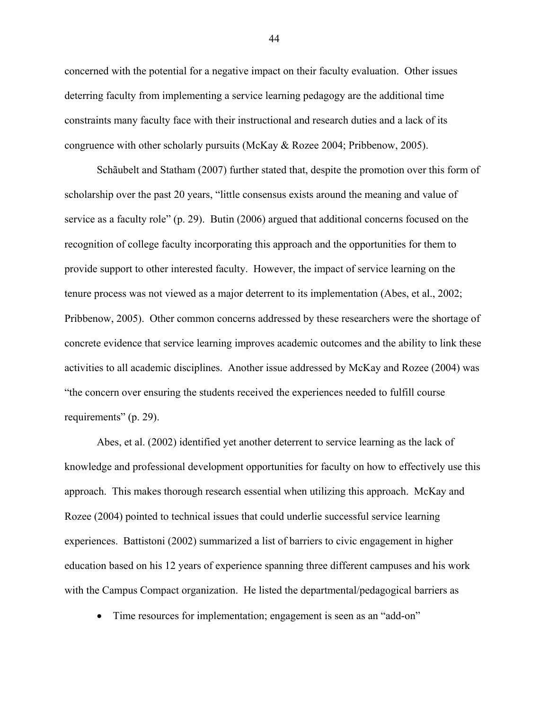concerned with the potential for a negative impact on their faculty evaluation. Other issues deterring faculty from implementing a service learning pedagogy are the additional time constraints many faculty face with their instructional and research duties and a lack of its congruence with other scholarly pursuits (McKay & Rozee 2004; Pribbenow, 2005).

Schãubelt and Statham (2007) further stated that, despite the promotion over this form of scholarship over the past 20 years, "little consensus exists around the meaning and value of service as a faculty role" (p. 29). Butin (2006) argued that additional concerns focused on the recognition of college faculty incorporating this approach and the opportunities for them to provide support to other interested faculty. However, the impact of service learning on the tenure process was not viewed as a major deterrent to its implementation (Abes, et al., 2002; Pribbenow, 2005). Other common concerns addressed by these researchers were the shortage of concrete evidence that service learning improves academic outcomes and the ability to link these activities to all academic disciplines. Another issue addressed by McKay and Rozee (2004) was "the concern over ensuring the students received the experiences needed to fulfill course requirements" (p. 29).

Abes, et al. (2002) identified yet another deterrent to service learning as the lack of knowledge and professional development opportunities for faculty on how to effectively use this approach. This makes thorough research essential when utilizing this approach. McKay and Rozee (2004) pointed to technical issues that could underlie successful service learning experiences. Battistoni (2002) summarized a list of barriers to civic engagement in higher education based on his 12 years of experience spanning three different campuses and his work with the Campus Compact organization. He listed the departmental/pedagogical barriers as

• Time resources for implementation; engagement is seen as an "add-on"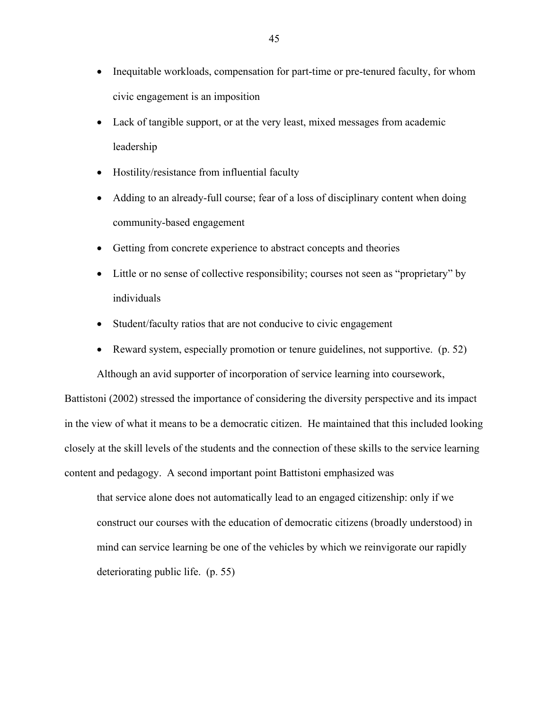- Inequitable workloads, compensation for part-time or pre-tenured faculty, for whom civic engagement is an imposition
- Lack of tangible support, or at the very least, mixed messages from academic leadership
- Hostility/resistance from influential faculty
- Adding to an already-full course; fear of a loss of disciplinary content when doing community-based engagement
- Getting from concrete experience to abstract concepts and theories
- Little or no sense of collective responsibility; courses not seen as "proprietary" by individuals
- Student/faculty ratios that are not conducive to civic engagement
- Reward system, especially promotion or tenure guidelines, not supportive. (p. 52)

Although an avid supporter of incorporation of service learning into coursework,

Battistoni (2002) stressed the importance of considering the diversity perspective and its impact in the view of what it means to be a democratic citizen. He maintained that this included looking closely at the skill levels of the students and the connection of these skills to the service learning content and pedagogy. A second important point Battistoni emphasized was

that service alone does not automatically lead to an engaged citizenship: only if we construct our courses with the education of democratic citizens (broadly understood) in mind can service learning be one of the vehicles by which we reinvigorate our rapidly deteriorating public life. (p. 55)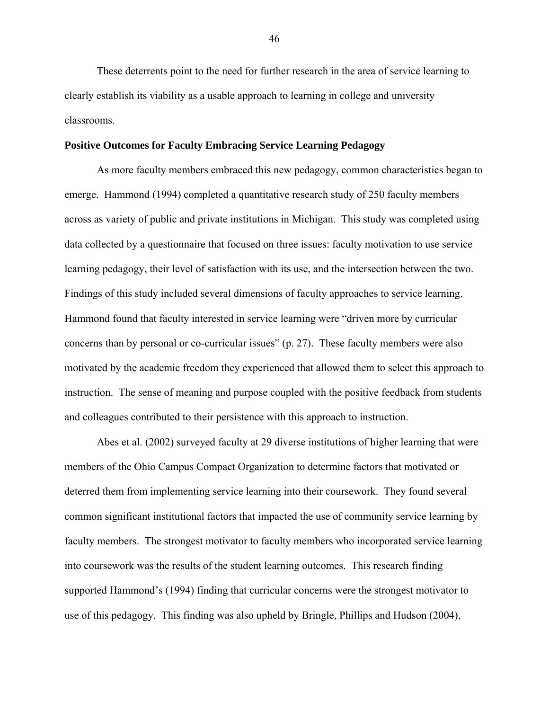These deterrents point to the need for further research in the area of service learning to clearly establish its viability as a usable approach to learning in college and university classrooms.

## **Positive Outcomes for Faculty Embracing Service Learning Pedagogy**

As more faculty members embraced this new pedagogy, common characteristics began to emerge. Hammond (1994) completed a quantitative research study of 250 faculty members across as variety of public and private institutions in Michigan. This study was completed using data collected by a questionnaire that focused on three issues: faculty motivation to use service learning pedagogy, their level of satisfaction with its use, and the intersection between the two. Findings of this study included several dimensions of faculty approaches to service learning. Hammond found that faculty interested in service learning were "driven more by curricular concerns than by personal or co-curricular issues" (p. 27). These faculty members were also motivated by the academic freedom they experienced that allowed them to select this approach to instruction. The sense of meaning and purpose coupled with the positive feedback from students and colleagues contributed to their persistence with this approach to instruction.

Abes et al. (2002) surveyed faculty at 29 diverse institutions of higher learning that were members of the Ohio Campus Compact Organization to determine factors that motivated or deterred them from implementing service learning into their coursework. They found several common significant institutional factors that impacted the use of community service learning by faculty members. The strongest motivator to faculty members who incorporated service learning into coursework was the results of the student learning outcomes. This research finding supported Hammond's (1994) finding that curricular concerns were the strongest motivator to use of this pedagogy. This finding was also upheld by Bringle, Phillips and Hudson (2004),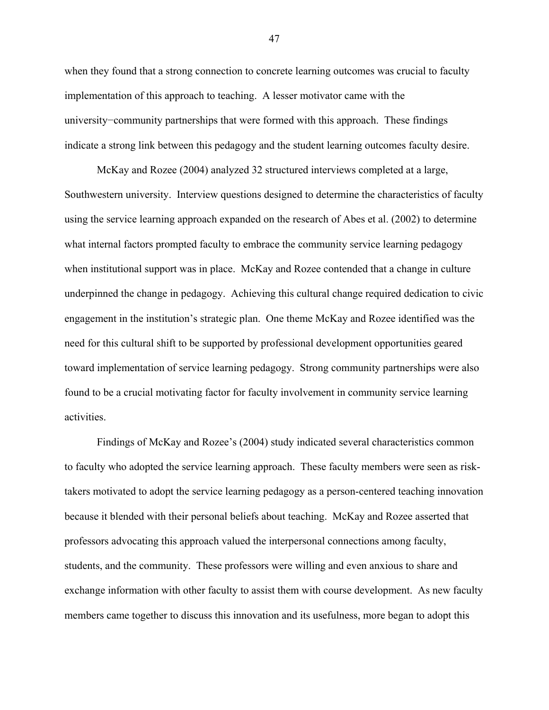when they found that a strong connection to concrete learning outcomes was crucial to faculty implementation of this approach to teaching. A lesser motivator came with the university−community partnerships that were formed with this approach. These findings indicate a strong link between this pedagogy and the student learning outcomes faculty desire.

McKay and Rozee (2004) analyzed 32 structured interviews completed at a large, Southwestern university. Interview questions designed to determine the characteristics of faculty using the service learning approach expanded on the research of Abes et al. (2002) to determine what internal factors prompted faculty to embrace the community service learning pedagogy when institutional support was in place. McKay and Rozee contended that a change in culture underpinned the change in pedagogy. Achieving this cultural change required dedication to civic engagement in the institution's strategic plan. One theme McKay and Rozee identified was the need for this cultural shift to be supported by professional development opportunities geared toward implementation of service learning pedagogy. Strong community partnerships were also found to be a crucial motivating factor for faculty involvement in community service learning activities.

Findings of McKay and Rozee's (2004) study indicated several characteristics common to faculty who adopted the service learning approach. These faculty members were seen as risktakers motivated to adopt the service learning pedagogy as a person-centered teaching innovation because it blended with their personal beliefs about teaching. McKay and Rozee asserted that professors advocating this approach valued the interpersonal connections among faculty, students, and the community. These professors were willing and even anxious to share and exchange information with other faculty to assist them with course development. As new faculty members came together to discuss this innovation and its usefulness, more began to adopt this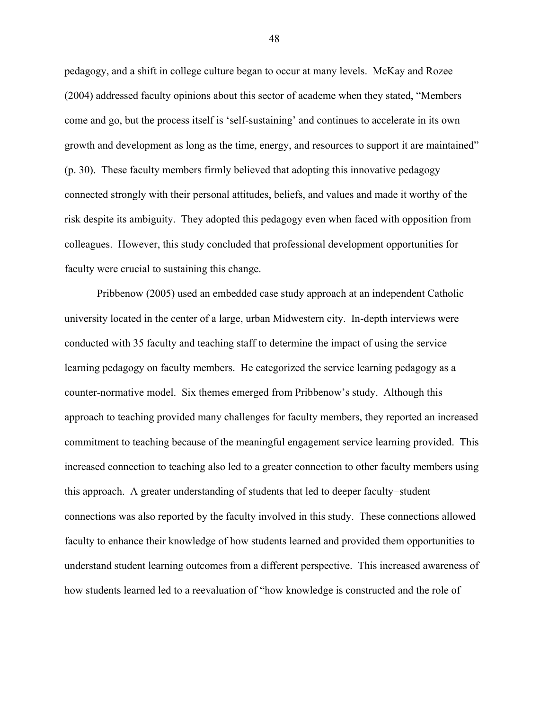pedagogy, and a shift in college culture began to occur at many levels. McKay and Rozee (2004) addressed faculty opinions about this sector of academe when they stated, "Members come and go, but the process itself is 'self-sustaining' and continues to accelerate in its own growth and development as long as the time, energy, and resources to support it are maintained" (p. 30). These faculty members firmly believed that adopting this innovative pedagogy connected strongly with their personal attitudes, beliefs, and values and made it worthy of the risk despite its ambiguity. They adopted this pedagogy even when faced with opposition from colleagues. However, this study concluded that professional development opportunities for faculty were crucial to sustaining this change.

Pribbenow (2005) used an embedded case study approach at an independent Catholic university located in the center of a large, urban Midwestern city. In-depth interviews were conducted with 35 faculty and teaching staff to determine the impact of using the service learning pedagogy on faculty members. He categorized the service learning pedagogy as a counter-normative model. Six themes emerged from Pribbenow's study. Although this approach to teaching provided many challenges for faculty members, they reported an increased commitment to teaching because of the meaningful engagement service learning provided. This increased connection to teaching also led to a greater connection to other faculty members using this approach. A greater understanding of students that led to deeper faculty−student connections was also reported by the faculty involved in this study. These connections allowed faculty to enhance their knowledge of how students learned and provided them opportunities to understand student learning outcomes from a different perspective. This increased awareness of how students learned led to a reevaluation of "how knowledge is constructed and the role of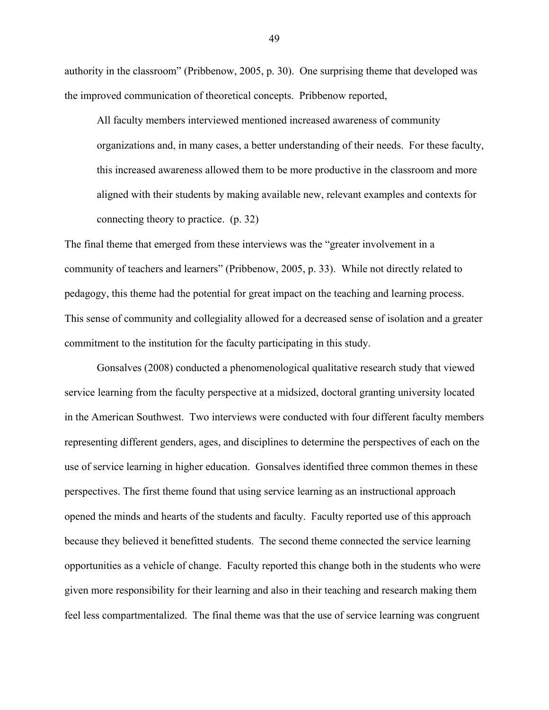authority in the classroom" (Pribbenow, 2005, p. 30). One surprising theme that developed was the improved communication of theoretical concepts. Pribbenow reported,

All faculty members interviewed mentioned increased awareness of community organizations and, in many cases, a better understanding of their needs. For these faculty, this increased awareness allowed them to be more productive in the classroom and more aligned with their students by making available new, relevant examples and contexts for connecting theory to practice. (p. 32)

The final theme that emerged from these interviews was the "greater involvement in a community of teachers and learners" (Pribbenow, 2005, p. 33). While not directly related to pedagogy, this theme had the potential for great impact on the teaching and learning process. This sense of community and collegiality allowed for a decreased sense of isolation and a greater commitment to the institution for the faculty participating in this study.

Gonsalves (2008) conducted a phenomenological qualitative research study that viewed service learning from the faculty perspective at a midsized, doctoral granting university located in the American Southwest. Two interviews were conducted with four different faculty members representing different genders, ages, and disciplines to determine the perspectives of each on the use of service learning in higher education. Gonsalves identified three common themes in these perspectives. The first theme found that using service learning as an instructional approach opened the minds and hearts of the students and faculty. Faculty reported use of this approach because they believed it benefitted students. The second theme connected the service learning opportunities as a vehicle of change. Faculty reported this change both in the students who were given more responsibility for their learning and also in their teaching and research making them feel less compartmentalized. The final theme was that the use of service learning was congruent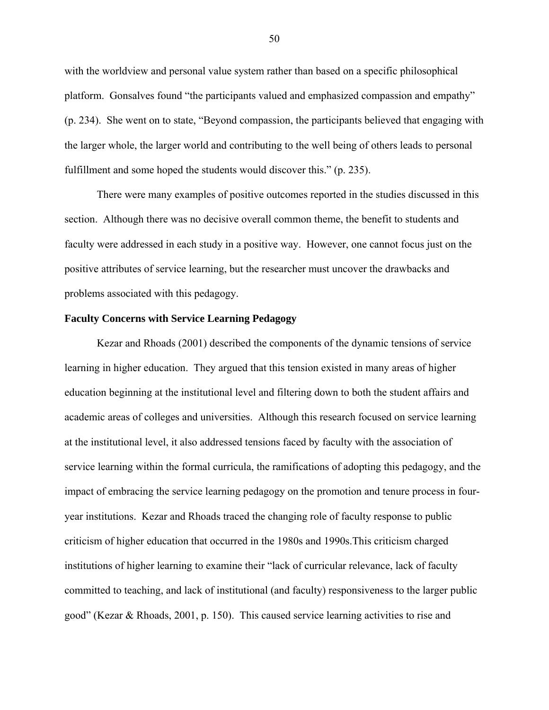with the worldview and personal value system rather than based on a specific philosophical platform. Gonsalves found "the participants valued and emphasized compassion and empathy" (p. 234). She went on to state, "Beyond compassion, the participants believed that engaging with the larger whole, the larger world and contributing to the well being of others leads to personal fulfillment and some hoped the students would discover this." (p. 235).

There were many examples of positive outcomes reported in the studies discussed in this section. Although there was no decisive overall common theme, the benefit to students and faculty were addressed in each study in a positive way. However, one cannot focus just on the positive attributes of service learning, but the researcher must uncover the drawbacks and problems associated with this pedagogy.

# **Faculty Concerns with Service Learning Pedagogy**

Kezar and Rhoads (2001) described the components of the dynamic tensions of service learning in higher education. They argued that this tension existed in many areas of higher education beginning at the institutional level and filtering down to both the student affairs and academic areas of colleges and universities. Although this research focused on service learning at the institutional level, it also addressed tensions faced by faculty with the association of service learning within the formal curricula, the ramifications of adopting this pedagogy, and the impact of embracing the service learning pedagogy on the promotion and tenure process in fouryear institutions. Kezar and Rhoads traced the changing role of faculty response to public criticism of higher education that occurred in the 1980s and 1990s.This criticism charged institutions of higher learning to examine their "lack of curricular relevance, lack of faculty committed to teaching, and lack of institutional (and faculty) responsiveness to the larger public good" (Kezar & Rhoads, 2001, p. 150). This caused service learning activities to rise and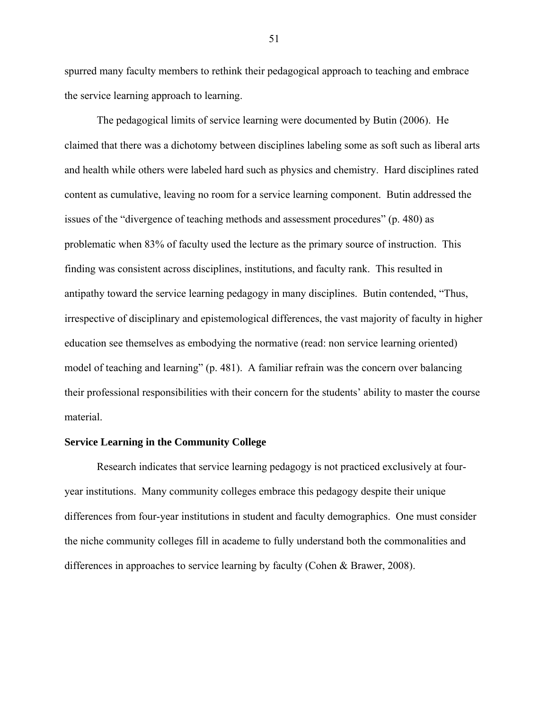spurred many faculty members to rethink their pedagogical approach to teaching and embrace the service learning approach to learning.

The pedagogical limits of service learning were documented by Butin (2006). He claimed that there was a dichotomy between disciplines labeling some as soft such as liberal arts and health while others were labeled hard such as physics and chemistry. Hard disciplines rated content as cumulative, leaving no room for a service learning component. Butin addressed the issues of the "divergence of teaching methods and assessment procedures" (p. 480) as problematic when 83% of faculty used the lecture as the primary source of instruction. This finding was consistent across disciplines, institutions, and faculty rank. This resulted in antipathy toward the service learning pedagogy in many disciplines. Butin contended, "Thus, irrespective of disciplinary and epistemological differences, the vast majority of faculty in higher education see themselves as embodying the normative (read: non service learning oriented) model of teaching and learning" (p. 481). A familiar refrain was the concern over balancing their professional responsibilities with their concern for the students' ability to master the course material.

# **Service Learning in the Community College**

Research indicates that service learning pedagogy is not practiced exclusively at fouryear institutions. Many community colleges embrace this pedagogy despite their unique differences from four-year institutions in student and faculty demographics. One must consider the niche community colleges fill in academe to fully understand both the commonalities and differences in approaches to service learning by faculty (Cohen & Brawer, 2008).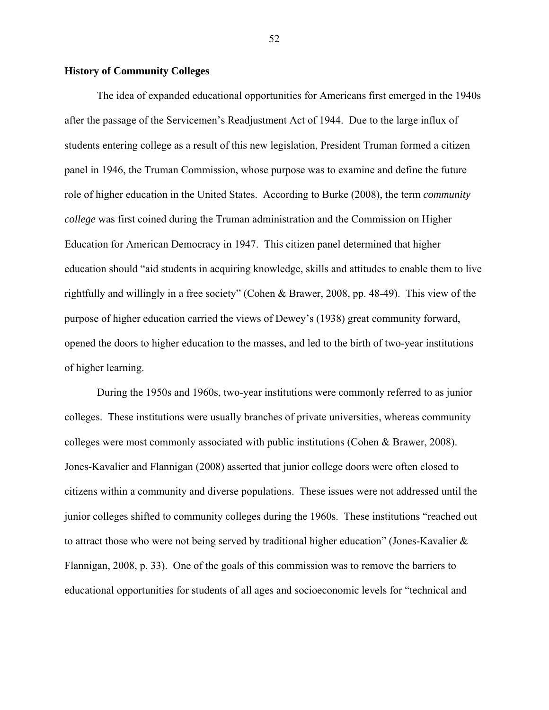# **History of Community Colleges**

The idea of expanded educational opportunities for Americans first emerged in the 1940s after the passage of the Servicemen's Readjustment Act of 1944. Due to the large influx of students entering college as a result of this new legislation, President Truman formed a citizen panel in 1946, the Truman Commission, whose purpose was to examine and define the future role of higher education in the United States. According to Burke (2008), the term *community college* was first coined during the Truman administration and the Commission on Higher Education for American Democracy in 1947. This citizen panel determined that higher education should "aid students in acquiring knowledge, skills and attitudes to enable them to live rightfully and willingly in a free society" (Cohen & Brawer, 2008, pp. 48-49). This view of the purpose of higher education carried the views of Dewey's (1938) great community forward, opened the doors to higher education to the masses, and led to the birth of two-year institutions of higher learning.

During the 1950s and 1960s, two-year institutions were commonly referred to as junior colleges. These institutions were usually branches of private universities, whereas community colleges were most commonly associated with public institutions (Cohen & Brawer, 2008). Jones-Kavalier and Flannigan (2008) asserted that junior college doors were often closed to citizens within a community and diverse populations. These issues were not addressed until the junior colleges shifted to community colleges during the 1960s. These institutions "reached out to attract those who were not being served by traditional higher education" (Jones-Kavalier & Flannigan, 2008, p. 33). One of the goals of this commission was to remove the barriers to educational opportunities for students of all ages and socioeconomic levels for "technical and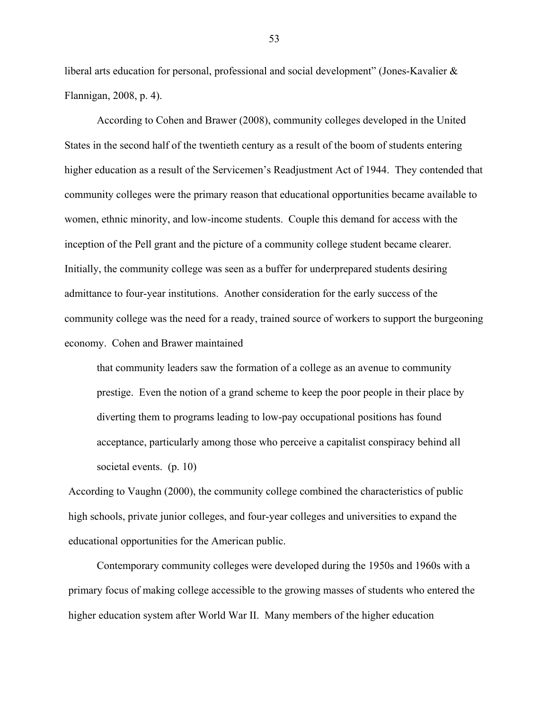liberal arts education for personal, professional and social development" (Jones-Kavalier & Flannigan, 2008, p. 4).

According to Cohen and Brawer (2008), community colleges developed in the United States in the second half of the twentieth century as a result of the boom of students entering higher education as a result of the Servicemen's Readjustment Act of 1944. They contended that community colleges were the primary reason that educational opportunities became available to women, ethnic minority, and low-income students. Couple this demand for access with the inception of the Pell grant and the picture of a community college student became clearer. Initially, the community college was seen as a buffer for underprepared students desiring admittance to four-year institutions. Another consideration for the early success of the community college was the need for a ready, trained source of workers to support the burgeoning economy. Cohen and Brawer maintained

that community leaders saw the formation of a college as an avenue to community prestige. Even the notion of a grand scheme to keep the poor people in their place by diverting them to programs leading to low-pay occupational positions has found acceptance, particularly among those who perceive a capitalist conspiracy behind all societal events. (p. 10)

According to Vaughn (2000), the community college combined the characteristics of public high schools, private junior colleges, and four-year colleges and universities to expand the educational opportunities for the American public.

Contemporary community colleges were developed during the 1950s and 1960s with a primary focus of making college accessible to the growing masses of students who entered the higher education system after World War II. Many members of the higher education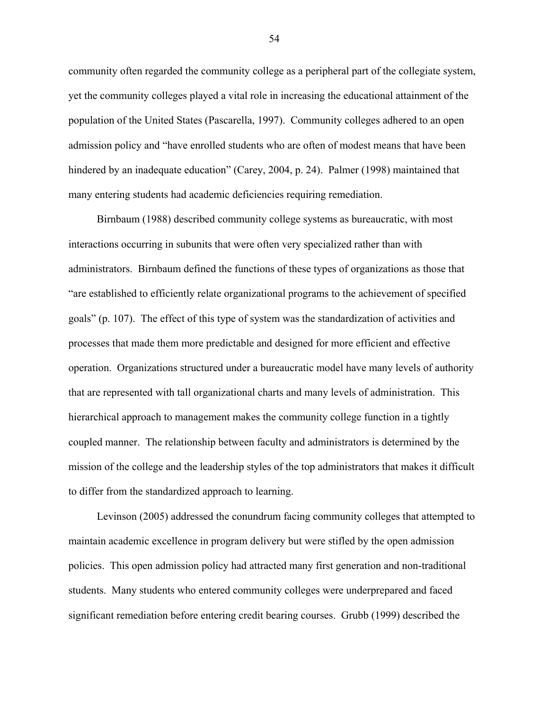community often regarded the community college as a peripheral part of the collegiate system, yet the community colleges played a vital role in increasing the educational attainment of the population of the United States (Pascarella, 1997). Community colleges adhered to an open admission policy and "have enrolled students who are often of modest means that have been hindered by an inadequate education" (Carey, 2004, p. 24). Palmer (1998) maintained that many entering students had academic deficiencies requiring remediation.

Birnbaum (1988) described community college systems as bureaucratic, with most interactions occurring in subunits that were often very specialized rather than with administrators. Birnbaum defined the functions of these types of organizations as those that "are established to efficiently relate organizational programs to the achievement of specified goals" (p. 107). The effect of this type of system was the standardization of activities and processes that made them more predictable and designed for more efficient and effective operation. Organizations structured under a bureaucratic model have many levels of authority that are represented with tall organizational charts and many levels of administration. This hierarchical approach to management makes the community college function in a tightly coupled manner. The relationship between faculty and administrators is determined by the mission of the college and the leadership styles of the top administrators that makes it difficult to differ from the standardized approach to learning.

Levinson (2005) addressed the conundrum facing community colleges that attempted to maintain academic excellence in program delivery but were stifled by the open admission policies. This open admission policy had attracted many first generation and non-traditional students. Many students who entered community colleges were underprepared and faced significant remediation before entering credit bearing courses. Grubb (1999) described the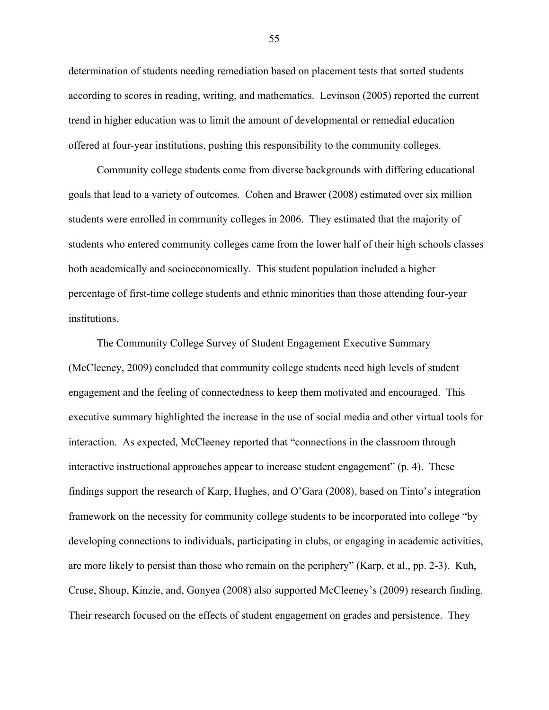determination of students needing remediation based on placement tests that sorted students according to scores in reading, writing, and mathematics. Levinson (2005) reported the current trend in higher education was to limit the amount of developmental or remedial education offered at four-year institutions, pushing this responsibility to the community colleges.

Community college students come from diverse backgrounds with differing educational goals that lead to a variety of outcomes. Cohen and Brawer (2008) estimated over six million students were enrolled in community colleges in 2006. They estimated that the majority of students who entered community colleges came from the lower half of their high schools classes both academically and socioeconomically. This student population included a higher percentage of first-time college students and ethnic minorities than those attending four-year institutions.

The Community College Survey of Student Engagement Executive Summary (McCleeney, 2009) concluded that community college students need high levels of student engagement and the feeling of connectedness to keep them motivated and encouraged. This executive summary highlighted the increase in the use of social media and other virtual tools for interaction. As expected, McCleeney reported that "connections in the classroom through interactive instructional approaches appear to increase student engagement" (p. 4). These findings support the research of Karp, Hughes, and O'Gara (2008), based on Tinto's integration framework on the necessity for community college students to be incorporated into college "by developing connections to individuals, participating in clubs, or engaging in academic activities, are more likely to persist than those who remain on the periphery" (Karp, et al., pp. 2-3). Kuh, Cruse, Shoup, Kinzie, and, Gonyea (2008) also supported McCleeney's (2009) research finding. Their research focused on the effects of student engagement on grades and persistence. They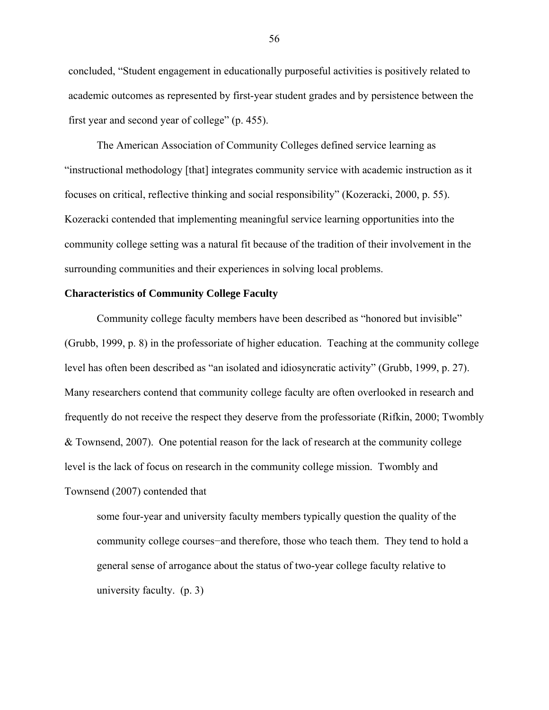concluded, "Student engagement in educationally purposeful activities is positively related to academic outcomes as represented by first-year student grades and by persistence between the first year and second year of college" (p. 455).

The American Association of Community Colleges defined service learning as "instructional methodology [that] integrates community service with academic instruction as it focuses on critical, reflective thinking and social responsibility" (Kozeracki, 2000, p. 55). Kozeracki contended that implementing meaningful service learning opportunities into the community college setting was a natural fit because of the tradition of their involvement in the surrounding communities and their experiences in solving local problems.

## **Characteristics of Community College Faculty**

Community college faculty members have been described as "honored but invisible" (Grubb, 1999, p. 8) in the professoriate of higher education. Teaching at the community college level has often been described as "an isolated and idiosyncratic activity" (Grubb, 1999, p. 27). Many researchers contend that community college faculty are often overlooked in research and frequently do not receive the respect they deserve from the professoriate (Rifkin, 2000; Twombly & Townsend, 2007). One potential reason for the lack of research at the community college level is the lack of focus on research in the community college mission. Twombly and Townsend (2007) contended that

some four-year and university faculty members typically question the quality of the community college courses−and therefore, those who teach them. They tend to hold a general sense of arrogance about the status of two-year college faculty relative to university faculty. (p. 3)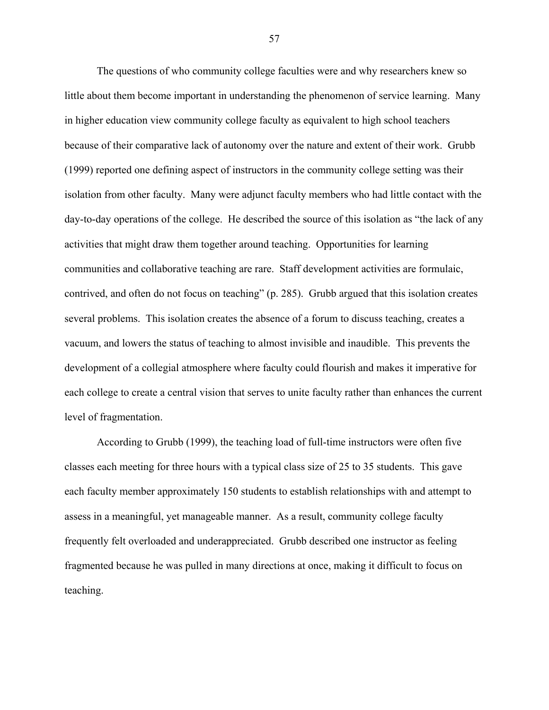The questions of who community college faculties were and why researchers knew so little about them become important in understanding the phenomenon of service learning. Many in higher education view community college faculty as equivalent to high school teachers because of their comparative lack of autonomy over the nature and extent of their work. Grubb (1999) reported one defining aspect of instructors in the community college setting was their isolation from other faculty. Many were adjunct faculty members who had little contact with the day-to-day operations of the college. He described the source of this isolation as "the lack of any activities that might draw them together around teaching. Opportunities for learning communities and collaborative teaching are rare. Staff development activities are formulaic, contrived, and often do not focus on teaching" (p. 285). Grubb argued that this isolation creates several problems. This isolation creates the absence of a forum to discuss teaching, creates a vacuum, and lowers the status of teaching to almost invisible and inaudible. This prevents the development of a collegial atmosphere where faculty could flourish and makes it imperative for each college to create a central vision that serves to unite faculty rather than enhances the current level of fragmentation.

According to Grubb (1999), the teaching load of full-time instructors were often five classes each meeting for three hours with a typical class size of 25 to 35 students. This gave each faculty member approximately 150 students to establish relationships with and attempt to assess in a meaningful, yet manageable manner. As a result, community college faculty frequently felt overloaded and underappreciated. Grubb described one instructor as feeling fragmented because he was pulled in many directions at once, making it difficult to focus on teaching.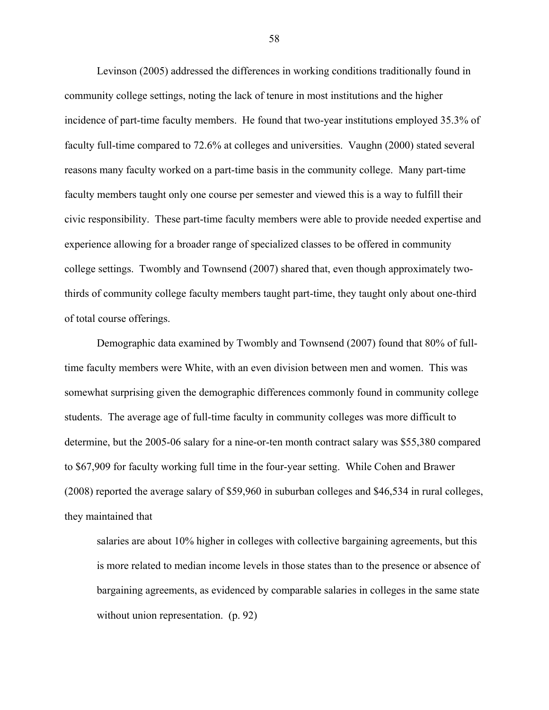Levinson (2005) addressed the differences in working conditions traditionally found in community college settings, noting the lack of tenure in most institutions and the higher incidence of part-time faculty members. He found that two-year institutions employed 35.3% of faculty full-time compared to 72.6% at colleges and universities. Vaughn (2000) stated several reasons many faculty worked on a part-time basis in the community college. Many part-time faculty members taught only one course per semester and viewed this is a way to fulfill their civic responsibility. These part-time faculty members were able to provide needed expertise and experience allowing for a broader range of specialized classes to be offered in community college settings. Twombly and Townsend (2007) shared that, even though approximately twothirds of community college faculty members taught part-time, they taught only about one-third of total course offerings.

Demographic data examined by Twombly and Townsend (2007) found that 80% of fulltime faculty members were White, with an even division between men and women. This was somewhat surprising given the demographic differences commonly found in community college students. The average age of full-time faculty in community colleges was more difficult to determine, but the 2005-06 salary for a nine-or-ten month contract salary was \$55,380 compared to \$67,909 for faculty working full time in the four-year setting. While Cohen and Brawer (2008) reported the average salary of \$59,960 in suburban colleges and \$46,534 in rural colleges, they maintained that

salaries are about 10% higher in colleges with collective bargaining agreements, but this is more related to median income levels in those states than to the presence or absence of bargaining agreements, as evidenced by comparable salaries in colleges in the same state without union representation. (p. 92)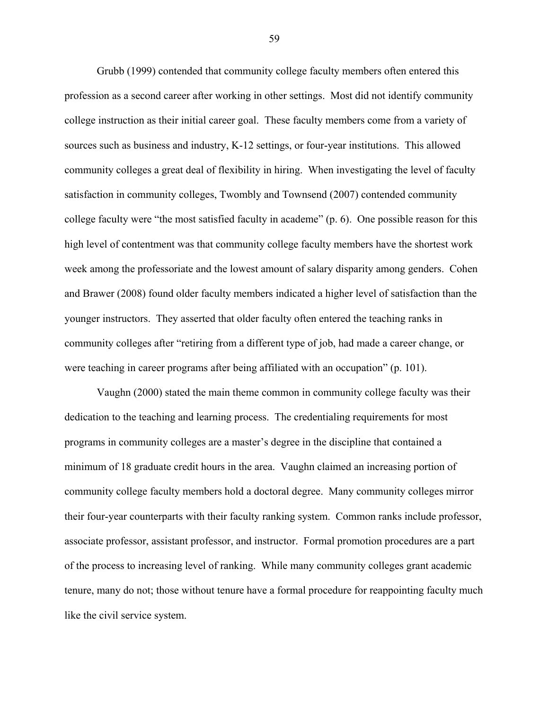Grubb (1999) contended that community college faculty members often entered this profession as a second career after working in other settings. Most did not identify community college instruction as their initial career goal. These faculty members come from a variety of sources such as business and industry, K-12 settings, or four-year institutions. This allowed community colleges a great deal of flexibility in hiring. When investigating the level of faculty satisfaction in community colleges, Twombly and Townsend (2007) contended community college faculty were "the most satisfied faculty in academe" (p. 6). One possible reason for this high level of contentment was that community college faculty members have the shortest work week among the professoriate and the lowest amount of salary disparity among genders. Cohen and Brawer (2008) found older faculty members indicated a higher level of satisfaction than the younger instructors. They asserted that older faculty often entered the teaching ranks in community colleges after "retiring from a different type of job, had made a career change, or were teaching in career programs after being affiliated with an occupation" (p. 101).

Vaughn (2000) stated the main theme common in community college faculty was their dedication to the teaching and learning process. The credentialing requirements for most programs in community colleges are a master's degree in the discipline that contained a minimum of 18 graduate credit hours in the area. Vaughn claimed an increasing portion of community college faculty members hold a doctoral degree. Many community colleges mirror their four-year counterparts with their faculty ranking system. Common ranks include professor, associate professor, assistant professor, and instructor. Formal promotion procedures are a part of the process to increasing level of ranking. While many community colleges grant academic tenure, many do not; those without tenure have a formal procedure for reappointing faculty much like the civil service system.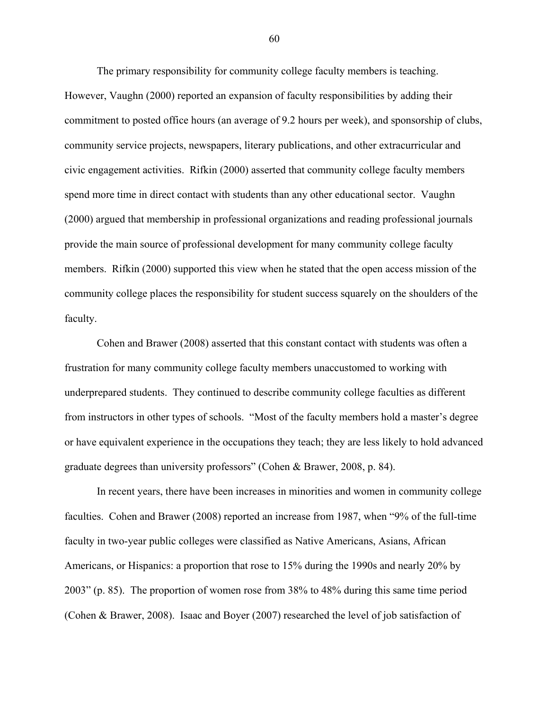The primary responsibility for community college faculty members is teaching. However, Vaughn (2000) reported an expansion of faculty responsibilities by adding their commitment to posted office hours (an average of 9.2 hours per week), and sponsorship of clubs, community service projects, newspapers, literary publications, and other extracurricular and civic engagement activities. Rifkin (2000) asserted that community college faculty members spend more time in direct contact with students than any other educational sector. Vaughn (2000) argued that membership in professional organizations and reading professional journals provide the main source of professional development for many community college faculty members. Rifkin (2000) supported this view when he stated that the open access mission of the community college places the responsibility for student success squarely on the shoulders of the faculty.

Cohen and Brawer (2008) asserted that this constant contact with students was often a frustration for many community college faculty members unaccustomed to working with underprepared students. They continued to describe community college faculties as different from instructors in other types of schools. "Most of the faculty members hold a master's degree or have equivalent experience in the occupations they teach; they are less likely to hold advanced graduate degrees than university professors" (Cohen & Brawer, 2008, p. 84).

In recent years, there have been increases in minorities and women in community college faculties. Cohen and Brawer (2008) reported an increase from 1987, when "9% of the full-time faculty in two-year public colleges were classified as Native Americans, Asians, African Americans, or Hispanics: a proportion that rose to 15% during the 1990s and nearly 20% by 2003" (p. 85). The proportion of women rose from 38% to 48% during this same time period (Cohen & Brawer, 2008). Isaac and Boyer (2007) researched the level of job satisfaction of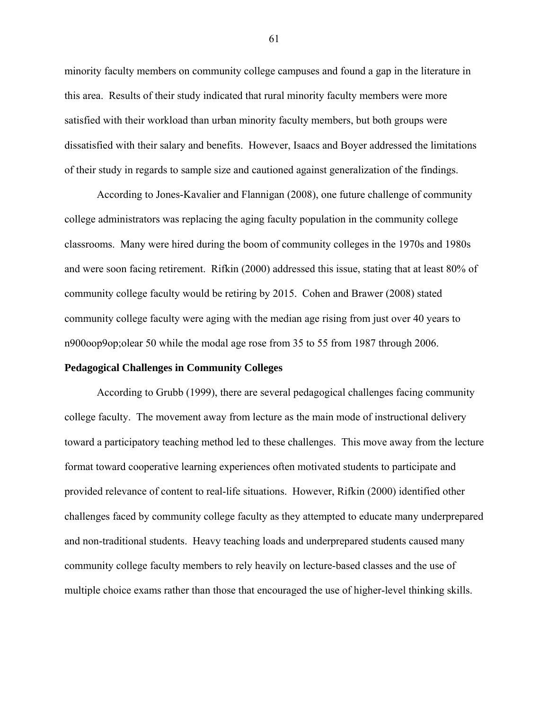minority faculty members on community college campuses and found a gap in the literature in this area. Results of their study indicated that rural minority faculty members were more satisfied with their workload than urban minority faculty members, but both groups were dissatisfied with their salary and benefits. However, Isaacs and Boyer addressed the limitations of their study in regards to sample size and cautioned against generalization of the findings.

According to Jones-Kavalier and Flannigan (2008), one future challenge of community college administrators was replacing the aging faculty population in the community college classrooms. Many were hired during the boom of community colleges in the 1970s and 1980s and were soon facing retirement. Rifkin (2000) addressed this issue, stating that at least 80% of community college faculty would be retiring by 2015. Cohen and Brawer (2008) stated community college faculty were aging with the median age rising from just over 40 years to n900oop9op;olear 50 while the modal age rose from 35 to 55 from 1987 through 2006.

#### **Pedagogical Challenges in Community Colleges**

According to Grubb (1999), there are several pedagogical challenges facing community college faculty. The movement away from lecture as the main mode of instructional delivery toward a participatory teaching method led to these challenges. This move away from the lecture format toward cooperative learning experiences often motivated students to participate and provided relevance of content to real-life situations. However, Rifkin (2000) identified other challenges faced by community college faculty as they attempted to educate many underprepared and non-traditional students. Heavy teaching loads and underprepared students caused many community college faculty members to rely heavily on lecture-based classes and the use of multiple choice exams rather than those that encouraged the use of higher-level thinking skills.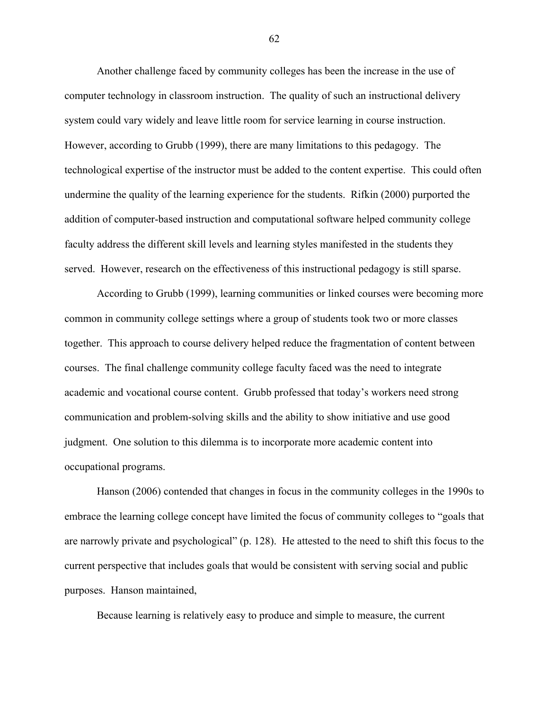Another challenge faced by community colleges has been the increase in the use of computer technology in classroom instruction. The quality of such an instructional delivery system could vary widely and leave little room for service learning in course instruction. However, according to Grubb (1999), there are many limitations to this pedagogy. The technological expertise of the instructor must be added to the content expertise. This could often undermine the quality of the learning experience for the students. Rifkin (2000) purported the addition of computer-based instruction and computational software helped community college faculty address the different skill levels and learning styles manifested in the students they served. However, research on the effectiveness of this instructional pedagogy is still sparse.

According to Grubb (1999), learning communities or linked courses were becoming more common in community college settings where a group of students took two or more classes together. This approach to course delivery helped reduce the fragmentation of content between courses. The final challenge community college faculty faced was the need to integrate academic and vocational course content. Grubb professed that today's workers need strong communication and problem-solving skills and the ability to show initiative and use good judgment. One solution to this dilemma is to incorporate more academic content into occupational programs.

Hanson (2006) contended that changes in focus in the community colleges in the 1990s to embrace the learning college concept have limited the focus of community colleges to "goals that are narrowly private and psychological" (p. 128). He attested to the need to shift this focus to the current perspective that includes goals that would be consistent with serving social and public purposes. Hanson maintained,

Because learning is relatively easy to produce and simple to measure, the current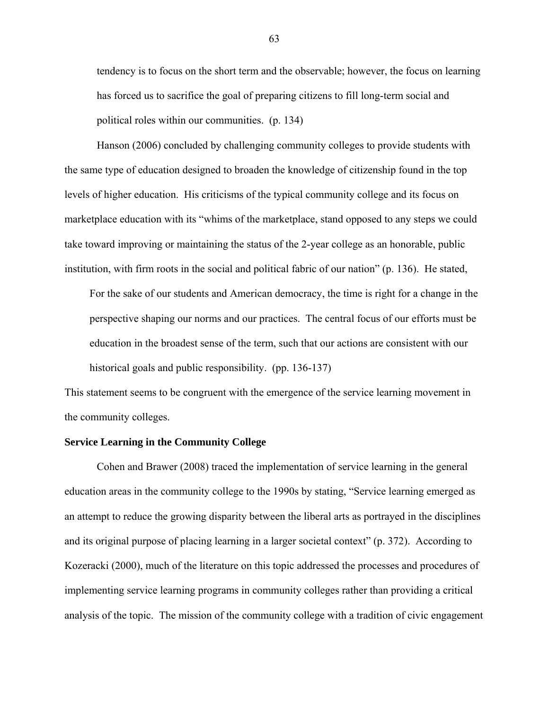tendency is to focus on the short term and the observable; however, the focus on learning has forced us to sacrifice the goal of preparing citizens to fill long-term social and political roles within our communities. (p. 134)

Hanson (2006) concluded by challenging community colleges to provide students with the same type of education designed to broaden the knowledge of citizenship found in the top levels of higher education. His criticisms of the typical community college and its focus on marketplace education with its "whims of the marketplace, stand opposed to any steps we could take toward improving or maintaining the status of the 2-year college as an honorable, public institution, with firm roots in the social and political fabric of our nation" (p. 136). He stated,

For the sake of our students and American democracy, the time is right for a change in the perspective shaping our norms and our practices. The central focus of our efforts must be education in the broadest sense of the term, such that our actions are consistent with our historical goals and public responsibility. (pp. 136-137)

This statement seems to be congruent with the emergence of the service learning movement in the community colleges.

## **Service Learning in the Community College**

Cohen and Brawer (2008) traced the implementation of service learning in the general education areas in the community college to the 1990s by stating, "Service learning emerged as an attempt to reduce the growing disparity between the liberal arts as portrayed in the disciplines and its original purpose of placing learning in a larger societal context" (p. 372). According to Kozeracki (2000), much of the literature on this topic addressed the processes and procedures of implementing service learning programs in community colleges rather than providing a critical analysis of the topic. The mission of the community college with a tradition of civic engagement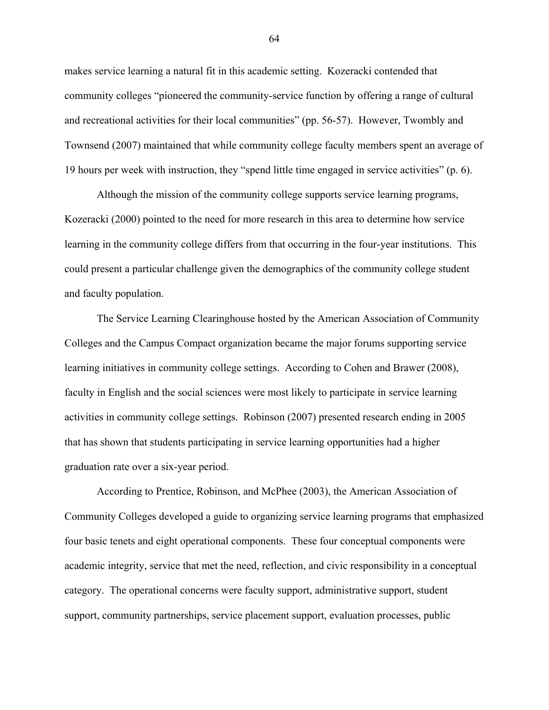makes service learning a natural fit in this academic setting. Kozeracki contended that community colleges "pioneered the community-service function by offering a range of cultural and recreational activities for their local communities" (pp. 56-57). However, Twombly and Townsend (2007) maintained that while community college faculty members spent an average of 19 hours per week with instruction, they "spend little time engaged in service activities" (p. 6).

Although the mission of the community college supports service learning programs, Kozeracki (2000) pointed to the need for more research in this area to determine how service learning in the community college differs from that occurring in the four-year institutions. This could present a particular challenge given the demographics of the community college student and faculty population.

The Service Learning Clearinghouse hosted by the American Association of Community Colleges and the Campus Compact organization became the major forums supporting service learning initiatives in community college settings. According to Cohen and Brawer (2008), faculty in English and the social sciences were most likely to participate in service learning activities in community college settings. Robinson (2007) presented research ending in 2005 that has shown that students participating in service learning opportunities had a higher graduation rate over a six-year period.

According to Prentice, Robinson, and McPhee (2003), the American Association of Community Colleges developed a guide to organizing service learning programs that emphasized four basic tenets and eight operational components. These four conceptual components were academic integrity, service that met the need, reflection, and civic responsibility in a conceptual category. The operational concerns were faculty support, administrative support, student support, community partnerships, service placement support, evaluation processes, public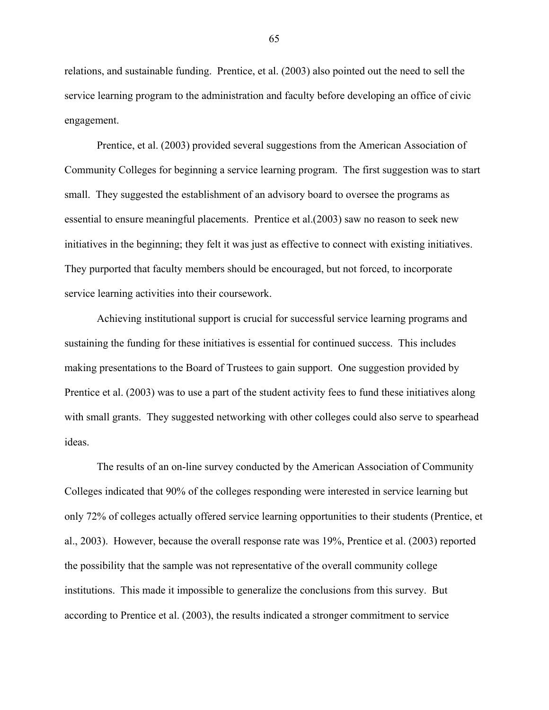relations, and sustainable funding. Prentice, et al. (2003) also pointed out the need to sell the service learning program to the administration and faculty before developing an office of civic engagement.

Prentice, et al. (2003) provided several suggestions from the American Association of Community Colleges for beginning a service learning program. The first suggestion was to start small. They suggested the establishment of an advisory board to oversee the programs as essential to ensure meaningful placements. Prentice et al.(2003) saw no reason to seek new initiatives in the beginning; they felt it was just as effective to connect with existing initiatives. They purported that faculty members should be encouraged, but not forced, to incorporate service learning activities into their coursework.

Achieving institutional support is crucial for successful service learning programs and sustaining the funding for these initiatives is essential for continued success. This includes making presentations to the Board of Trustees to gain support. One suggestion provided by Prentice et al. (2003) was to use a part of the student activity fees to fund these initiatives along with small grants. They suggested networking with other colleges could also serve to spearhead ideas.

The results of an on-line survey conducted by the American Association of Community Colleges indicated that 90% of the colleges responding were interested in service learning but only 72% of colleges actually offered service learning opportunities to their students (Prentice, et al., 2003). However, because the overall response rate was 19%, Prentice et al. (2003) reported the possibility that the sample was not representative of the overall community college institutions. This made it impossible to generalize the conclusions from this survey. But according to Prentice et al. (2003), the results indicated a stronger commitment to service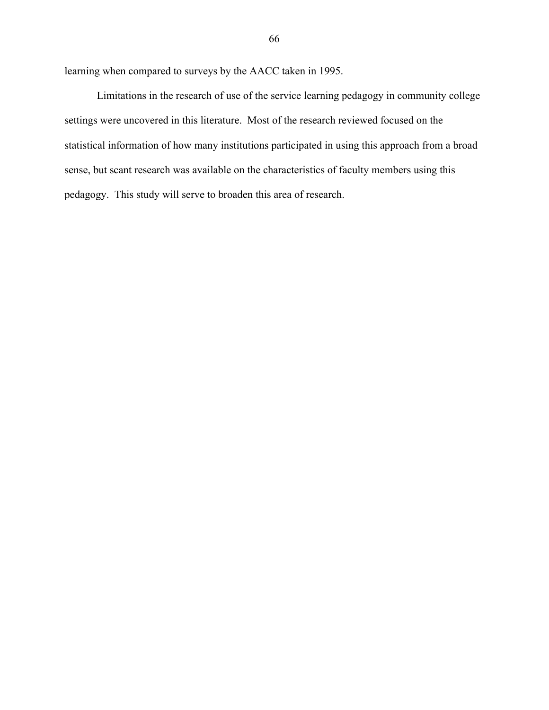learning when compared to surveys by the AACC taken in 1995.

Limitations in the research of use of the service learning pedagogy in community college settings were uncovered in this literature. Most of the research reviewed focused on the statistical information of how many institutions participated in using this approach from a broad sense, but scant research was available on the characteristics of faculty members using this pedagogy. This study will serve to broaden this area of research.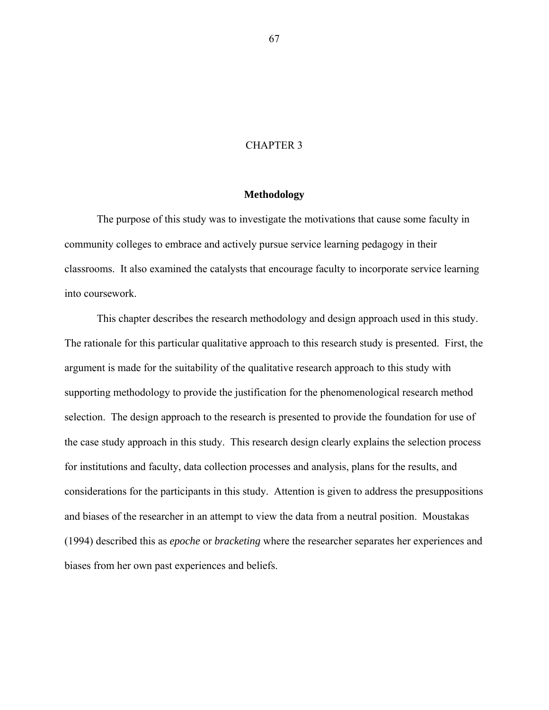## CHAPTER 3

## **Methodology**

The purpose of this study was to investigate the motivations that cause some faculty in community colleges to embrace and actively pursue service learning pedagogy in their classrooms. It also examined the catalysts that encourage faculty to incorporate service learning into coursework.

This chapter describes the research methodology and design approach used in this study. The rationale for this particular qualitative approach to this research study is presented. First, the argument is made for the suitability of the qualitative research approach to this study with supporting methodology to provide the justification for the phenomenological research method selection. The design approach to the research is presented to provide the foundation for use of the case study approach in this study. This research design clearly explains the selection process for institutions and faculty, data collection processes and analysis, plans for the results, and considerations for the participants in this study. Attention is given to address the presuppositions and biases of the researcher in an attempt to view the data from a neutral position. Moustakas (1994) described this as *epoche* or *bracketing* where the researcher separates her experiences and biases from her own past experiences and beliefs.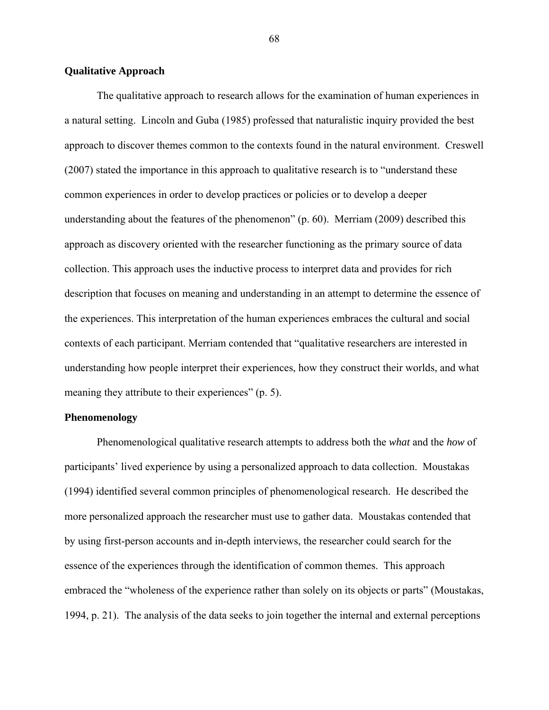# **Qualitative Approach**

The qualitative approach to research allows for the examination of human experiences in a natural setting. Lincoln and Guba (1985) professed that naturalistic inquiry provided the best approach to discover themes common to the contexts found in the natural environment. Creswell (2007) stated the importance in this approach to qualitative research is to "understand these common experiences in order to develop practices or policies or to develop a deeper understanding about the features of the phenomenon" (p. 60). Merriam (2009) described this approach as discovery oriented with the researcher functioning as the primary source of data collection. This approach uses the inductive process to interpret data and provides for rich description that focuses on meaning and understanding in an attempt to determine the essence of the experiences. This interpretation of the human experiences embraces the cultural and social contexts of each participant. Merriam contended that "qualitative researchers are interested in understanding how people interpret their experiences, how they construct their worlds, and what meaning they attribute to their experiences" (p. 5).

## **Phenomenology**

Phenomenological qualitative research attempts to address both the *what* and the *how* of participants' lived experience by using a personalized approach to data collection. Moustakas (1994) identified several common principles of phenomenological research. He described the more personalized approach the researcher must use to gather data. Moustakas contended that by using first-person accounts and in-depth interviews, the researcher could search for the essence of the experiences through the identification of common themes. This approach embraced the "wholeness of the experience rather than solely on its objects or parts" (Moustakas, 1994, p. 21). The analysis of the data seeks to join together the internal and external perceptions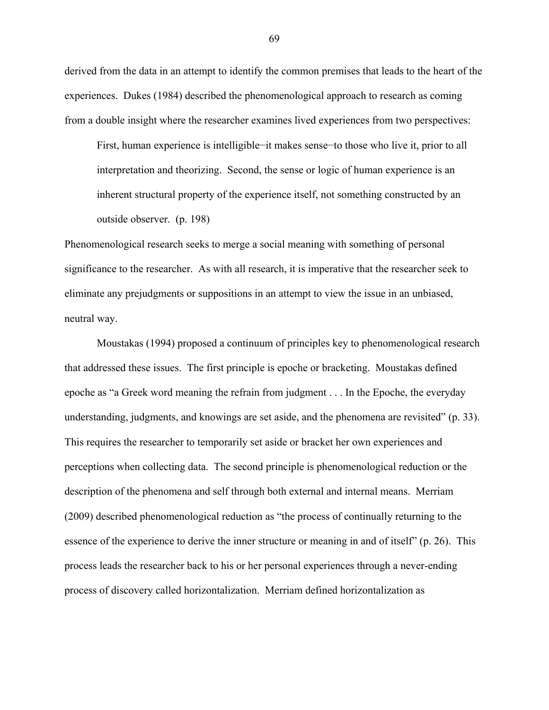derived from the data in an attempt to identify the common premises that leads to the heart of the experiences. Dukes (1984) described the phenomenological approach to research as coming from a double insight where the researcher examines lived experiences from two perspectives:

First, human experience is intelligible−it makes sense−to those who live it, prior to all interpretation and theorizing. Second, the sense or logic of human experience is an inherent structural property of the experience itself, not something constructed by an outside observer. (p. 198)

Phenomenological research seeks to merge a social meaning with something of personal significance to the researcher. As with all research, it is imperative that the researcher seek to eliminate any prejudgments or suppositions in an attempt to view the issue in an unbiased, neutral way.

Moustakas (1994) proposed a continuum of principles key to phenomenological research that addressed these issues. The first principle is epoche or bracketing. Moustakas defined epoche as "a Greek word meaning the refrain from judgment . . . In the Epoche, the everyday understanding, judgments, and knowings are set aside, and the phenomena are revisited" (p. 33). This requires the researcher to temporarily set aside or bracket her own experiences and perceptions when collecting data. The second principle is phenomenological reduction or the description of the phenomena and self through both external and internal means. Merriam (2009) described phenomenological reduction as "the process of continually returning to the essence of the experience to derive the inner structure or meaning in and of itself" (p. 26). This process leads the researcher back to his or her personal experiences through a never-ending process of discovery called horizontalization. Merriam defined horizontalization as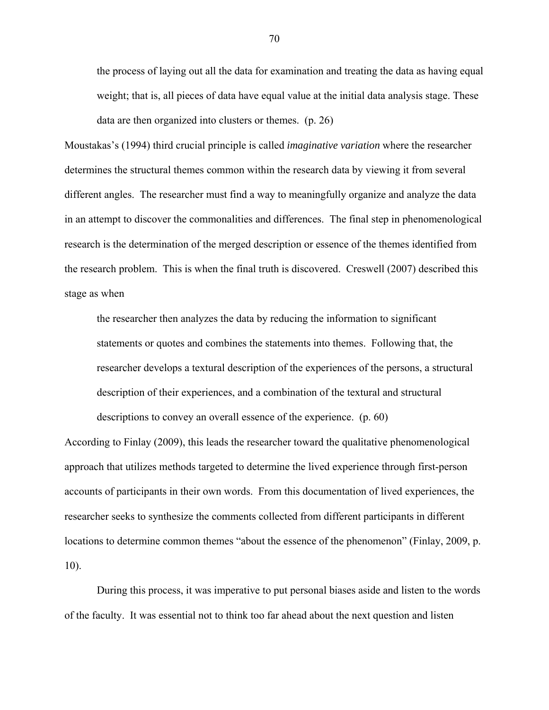the process of laying out all the data for examination and treating the data as having equal weight; that is, all pieces of data have equal value at the initial data analysis stage. These data are then organized into clusters or themes. (p. 26)

Moustakas's (1994) third crucial principle is called *imaginative variation* where the researcher determines the structural themes common within the research data by viewing it from several different angles. The researcher must find a way to meaningfully organize and analyze the data in an attempt to discover the commonalities and differences. The final step in phenomenological research is the determination of the merged description or essence of the themes identified from the research problem. This is when the final truth is discovered. Creswell (2007) described this stage as when

the researcher then analyzes the data by reducing the information to significant statements or quotes and combines the statements into themes. Following that, the researcher develops a textural description of the experiences of the persons, a structural description of their experiences, and a combination of the textural and structural

According to Finlay (2009), this leads the researcher toward the qualitative phenomenological approach that utilizes methods targeted to determine the lived experience through first-person accounts of participants in their own words. From this documentation of lived experiences, the researcher seeks to synthesize the comments collected from different participants in different locations to determine common themes "about the essence of the phenomenon" (Finlay, 2009, p. 10).

descriptions to convey an overall essence of the experience. (p. 60)

During this process, it was imperative to put personal biases aside and listen to the words of the faculty. It was essential not to think too far ahead about the next question and listen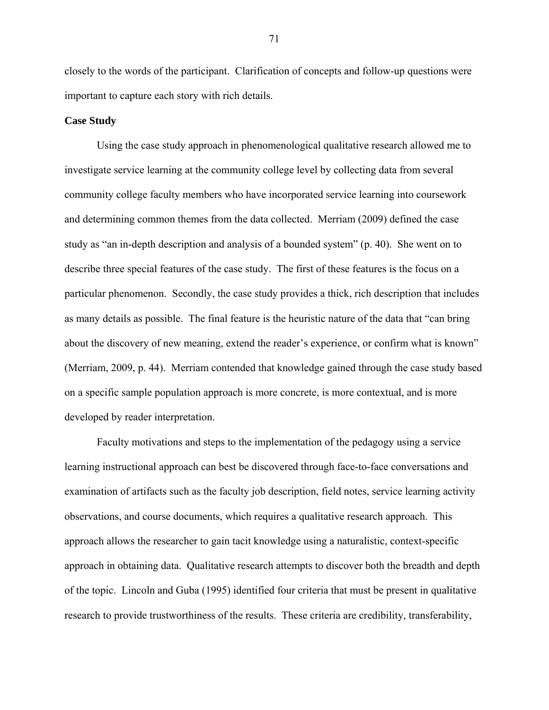closely to the words of the participant. Clarification of concepts and follow-up questions were important to capture each story with rich details.

## **Case Study**

Using the case study approach in phenomenological qualitative research allowed me to investigate service learning at the community college level by collecting data from several community college faculty members who have incorporated service learning into coursework and determining common themes from the data collected. Merriam (2009) defined the case study as "an in-depth description and analysis of a bounded system" (p. 40). She went on to describe three special features of the case study. The first of these features is the focus on a particular phenomenon. Secondly, the case study provides a thick, rich description that includes as many details as possible. The final feature is the heuristic nature of the data that "can bring about the discovery of new meaning, extend the reader's experience, or confirm what is known" (Merriam, 2009, p. 44). Merriam contended that knowledge gained through the case study based on a specific sample population approach is more concrete, is more contextual, and is more developed by reader interpretation.

Faculty motivations and steps to the implementation of the pedagogy using a service learning instructional approach can best be discovered through face-to-face conversations and examination of artifacts such as the faculty job description, field notes, service learning activity observations, and course documents, which requires a qualitative research approach. This approach allows the researcher to gain tacit knowledge using a naturalistic, context-specific approach in obtaining data. Qualitative research attempts to discover both the breadth and depth of the topic. Lincoln and Guba (1995) identified four criteria that must be present in qualitative research to provide trustworthiness of the results. These criteria are credibility, transferability,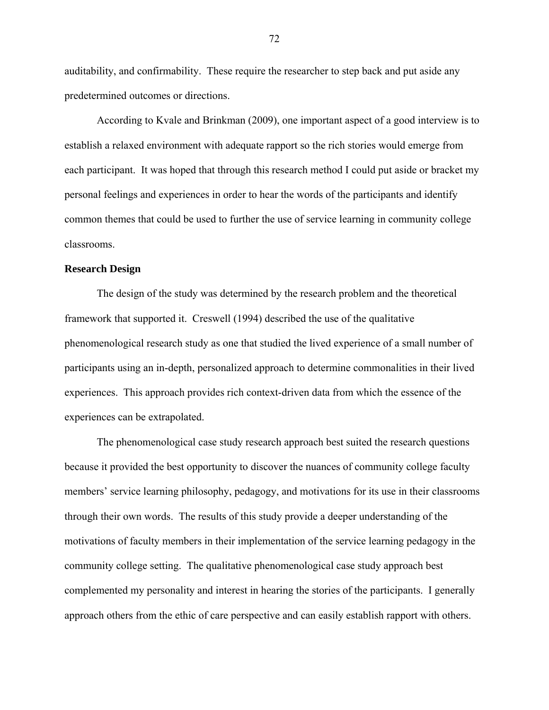auditability, and confirmability. These require the researcher to step back and put aside any predetermined outcomes or directions.

According to Kvale and Brinkman (2009), one important aspect of a good interview is to establish a relaxed environment with adequate rapport so the rich stories would emerge from each participant. It was hoped that through this research method I could put aside or bracket my personal feelings and experiences in order to hear the words of the participants and identify common themes that could be used to further the use of service learning in community college classrooms.

## **Research Design**

The design of the study was determined by the research problem and the theoretical framework that supported it. Creswell (1994) described the use of the qualitative phenomenological research study as one that studied the lived experience of a small number of participants using an in-depth, personalized approach to determine commonalities in their lived experiences. This approach provides rich context-driven data from which the essence of the experiences can be extrapolated.

The phenomenological case study research approach best suited the research questions because it provided the best opportunity to discover the nuances of community college faculty members' service learning philosophy, pedagogy, and motivations for its use in their classrooms through their own words. The results of this study provide a deeper understanding of the motivations of faculty members in their implementation of the service learning pedagogy in the community college setting. The qualitative phenomenological case study approach best complemented my personality and interest in hearing the stories of the participants. I generally approach others from the ethic of care perspective and can easily establish rapport with others.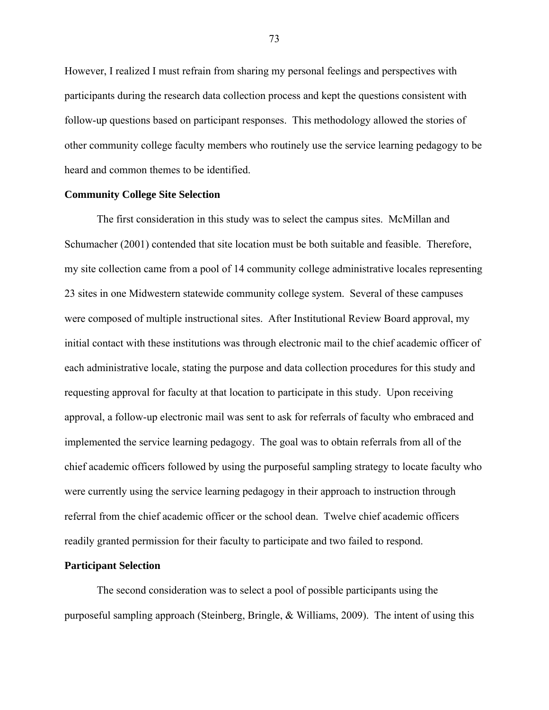However, I realized I must refrain from sharing my personal feelings and perspectives with participants during the research data collection process and kept the questions consistent with follow-up questions based on participant responses. This methodology allowed the stories of other community college faculty members who routinely use the service learning pedagogy to be heard and common themes to be identified.

## **Community College Site Selection**

The first consideration in this study was to select the campus sites. McMillan and Schumacher (2001) contended that site location must be both suitable and feasible. Therefore, my site collection came from a pool of 14 community college administrative locales representing 23 sites in one Midwestern statewide community college system. Several of these campuses were composed of multiple instructional sites. After Institutional Review Board approval, my initial contact with these institutions was through electronic mail to the chief academic officer of each administrative locale, stating the purpose and data collection procedures for this study and requesting approval for faculty at that location to participate in this study. Upon receiving approval, a follow-up electronic mail was sent to ask for referrals of faculty who embraced and implemented the service learning pedagogy. The goal was to obtain referrals from all of the chief academic officers followed by using the purposeful sampling strategy to locate faculty who were currently using the service learning pedagogy in their approach to instruction through referral from the chief academic officer or the school dean. Twelve chief academic officers readily granted permission for their faculty to participate and two failed to respond.

## **Participant Selection**

The second consideration was to select a pool of possible participants using the purposeful sampling approach (Steinberg, Bringle, & Williams, 2009). The intent of using this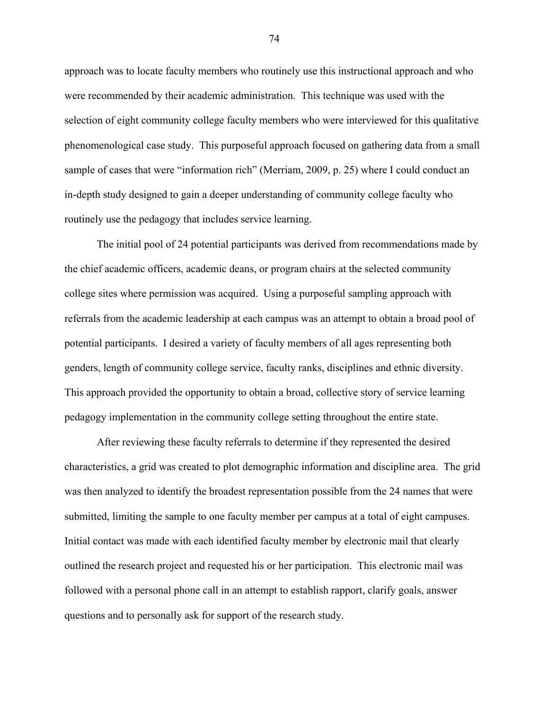approach was to locate faculty members who routinely use this instructional approach and who were recommended by their academic administration. This technique was used with the selection of eight community college faculty members who were interviewed for this qualitative phenomenological case study. This purposeful approach focused on gathering data from a small sample of cases that were "information rich" (Merriam, 2009, p. 25) where I could conduct an in-depth study designed to gain a deeper understanding of community college faculty who routinely use the pedagogy that includes service learning.

The initial pool of 24 potential participants was derived from recommendations made by the chief academic officers, academic deans, or program chairs at the selected community college sites where permission was acquired. Using a purposeful sampling approach with referrals from the academic leadership at each campus was an attempt to obtain a broad pool of potential participants. I desired a variety of faculty members of all ages representing both genders, length of community college service, faculty ranks, disciplines and ethnic diversity. This approach provided the opportunity to obtain a broad, collective story of service learning pedagogy implementation in the community college setting throughout the entire state.

After reviewing these faculty referrals to determine if they represented the desired characteristics, a grid was created to plot demographic information and discipline area. The grid was then analyzed to identify the broadest representation possible from the 24 names that were submitted, limiting the sample to one faculty member per campus at a total of eight campuses. Initial contact was made with each identified faculty member by electronic mail that clearly outlined the research project and requested his or her participation. This electronic mail was followed with a personal phone call in an attempt to establish rapport, clarify goals, answer questions and to personally ask for support of the research study.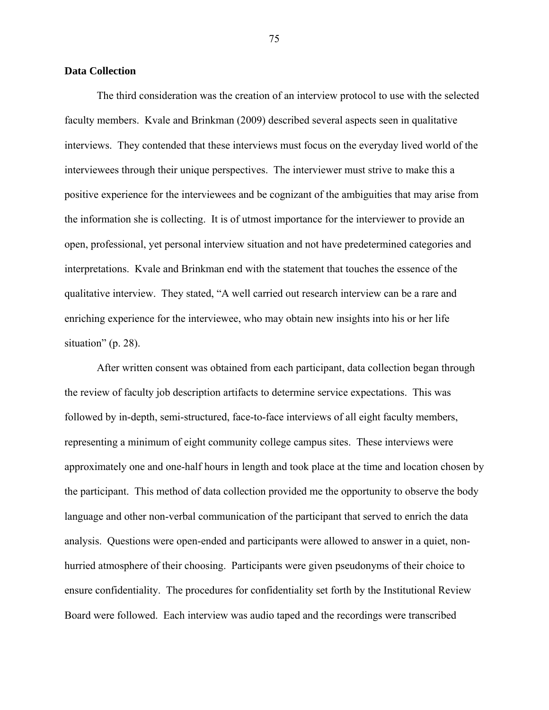### **Data Collection**

The third consideration was the creation of an interview protocol to use with the selected faculty members. Kvale and Brinkman (2009) described several aspects seen in qualitative interviews. They contended that these interviews must focus on the everyday lived world of the interviewees through their unique perspectives. The interviewer must strive to make this a positive experience for the interviewees and be cognizant of the ambiguities that may arise from the information she is collecting. It is of utmost importance for the interviewer to provide an open, professional, yet personal interview situation and not have predetermined categories and interpretations. Kvale and Brinkman end with the statement that touches the essence of the qualitative interview. They stated, "A well carried out research interview can be a rare and enriching experience for the interviewee, who may obtain new insights into his or her life situation" (p. 28).

After written consent was obtained from each participant, data collection began through the review of faculty job description artifacts to determine service expectations. This was followed by in-depth, semi-structured, face-to-face interviews of all eight faculty members, representing a minimum of eight community college campus sites. These interviews were approximately one and one-half hours in length and took place at the time and location chosen by the participant. This method of data collection provided me the opportunity to observe the body language and other non-verbal communication of the participant that served to enrich the data analysis. Questions were open-ended and participants were allowed to answer in a quiet, nonhurried atmosphere of their choosing. Participants were given pseudonyms of their choice to ensure confidentiality. The procedures for confidentiality set forth by the Institutional Review Board were followed. Each interview was audio taped and the recordings were transcribed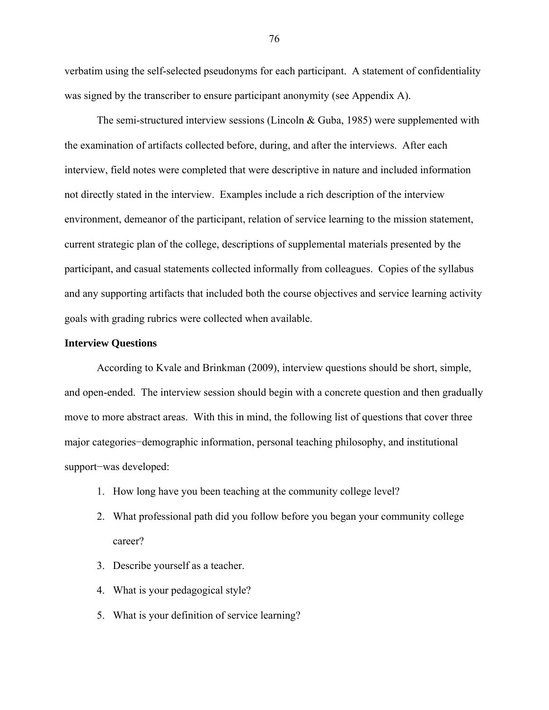verbatim using the self-selected pseudonyms for each participant. A statement of confidentiality was signed by the transcriber to ensure participant anonymity (see Appendix A).

The semi-structured interview sessions (Lincoln & Guba, 1985) were supplemented with the examination of artifacts collected before, during, and after the interviews. After each interview, field notes were completed that were descriptive in nature and included information not directly stated in the interview. Examples include a rich description of the interview environment, demeanor of the participant, relation of service learning to the mission statement, current strategic plan of the college, descriptions of supplemental materials presented by the participant, and casual statements collected informally from colleagues. Copies of the syllabus and any supporting artifacts that included both the course objectives and service learning activity goals with grading rubrics were collected when available.

## **Interview Questions**

According to Kvale and Brinkman (2009), interview questions should be short, simple, and open-ended. The interview session should begin with a concrete question and then gradually move to more abstract areas. With this in mind, the following list of questions that cover three major categories−demographic information, personal teaching philosophy, and institutional support−was developed:

- 1. How long have you been teaching at the community college level?
- 2. What professional path did you follow before you began your community college career?
- 3. Describe yourself as a teacher.
- 4. What is your pedagogical style?
- 5. What is your definition of service learning?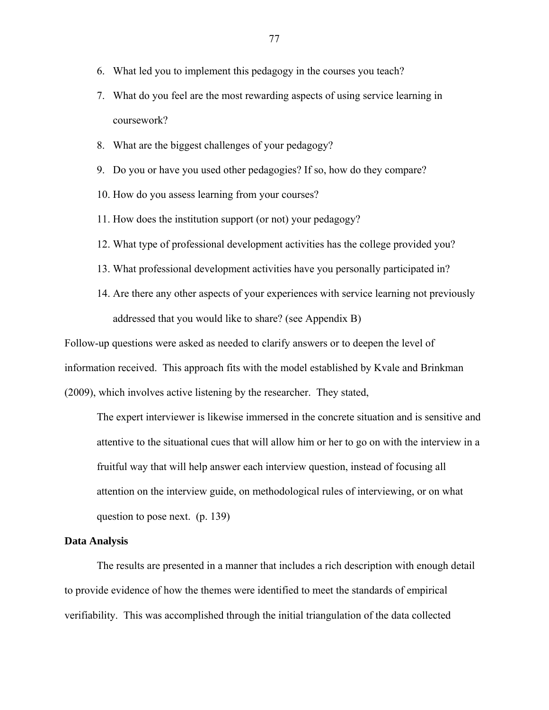- 6. What led you to implement this pedagogy in the courses you teach?
- 7. What do you feel are the most rewarding aspects of using service learning in coursework?
- 8. What are the biggest challenges of your pedagogy?
- 9. Do you or have you used other pedagogies? If so, how do they compare?
- 10. How do you assess learning from your courses?
- 11. How does the institution support (or not) your pedagogy?
- 12. What type of professional development activities has the college provided you?
- 13. What professional development activities have you personally participated in?
- 14. Are there any other aspects of your experiences with service learning not previously addressed that you would like to share? (see Appendix B)

Follow-up questions were asked as needed to clarify answers or to deepen the level of information received. This approach fits with the model established by Kvale and Brinkman (2009), which involves active listening by the researcher. They stated,

The expert interviewer is likewise immersed in the concrete situation and is sensitive and attentive to the situational cues that will allow him or her to go on with the interview in a fruitful way that will help answer each interview question, instead of focusing all attention on the interview guide, on methodological rules of interviewing, or on what question to pose next. (p. 139)

## **Data Analysis**

The results are presented in a manner that includes a rich description with enough detail to provide evidence of how the themes were identified to meet the standards of empirical verifiability. This was accomplished through the initial triangulation of the data collected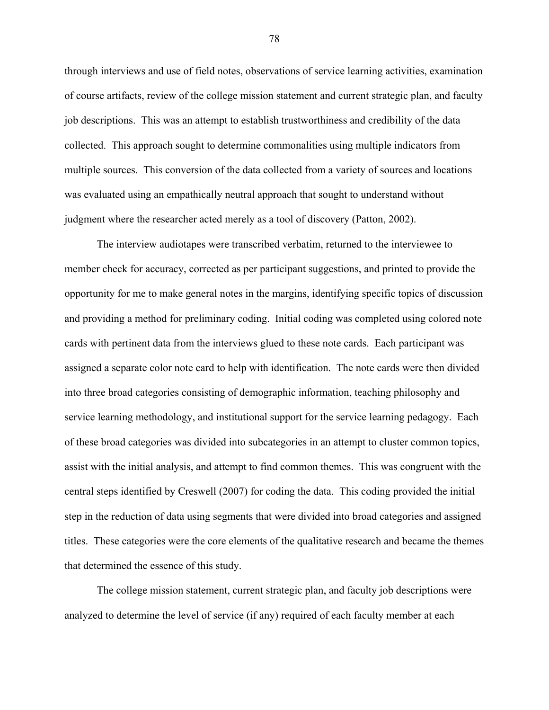through interviews and use of field notes, observations of service learning activities, examination of course artifacts, review of the college mission statement and current strategic plan, and faculty job descriptions. This was an attempt to establish trustworthiness and credibility of the data collected. This approach sought to determine commonalities using multiple indicators from multiple sources. This conversion of the data collected from a variety of sources and locations was evaluated using an empathically neutral approach that sought to understand without judgment where the researcher acted merely as a tool of discovery (Patton, 2002).

The interview audiotapes were transcribed verbatim, returned to the interviewee to member check for accuracy, corrected as per participant suggestions, and printed to provide the opportunity for me to make general notes in the margins, identifying specific topics of discussion and providing a method for preliminary coding. Initial coding was completed using colored note cards with pertinent data from the interviews glued to these note cards. Each participant was assigned a separate color note card to help with identification. The note cards were then divided into three broad categories consisting of demographic information, teaching philosophy and service learning methodology, and institutional support for the service learning pedagogy. Each of these broad categories was divided into subcategories in an attempt to cluster common topics, assist with the initial analysis, and attempt to find common themes. This was congruent with the central steps identified by Creswell (2007) for coding the data. This coding provided the initial step in the reduction of data using segments that were divided into broad categories and assigned titles. These categories were the core elements of the qualitative research and became the themes that determined the essence of this study.

The college mission statement, current strategic plan, and faculty job descriptions were analyzed to determine the level of service (if any) required of each faculty member at each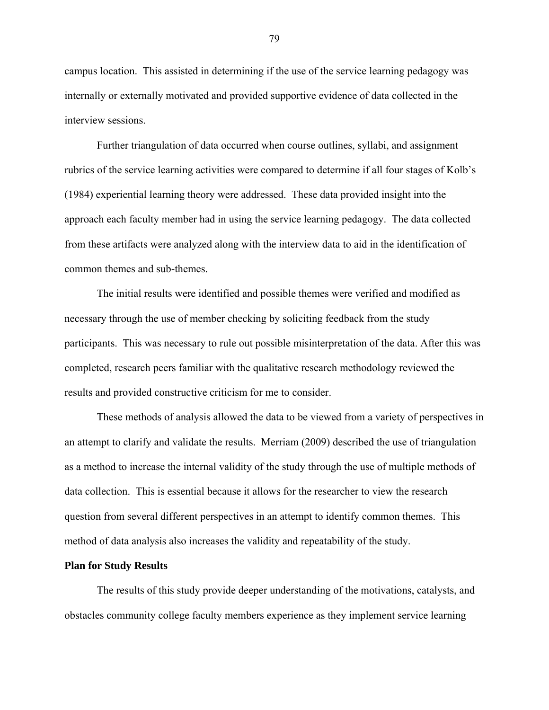campus location. This assisted in determining if the use of the service learning pedagogy was internally or externally motivated and provided supportive evidence of data collected in the interview sessions.

Further triangulation of data occurred when course outlines, syllabi, and assignment rubrics of the service learning activities were compared to determine if all four stages of Kolb's (1984) experiential learning theory were addressed. These data provided insight into the approach each faculty member had in using the service learning pedagogy. The data collected from these artifacts were analyzed along with the interview data to aid in the identification of common themes and sub-themes.

The initial results were identified and possible themes were verified and modified as necessary through the use of member checking by soliciting feedback from the study participants. This was necessary to rule out possible misinterpretation of the data. After this was completed, research peers familiar with the qualitative research methodology reviewed the results and provided constructive criticism for me to consider.

These methods of analysis allowed the data to be viewed from a variety of perspectives in an attempt to clarify and validate the results. Merriam (2009) described the use of triangulation as a method to increase the internal validity of the study through the use of multiple methods of data collection. This is essential because it allows for the researcher to view the research question from several different perspectives in an attempt to identify common themes. This method of data analysis also increases the validity and repeatability of the study.

### **Plan for Study Results**

The results of this study provide deeper understanding of the motivations, catalysts, and obstacles community college faculty members experience as they implement service learning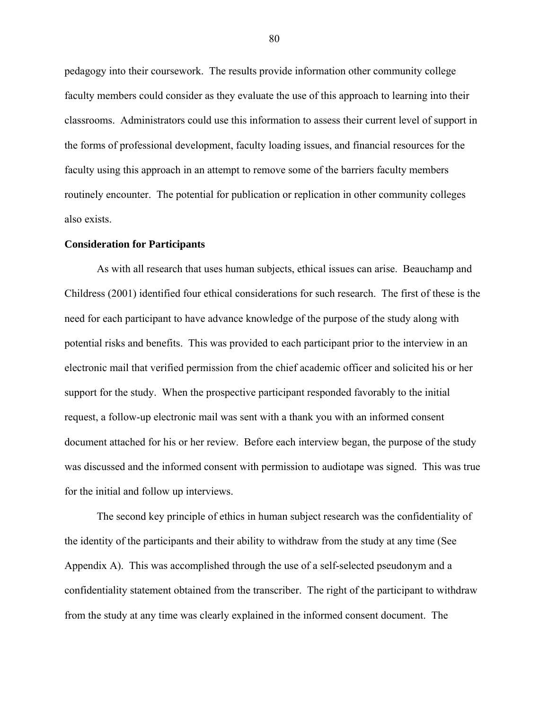pedagogy into their coursework. The results provide information other community college faculty members could consider as they evaluate the use of this approach to learning into their classrooms. Administrators could use this information to assess their current level of support in the forms of professional development, faculty loading issues, and financial resources for the faculty using this approach in an attempt to remove some of the barriers faculty members routinely encounter. The potential for publication or replication in other community colleges also exists.

#### **Consideration for Participants**

As with all research that uses human subjects, ethical issues can arise. Beauchamp and Childress (2001) identified four ethical considerations for such research. The first of these is the need for each participant to have advance knowledge of the purpose of the study along with potential risks and benefits. This was provided to each participant prior to the interview in an electronic mail that verified permission from the chief academic officer and solicited his or her support for the study. When the prospective participant responded favorably to the initial request, a follow-up electronic mail was sent with a thank you with an informed consent document attached for his or her review. Before each interview began, the purpose of the study was discussed and the informed consent with permission to audiotape was signed. This was true for the initial and follow up interviews.

The second key principle of ethics in human subject research was the confidentiality of the identity of the participants and their ability to withdraw from the study at any time (See Appendix A). This was accomplished through the use of a self-selected pseudonym and a confidentiality statement obtained from the transcriber. The right of the participant to withdraw from the study at any time was clearly explained in the informed consent document. The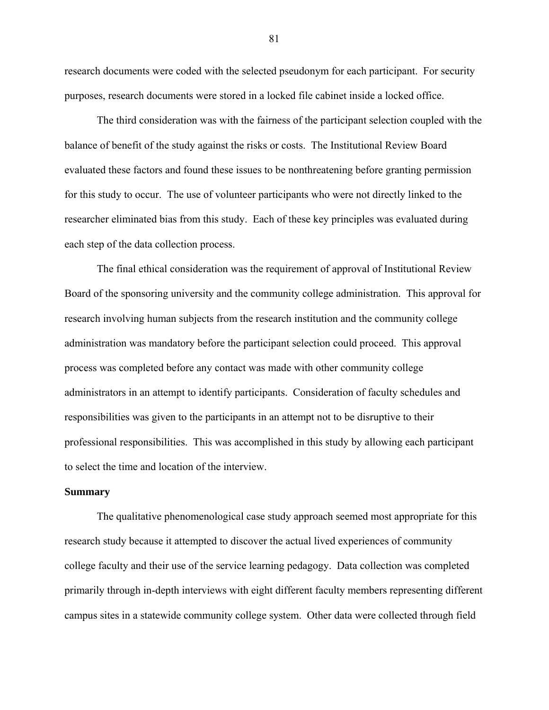research documents were coded with the selected pseudonym for each participant. For security purposes, research documents were stored in a locked file cabinet inside a locked office.

The third consideration was with the fairness of the participant selection coupled with the balance of benefit of the study against the risks or costs. The Institutional Review Board evaluated these factors and found these issues to be nonthreatening before granting permission for this study to occur. The use of volunteer participants who were not directly linked to the researcher eliminated bias from this study. Each of these key principles was evaluated during each step of the data collection process.

The final ethical consideration was the requirement of approval of Institutional Review Board of the sponsoring university and the community college administration. This approval for research involving human subjects from the research institution and the community college administration was mandatory before the participant selection could proceed. This approval process was completed before any contact was made with other community college administrators in an attempt to identify participants. Consideration of faculty schedules and responsibilities was given to the participants in an attempt not to be disruptive to their professional responsibilities. This was accomplished in this study by allowing each participant to select the time and location of the interview.

#### **Summary**

 The qualitative phenomenological case study approach seemed most appropriate for this research study because it attempted to discover the actual lived experiences of community college faculty and their use of the service learning pedagogy. Data collection was completed primarily through in-depth interviews with eight different faculty members representing different campus sites in a statewide community college system. Other data were collected through field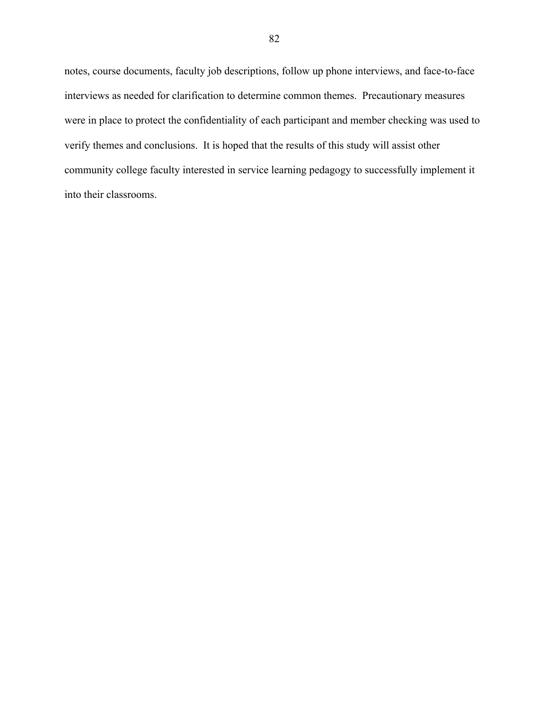notes, course documents, faculty job descriptions, follow up phone interviews, and face-to-face interviews as needed for clarification to determine common themes. Precautionary measures were in place to protect the confidentiality of each participant and member checking was used to verify themes and conclusions. It is hoped that the results of this study will assist other community college faculty interested in service learning pedagogy to successfully implement it into their classrooms.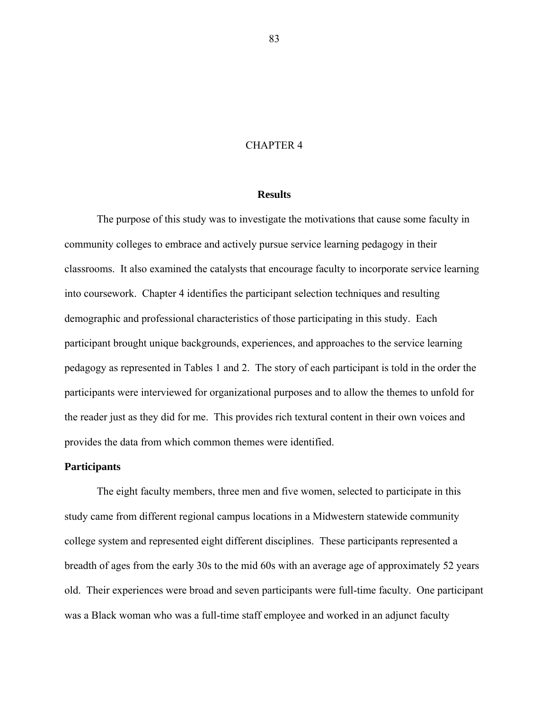## CHAPTER 4

### **Results**

The purpose of this study was to investigate the motivations that cause some faculty in community colleges to embrace and actively pursue service learning pedagogy in their classrooms. It also examined the catalysts that encourage faculty to incorporate service learning into coursework. Chapter 4 identifies the participant selection techniques and resulting demographic and professional characteristics of those participating in this study. Each participant brought unique backgrounds, experiences, and approaches to the service learning pedagogy as represented in Tables 1 and 2. The story of each participant is told in the order the participants were interviewed for organizational purposes and to allow the themes to unfold for the reader just as they did for me. This provides rich textural content in their own voices and provides the data from which common themes were identified.

## **Participants**

The eight faculty members, three men and five women, selected to participate in this study came from different regional campus locations in a Midwestern statewide community college system and represented eight different disciplines. These participants represented a breadth of ages from the early 30s to the mid 60s with an average age of approximately 52 years old. Their experiences were broad and seven participants were full-time faculty. One participant was a Black woman who was a full-time staff employee and worked in an adjunct faculty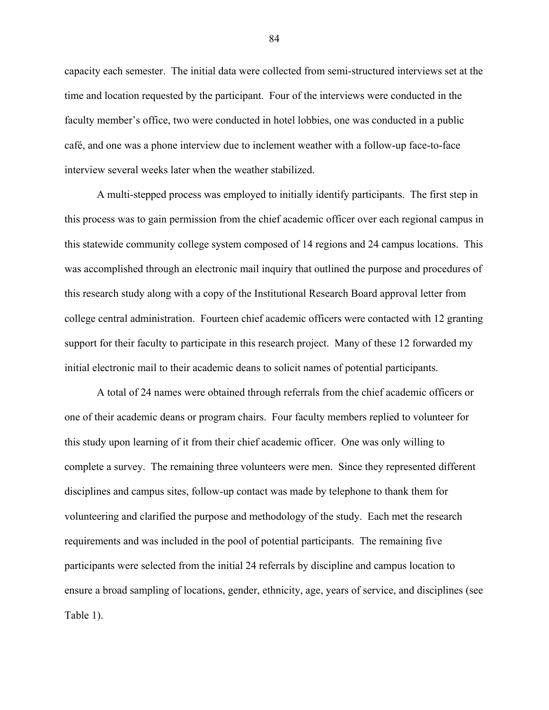capacity each semester. The initial data were collected from semi-structured interviews set at the time and location requested by the participant. Four of the interviews were conducted in the faculty member's office, two were conducted in hotel lobbies, one was conducted in a public café, and one was a phone interview due to inclement weather with a follow-up face-to-face interview several weeks later when the weather stabilized.

A multi-stepped process was employed to initially identify participants. The first step in this process was to gain permission from the chief academic officer over each regional campus in this statewide community college system composed of 14 regions and 24 campus locations. This was accomplished through an electronic mail inquiry that outlined the purpose and procedures of this research study along with a copy of the Institutional Research Board approval letter from college central administration. Fourteen chief academic officers were contacted with 12 granting support for their faculty to participate in this research project. Many of these 12 forwarded my initial electronic mail to their academic deans to solicit names of potential participants.

A total of 24 names were obtained through referrals from the chief academic officers or one of their academic deans or program chairs. Four faculty members replied to volunteer for this study upon learning of it from their chief academic officer. One was only willing to complete a survey. The remaining three volunteers were men. Since they represented different disciplines and campus sites, follow-up contact was made by telephone to thank them for volunteering and clarified the purpose and methodology of the study. Each met the research requirements and was included in the pool of potential participants. The remaining five participants were selected from the initial 24 referrals by discipline and campus location to ensure a broad sampling of locations, gender, ethnicity, age, years of service, and disciplines (see Table 1).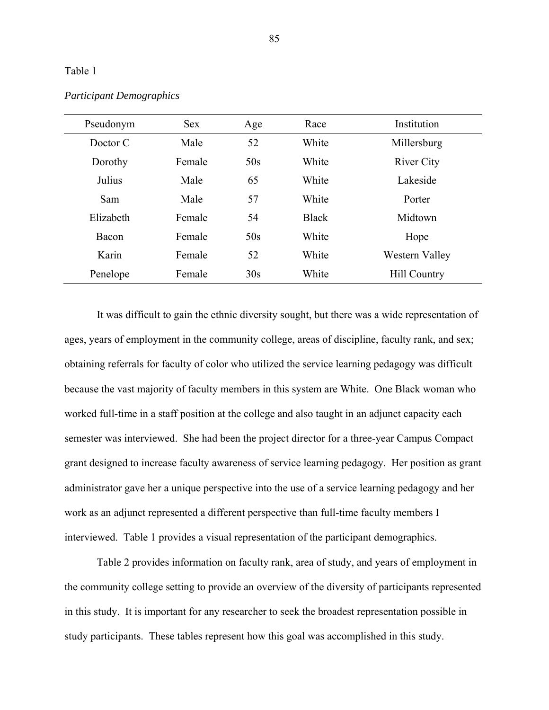### Table 1

| Pseudonym | <b>Sex</b> | Age | Race         | Institution         |
|-----------|------------|-----|--------------|---------------------|
| Doctor C  | Male       | 52  | White        | Millersburg         |
| Dorothy   | Female     | 50s | White        | <b>River City</b>   |
| Julius    | Male       | 65  | White        | Lakeside            |
| Sam       | Male       | 57  | White        | Porter              |
| Elizabeth | Female     | 54  | <b>Black</b> | Midtown             |
| Bacon     | Female     | 50s | White        | Hope                |
| Karin     | Female     | 52  | White        | Western Valley      |
| Penelope  | Female     | 30s | White        | <b>Hill Country</b> |

# *Participant Demographics*

It was difficult to gain the ethnic diversity sought, but there was a wide representation of ages, years of employment in the community college, areas of discipline, faculty rank, and sex; obtaining referrals for faculty of color who utilized the service learning pedagogy was difficult because the vast majority of faculty members in this system are White. One Black woman who worked full-time in a staff position at the college and also taught in an adjunct capacity each semester was interviewed. She had been the project director for a three-year Campus Compact grant designed to increase faculty awareness of service learning pedagogy. Her position as grant administrator gave her a unique perspective into the use of a service learning pedagogy and her work as an adjunct represented a different perspective than full-time faculty members I interviewed. Table 1 provides a visual representation of the participant demographics.

Table 2 provides information on faculty rank, area of study, and years of employment in the community college setting to provide an overview of the diversity of participants represented in this study. It is important for any researcher to seek the broadest representation possible in study participants. These tables represent how this goal was accomplished in this study.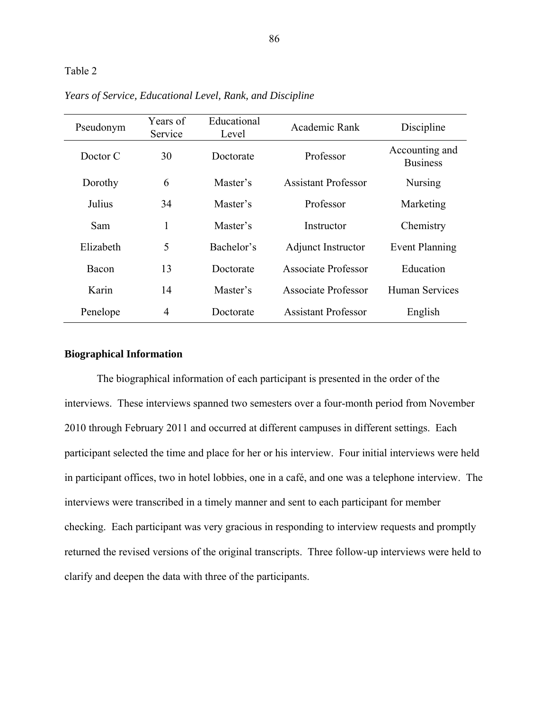# Table 2

| Pseudonym | Years of<br>Service | Educational<br>Level | Academic Rank              | Discipline                        |
|-----------|---------------------|----------------------|----------------------------|-----------------------------------|
| Doctor C  | 30                  | Doctorate            | Professor                  | Accounting and<br><b>Business</b> |
| Dorothy   | 6                   | Master's             | <b>Assistant Professor</b> | <b>Nursing</b>                    |
| Julius    | 34                  | Master's             | Professor                  | Marketing                         |
| Sam       | 1                   | Master's             | Instructor                 | Chemistry                         |
| Elizabeth | 5                   | Bachelor's           | <b>Adjunct Instructor</b>  | <b>Event Planning</b>             |
| Bacon     | 13                  | Doctorate            | Associate Professor        | Education                         |
| Karin     | 14                  | Master's             | <b>Associate Professor</b> | <b>Human Services</b>             |
| Penelope  | $\overline{4}$      | Doctorate            | <b>Assistant Professor</b> | English                           |

*Years of Service, Educational Level, Rank, and Discipline* 

## **Biographical Information**

The biographical information of each participant is presented in the order of the interviews. These interviews spanned two semesters over a four-month period from November 2010 through February 2011 and occurred at different campuses in different settings. Each participant selected the time and place for her or his interview. Four initial interviews were held in participant offices, two in hotel lobbies, one in a café, and one was a telephone interview. The interviews were transcribed in a timely manner and sent to each participant for member checking. Each participant was very gracious in responding to interview requests and promptly returned the revised versions of the original transcripts. Three follow-up interviews were held to clarify and deepen the data with three of the participants.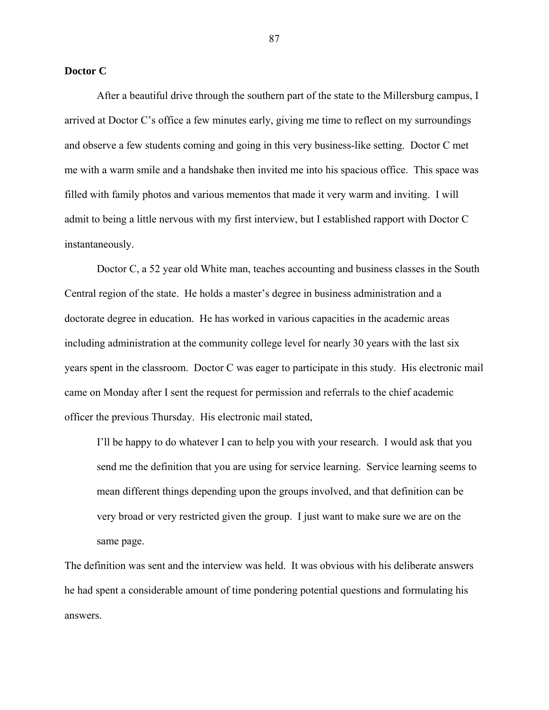### **Doctor C**

After a beautiful drive through the southern part of the state to the Millersburg campus, I arrived at Doctor C's office a few minutes early, giving me time to reflect on my surroundings and observe a few students coming and going in this very business-like setting. Doctor C met me with a warm smile and a handshake then invited me into his spacious office. This space was filled with family photos and various mementos that made it very warm and inviting. I will admit to being a little nervous with my first interview, but I established rapport with Doctor C instantaneously.

Doctor C, a 52 year old White man, teaches accounting and business classes in the South Central region of the state. He holds a master's degree in business administration and a doctorate degree in education. He has worked in various capacities in the academic areas including administration at the community college level for nearly 30 years with the last six years spent in the classroom. Doctor C was eager to participate in this study. His electronic mail came on Monday after I sent the request for permission and referrals to the chief academic officer the previous Thursday. His electronic mail stated,

I'll be happy to do whatever I can to help you with your research. I would ask that you send me the definition that you are using for service learning. Service learning seems to mean different things depending upon the groups involved, and that definition can be very broad or very restricted given the group. I just want to make sure we are on the same page.

The definition was sent and the interview was held. It was obvious with his deliberate answers he had spent a considerable amount of time pondering potential questions and formulating his answers.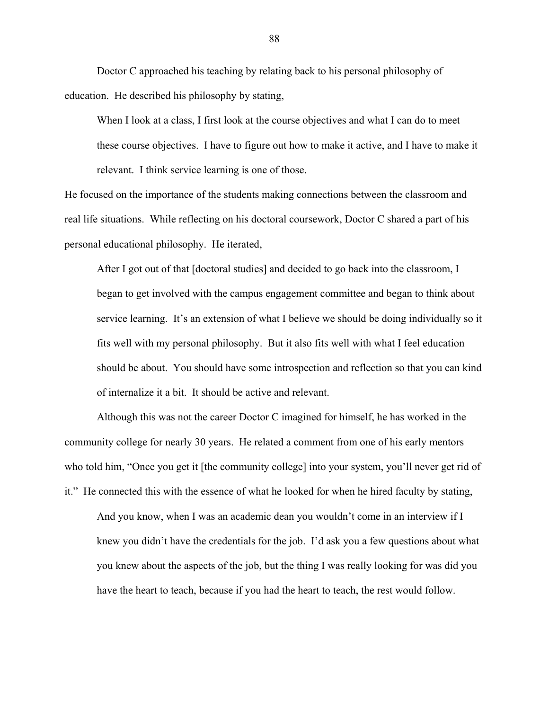Doctor C approached his teaching by relating back to his personal philosophy of education. He described his philosophy by stating,

When I look at a class, I first look at the course objectives and what I can do to meet these course objectives. I have to figure out how to make it active, and I have to make it relevant. I think service learning is one of those.

He focused on the importance of the students making connections between the classroom and real life situations. While reflecting on his doctoral coursework, Doctor C shared a part of his personal educational philosophy. He iterated,

After I got out of that [doctoral studies] and decided to go back into the classroom, I began to get involved with the campus engagement committee and began to think about service learning. It's an extension of what I believe we should be doing individually so it fits well with my personal philosophy. But it also fits well with what I feel education should be about. You should have some introspection and reflection so that you can kind of internalize it a bit. It should be active and relevant.

Although this was not the career Doctor C imagined for himself, he has worked in the community college for nearly 30 years. He related a comment from one of his early mentors who told him, "Once you get it [the community college] into your system, you'll never get rid of it." He connected this with the essence of what he looked for when he hired faculty by stating,

And you know, when I was an academic dean you wouldn't come in an interview if I knew you didn't have the credentials for the job. I'd ask you a few questions about what you knew about the aspects of the job, but the thing I was really looking for was did you have the heart to teach, because if you had the heart to teach, the rest would follow.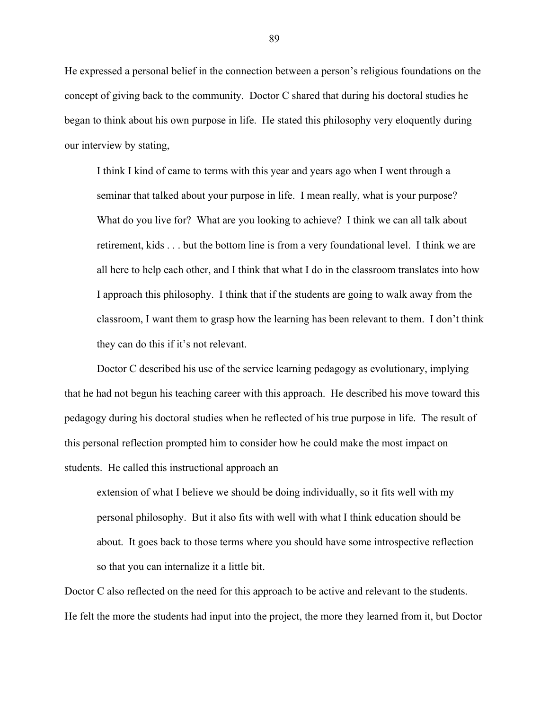He expressed a personal belief in the connection between a person's religious foundations on the concept of giving back to the community. Doctor C shared that during his doctoral studies he began to think about his own purpose in life. He stated this philosophy very eloquently during our interview by stating,

I think I kind of came to terms with this year and years ago when I went through a seminar that talked about your purpose in life. I mean really, what is your purpose? What do you live for? What are you looking to achieve? I think we can all talk about retirement, kids . . . but the bottom line is from a very foundational level. I think we are all here to help each other, and I think that what I do in the classroom translates into how I approach this philosophy. I think that if the students are going to walk away from the classroom, I want them to grasp how the learning has been relevant to them. I don't think they can do this if it's not relevant.

Doctor C described his use of the service learning pedagogy as evolutionary, implying that he had not begun his teaching career with this approach. He described his move toward this pedagogy during his doctoral studies when he reflected of his true purpose in life. The result of this personal reflection prompted him to consider how he could make the most impact on students. He called this instructional approach an

extension of what I believe we should be doing individually, so it fits well with my personal philosophy. But it also fits with well with what I think education should be about. It goes back to those terms where you should have some introspective reflection so that you can internalize it a little bit.

Doctor C also reflected on the need for this approach to be active and relevant to the students. He felt the more the students had input into the project, the more they learned from it, but Doctor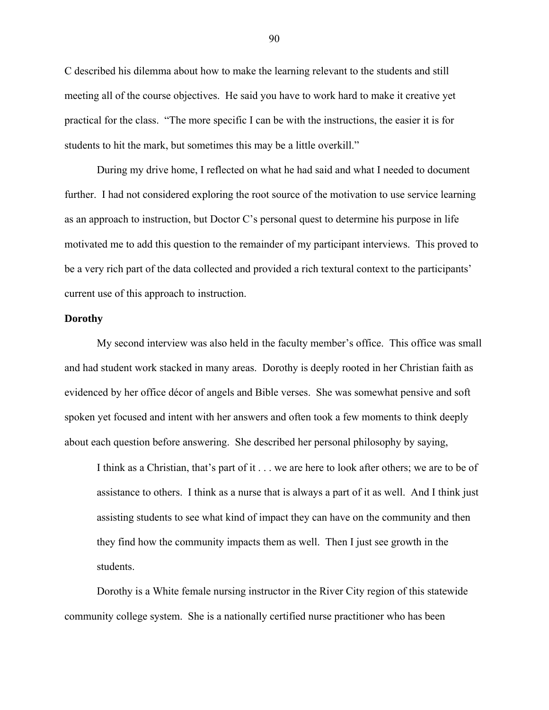C described his dilemma about how to make the learning relevant to the students and still meeting all of the course objectives. He said you have to work hard to make it creative yet practical for the class. "The more specific I can be with the instructions, the easier it is for students to hit the mark, but sometimes this may be a little overkill."

During my drive home, I reflected on what he had said and what I needed to document further. I had not considered exploring the root source of the motivation to use service learning as an approach to instruction, but Doctor C's personal quest to determine his purpose in life motivated me to add this question to the remainder of my participant interviews. This proved to be a very rich part of the data collected and provided a rich textural context to the participants' current use of this approach to instruction.

### **Dorothy**

My second interview was also held in the faculty member's office. This office was small and had student work stacked in many areas. Dorothy is deeply rooted in her Christian faith as evidenced by her office décor of angels and Bible verses. She was somewhat pensive and soft spoken yet focused and intent with her answers and often took a few moments to think deeply about each question before answering. She described her personal philosophy by saying,

I think as a Christian, that's part of it . . . we are here to look after others; we are to be of assistance to others. I think as a nurse that is always a part of it as well. And I think just assisting students to see what kind of impact they can have on the community and then they find how the community impacts them as well. Then I just see growth in the students.

Dorothy is a White female nursing instructor in the River City region of this statewide community college system. She is a nationally certified nurse practitioner who has been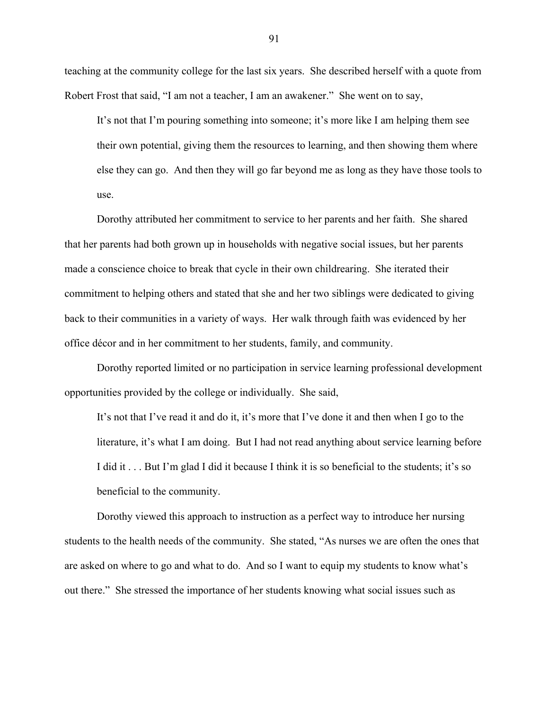teaching at the community college for the last six years. She described herself with a quote from Robert Frost that said, "I am not a teacher, I am an awakener." She went on to say,

It's not that I'm pouring something into someone; it's more like I am helping them see their own potential, giving them the resources to learning, and then showing them where else they can go. And then they will go far beyond me as long as they have those tools to use.

Dorothy attributed her commitment to service to her parents and her faith. She shared that her parents had both grown up in households with negative social issues, but her parents made a conscience choice to break that cycle in their own childrearing. She iterated their commitment to helping others and stated that she and her two siblings were dedicated to giving back to their communities in a variety of ways. Her walk through faith was evidenced by her office décor and in her commitment to her students, family, and community.

Dorothy reported limited or no participation in service learning professional development opportunities provided by the college or individually. She said,

It's not that I've read it and do it, it's more that I've done it and then when I go to the literature, it's what I am doing. But I had not read anything about service learning before I did it . . . But I'm glad I did it because I think it is so beneficial to the students; it's so beneficial to the community.

Dorothy viewed this approach to instruction as a perfect way to introduce her nursing students to the health needs of the community. She stated, "As nurses we are often the ones that are asked on where to go and what to do. And so I want to equip my students to know what's out there." She stressed the importance of her students knowing what social issues such as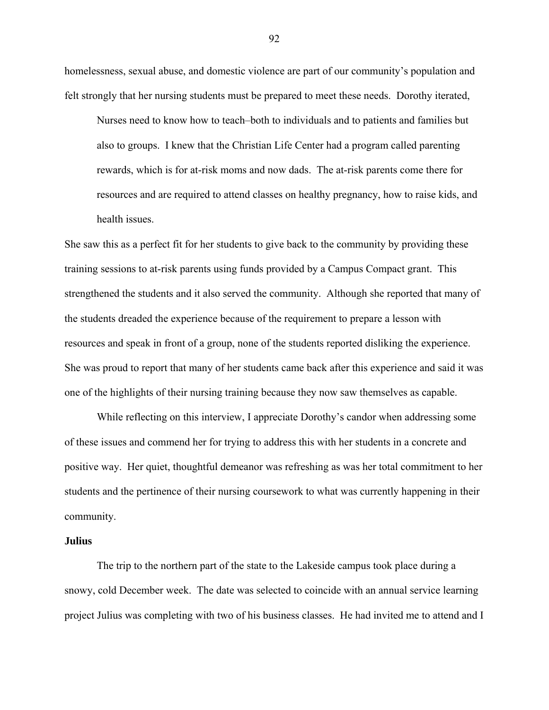homelessness, sexual abuse, and domestic violence are part of our community's population and felt strongly that her nursing students must be prepared to meet these needs. Dorothy iterated,

Nurses need to know how to teach–both to individuals and to patients and families but also to groups. I knew that the Christian Life Center had a program called parenting rewards, which is for at-risk moms and now dads. The at-risk parents come there for resources and are required to attend classes on healthy pregnancy, how to raise kids, and health issues.

She saw this as a perfect fit for her students to give back to the community by providing these training sessions to at-risk parents using funds provided by a Campus Compact grant. This strengthened the students and it also served the community. Although she reported that many of the students dreaded the experience because of the requirement to prepare a lesson with resources and speak in front of a group, none of the students reported disliking the experience. She was proud to report that many of her students came back after this experience and said it was one of the highlights of their nursing training because they now saw themselves as capable.

While reflecting on this interview, I appreciate Dorothy's candor when addressing some of these issues and commend her for trying to address this with her students in a concrete and positive way. Her quiet, thoughtful demeanor was refreshing as was her total commitment to her students and the pertinence of their nursing coursework to what was currently happening in their community.

### **Julius**

The trip to the northern part of the state to the Lakeside campus took place during a snowy, cold December week. The date was selected to coincide with an annual service learning project Julius was completing with two of his business classes. He had invited me to attend and I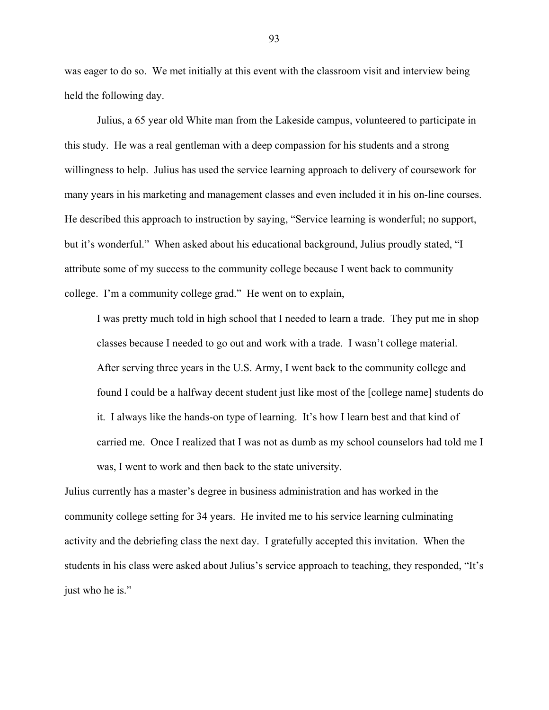was eager to do so. We met initially at this event with the classroom visit and interview being held the following day.

Julius, a 65 year old White man from the Lakeside campus, volunteered to participate in this study. He was a real gentleman with a deep compassion for his students and a strong willingness to help. Julius has used the service learning approach to delivery of coursework for many years in his marketing and management classes and even included it in his on-line courses. He described this approach to instruction by saying, "Service learning is wonderful; no support, but it's wonderful." When asked about his educational background, Julius proudly stated, "I attribute some of my success to the community college because I went back to community college. I'm a community college grad." He went on to explain,

I was pretty much told in high school that I needed to learn a trade. They put me in shop classes because I needed to go out and work with a trade. I wasn't college material. After serving three years in the U.S. Army, I went back to the community college and found I could be a halfway decent student just like most of the [college name] students do it. I always like the hands-on type of learning. It's how I learn best and that kind of carried me. Once I realized that I was not as dumb as my school counselors had told me I was, I went to work and then back to the state university.

Julius currently has a master's degree in business administration and has worked in the community college setting for 34 years. He invited me to his service learning culminating activity and the debriefing class the next day. I gratefully accepted this invitation. When the students in his class were asked about Julius's service approach to teaching, they responded, "It's just who he is."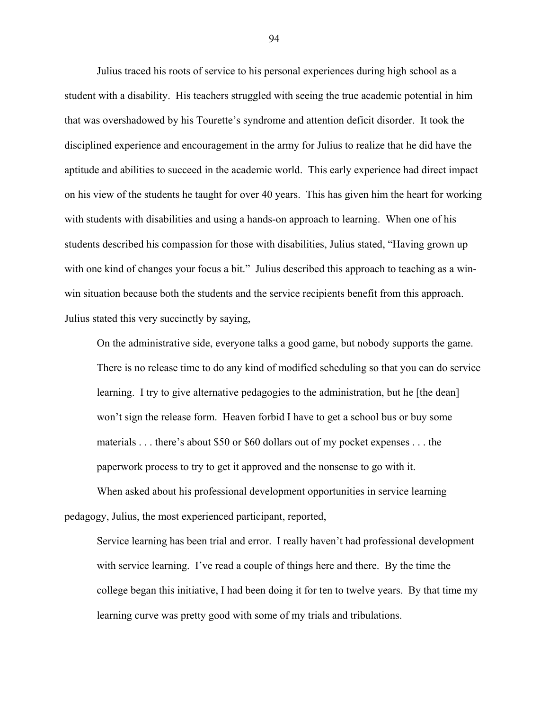Julius traced his roots of service to his personal experiences during high school as a student with a disability. His teachers struggled with seeing the true academic potential in him that was overshadowed by his Tourette's syndrome and attention deficit disorder. It took the disciplined experience and encouragement in the army for Julius to realize that he did have the aptitude and abilities to succeed in the academic world. This early experience had direct impact on his view of the students he taught for over 40 years. This has given him the heart for working with students with disabilities and using a hands-on approach to learning. When one of his students described his compassion for those with disabilities, Julius stated, "Having grown up with one kind of changes your focus a bit." Julius described this approach to teaching as a winwin situation because both the students and the service recipients benefit from this approach. Julius stated this very succinctly by saying,

On the administrative side, everyone talks a good game, but nobody supports the game. There is no release time to do any kind of modified scheduling so that you can do service learning. I try to give alternative pedagogies to the administration, but he [the dean] won't sign the release form. Heaven forbid I have to get a school bus or buy some materials . . . there's about \$50 or \$60 dollars out of my pocket expenses . . . the paperwork process to try to get it approved and the nonsense to go with it.

When asked about his professional development opportunities in service learning pedagogy, Julius, the most experienced participant, reported,

Service learning has been trial and error. I really haven't had professional development with service learning. I've read a couple of things here and there. By the time the college began this initiative, I had been doing it for ten to twelve years. By that time my learning curve was pretty good with some of my trials and tribulations.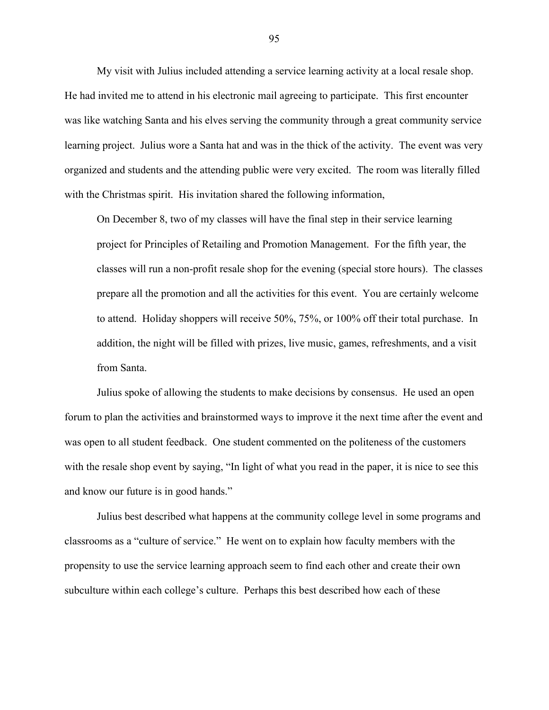My visit with Julius included attending a service learning activity at a local resale shop. He had invited me to attend in his electronic mail agreeing to participate. This first encounter was like watching Santa and his elves serving the community through a great community service learning project. Julius wore a Santa hat and was in the thick of the activity. The event was very organized and students and the attending public were very excited. The room was literally filled with the Christmas spirit. His invitation shared the following information,

On December 8, two of my classes will have the final step in their service learning project for Principles of Retailing and Promotion Management. For the fifth year, the classes will run a non-profit resale shop for the evening (special store hours). The classes prepare all the promotion and all the activities for this event. You are certainly welcome to attend. Holiday shoppers will receive 50%, 75%, or 100% off their total purchase. In addition, the night will be filled with prizes, live music, games, refreshments, and a visit from Santa.

Julius spoke of allowing the students to make decisions by consensus. He used an open forum to plan the activities and brainstormed ways to improve it the next time after the event and was open to all student feedback. One student commented on the politeness of the customers with the resale shop event by saying, "In light of what you read in the paper, it is nice to see this and know our future is in good hands."

Julius best described what happens at the community college level in some programs and classrooms as a "culture of service." He went on to explain how faculty members with the propensity to use the service learning approach seem to find each other and create their own subculture within each college's culture. Perhaps this best described how each of these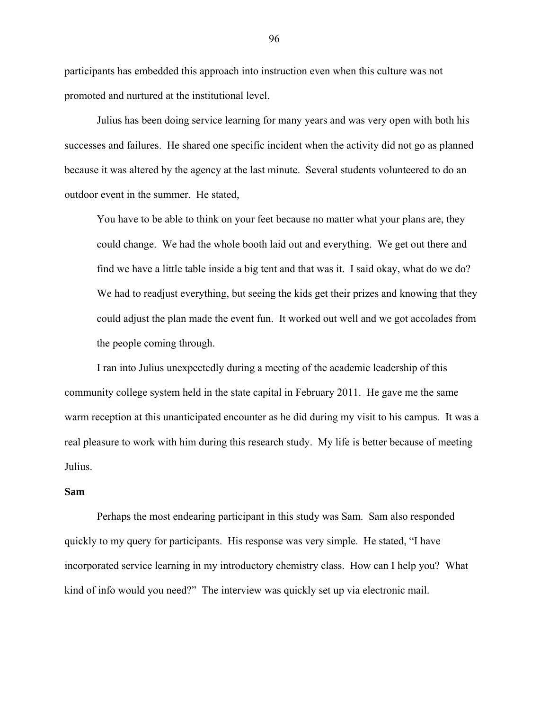participants has embedded this approach into instruction even when this culture was not promoted and nurtured at the institutional level.

Julius has been doing service learning for many years and was very open with both his successes and failures. He shared one specific incident when the activity did not go as planned because it was altered by the agency at the last minute. Several students volunteered to do an outdoor event in the summer. He stated,

You have to be able to think on your feet because no matter what your plans are, they could change. We had the whole booth laid out and everything. We get out there and find we have a little table inside a big tent and that was it. I said okay, what do we do? We had to readjust everything, but seeing the kids get their prizes and knowing that they could adjust the plan made the event fun. It worked out well and we got accolades from the people coming through.

I ran into Julius unexpectedly during a meeting of the academic leadership of this community college system held in the state capital in February 2011. He gave me the same warm reception at this unanticipated encounter as he did during my visit to his campus. It was a real pleasure to work with him during this research study. My life is better because of meeting Julius.

## **Sam**

Perhaps the most endearing participant in this study was Sam. Sam also responded quickly to my query for participants. His response was very simple. He stated, "I have incorporated service learning in my introductory chemistry class. How can I help you? What kind of info would you need?" The interview was quickly set up via electronic mail.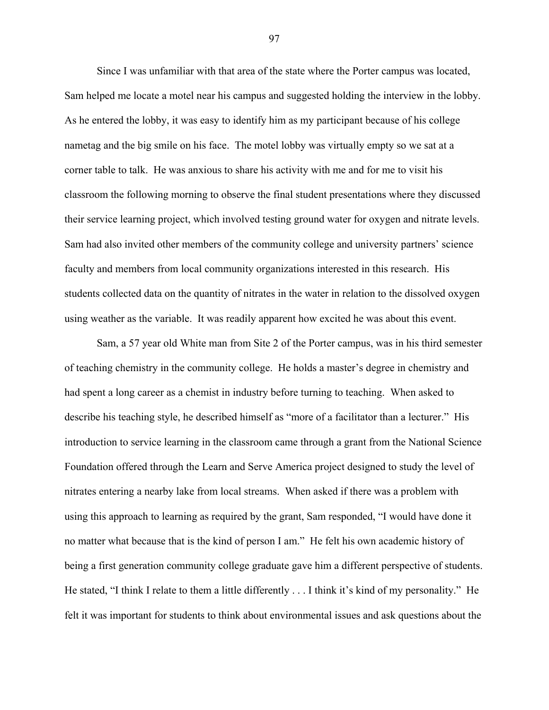Since I was unfamiliar with that area of the state where the Porter campus was located, Sam helped me locate a motel near his campus and suggested holding the interview in the lobby. As he entered the lobby, it was easy to identify him as my participant because of his college nametag and the big smile on his face. The motel lobby was virtually empty so we sat at a corner table to talk. He was anxious to share his activity with me and for me to visit his classroom the following morning to observe the final student presentations where they discussed their service learning project, which involved testing ground water for oxygen and nitrate levels. Sam had also invited other members of the community college and university partners' science faculty and members from local community organizations interested in this research. His students collected data on the quantity of nitrates in the water in relation to the dissolved oxygen using weather as the variable. It was readily apparent how excited he was about this event.

Sam, a 57 year old White man from Site 2 of the Porter campus, was in his third semester of teaching chemistry in the community college. He holds a master's degree in chemistry and had spent a long career as a chemist in industry before turning to teaching. When asked to describe his teaching style, he described himself as "more of a facilitator than a lecturer." His introduction to service learning in the classroom came through a grant from the National Science Foundation offered through the Learn and Serve America project designed to study the level of nitrates entering a nearby lake from local streams. When asked if there was a problem with using this approach to learning as required by the grant, Sam responded, "I would have done it no matter what because that is the kind of person I am." He felt his own academic history of being a first generation community college graduate gave him a different perspective of students. He stated, "I think I relate to them a little differently . . . I think it's kind of my personality." He felt it was important for students to think about environmental issues and ask questions about the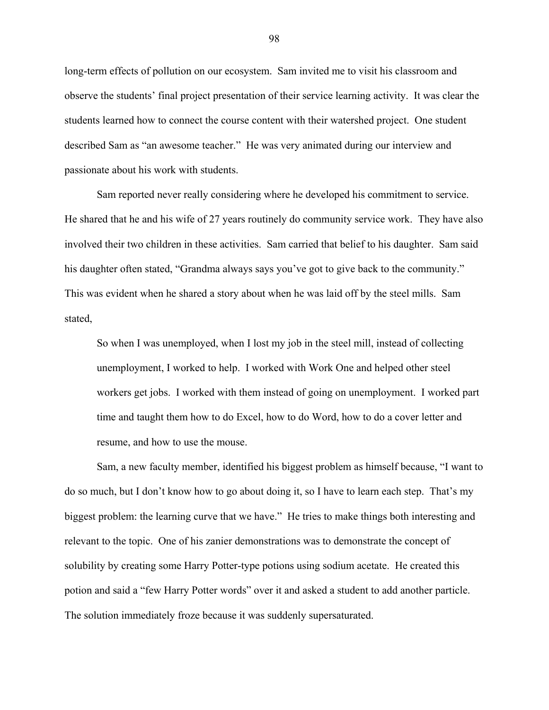long-term effects of pollution on our ecosystem. Sam invited me to visit his classroom and observe the students' final project presentation of their service learning activity. It was clear the students learned how to connect the course content with their watershed project. One student described Sam as "an awesome teacher." He was very animated during our interview and passionate about his work with students.

Sam reported never really considering where he developed his commitment to service. He shared that he and his wife of 27 years routinely do community service work. They have also involved their two children in these activities. Sam carried that belief to his daughter. Sam said his daughter often stated, "Grandma always says you've got to give back to the community." This was evident when he shared a story about when he was laid off by the steel mills. Sam stated,

So when I was unemployed, when I lost my job in the steel mill, instead of collecting unemployment, I worked to help. I worked with Work One and helped other steel workers get jobs. I worked with them instead of going on unemployment. I worked part time and taught them how to do Excel, how to do Word, how to do a cover letter and resume, and how to use the mouse.

Sam, a new faculty member, identified his biggest problem as himself because, "I want to do so much, but I don't know how to go about doing it, so I have to learn each step. That's my biggest problem: the learning curve that we have." He tries to make things both interesting and relevant to the topic. One of his zanier demonstrations was to demonstrate the concept of solubility by creating some Harry Potter-type potions using sodium acetate. He created this potion and said a "few Harry Potter words" over it and asked a student to add another particle. The solution immediately froze because it was suddenly supersaturated.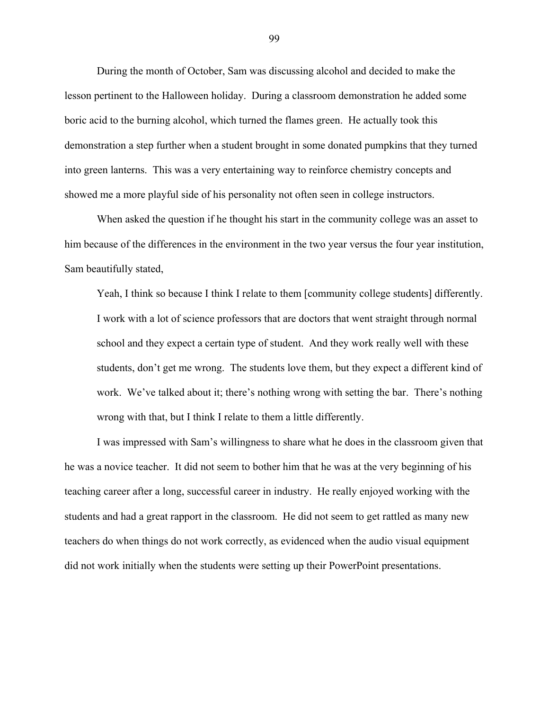During the month of October, Sam was discussing alcohol and decided to make the lesson pertinent to the Halloween holiday. During a classroom demonstration he added some boric acid to the burning alcohol, which turned the flames green. He actually took this demonstration a step further when a student brought in some donated pumpkins that they turned into green lanterns. This was a very entertaining way to reinforce chemistry concepts and showed me a more playful side of his personality not often seen in college instructors.

When asked the question if he thought his start in the community college was an asset to him because of the differences in the environment in the two year versus the four year institution, Sam beautifully stated,

Yeah, I think so because I think I relate to them [community college students] differently. I work with a lot of science professors that are doctors that went straight through normal school and they expect a certain type of student. And they work really well with these students, don't get me wrong. The students love them, but they expect a different kind of work. We've talked about it; there's nothing wrong with setting the bar. There's nothing wrong with that, but I think I relate to them a little differently.

I was impressed with Sam's willingness to share what he does in the classroom given that he was a novice teacher. It did not seem to bother him that he was at the very beginning of his teaching career after a long, successful career in industry. He really enjoyed working with the students and had a great rapport in the classroom. He did not seem to get rattled as many new teachers do when things do not work correctly, as evidenced when the audio visual equipment did not work initially when the students were setting up their PowerPoint presentations.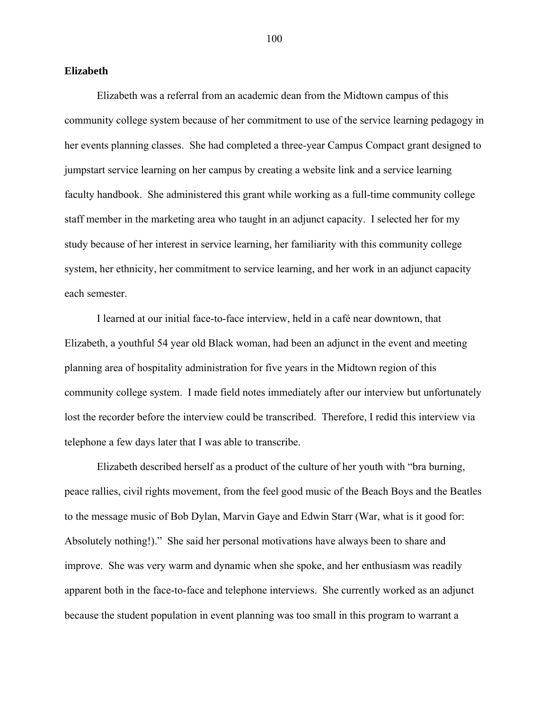### **Elizabeth**

Elizabeth was a referral from an academic dean from the Midtown campus of this community college system because of her commitment to use of the service learning pedagogy in her events planning classes. She had completed a three-year Campus Compact grant designed to jumpstart service learning on her campus by creating a website link and a service learning faculty handbook. She administered this grant while working as a full-time community college staff member in the marketing area who taught in an adjunct capacity. I selected her for my study because of her interest in service learning, her familiarity with this community college system, her ethnicity, her commitment to service learning, and her work in an adjunct capacity each semester.

I learned at our initial face-to-face interview, held in a café near downtown, that Elizabeth, a youthful 54 year old Black woman, had been an adjunct in the event and meeting planning area of hospitality administration for five years in the Midtown region of this community college system. I made field notes immediately after our interview but unfortunately lost the recorder before the interview could be transcribed. Therefore, I redid this interview via telephone a few days later that I was able to transcribe.

Elizabeth described herself as a product of the culture of her youth with "bra burning, peace rallies, civil rights movement, from the feel good music of the Beach Boys and the Beatles to the message music of Bob Dylan, Marvin Gaye and Edwin Starr (War, what is it good for: Absolutely nothing!)." She said her personal motivations have always been to share and improve. She was very warm and dynamic when she spoke, and her enthusiasm was readily apparent both in the face-to-face and telephone interviews. She currently worked as an adjunct because the student population in event planning was too small in this program to warrant a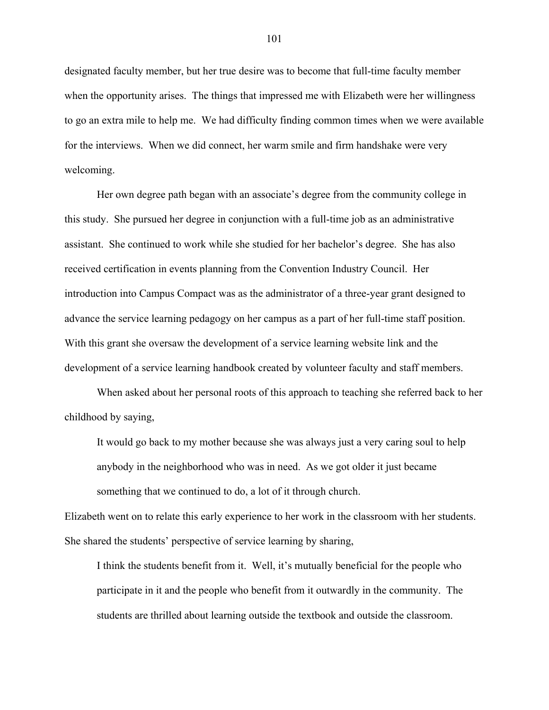designated faculty member, but her true desire was to become that full-time faculty member when the opportunity arises. The things that impressed me with Elizabeth were her willingness to go an extra mile to help me. We had difficulty finding common times when we were available for the interviews. When we did connect, her warm smile and firm handshake were very welcoming.

Her own degree path began with an associate's degree from the community college in this study. She pursued her degree in conjunction with a full-time job as an administrative assistant. She continued to work while she studied for her bachelor's degree. She has also received certification in events planning from the Convention Industry Council. Her introduction into Campus Compact was as the administrator of a three-year grant designed to advance the service learning pedagogy on her campus as a part of her full-time staff position. With this grant she oversaw the development of a service learning website link and the development of a service learning handbook created by volunteer faculty and staff members.

When asked about her personal roots of this approach to teaching she referred back to her childhood by saying,

It would go back to my mother because she was always just a very caring soul to help anybody in the neighborhood who was in need. As we got older it just became something that we continued to do, a lot of it through church.

Elizabeth went on to relate this early experience to her work in the classroom with her students. She shared the students' perspective of service learning by sharing,

I think the students benefit from it. Well, it's mutually beneficial for the people who participate in it and the people who benefit from it outwardly in the community. The students are thrilled about learning outside the textbook and outside the classroom.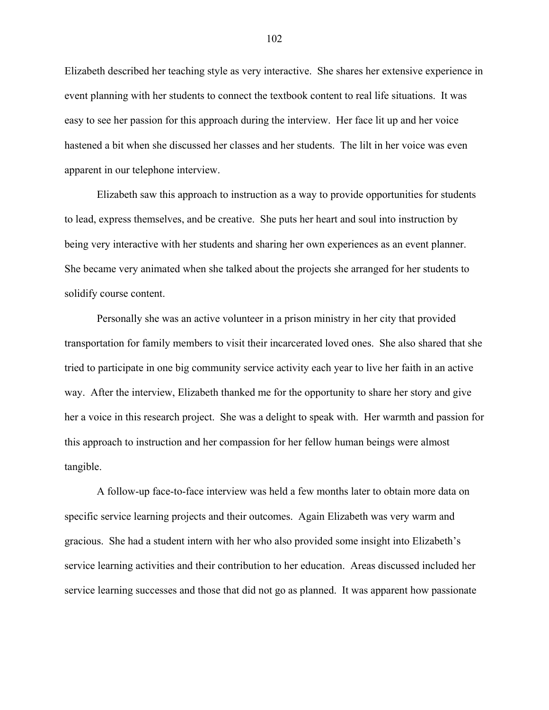Elizabeth described her teaching style as very interactive. She shares her extensive experience in event planning with her students to connect the textbook content to real life situations. It was easy to see her passion for this approach during the interview. Her face lit up and her voice hastened a bit when she discussed her classes and her students. The lilt in her voice was even apparent in our telephone interview.

Elizabeth saw this approach to instruction as a way to provide opportunities for students to lead, express themselves, and be creative. She puts her heart and soul into instruction by being very interactive with her students and sharing her own experiences as an event planner. She became very animated when she talked about the projects she arranged for her students to solidify course content.

Personally she was an active volunteer in a prison ministry in her city that provided transportation for family members to visit their incarcerated loved ones. She also shared that she tried to participate in one big community service activity each year to live her faith in an active way. After the interview, Elizabeth thanked me for the opportunity to share her story and give her a voice in this research project. She was a delight to speak with. Her warmth and passion for this approach to instruction and her compassion for her fellow human beings were almost tangible.

A follow-up face-to-face interview was held a few months later to obtain more data on specific service learning projects and their outcomes. Again Elizabeth was very warm and gracious. She had a student intern with her who also provided some insight into Elizabeth's service learning activities and their contribution to her education. Areas discussed included her service learning successes and those that did not go as planned. It was apparent how passionate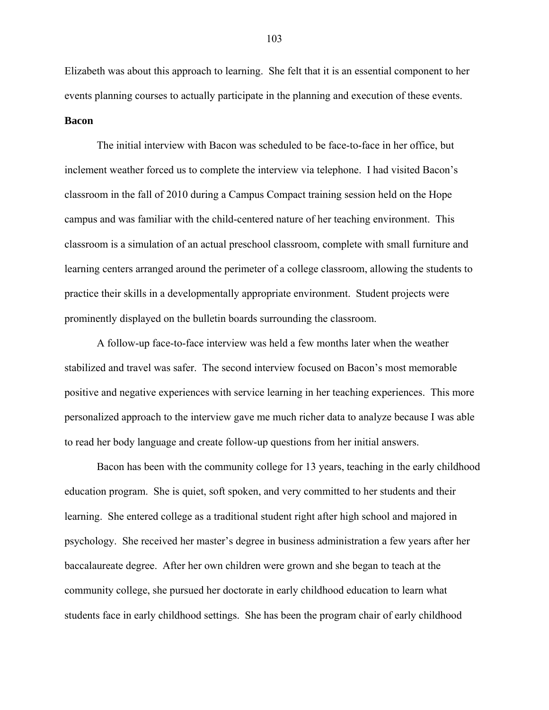Elizabeth was about this approach to learning. She felt that it is an essential component to her events planning courses to actually participate in the planning and execution of these events. **Bacon** 

The initial interview with Bacon was scheduled to be face-to-face in her office, but inclement weather forced us to complete the interview via telephone. I had visited Bacon's classroom in the fall of 2010 during a Campus Compact training session held on the Hope campus and was familiar with the child-centered nature of her teaching environment. This classroom is a simulation of an actual preschool classroom, complete with small furniture and learning centers arranged around the perimeter of a college classroom, allowing the students to practice their skills in a developmentally appropriate environment. Student projects were prominently displayed on the bulletin boards surrounding the classroom.

A follow-up face-to-face interview was held a few months later when the weather stabilized and travel was safer. The second interview focused on Bacon's most memorable positive and negative experiences with service learning in her teaching experiences. This more personalized approach to the interview gave me much richer data to analyze because I was able to read her body language and create follow-up questions from her initial answers.

Bacon has been with the community college for 13 years, teaching in the early childhood education program. She is quiet, soft spoken, and very committed to her students and their learning. She entered college as a traditional student right after high school and majored in psychology. She received her master's degree in business administration a few years after her baccalaureate degree. After her own children were grown and she began to teach at the community college, she pursued her doctorate in early childhood education to learn what students face in early childhood settings. She has been the program chair of early childhood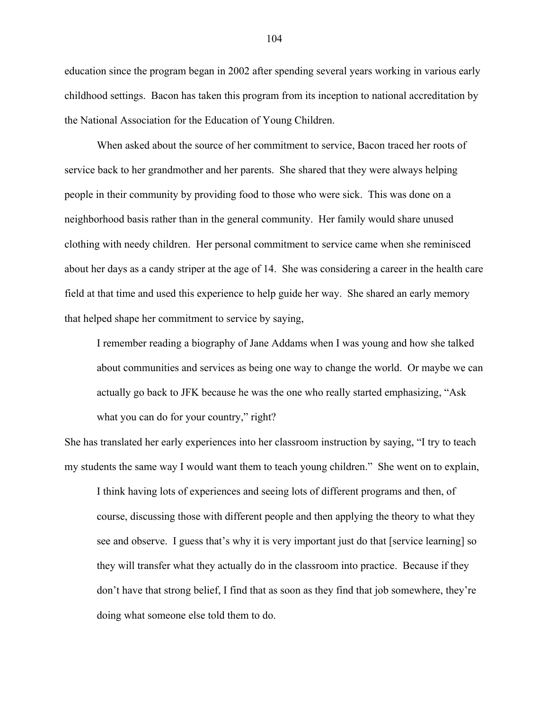education since the program began in 2002 after spending several years working in various early childhood settings. Bacon has taken this program from its inception to national accreditation by the National Association for the Education of Young Children.

When asked about the source of her commitment to service, Bacon traced her roots of service back to her grandmother and her parents. She shared that they were always helping people in their community by providing food to those who were sick. This was done on a neighborhood basis rather than in the general community. Her family would share unused clothing with needy children. Her personal commitment to service came when she reminisced about her days as a candy striper at the age of 14. She was considering a career in the health care field at that time and used this experience to help guide her way. She shared an early memory that helped shape her commitment to service by saying,

I remember reading a biography of Jane Addams when I was young and how she talked about communities and services as being one way to change the world. Or maybe we can actually go back to JFK because he was the one who really started emphasizing, "Ask what you can do for your country," right?

She has translated her early experiences into her classroom instruction by saying, "I try to teach my students the same way I would want them to teach young children." She went on to explain,

I think having lots of experiences and seeing lots of different programs and then, of course, discussing those with different people and then applying the theory to what they see and observe. I guess that's why it is very important just do that [service learning] so they will transfer what they actually do in the classroom into practice. Because if they don't have that strong belief, I find that as soon as they find that job somewhere, they're doing what someone else told them to do.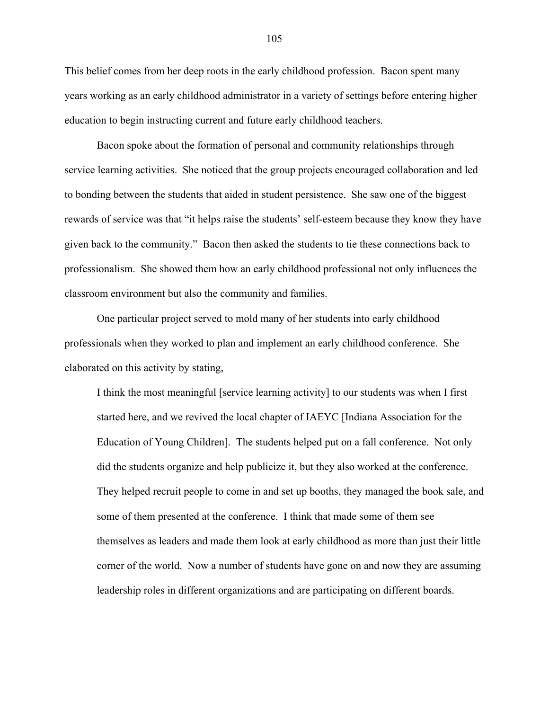This belief comes from her deep roots in the early childhood profession. Bacon spent many years working as an early childhood administrator in a variety of settings before entering higher education to begin instructing current and future early childhood teachers.

Bacon spoke about the formation of personal and community relationships through service learning activities. She noticed that the group projects encouraged collaboration and led to bonding between the students that aided in student persistence. She saw one of the biggest rewards of service was that "it helps raise the students' self-esteem because they know they have given back to the community." Bacon then asked the students to tie these connections back to professionalism. She showed them how an early childhood professional not only influences the classroom environment but also the community and families.

One particular project served to mold many of her students into early childhood professionals when they worked to plan and implement an early childhood conference. She elaborated on this activity by stating,

I think the most meaningful [service learning activity] to our students was when I first started here, and we revived the local chapter of IAEYC [Indiana Association for the Education of Young Children]. The students helped put on a fall conference. Not only did the students organize and help publicize it, but they also worked at the conference. They helped recruit people to come in and set up booths, they managed the book sale, and some of them presented at the conference. I think that made some of them see themselves as leaders and made them look at early childhood as more than just their little corner of the world. Now a number of students have gone on and now they are assuming leadership roles in different organizations and are participating on different boards.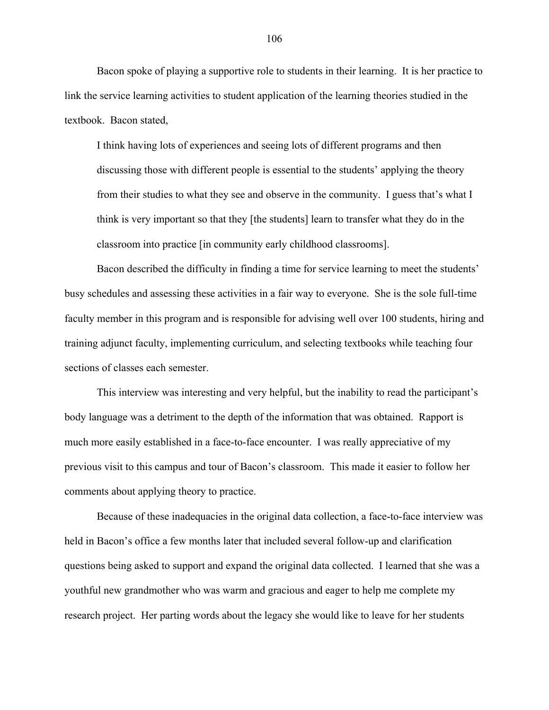Bacon spoke of playing a supportive role to students in their learning. It is her practice to link the service learning activities to student application of the learning theories studied in the textbook. Bacon stated,

I think having lots of experiences and seeing lots of different programs and then discussing those with different people is essential to the students' applying the theory from their studies to what they see and observe in the community. I guess that's what I think is very important so that they [the students] learn to transfer what they do in the classroom into practice [in community early childhood classrooms].

Bacon described the difficulty in finding a time for service learning to meet the students' busy schedules and assessing these activities in a fair way to everyone. She is the sole full-time faculty member in this program and is responsible for advising well over 100 students, hiring and training adjunct faculty, implementing curriculum, and selecting textbooks while teaching four sections of classes each semester.

This interview was interesting and very helpful, but the inability to read the participant's body language was a detriment to the depth of the information that was obtained. Rapport is much more easily established in a face-to-face encounter. I was really appreciative of my previous visit to this campus and tour of Bacon's classroom. This made it easier to follow her comments about applying theory to practice.

Because of these inadequacies in the original data collection, a face-to-face interview was held in Bacon's office a few months later that included several follow-up and clarification questions being asked to support and expand the original data collected. I learned that she was a youthful new grandmother who was warm and gracious and eager to help me complete my research project. Her parting words about the legacy she would like to leave for her students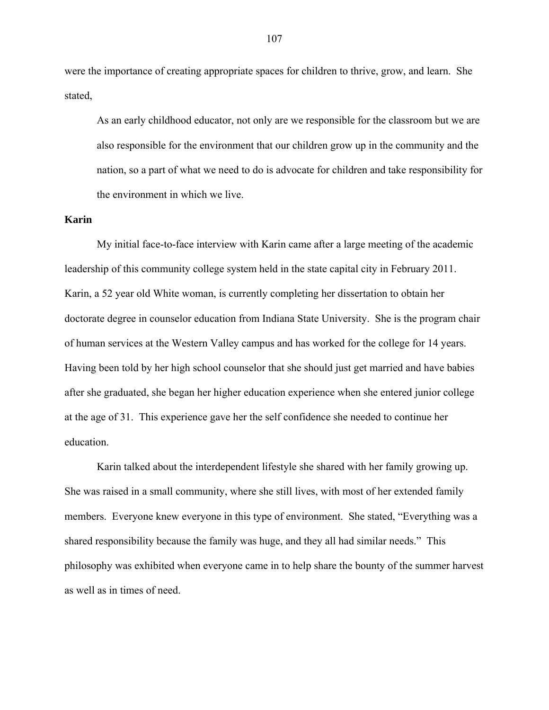were the importance of creating appropriate spaces for children to thrive, grow, and learn. She stated,

As an early childhood educator, not only are we responsible for the classroom but we are also responsible for the environment that our children grow up in the community and the nation, so a part of what we need to do is advocate for children and take responsibility for the environment in which we live.

# **Karin**

My initial face-to-face interview with Karin came after a large meeting of the academic leadership of this community college system held in the state capital city in February 2011. Karin, a 52 year old White woman, is currently completing her dissertation to obtain her doctorate degree in counselor education from Indiana State University. She is the program chair of human services at the Western Valley campus and has worked for the college for 14 years. Having been told by her high school counselor that she should just get married and have babies after she graduated, she began her higher education experience when she entered junior college at the age of 31. This experience gave her the self confidence she needed to continue her education.

Karin talked about the interdependent lifestyle she shared with her family growing up. She was raised in a small community, where she still lives, with most of her extended family members. Everyone knew everyone in this type of environment. She stated, "Everything was a shared responsibility because the family was huge, and they all had similar needs." This philosophy was exhibited when everyone came in to help share the bounty of the summer harvest as well as in times of need.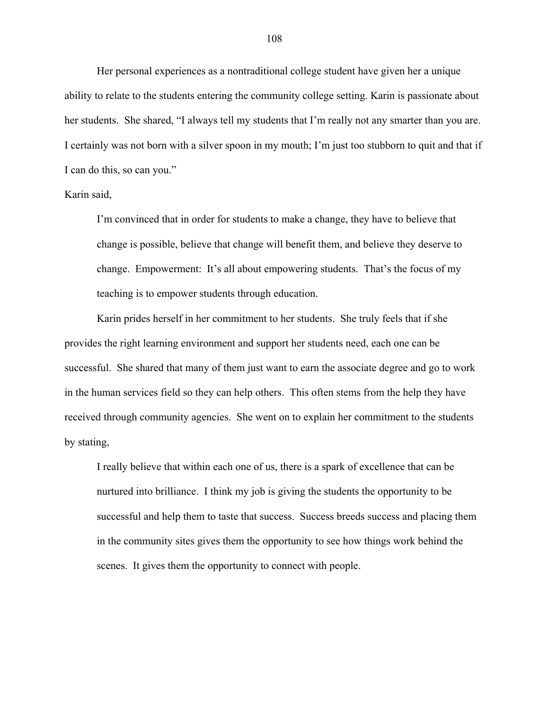Her personal experiences as a nontraditional college student have given her a unique ability to relate to the students entering the community college setting. Karin is passionate about her students. She shared, "I always tell my students that I'm really not any smarter than you are. I certainly was not born with a silver spoon in my mouth; I'm just too stubborn to quit and that if I can do this, so can you."

# Karin said,

I'm convinced that in order for students to make a change, they have to believe that change is possible, believe that change will benefit them, and believe they deserve to change. Empowerment: It's all about empowering students. That's the focus of my teaching is to empower students through education.

Karin prides herself in her commitment to her students. She truly feels that if she provides the right learning environment and support her students need, each one can be successful. She shared that many of them just want to earn the associate degree and go to work in the human services field so they can help others. This often stems from the help they have received through community agencies. She went on to explain her commitment to the students by stating,

I really believe that within each one of us, there is a spark of excellence that can be nurtured into brilliance. I think my job is giving the students the opportunity to be successful and help them to taste that success. Success breeds success and placing them in the community sites gives them the opportunity to see how things work behind the scenes. It gives them the opportunity to connect with people.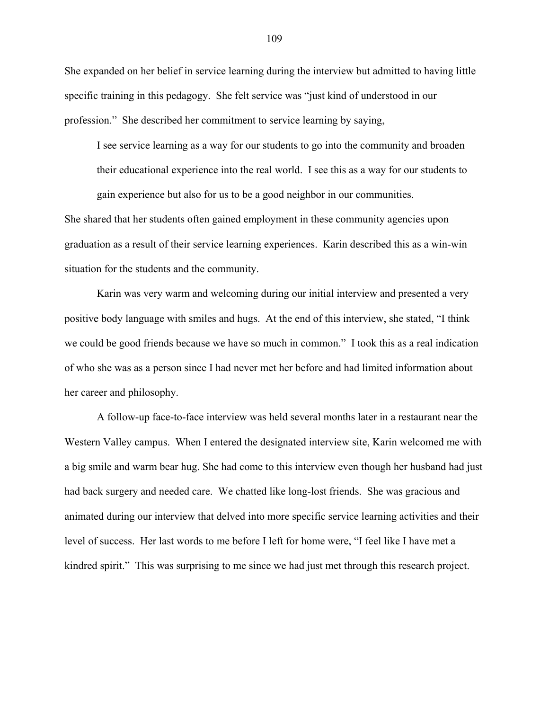She expanded on her belief in service learning during the interview but admitted to having little specific training in this pedagogy. She felt service was "just kind of understood in our profession." She described her commitment to service learning by saying,

I see service learning as a way for our students to go into the community and broaden their educational experience into the real world. I see this as a way for our students to gain experience but also for us to be a good neighbor in our communities.

She shared that her students often gained employment in these community agencies upon graduation as a result of their service learning experiences. Karin described this as a win-win situation for the students and the community.

Karin was very warm and welcoming during our initial interview and presented a very positive body language with smiles and hugs. At the end of this interview, she stated, "I think we could be good friends because we have so much in common." I took this as a real indication of who she was as a person since I had never met her before and had limited information about her career and philosophy.

A follow-up face-to-face interview was held several months later in a restaurant near the Western Valley campus. When I entered the designated interview site, Karin welcomed me with a big smile and warm bear hug. She had come to this interview even though her husband had just had back surgery and needed care. We chatted like long-lost friends. She was gracious and animated during our interview that delved into more specific service learning activities and their level of success. Her last words to me before I left for home were, "I feel like I have met a kindred spirit." This was surprising to me since we had just met through this research project.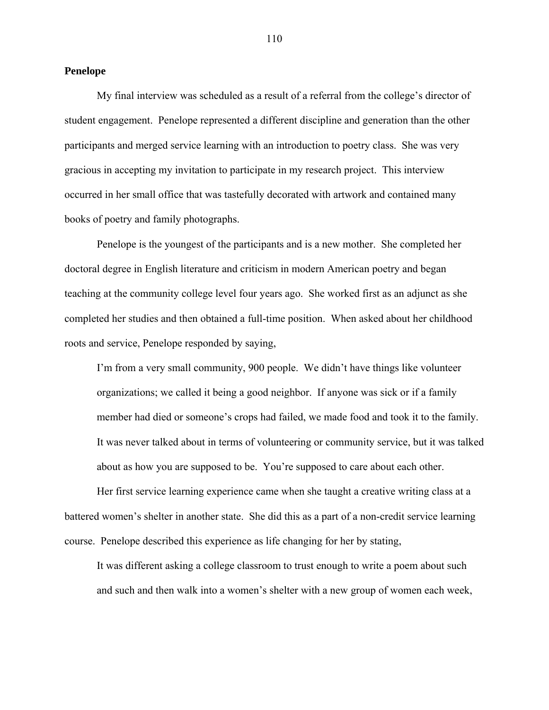### **Penelope**

My final interview was scheduled as a result of a referral from the college's director of student engagement. Penelope represented a different discipline and generation than the other participants and merged service learning with an introduction to poetry class. She was very gracious in accepting my invitation to participate in my research project. This interview occurred in her small office that was tastefully decorated with artwork and contained many books of poetry and family photographs.

Penelope is the youngest of the participants and is a new mother. She completed her doctoral degree in English literature and criticism in modern American poetry and began teaching at the community college level four years ago. She worked first as an adjunct as she completed her studies and then obtained a full-time position. When asked about her childhood roots and service, Penelope responded by saying,

I'm from a very small community, 900 people. We didn't have things like volunteer organizations; we called it being a good neighbor. If anyone was sick or if a family member had died or someone's crops had failed, we made food and took it to the family. It was never talked about in terms of volunteering or community service, but it was talked about as how you are supposed to be. You're supposed to care about each other.

Her first service learning experience came when she taught a creative writing class at a battered women's shelter in another state. She did this as a part of a non-credit service learning course. Penelope described this experience as life changing for her by stating,

It was different asking a college classroom to trust enough to write a poem about such and such and then walk into a women's shelter with a new group of women each week,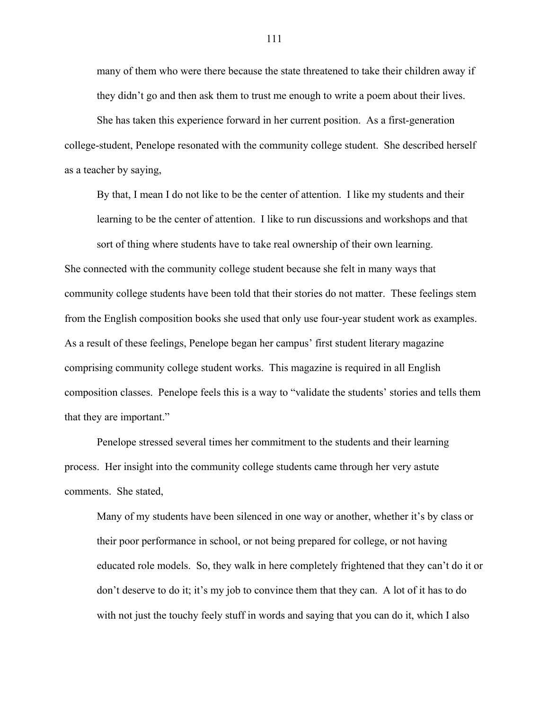many of them who were there because the state threatened to take their children away if they didn't go and then ask them to trust me enough to write a poem about their lives.

She has taken this experience forward in her current position. As a first-generation college-student, Penelope resonated with the community college student. She described herself as a teacher by saying,

By that, I mean I do not like to be the center of attention. I like my students and their learning to be the center of attention. I like to run discussions and workshops and that sort of thing where students have to take real ownership of their own learning.

She connected with the community college student because she felt in many ways that community college students have been told that their stories do not matter. These feelings stem from the English composition books she used that only use four-year student work as examples. As a result of these feelings, Penelope began her campus' first student literary magazine comprising community college student works. This magazine is required in all English composition classes. Penelope feels this is a way to "validate the students' stories and tells them that they are important."

Penelope stressed several times her commitment to the students and their learning process. Her insight into the community college students came through her very astute comments. She stated,

Many of my students have been silenced in one way or another, whether it's by class or their poor performance in school, or not being prepared for college, or not having educated role models. So, they walk in here completely frightened that they can't do it or don't deserve to do it; it's my job to convince them that they can. A lot of it has to do with not just the touchy feely stuff in words and saying that you can do it, which I also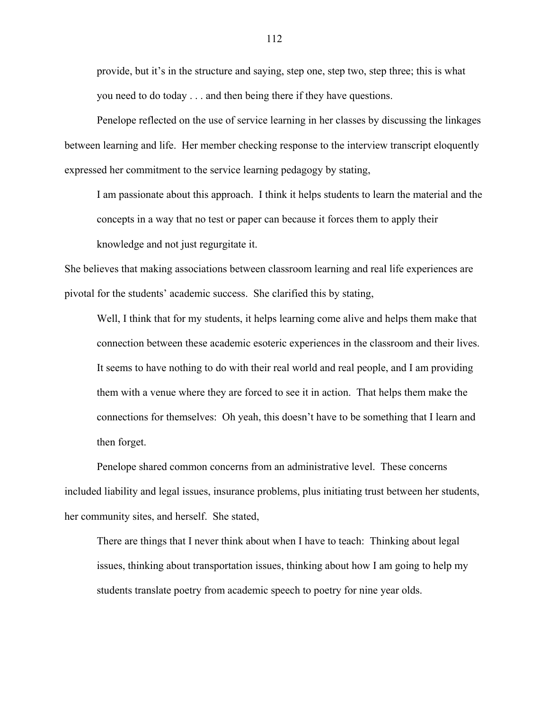provide, but it's in the structure and saying, step one, step two, step three; this is what you need to do today . . . and then being there if they have questions.

Penelope reflected on the use of service learning in her classes by discussing the linkages between learning and life. Her member checking response to the interview transcript eloquently expressed her commitment to the service learning pedagogy by stating,

I am passionate about this approach. I think it helps students to learn the material and the concepts in a way that no test or paper can because it forces them to apply their

knowledge and not just regurgitate it.

She believes that making associations between classroom learning and real life experiences are pivotal for the students' academic success. She clarified this by stating,

Well, I think that for my students, it helps learning come alive and helps them make that connection between these academic esoteric experiences in the classroom and their lives. It seems to have nothing to do with their real world and real people, and I am providing them with a venue where they are forced to see it in action. That helps them make the connections for themselves: Oh yeah, this doesn't have to be something that I learn and then forget.

Penelope shared common concerns from an administrative level. These concerns included liability and legal issues, insurance problems, plus initiating trust between her students, her community sites, and herself. She stated,

There are things that I never think about when I have to teach: Thinking about legal issues, thinking about transportation issues, thinking about how I am going to help my students translate poetry from academic speech to poetry for nine year olds.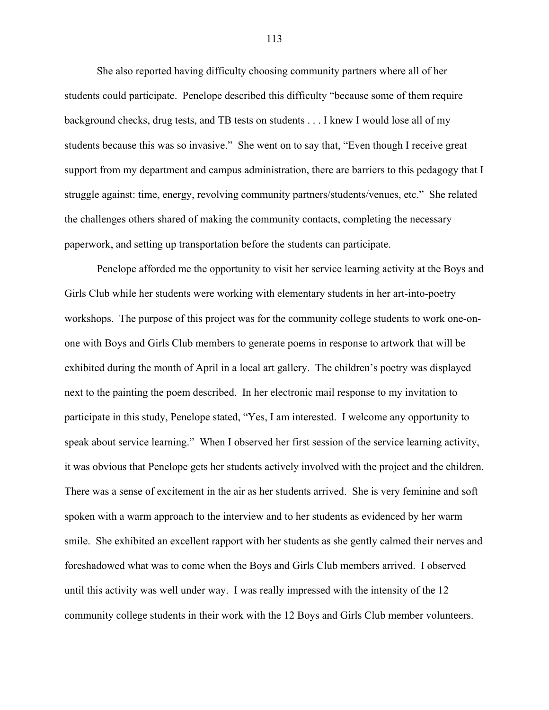She also reported having difficulty choosing community partners where all of her students could participate. Penelope described this difficulty "because some of them require background checks, drug tests, and TB tests on students . . . I knew I would lose all of my students because this was so invasive." She went on to say that, "Even though I receive great support from my department and campus administration, there are barriers to this pedagogy that I struggle against: time, energy, revolving community partners/students/venues, etc." She related the challenges others shared of making the community contacts, completing the necessary paperwork, and setting up transportation before the students can participate.

Penelope afforded me the opportunity to visit her service learning activity at the Boys and Girls Club while her students were working with elementary students in her art-into-poetry workshops. The purpose of this project was for the community college students to work one-onone with Boys and Girls Club members to generate poems in response to artwork that will be exhibited during the month of April in a local art gallery. The children's poetry was displayed next to the painting the poem described. In her electronic mail response to my invitation to participate in this study, Penelope stated, "Yes, I am interested. I welcome any opportunity to speak about service learning." When I observed her first session of the service learning activity, it was obvious that Penelope gets her students actively involved with the project and the children. There was a sense of excitement in the air as her students arrived. She is very feminine and soft spoken with a warm approach to the interview and to her students as evidenced by her warm smile. She exhibited an excellent rapport with her students as she gently calmed their nerves and foreshadowed what was to come when the Boys and Girls Club members arrived. I observed until this activity was well under way. I was really impressed with the intensity of the 12 community college students in their work with the 12 Boys and Girls Club member volunteers.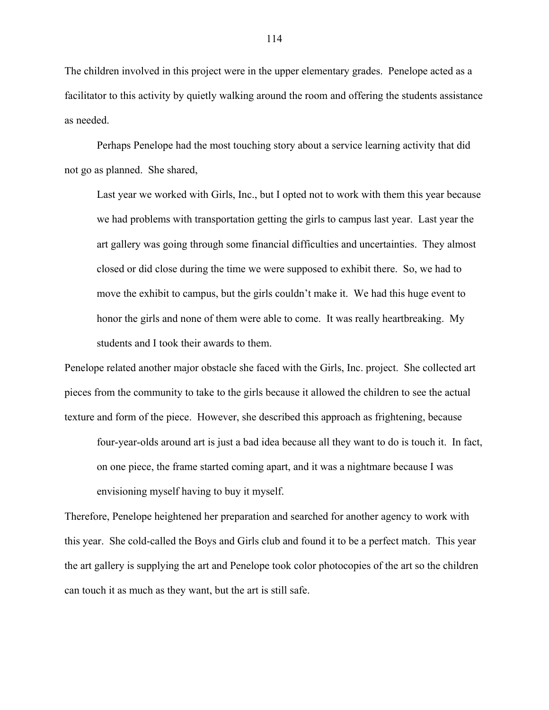The children involved in this project were in the upper elementary grades. Penelope acted as a facilitator to this activity by quietly walking around the room and offering the students assistance as needed.

Perhaps Penelope had the most touching story about a service learning activity that did not go as planned. She shared,

Last year we worked with Girls, Inc., but I opted not to work with them this year because we had problems with transportation getting the girls to campus last year. Last year the art gallery was going through some financial difficulties and uncertainties. They almost closed or did close during the time we were supposed to exhibit there. So, we had to move the exhibit to campus, but the girls couldn't make it. We had this huge event to honor the girls and none of them were able to come. It was really heartbreaking. My students and I took their awards to them.

Penelope related another major obstacle she faced with the Girls, Inc. project. She collected art pieces from the community to take to the girls because it allowed the children to see the actual texture and form of the piece. However, she described this approach as frightening, because

four-year-olds around art is just a bad idea because all they want to do is touch it. In fact, on one piece, the frame started coming apart, and it was a nightmare because I was envisioning myself having to buy it myself.

Therefore, Penelope heightened her preparation and searched for another agency to work with this year. She cold-called the Boys and Girls club and found it to be a perfect match. This year the art gallery is supplying the art and Penelope took color photocopies of the art so the children can touch it as much as they want, but the art is still safe.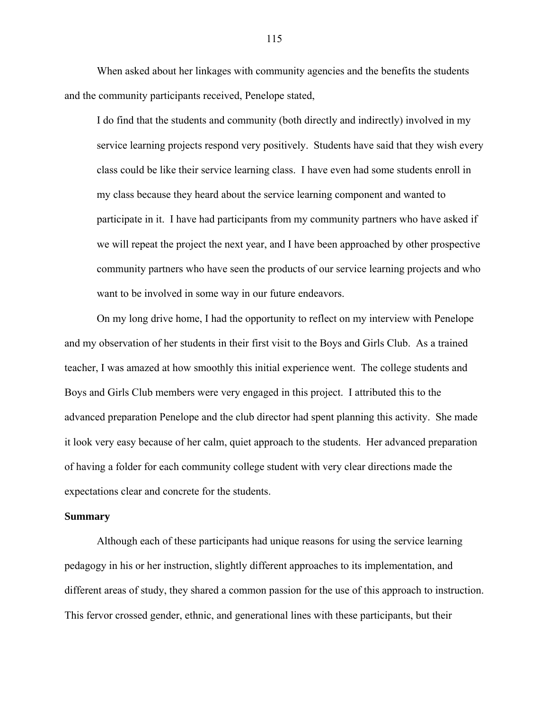When asked about her linkages with community agencies and the benefits the students and the community participants received, Penelope stated,

I do find that the students and community (both directly and indirectly) involved in my service learning projects respond very positively. Students have said that they wish every class could be like their service learning class. I have even had some students enroll in my class because they heard about the service learning component and wanted to participate in it. I have had participants from my community partners who have asked if we will repeat the project the next year, and I have been approached by other prospective community partners who have seen the products of our service learning projects and who want to be involved in some way in our future endeavors.

On my long drive home, I had the opportunity to reflect on my interview with Penelope and my observation of her students in their first visit to the Boys and Girls Club. As a trained teacher, I was amazed at how smoothly this initial experience went. The college students and Boys and Girls Club members were very engaged in this project. I attributed this to the advanced preparation Penelope and the club director had spent planning this activity. She made it look very easy because of her calm, quiet approach to the students. Her advanced preparation of having a folder for each community college student with very clear directions made the expectations clear and concrete for the students.

## **Summary**

Although each of these participants had unique reasons for using the service learning pedagogy in his or her instruction, slightly different approaches to its implementation, and different areas of study, they shared a common passion for the use of this approach to instruction. This fervor crossed gender, ethnic, and generational lines with these participants, but their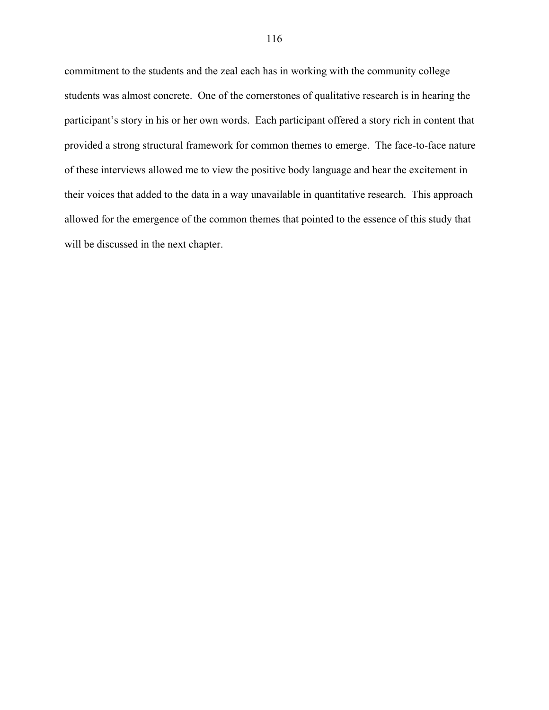commitment to the students and the zeal each has in working with the community college students was almost concrete. One of the cornerstones of qualitative research is in hearing the participant's story in his or her own words. Each participant offered a story rich in content that provided a strong structural framework for common themes to emerge. The face-to-face nature of these interviews allowed me to view the positive body language and hear the excitement in their voices that added to the data in a way unavailable in quantitative research. This approach allowed for the emergence of the common themes that pointed to the essence of this study that will be discussed in the next chapter.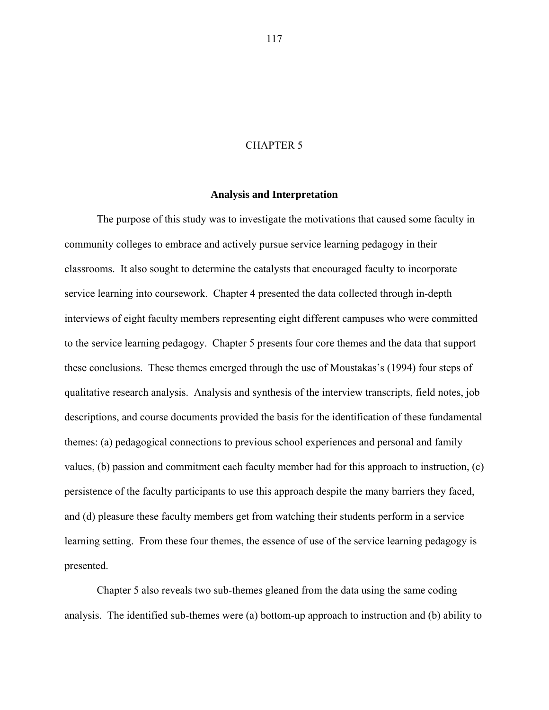### CHAPTER 5

## **Analysis and Interpretation**

The purpose of this study was to investigate the motivations that caused some faculty in community colleges to embrace and actively pursue service learning pedagogy in their classrooms. It also sought to determine the catalysts that encouraged faculty to incorporate service learning into coursework. Chapter 4 presented the data collected through in-depth interviews of eight faculty members representing eight different campuses who were committed to the service learning pedagogy. Chapter 5 presents four core themes and the data that support these conclusions. These themes emerged through the use of Moustakas's (1994) four steps of qualitative research analysis. Analysis and synthesis of the interview transcripts, field notes, job descriptions, and course documents provided the basis for the identification of these fundamental themes: (a) pedagogical connections to previous school experiences and personal and family values, (b) passion and commitment each faculty member had for this approach to instruction, (c) persistence of the faculty participants to use this approach despite the many barriers they faced, and (d) pleasure these faculty members get from watching their students perform in a service learning setting. From these four themes, the essence of use of the service learning pedagogy is presented.

Chapter 5 also reveals two sub-themes gleaned from the data using the same coding analysis. The identified sub-themes were (a) bottom-up approach to instruction and (b) ability to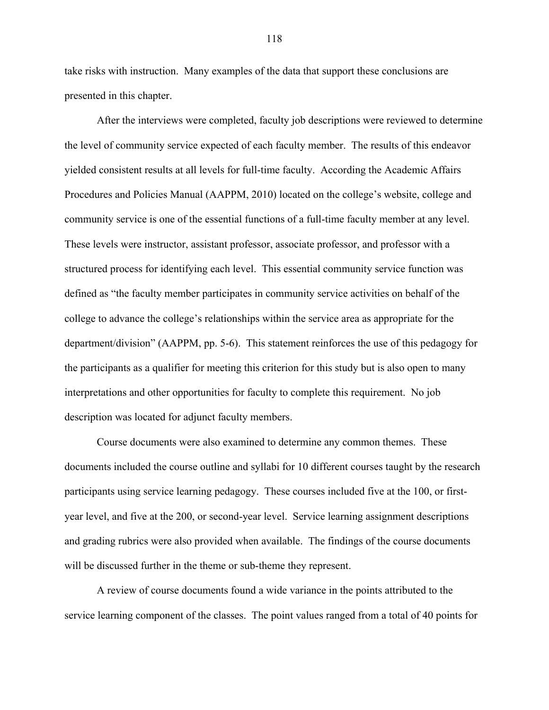take risks with instruction. Many examples of the data that support these conclusions are presented in this chapter.

After the interviews were completed, faculty job descriptions were reviewed to determine the level of community service expected of each faculty member. The results of this endeavor yielded consistent results at all levels for full-time faculty. According the Academic Affairs Procedures and Policies Manual (AAPPM, 2010) located on the college's website, college and community service is one of the essential functions of a full-time faculty member at any level. These levels were instructor, assistant professor, associate professor, and professor with a structured process for identifying each level. This essential community service function was defined as "the faculty member participates in community service activities on behalf of the college to advance the college's relationships within the service area as appropriate for the department/division" (AAPPM, pp. 5-6). This statement reinforces the use of this pedagogy for the participants as a qualifier for meeting this criterion for this study but is also open to many interpretations and other opportunities for faculty to complete this requirement. No job description was located for adjunct faculty members.

Course documents were also examined to determine any common themes. These documents included the course outline and syllabi for 10 different courses taught by the research participants using service learning pedagogy. These courses included five at the 100, or firstyear level, and five at the 200, or second-year level. Service learning assignment descriptions and grading rubrics were also provided when available. The findings of the course documents will be discussed further in the theme or sub-theme they represent.

A review of course documents found a wide variance in the points attributed to the service learning component of the classes. The point values ranged from a total of 40 points for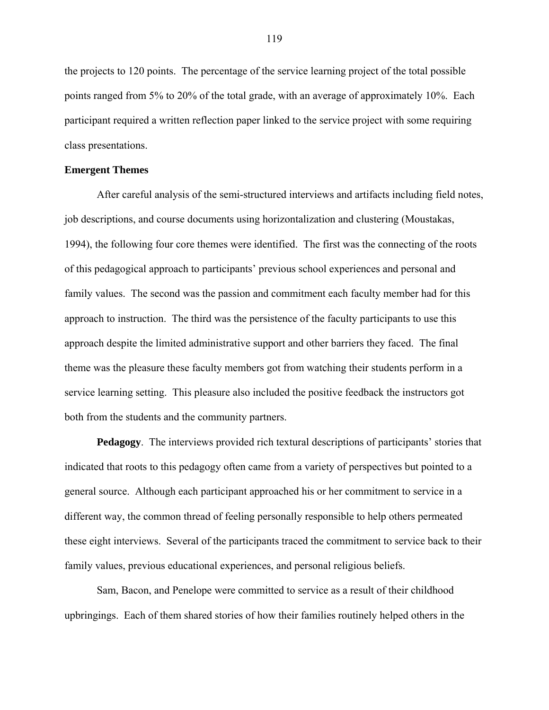the projects to 120 points. The percentage of the service learning project of the total possible points ranged from 5% to 20% of the total grade, with an average of approximately 10%. Each participant required a written reflection paper linked to the service project with some requiring class presentations.

## **Emergent Themes**

After careful analysis of the semi-structured interviews and artifacts including field notes, job descriptions, and course documents using horizontalization and clustering (Moustakas, 1994), the following four core themes were identified. The first was the connecting of the roots of this pedagogical approach to participants' previous school experiences and personal and family values. The second was the passion and commitment each faculty member had for this approach to instruction. The third was the persistence of the faculty participants to use this approach despite the limited administrative support and other barriers they faced. The final theme was the pleasure these faculty members got from watching their students perform in a service learning setting. This pleasure also included the positive feedback the instructors got both from the students and the community partners.

**Pedagogy**. The interviews provided rich textural descriptions of participants' stories that indicated that roots to this pedagogy often came from a variety of perspectives but pointed to a general source. Although each participant approached his or her commitment to service in a different way, the common thread of feeling personally responsible to help others permeated these eight interviews. Several of the participants traced the commitment to service back to their family values, previous educational experiences, and personal religious beliefs.

Sam, Bacon, and Penelope were committed to service as a result of their childhood upbringings. Each of them shared stories of how their families routinely helped others in the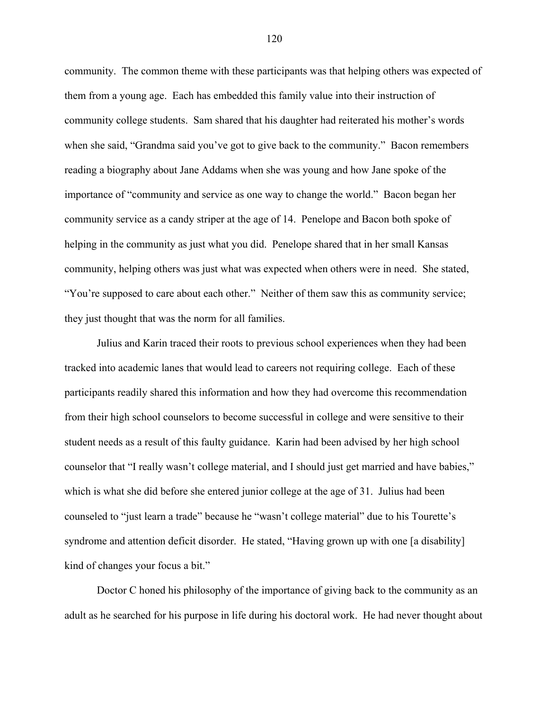community. The common theme with these participants was that helping others was expected of them from a young age. Each has embedded this family value into their instruction of community college students. Sam shared that his daughter had reiterated his mother's words when she said, "Grandma said you've got to give back to the community." Bacon remembers reading a biography about Jane Addams when she was young and how Jane spoke of the importance of "community and service as one way to change the world." Bacon began her community service as a candy striper at the age of 14. Penelope and Bacon both spoke of helping in the community as just what you did. Penelope shared that in her small Kansas community, helping others was just what was expected when others were in need. She stated, "You're supposed to care about each other." Neither of them saw this as community service; they just thought that was the norm for all families.

Julius and Karin traced their roots to previous school experiences when they had been tracked into academic lanes that would lead to careers not requiring college. Each of these participants readily shared this information and how they had overcome this recommendation from their high school counselors to become successful in college and were sensitive to their student needs as a result of this faulty guidance. Karin had been advised by her high school counselor that "I really wasn't college material, and I should just get married and have babies," which is what she did before she entered junior college at the age of 31. Julius had been counseled to "just learn a trade" because he "wasn't college material" due to his Tourette's syndrome and attention deficit disorder. He stated, "Having grown up with one [a disability] kind of changes your focus a bit."

Doctor C honed his philosophy of the importance of giving back to the community as an adult as he searched for his purpose in life during his doctoral work. He had never thought about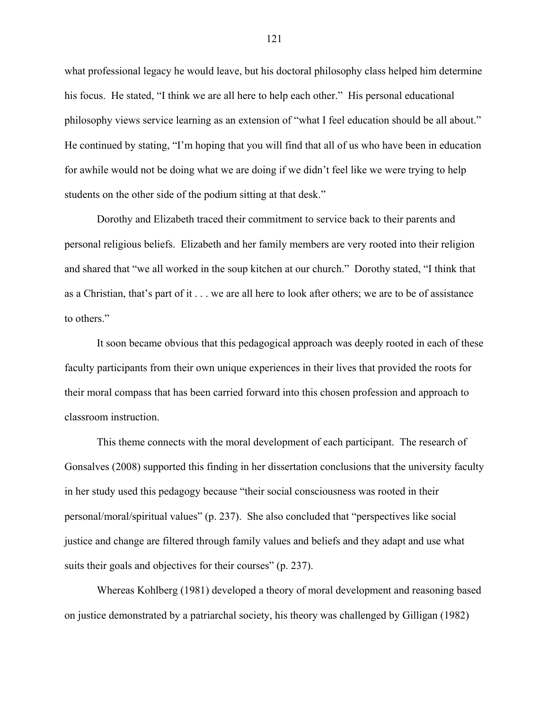what professional legacy he would leave, but his doctoral philosophy class helped him determine his focus. He stated, "I think we are all here to help each other." His personal educational philosophy views service learning as an extension of "what I feel education should be all about." He continued by stating, "I'm hoping that you will find that all of us who have been in education for awhile would not be doing what we are doing if we didn't feel like we were trying to help students on the other side of the podium sitting at that desk."

Dorothy and Elizabeth traced their commitment to service back to their parents and personal religious beliefs. Elizabeth and her family members are very rooted into their religion and shared that "we all worked in the soup kitchen at our church." Dorothy stated, "I think that as a Christian, that's part of it . . . we are all here to look after others; we are to be of assistance to others."

It soon became obvious that this pedagogical approach was deeply rooted in each of these faculty participants from their own unique experiences in their lives that provided the roots for their moral compass that has been carried forward into this chosen profession and approach to classroom instruction.

This theme connects with the moral development of each participant. The research of Gonsalves (2008) supported this finding in her dissertation conclusions that the university faculty in her study used this pedagogy because "their social consciousness was rooted in their personal/moral/spiritual values" (p. 237). She also concluded that "perspectives like social justice and change are filtered through family values and beliefs and they adapt and use what suits their goals and objectives for their courses" (p. 237).

Whereas Kohlberg (1981) developed a theory of moral development and reasoning based on justice demonstrated by a patriarchal society, his theory was challenged by Gilligan (1982)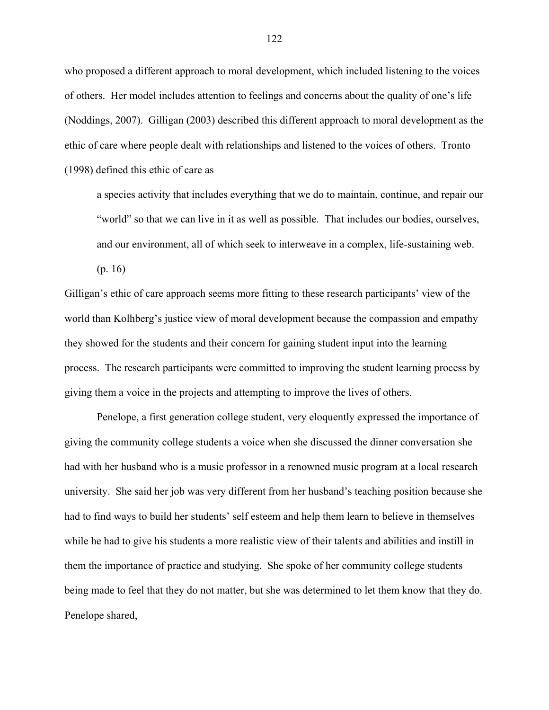who proposed a different approach to moral development, which included listening to the voices of others. Her model includes attention to feelings and concerns about the quality of one's life (Noddings, 2007). Gilligan (2003) described this different approach to moral development as the ethic of care where people dealt with relationships and listened to the voices of others. Tronto (1998) defined this ethic of care as

a species activity that includes everything that we do to maintain, continue, and repair our "world" so that we can live in it as well as possible. That includes our bodies, ourselves, and our environment, all of which seek to interweave in a complex, life-sustaining web.

(p. 16)

Gilligan's ethic of care approach seems more fitting to these research participants' view of the world than Kolhberg's justice view of moral development because the compassion and empathy they showed for the students and their concern for gaining student input into the learning process. The research participants were committed to improving the student learning process by giving them a voice in the projects and attempting to improve the lives of others.

Penelope, a first generation college student, very eloquently expressed the importance of giving the community college students a voice when she discussed the dinner conversation she had with her husband who is a music professor in a renowned music program at a local research university. She said her job was very different from her husband's teaching position because she had to find ways to build her students' self esteem and help them learn to believe in themselves while he had to give his students a more realistic view of their talents and abilities and instill in them the importance of practice and studying. She spoke of her community college students being made to feel that they do not matter, but she was determined to let them know that they do. Penelope shared,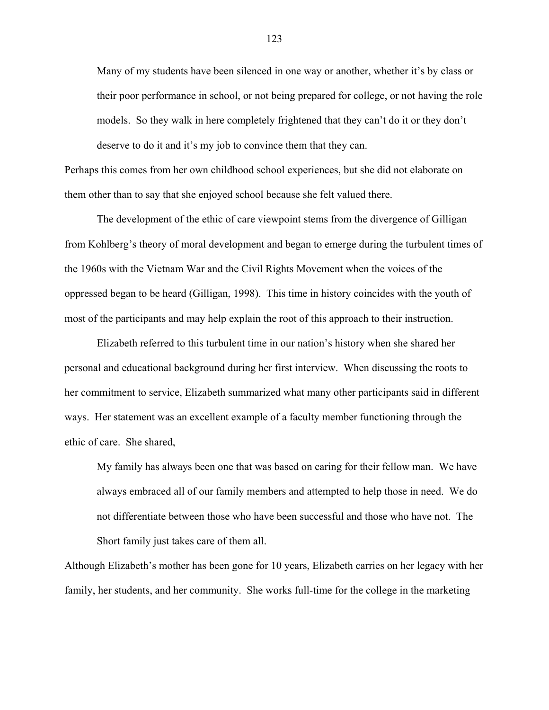Many of my students have been silenced in one way or another, whether it's by class or their poor performance in school, or not being prepared for college, or not having the role models. So they walk in here completely frightened that they can't do it or they don't deserve to do it and it's my job to convince them that they can.

Perhaps this comes from her own childhood school experiences, but she did not elaborate on them other than to say that she enjoyed school because she felt valued there.

The development of the ethic of care viewpoint stems from the divergence of Gilligan from Kohlberg's theory of moral development and began to emerge during the turbulent times of the 1960s with the Vietnam War and the Civil Rights Movement when the voices of the oppressed began to be heard (Gilligan, 1998). This time in history coincides with the youth of most of the participants and may help explain the root of this approach to their instruction.

Elizabeth referred to this turbulent time in our nation's history when she shared her personal and educational background during her first interview. When discussing the roots to her commitment to service, Elizabeth summarized what many other participants said in different ways. Her statement was an excellent example of a faculty member functioning through the ethic of care. She shared,

My family has always been one that was based on caring for their fellow man. We have always embraced all of our family members and attempted to help those in need. We do not differentiate between those who have been successful and those who have not. The Short family just takes care of them all.

Although Elizabeth's mother has been gone for 10 years, Elizabeth carries on her legacy with her family, her students, and her community. She works full-time for the college in the marketing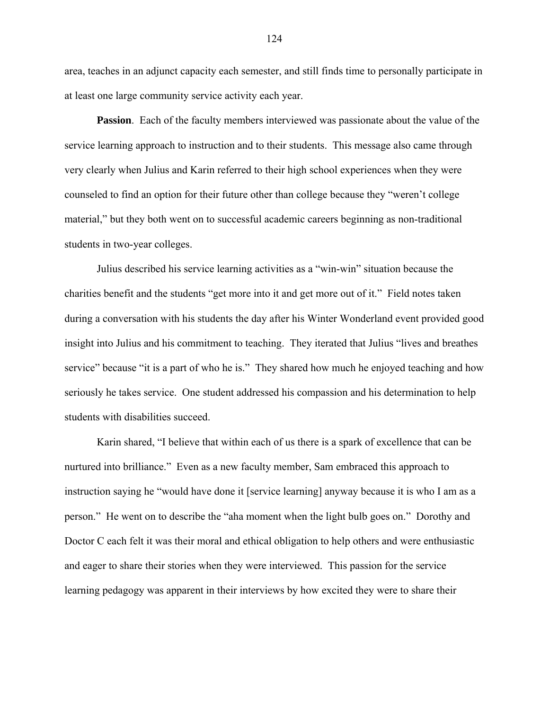area, teaches in an adjunct capacity each semester, and still finds time to personally participate in at least one large community service activity each year.

**Passion**. Each of the faculty members interviewed was passionate about the value of the service learning approach to instruction and to their students. This message also came through very clearly when Julius and Karin referred to their high school experiences when they were counseled to find an option for their future other than college because they "weren't college material," but they both went on to successful academic careers beginning as non-traditional students in two-year colleges.

Julius described his service learning activities as a "win-win" situation because the charities benefit and the students "get more into it and get more out of it." Field notes taken during a conversation with his students the day after his Winter Wonderland event provided good insight into Julius and his commitment to teaching. They iterated that Julius "lives and breathes service" because "it is a part of who he is." They shared how much he enjoyed teaching and how seriously he takes service. One student addressed his compassion and his determination to help students with disabilities succeed.

Karin shared, "I believe that within each of us there is a spark of excellence that can be nurtured into brilliance." Even as a new faculty member, Sam embraced this approach to instruction saying he "would have done it [service learning] anyway because it is who I am as a person." He went on to describe the "aha moment when the light bulb goes on." Dorothy and Doctor C each felt it was their moral and ethical obligation to help others and were enthusiastic and eager to share their stories when they were interviewed. This passion for the service learning pedagogy was apparent in their interviews by how excited they were to share their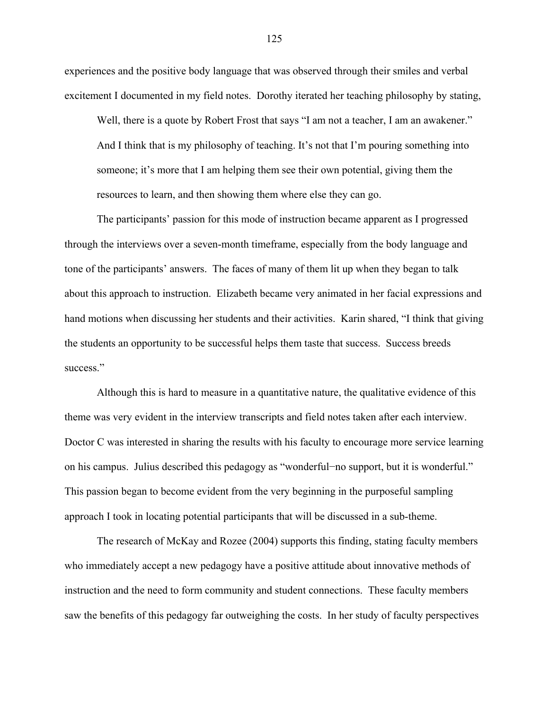experiences and the positive body language that was observed through their smiles and verbal excitement I documented in my field notes. Dorothy iterated her teaching philosophy by stating,

Well, there is a quote by Robert Frost that says "I am not a teacher, I am an awakener." And I think that is my philosophy of teaching. It's not that I'm pouring something into someone; it's more that I am helping them see their own potential, giving them the resources to learn, and then showing them where else they can go.

The participants' passion for this mode of instruction became apparent as I progressed through the interviews over a seven-month timeframe, especially from the body language and tone of the participants' answers. The faces of many of them lit up when they began to talk about this approach to instruction. Elizabeth became very animated in her facial expressions and hand motions when discussing her students and their activities. Karin shared, "I think that giving the students an opportunity to be successful helps them taste that success. Success breeds success."

Although this is hard to measure in a quantitative nature, the qualitative evidence of this theme was very evident in the interview transcripts and field notes taken after each interview. Doctor C was interested in sharing the results with his faculty to encourage more service learning on his campus. Julius described this pedagogy as "wonderful−no support, but it is wonderful." This passion began to become evident from the very beginning in the purposeful sampling approach I took in locating potential participants that will be discussed in a sub-theme.

The research of McKay and Rozee (2004) supports this finding, stating faculty members who immediately accept a new pedagogy have a positive attitude about innovative methods of instruction and the need to form community and student connections. These faculty members saw the benefits of this pedagogy far outweighing the costs. In her study of faculty perspectives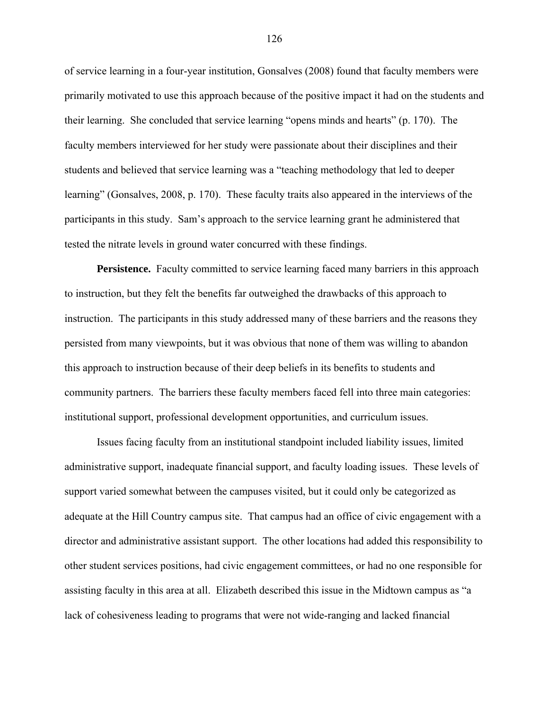of service learning in a four-year institution, Gonsalves (2008) found that faculty members were primarily motivated to use this approach because of the positive impact it had on the students and their learning. She concluded that service learning "opens minds and hearts" (p. 170). The faculty members interviewed for her study were passionate about their disciplines and their students and believed that service learning was a "teaching methodology that led to deeper learning" (Gonsalves, 2008, p. 170). These faculty traits also appeared in the interviews of the participants in this study. Sam's approach to the service learning grant he administered that tested the nitrate levels in ground water concurred with these findings.

**Persistence.** Faculty committed to service learning faced many barriers in this approach to instruction, but they felt the benefits far outweighed the drawbacks of this approach to instruction. The participants in this study addressed many of these barriers and the reasons they persisted from many viewpoints, but it was obvious that none of them was willing to abandon this approach to instruction because of their deep beliefs in its benefits to students and community partners. The barriers these faculty members faced fell into three main categories: institutional support, professional development opportunities, and curriculum issues.

Issues facing faculty from an institutional standpoint included liability issues, limited administrative support, inadequate financial support, and faculty loading issues. These levels of support varied somewhat between the campuses visited, but it could only be categorized as adequate at the Hill Country campus site. That campus had an office of civic engagement with a director and administrative assistant support. The other locations had added this responsibility to other student services positions, had civic engagement committees, or had no one responsible for assisting faculty in this area at all. Elizabeth described this issue in the Midtown campus as "a lack of cohesiveness leading to programs that were not wide-ranging and lacked financial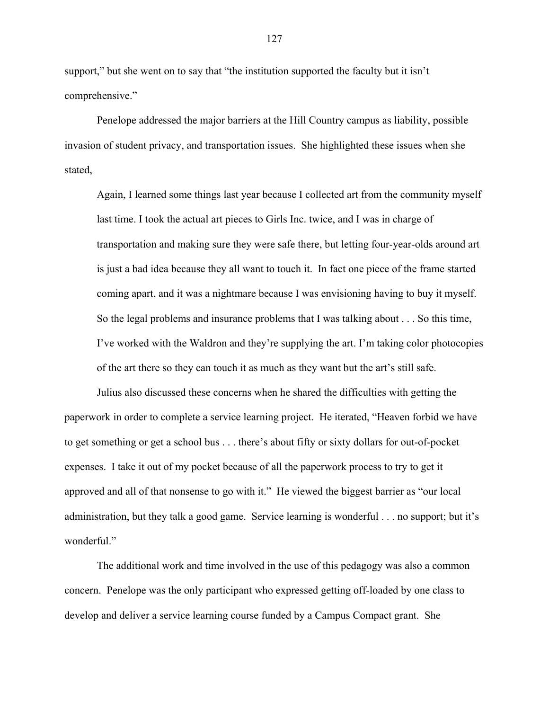support," but she went on to say that "the institution supported the faculty but it isn't comprehensive."

Penelope addressed the major barriers at the Hill Country campus as liability, possible invasion of student privacy, and transportation issues. She highlighted these issues when she stated,

Again, I learned some things last year because I collected art from the community myself last time. I took the actual art pieces to Girls Inc. twice, and I was in charge of transportation and making sure they were safe there, but letting four-year-olds around art is just a bad idea because they all want to touch it. In fact one piece of the frame started coming apart, and it was a nightmare because I was envisioning having to buy it myself. So the legal problems and insurance problems that I was talking about . . . So this time, I've worked with the Waldron and they're supplying the art. I'm taking color photocopies of the art there so they can touch it as much as they want but the art's still safe.

Julius also discussed these concerns when he shared the difficulties with getting the paperwork in order to complete a service learning project. He iterated, "Heaven forbid we have to get something or get a school bus . . . there's about fifty or sixty dollars for out-of-pocket expenses. I take it out of my pocket because of all the paperwork process to try to get it approved and all of that nonsense to go with it." He viewed the biggest barrier as "our local administration, but they talk a good game. Service learning is wonderful . . . no support; but it's wonderful."

The additional work and time involved in the use of this pedagogy was also a common concern. Penelope was the only participant who expressed getting off-loaded by one class to develop and deliver a service learning course funded by a Campus Compact grant. She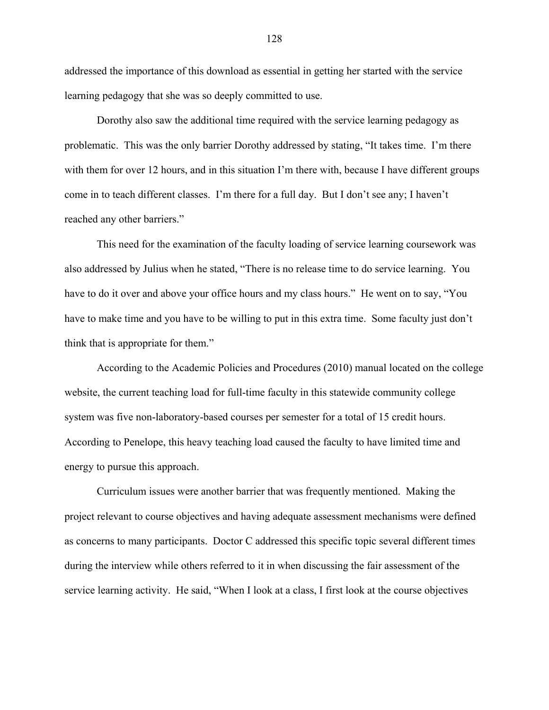addressed the importance of this download as essential in getting her started with the service learning pedagogy that she was so deeply committed to use.

Dorothy also saw the additional time required with the service learning pedagogy as problematic. This was the only barrier Dorothy addressed by stating, "It takes time. I'm there with them for over 12 hours, and in this situation I'm there with, because I have different groups come in to teach different classes. I'm there for a full day. But I don't see any; I haven't reached any other barriers."

This need for the examination of the faculty loading of service learning coursework was also addressed by Julius when he stated, "There is no release time to do service learning. You have to do it over and above your office hours and my class hours." He went on to say, "You have to make time and you have to be willing to put in this extra time. Some faculty just don't think that is appropriate for them."

According to the Academic Policies and Procedures (2010) manual located on the college website, the current teaching load for full-time faculty in this statewide community college system was five non-laboratory-based courses per semester for a total of 15 credit hours. According to Penelope, this heavy teaching load caused the faculty to have limited time and energy to pursue this approach.

Curriculum issues were another barrier that was frequently mentioned. Making the project relevant to course objectives and having adequate assessment mechanisms were defined as concerns to many participants. Doctor C addressed this specific topic several different times during the interview while others referred to it in when discussing the fair assessment of the service learning activity. He said, "When I look at a class, I first look at the course objectives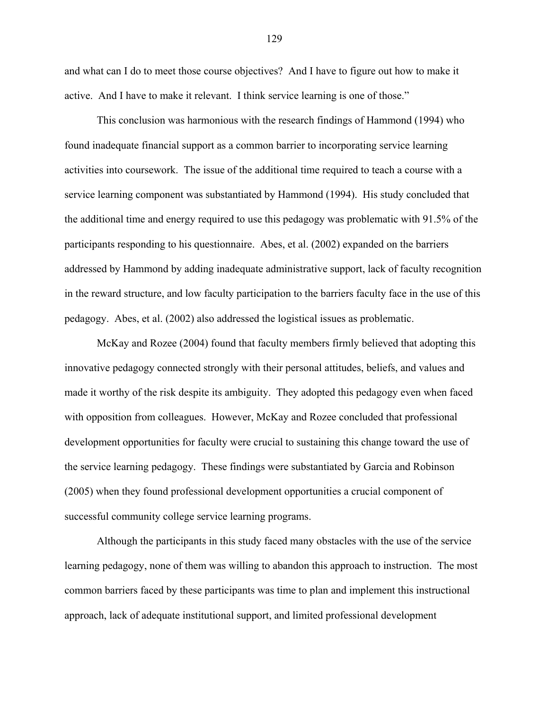and what can I do to meet those course objectives? And I have to figure out how to make it active. And I have to make it relevant. I think service learning is one of those."

This conclusion was harmonious with the research findings of Hammond (1994) who found inadequate financial support as a common barrier to incorporating service learning activities into coursework. The issue of the additional time required to teach a course with a service learning component was substantiated by Hammond (1994). His study concluded that the additional time and energy required to use this pedagogy was problematic with 91.5% of the participants responding to his questionnaire. Abes, et al. (2002) expanded on the barriers addressed by Hammond by adding inadequate administrative support, lack of faculty recognition in the reward structure, and low faculty participation to the barriers faculty face in the use of this pedagogy. Abes, et al. (2002) also addressed the logistical issues as problematic.

McKay and Rozee (2004) found that faculty members firmly believed that adopting this innovative pedagogy connected strongly with their personal attitudes, beliefs, and values and made it worthy of the risk despite its ambiguity. They adopted this pedagogy even when faced with opposition from colleagues. However, McKay and Rozee concluded that professional development opportunities for faculty were crucial to sustaining this change toward the use of the service learning pedagogy. These findings were substantiated by Garcia and Robinson (2005) when they found professional development opportunities a crucial component of successful community college service learning programs.

Although the participants in this study faced many obstacles with the use of the service learning pedagogy, none of them was willing to abandon this approach to instruction. The most common barriers faced by these participants was time to plan and implement this instructional approach, lack of adequate institutional support, and limited professional development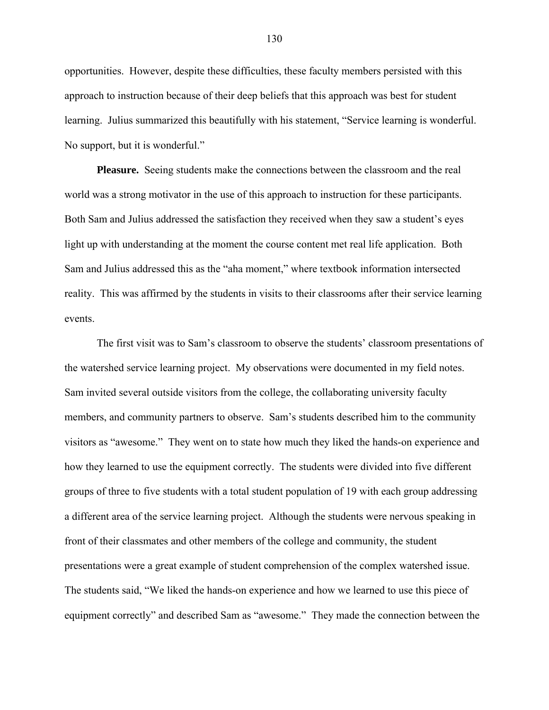opportunities. However, despite these difficulties, these faculty members persisted with this approach to instruction because of their deep beliefs that this approach was best for student learning. Julius summarized this beautifully with his statement, "Service learning is wonderful. No support, but it is wonderful."

**Pleasure.** Seeing students make the connections between the classroom and the real world was a strong motivator in the use of this approach to instruction for these participants. Both Sam and Julius addressed the satisfaction they received when they saw a student's eyes light up with understanding at the moment the course content met real life application. Both Sam and Julius addressed this as the "aha moment," where textbook information intersected reality. This was affirmed by the students in visits to their classrooms after their service learning events.

The first visit was to Sam's classroom to observe the students' classroom presentations of the watershed service learning project. My observations were documented in my field notes. Sam invited several outside visitors from the college, the collaborating university faculty members, and community partners to observe. Sam's students described him to the community visitors as "awesome." They went on to state how much they liked the hands-on experience and how they learned to use the equipment correctly. The students were divided into five different groups of three to five students with a total student population of 19 with each group addressing a different area of the service learning project. Although the students were nervous speaking in front of their classmates and other members of the college and community, the student presentations were a great example of student comprehension of the complex watershed issue. The students said, "We liked the hands-on experience and how we learned to use this piece of equipment correctly" and described Sam as "awesome." They made the connection between the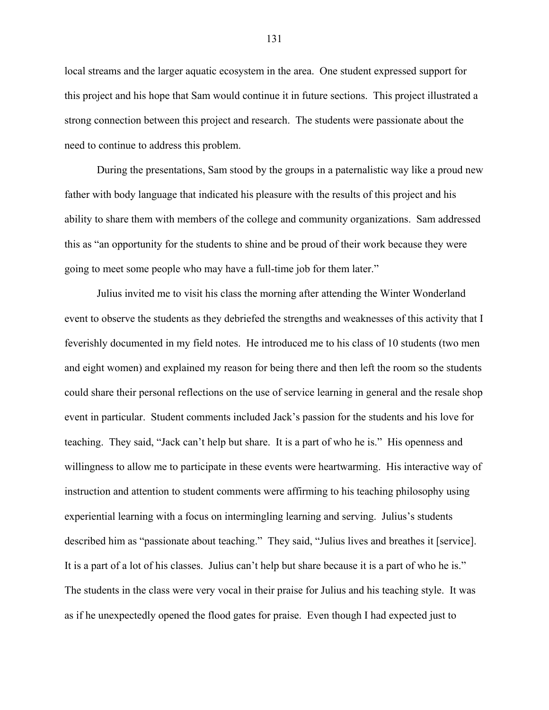local streams and the larger aquatic ecosystem in the area. One student expressed support for this project and his hope that Sam would continue it in future sections. This project illustrated a strong connection between this project and research. The students were passionate about the need to continue to address this problem.

During the presentations, Sam stood by the groups in a paternalistic way like a proud new father with body language that indicated his pleasure with the results of this project and his ability to share them with members of the college and community organizations. Sam addressed this as "an opportunity for the students to shine and be proud of their work because they were going to meet some people who may have a full-time job for them later."

Julius invited me to visit his class the morning after attending the Winter Wonderland event to observe the students as they debriefed the strengths and weaknesses of this activity that I feverishly documented in my field notes. He introduced me to his class of 10 students (two men and eight women) and explained my reason for being there and then left the room so the students could share their personal reflections on the use of service learning in general and the resale shop event in particular. Student comments included Jack's passion for the students and his love for teaching. They said, "Jack can't help but share. It is a part of who he is." His openness and willingness to allow me to participate in these events were heartwarming. His interactive way of instruction and attention to student comments were affirming to his teaching philosophy using experiential learning with a focus on intermingling learning and serving. Julius's students described him as "passionate about teaching." They said, "Julius lives and breathes it [service]. It is a part of a lot of his classes. Julius can't help but share because it is a part of who he is." The students in the class were very vocal in their praise for Julius and his teaching style. It was as if he unexpectedly opened the flood gates for praise. Even though I had expected just to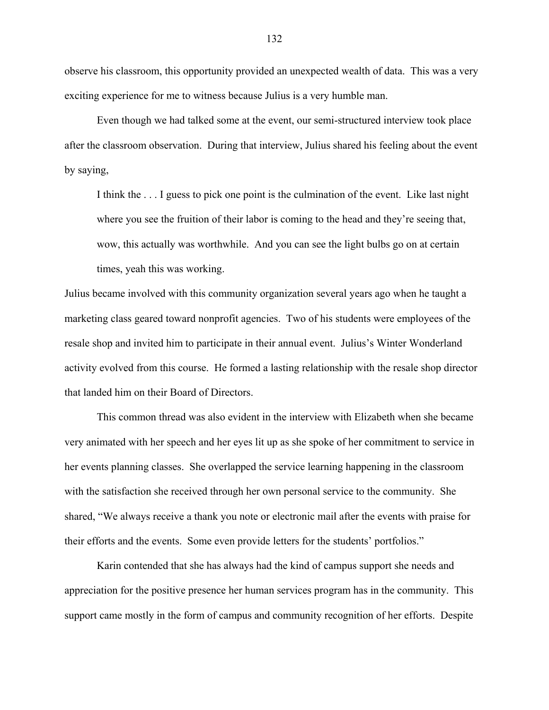observe his classroom, this opportunity provided an unexpected wealth of data. This was a very exciting experience for me to witness because Julius is a very humble man.

Even though we had talked some at the event, our semi-structured interview took place after the classroom observation. During that interview, Julius shared his feeling about the event by saying,

I think the . . . I guess to pick one point is the culmination of the event. Like last night where you see the fruition of their labor is coming to the head and they're seeing that, wow, this actually was worthwhile. And you can see the light bulbs go on at certain times, yeah this was working.

Julius became involved with this community organization several years ago when he taught a marketing class geared toward nonprofit agencies. Two of his students were employees of the resale shop and invited him to participate in their annual event. Julius's Winter Wonderland activity evolved from this course. He formed a lasting relationship with the resale shop director that landed him on their Board of Directors.

This common thread was also evident in the interview with Elizabeth when she became very animated with her speech and her eyes lit up as she spoke of her commitment to service in her events planning classes. She overlapped the service learning happening in the classroom with the satisfaction she received through her own personal service to the community. She shared, "We always receive a thank you note or electronic mail after the events with praise for their efforts and the events. Some even provide letters for the students' portfolios."

Karin contended that she has always had the kind of campus support she needs and appreciation for the positive presence her human services program has in the community. This support came mostly in the form of campus and community recognition of her efforts. Despite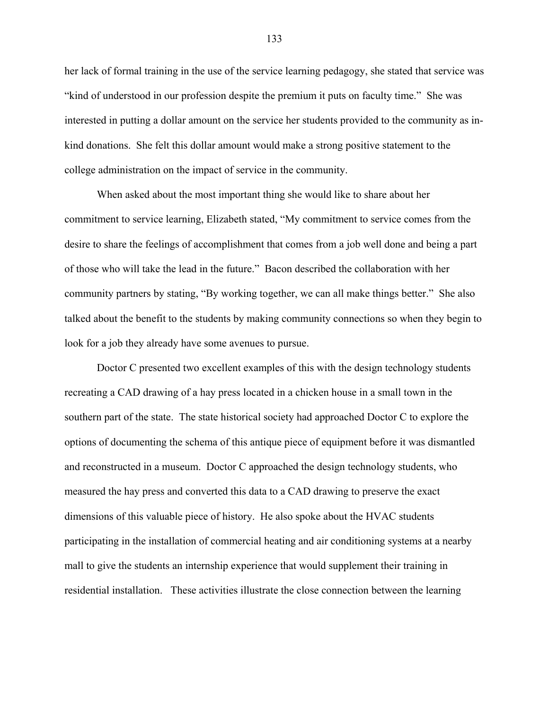her lack of formal training in the use of the service learning pedagogy, she stated that service was "kind of understood in our profession despite the premium it puts on faculty time." She was interested in putting a dollar amount on the service her students provided to the community as inkind donations. She felt this dollar amount would make a strong positive statement to the college administration on the impact of service in the community.

When asked about the most important thing she would like to share about her commitment to service learning, Elizabeth stated, "My commitment to service comes from the desire to share the feelings of accomplishment that comes from a job well done and being a part of those who will take the lead in the future." Bacon described the collaboration with her community partners by stating, "By working together, we can all make things better." She also talked about the benefit to the students by making community connections so when they begin to look for a job they already have some avenues to pursue.

Doctor C presented two excellent examples of this with the design technology students recreating a CAD drawing of a hay press located in a chicken house in a small town in the southern part of the state. The state historical society had approached Doctor C to explore the options of documenting the schema of this antique piece of equipment before it was dismantled and reconstructed in a museum. Doctor C approached the design technology students, who measured the hay press and converted this data to a CAD drawing to preserve the exact dimensions of this valuable piece of history. He also spoke about the HVAC students participating in the installation of commercial heating and air conditioning systems at a nearby mall to give the students an internship experience that would supplement their training in residential installation. These activities illustrate the close connection between the learning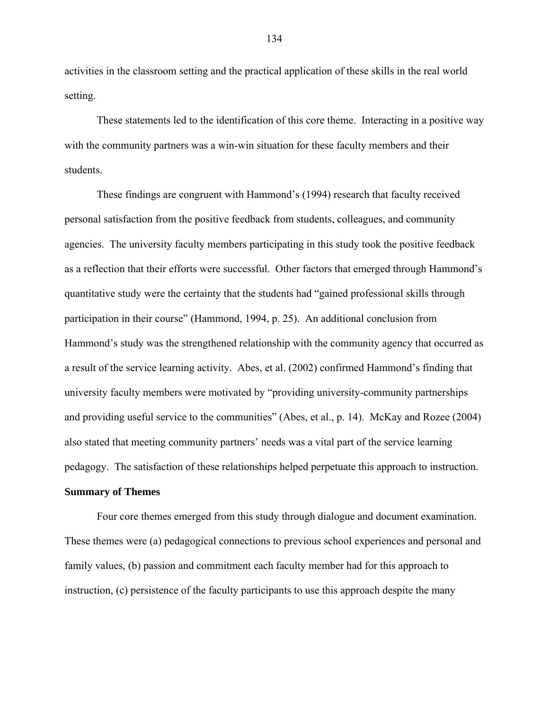activities in the classroom setting and the practical application of these skills in the real world setting.

These statements led to the identification of this core theme. Interacting in a positive way with the community partners was a win-win situation for these faculty members and their students.

These findings are congruent with Hammond's (1994) research that faculty received personal satisfaction from the positive feedback from students, colleagues, and community agencies. The university faculty members participating in this study took the positive feedback as a reflection that their efforts were successful. Other factors that emerged through Hammond's quantitative study were the certainty that the students had "gained professional skills through participation in their course" (Hammond, 1994, p. 25). An additional conclusion from Hammond's study was the strengthened relationship with the community agency that occurred as a result of the service learning activity. Abes, et al. (2002) confirmed Hammond's finding that university faculty members were motivated by "providing university-community partnerships and providing useful service to the communities" (Abes, et al., p. 14). McKay and Rozee (2004) also stated that meeting community partners' needs was a vital part of the service learning pedagogy. The satisfaction of these relationships helped perpetuate this approach to instruction.

# **Summary of Themes**

Four core themes emerged from this study through dialogue and document examination. These themes were (a) pedagogical connections to previous school experiences and personal and family values, (b) passion and commitment each faculty member had for this approach to instruction, (c) persistence of the faculty participants to use this approach despite the many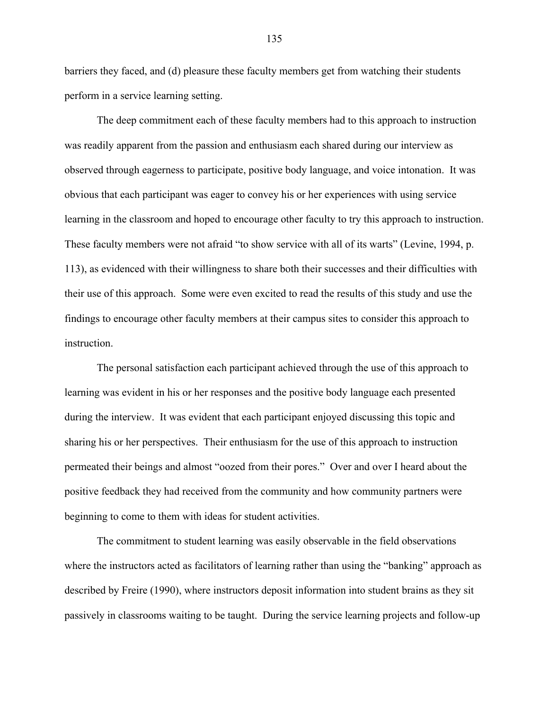barriers they faced, and (d) pleasure these faculty members get from watching their students perform in a service learning setting.

The deep commitment each of these faculty members had to this approach to instruction was readily apparent from the passion and enthusiasm each shared during our interview as observed through eagerness to participate, positive body language, and voice intonation. It was obvious that each participant was eager to convey his or her experiences with using service learning in the classroom and hoped to encourage other faculty to try this approach to instruction. These faculty members were not afraid "to show service with all of its warts" (Levine, 1994, p. 113), as evidenced with their willingness to share both their successes and their difficulties with their use of this approach. Some were even excited to read the results of this study and use the findings to encourage other faculty members at their campus sites to consider this approach to instruction.

The personal satisfaction each participant achieved through the use of this approach to learning was evident in his or her responses and the positive body language each presented during the interview. It was evident that each participant enjoyed discussing this topic and sharing his or her perspectives. Their enthusiasm for the use of this approach to instruction permeated their beings and almost "oozed from their pores." Over and over I heard about the positive feedback they had received from the community and how community partners were beginning to come to them with ideas for student activities.

The commitment to student learning was easily observable in the field observations where the instructors acted as facilitators of learning rather than using the "banking" approach as described by Freire (1990), where instructors deposit information into student brains as they sit passively in classrooms waiting to be taught. During the service learning projects and follow-up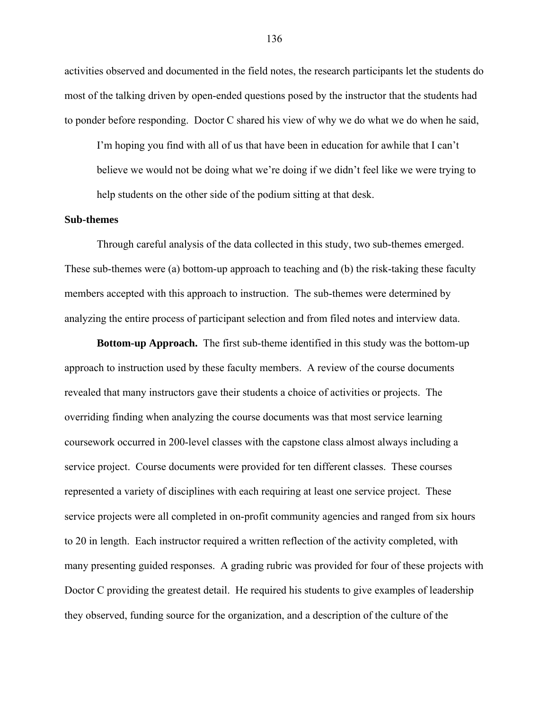activities observed and documented in the field notes, the research participants let the students do most of the talking driven by open-ended questions posed by the instructor that the students had to ponder before responding. Doctor C shared his view of why we do what we do when he said,

I'm hoping you find with all of us that have been in education for awhile that I can't believe we would not be doing what we're doing if we didn't feel like we were trying to help students on the other side of the podium sitting at that desk.

### **Sub-themes**

Through careful analysis of the data collected in this study, two sub-themes emerged. These sub-themes were (a) bottom-up approach to teaching and (b) the risk-taking these faculty members accepted with this approach to instruction. The sub-themes were determined by analyzing the entire process of participant selection and from filed notes and interview data.

**Bottom-up Approach.** The first sub-theme identified in this study was the bottom-up approach to instruction used by these faculty members. A review of the course documents revealed that many instructors gave their students a choice of activities or projects. The overriding finding when analyzing the course documents was that most service learning coursework occurred in 200-level classes with the capstone class almost always including a service project. Course documents were provided for ten different classes. These courses represented a variety of disciplines with each requiring at least one service project. These service projects were all completed in on-profit community agencies and ranged from six hours to 20 in length. Each instructor required a written reflection of the activity completed, with many presenting guided responses. A grading rubric was provided for four of these projects with Doctor C providing the greatest detail. He required his students to give examples of leadership they observed, funding source for the organization, and a description of the culture of the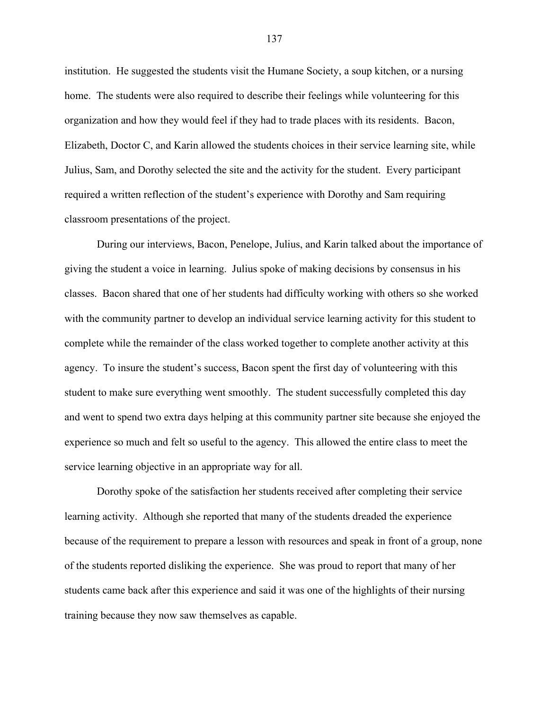institution. He suggested the students visit the Humane Society, a soup kitchen, or a nursing home. The students were also required to describe their feelings while volunteering for this organization and how they would feel if they had to trade places with its residents. Bacon, Elizabeth, Doctor C, and Karin allowed the students choices in their service learning site, while Julius, Sam, and Dorothy selected the site and the activity for the student. Every participant required a written reflection of the student's experience with Dorothy and Sam requiring classroom presentations of the project.

During our interviews, Bacon, Penelope, Julius, and Karin talked about the importance of giving the student a voice in learning. Julius spoke of making decisions by consensus in his classes. Bacon shared that one of her students had difficulty working with others so she worked with the community partner to develop an individual service learning activity for this student to complete while the remainder of the class worked together to complete another activity at this agency. To insure the student's success, Bacon spent the first day of volunteering with this student to make sure everything went smoothly. The student successfully completed this day and went to spend two extra days helping at this community partner site because she enjoyed the experience so much and felt so useful to the agency. This allowed the entire class to meet the service learning objective in an appropriate way for all.

Dorothy spoke of the satisfaction her students received after completing their service learning activity. Although she reported that many of the students dreaded the experience because of the requirement to prepare a lesson with resources and speak in front of a group, none of the students reported disliking the experience. She was proud to report that many of her students came back after this experience and said it was one of the highlights of their nursing training because they now saw themselves as capable.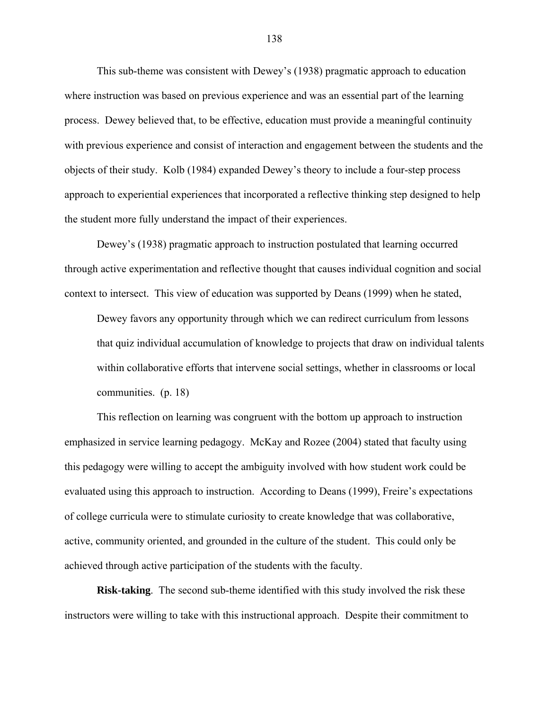This sub-theme was consistent with Dewey's (1938) pragmatic approach to education where instruction was based on previous experience and was an essential part of the learning process. Dewey believed that, to be effective, education must provide a meaningful continuity with previous experience and consist of interaction and engagement between the students and the objects of their study. Kolb (1984) expanded Dewey's theory to include a four-step process approach to experiential experiences that incorporated a reflective thinking step designed to help the student more fully understand the impact of their experiences.

Dewey's (1938) pragmatic approach to instruction postulated that learning occurred through active experimentation and reflective thought that causes individual cognition and social context to intersect. This view of education was supported by Deans (1999) when he stated,

Dewey favors any opportunity through which we can redirect curriculum from lessons that quiz individual accumulation of knowledge to projects that draw on individual talents within collaborative efforts that intervene social settings, whether in classrooms or local communities. (p. 18)

This reflection on learning was congruent with the bottom up approach to instruction emphasized in service learning pedagogy. McKay and Rozee (2004) stated that faculty using this pedagogy were willing to accept the ambiguity involved with how student work could be evaluated using this approach to instruction. According to Deans (1999), Freire's expectations of college curricula were to stimulate curiosity to create knowledge that was collaborative, active, community oriented, and grounded in the culture of the student. This could only be achieved through active participation of the students with the faculty.

**Risk-taking**. The second sub-theme identified with this study involved the risk these instructors were willing to take with this instructional approach. Despite their commitment to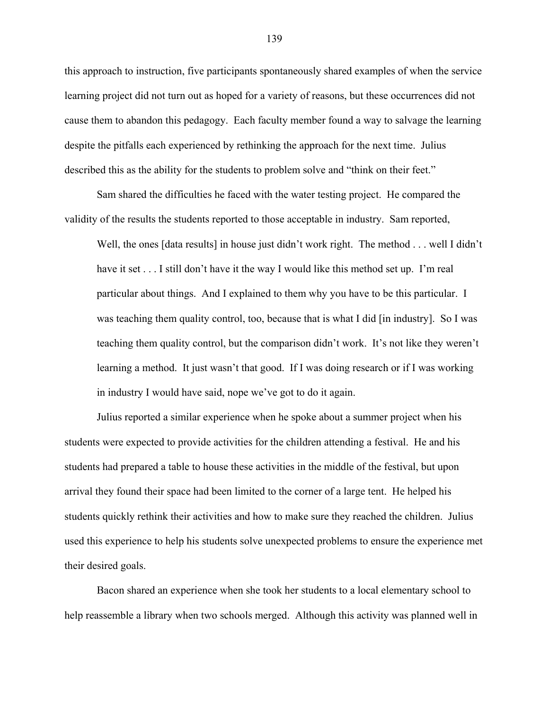this approach to instruction, five participants spontaneously shared examples of when the service learning project did not turn out as hoped for a variety of reasons, but these occurrences did not cause them to abandon this pedagogy. Each faculty member found a way to salvage the learning despite the pitfalls each experienced by rethinking the approach for the next time. Julius described this as the ability for the students to problem solve and "think on their feet."

Sam shared the difficulties he faced with the water testing project. He compared the validity of the results the students reported to those acceptable in industry. Sam reported,

Well, the ones [data results] in house just didn't work right. The method . . . well I didn't have it set . . . I still don't have it the way I would like this method set up. I'm real particular about things. And I explained to them why you have to be this particular. I was teaching them quality control, too, because that is what I did [in industry]. So I was teaching them quality control, but the comparison didn't work. It's not like they weren't learning a method. It just wasn't that good. If I was doing research or if I was working in industry I would have said, nope we've got to do it again.

Julius reported a similar experience when he spoke about a summer project when his students were expected to provide activities for the children attending a festival. He and his students had prepared a table to house these activities in the middle of the festival, but upon arrival they found their space had been limited to the corner of a large tent. He helped his students quickly rethink their activities and how to make sure they reached the children. Julius used this experience to help his students solve unexpected problems to ensure the experience met their desired goals.

Bacon shared an experience when she took her students to a local elementary school to help reassemble a library when two schools merged. Although this activity was planned well in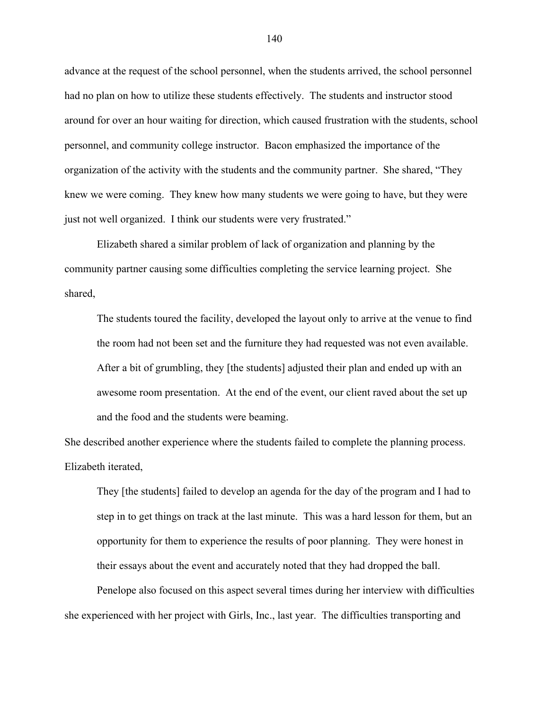advance at the request of the school personnel, when the students arrived, the school personnel had no plan on how to utilize these students effectively. The students and instructor stood around for over an hour waiting for direction, which caused frustration with the students, school personnel, and community college instructor. Bacon emphasized the importance of the organization of the activity with the students and the community partner. She shared, "They knew we were coming. They knew how many students we were going to have, but they were just not well organized. I think our students were very frustrated."

Elizabeth shared a similar problem of lack of organization and planning by the community partner causing some difficulties completing the service learning project. She shared,

The students toured the facility, developed the layout only to arrive at the venue to find the room had not been set and the furniture they had requested was not even available. After a bit of grumbling, they [the students] adjusted their plan and ended up with an awesome room presentation. At the end of the event, our client raved about the set up and the food and the students were beaming.

She described another experience where the students failed to complete the planning process. Elizabeth iterated,

They [the students] failed to develop an agenda for the day of the program and I had to step in to get things on track at the last minute. This was a hard lesson for them, but an opportunity for them to experience the results of poor planning. They were honest in their essays about the event and accurately noted that they had dropped the ball.

Penelope also focused on this aspect several times during her interview with difficulties she experienced with her project with Girls, Inc., last year. The difficulties transporting and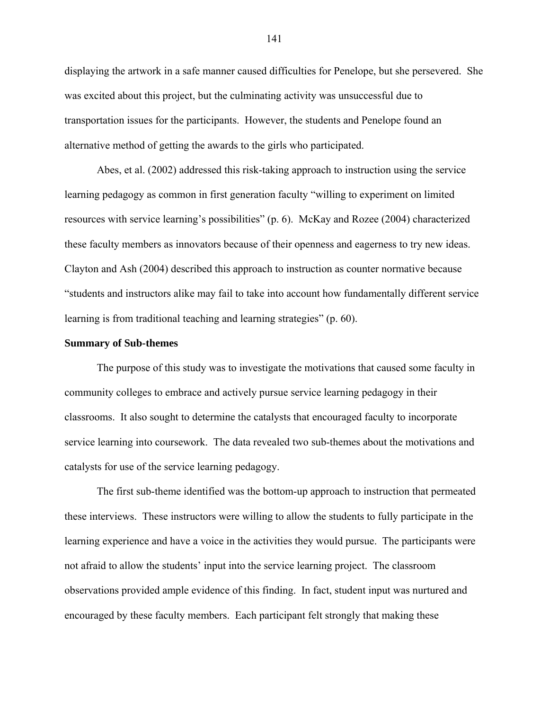displaying the artwork in a safe manner caused difficulties for Penelope, but she persevered. She was excited about this project, but the culminating activity was unsuccessful due to transportation issues for the participants. However, the students and Penelope found an alternative method of getting the awards to the girls who participated.

Abes, et al. (2002) addressed this risk-taking approach to instruction using the service learning pedagogy as common in first generation faculty "willing to experiment on limited resources with service learning's possibilities" (p. 6). McKay and Rozee (2004) characterized these faculty members as innovators because of their openness and eagerness to try new ideas. Clayton and Ash (2004) described this approach to instruction as counter normative because "students and instructors alike may fail to take into account how fundamentally different service learning is from traditional teaching and learning strategies" (p. 60).

### **Summary of Sub-themes**

The purpose of this study was to investigate the motivations that caused some faculty in community colleges to embrace and actively pursue service learning pedagogy in their classrooms. It also sought to determine the catalysts that encouraged faculty to incorporate service learning into coursework. The data revealed two sub-themes about the motivations and catalysts for use of the service learning pedagogy.

The first sub-theme identified was the bottom-up approach to instruction that permeated these interviews. These instructors were willing to allow the students to fully participate in the learning experience and have a voice in the activities they would pursue. The participants were not afraid to allow the students' input into the service learning project. The classroom observations provided ample evidence of this finding. In fact, student input was nurtured and encouraged by these faculty members. Each participant felt strongly that making these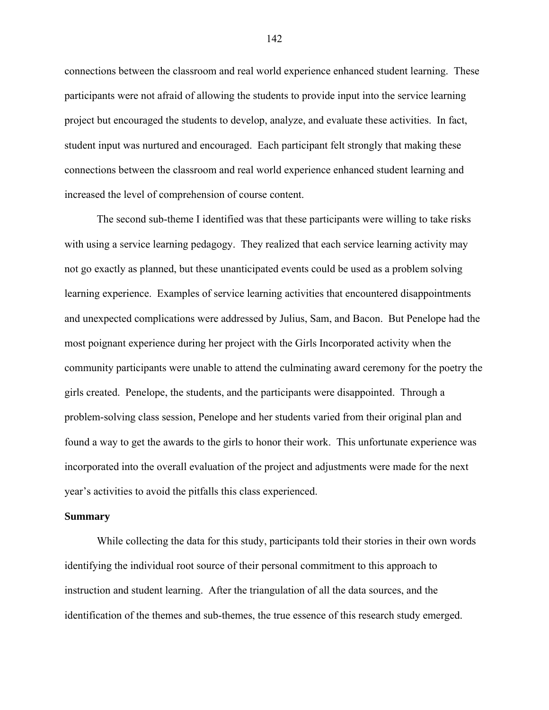connections between the classroom and real world experience enhanced student learning. These participants were not afraid of allowing the students to provide input into the service learning project but encouraged the students to develop, analyze, and evaluate these activities. In fact, student input was nurtured and encouraged. Each participant felt strongly that making these connections between the classroom and real world experience enhanced student learning and increased the level of comprehension of course content.

The second sub-theme I identified was that these participants were willing to take risks with using a service learning pedagogy. They realized that each service learning activity may not go exactly as planned, but these unanticipated events could be used as a problem solving learning experience. Examples of service learning activities that encountered disappointments and unexpected complications were addressed by Julius, Sam, and Bacon. But Penelope had the most poignant experience during her project with the Girls Incorporated activity when the community participants were unable to attend the culminating award ceremony for the poetry the girls created. Penelope, the students, and the participants were disappointed. Through a problem-solving class session, Penelope and her students varied from their original plan and found a way to get the awards to the girls to honor their work. This unfortunate experience was incorporated into the overall evaluation of the project and adjustments were made for the next year's activities to avoid the pitfalls this class experienced.

### **Summary**

While collecting the data for this study, participants told their stories in their own words identifying the individual root source of their personal commitment to this approach to instruction and student learning. After the triangulation of all the data sources, and the identification of the themes and sub-themes, the true essence of this research study emerged.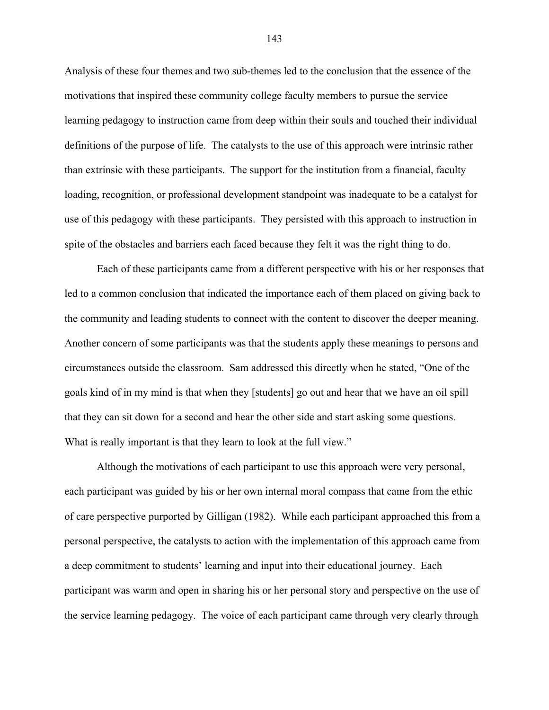Analysis of these four themes and two sub-themes led to the conclusion that the essence of the motivations that inspired these community college faculty members to pursue the service learning pedagogy to instruction came from deep within their souls and touched their individual definitions of the purpose of life. The catalysts to the use of this approach were intrinsic rather than extrinsic with these participants. The support for the institution from a financial, faculty loading, recognition, or professional development standpoint was inadequate to be a catalyst for use of this pedagogy with these participants. They persisted with this approach to instruction in spite of the obstacles and barriers each faced because they felt it was the right thing to do.

Each of these participants came from a different perspective with his or her responses that led to a common conclusion that indicated the importance each of them placed on giving back to the community and leading students to connect with the content to discover the deeper meaning. Another concern of some participants was that the students apply these meanings to persons and circumstances outside the classroom. Sam addressed this directly when he stated, "One of the goals kind of in my mind is that when they [students] go out and hear that we have an oil spill that they can sit down for a second and hear the other side and start asking some questions. What is really important is that they learn to look at the full view."

Although the motivations of each participant to use this approach were very personal, each participant was guided by his or her own internal moral compass that came from the ethic of care perspective purported by Gilligan (1982). While each participant approached this from a personal perspective, the catalysts to action with the implementation of this approach came from a deep commitment to students' learning and input into their educational journey. Each participant was warm and open in sharing his or her personal story and perspective on the use of the service learning pedagogy. The voice of each participant came through very clearly through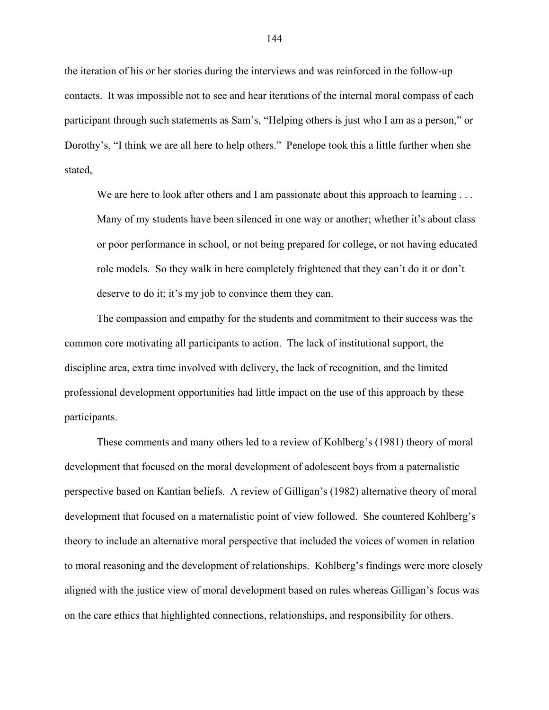the iteration of his or her stories during the interviews and was reinforced in the follow-up contacts. It was impossible not to see and hear iterations of the internal moral compass of each participant through such statements as Sam's, "Helping others is just who I am as a person," or Dorothy's, "I think we are all here to help others." Penelope took this a little further when she stated,

We are here to look after others and I am passionate about this approach to learning . . . Many of my students have been silenced in one way or another; whether it's about class or poor performance in school, or not being prepared for college, or not having educated role models. So they walk in here completely frightened that they can't do it or don't deserve to do it; it's my job to convince them they can.

The compassion and empathy for the students and commitment to their success was the common core motivating all participants to action. The lack of institutional support, the discipline area, extra time involved with delivery, the lack of recognition, and the limited professional development opportunities had little impact on the use of this approach by these participants.

These comments and many others led to a review of Kohlberg's (1981) theory of moral development that focused on the moral development of adolescent boys from a paternalistic perspective based on Kantian beliefs. A review of Gilligan's (1982) alternative theory of moral development that focused on a maternalistic point of view followed. She countered Kohlberg's theory to include an alternative moral perspective that included the voices of women in relation to moral reasoning and the development of relationships. Kohlberg's findings were more closely aligned with the justice view of moral development based on rules whereas Gilligan's focus was on the care ethics that highlighted connections, relationships, and responsibility for others.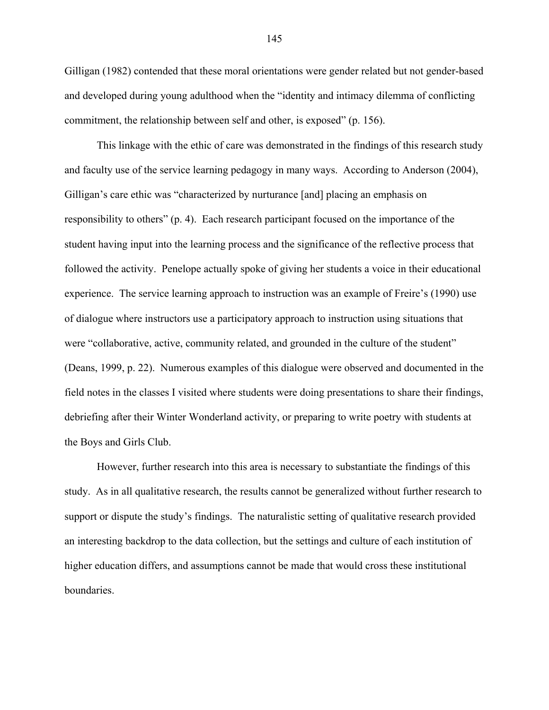Gilligan (1982) contended that these moral orientations were gender related but not gender-based and developed during young adulthood when the "identity and intimacy dilemma of conflicting commitment, the relationship between self and other, is exposed" (p. 156).

This linkage with the ethic of care was demonstrated in the findings of this research study and faculty use of the service learning pedagogy in many ways. According to Anderson (2004), Gilligan's care ethic was "characterized by nurturance [and] placing an emphasis on responsibility to others" (p. 4). Each research participant focused on the importance of the student having input into the learning process and the significance of the reflective process that followed the activity. Penelope actually spoke of giving her students a voice in their educational experience. The service learning approach to instruction was an example of Freire's (1990) use of dialogue where instructors use a participatory approach to instruction using situations that were "collaborative, active, community related, and grounded in the culture of the student" (Deans, 1999, p. 22). Numerous examples of this dialogue were observed and documented in the field notes in the classes I visited where students were doing presentations to share their findings, debriefing after their Winter Wonderland activity, or preparing to write poetry with students at the Boys and Girls Club.

However, further research into this area is necessary to substantiate the findings of this study. As in all qualitative research, the results cannot be generalized without further research to support or dispute the study's findings. The naturalistic setting of qualitative research provided an interesting backdrop to the data collection, but the settings and culture of each institution of higher education differs, and assumptions cannot be made that would cross these institutional boundaries.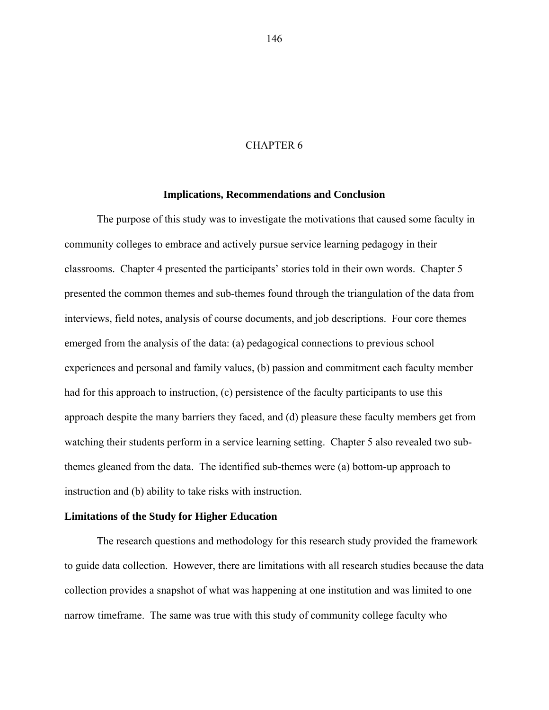### CHAPTER 6

### **Implications, Recommendations and Conclusion**

The purpose of this study was to investigate the motivations that caused some faculty in community colleges to embrace and actively pursue service learning pedagogy in their classrooms. Chapter 4 presented the participants' stories told in their own words. Chapter 5 presented the common themes and sub-themes found through the triangulation of the data from interviews, field notes, analysis of course documents, and job descriptions. Four core themes emerged from the analysis of the data: (a) pedagogical connections to previous school experiences and personal and family values, (b) passion and commitment each faculty member had for this approach to instruction, (c) persistence of the faculty participants to use this approach despite the many barriers they faced, and (d) pleasure these faculty members get from watching their students perform in a service learning setting. Chapter 5 also revealed two subthemes gleaned from the data. The identified sub-themes were (a) bottom-up approach to instruction and (b) ability to take risks with instruction.

### **Limitations of the Study for Higher Education**

The research questions and methodology for this research study provided the framework to guide data collection. However, there are limitations with all research studies because the data collection provides a snapshot of what was happening at one institution and was limited to one narrow timeframe. The same was true with this study of community college faculty who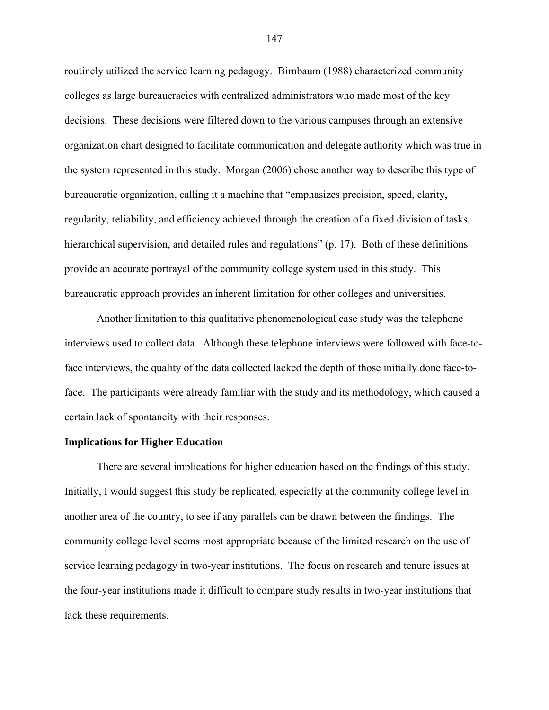routinely utilized the service learning pedagogy. Birnbaum (1988) characterized community colleges as large bureaucracies with centralized administrators who made most of the key decisions. These decisions were filtered down to the various campuses through an extensive organization chart designed to facilitate communication and delegate authority which was true in the system represented in this study. Morgan (2006) chose another way to describe this type of bureaucratic organization, calling it a machine that "emphasizes precision, speed, clarity, regularity, reliability, and efficiency achieved through the creation of a fixed division of tasks, hierarchical supervision, and detailed rules and regulations" (p. 17). Both of these definitions provide an accurate portrayal of the community college system used in this study. This bureaucratic approach provides an inherent limitation for other colleges and universities.

Another limitation to this qualitative phenomenological case study was the telephone interviews used to collect data. Although these telephone interviews were followed with face-toface interviews, the quality of the data collected lacked the depth of those initially done face-toface. The participants were already familiar with the study and its methodology, which caused a certain lack of spontaneity with their responses.

## **Implications for Higher Education**

There are several implications for higher education based on the findings of this study. Initially, I would suggest this study be replicated, especially at the community college level in another area of the country, to see if any parallels can be drawn between the findings. The community college level seems most appropriate because of the limited research on the use of service learning pedagogy in two-year institutions. The focus on research and tenure issues at the four-year institutions made it difficult to compare study results in two-year institutions that lack these requirements.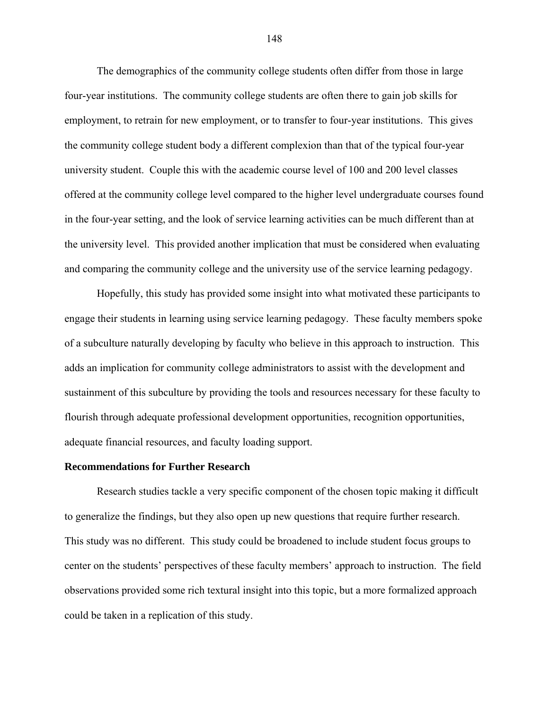The demographics of the community college students often differ from those in large four-year institutions. The community college students are often there to gain job skills for employment, to retrain for new employment, or to transfer to four-year institutions. This gives the community college student body a different complexion than that of the typical four-year university student. Couple this with the academic course level of 100 and 200 level classes offered at the community college level compared to the higher level undergraduate courses found in the four-year setting, and the look of service learning activities can be much different than at the university level. This provided another implication that must be considered when evaluating and comparing the community college and the university use of the service learning pedagogy.

Hopefully, this study has provided some insight into what motivated these participants to engage their students in learning using service learning pedagogy. These faculty members spoke of a subculture naturally developing by faculty who believe in this approach to instruction. This adds an implication for community college administrators to assist with the development and sustainment of this subculture by providing the tools and resources necessary for these faculty to flourish through adequate professional development opportunities, recognition opportunities, adequate financial resources, and faculty loading support.

#### **Recommendations for Further Research**

Research studies tackle a very specific component of the chosen topic making it difficult to generalize the findings, but they also open up new questions that require further research. This study was no different. This study could be broadened to include student focus groups to center on the students' perspectives of these faculty members' approach to instruction. The field observations provided some rich textural insight into this topic, but a more formalized approach could be taken in a replication of this study.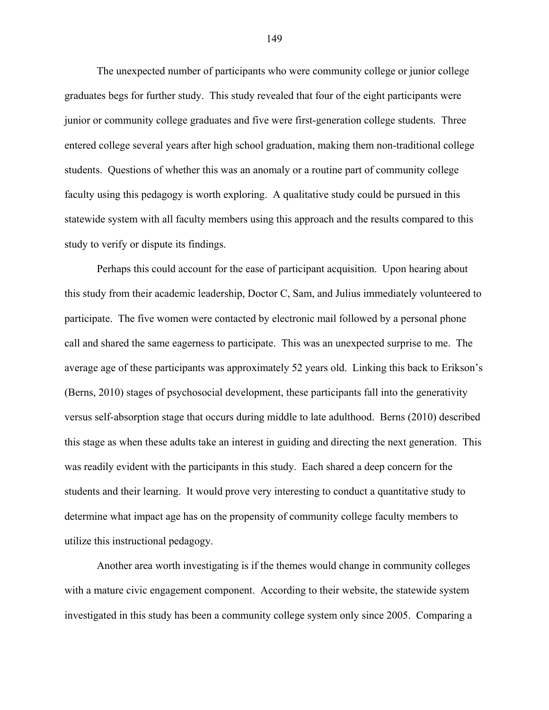The unexpected number of participants who were community college or junior college graduates begs for further study. This study revealed that four of the eight participants were junior or community college graduates and five were first-generation college students. Three entered college several years after high school graduation, making them non-traditional college students. Questions of whether this was an anomaly or a routine part of community college faculty using this pedagogy is worth exploring. A qualitative study could be pursued in this statewide system with all faculty members using this approach and the results compared to this study to verify or dispute its findings.

Perhaps this could account for the ease of participant acquisition. Upon hearing about this study from their academic leadership, Doctor C, Sam, and Julius immediately volunteered to participate. The five women were contacted by electronic mail followed by a personal phone call and shared the same eagerness to participate. This was an unexpected surprise to me. The average age of these participants was approximately 52 years old. Linking this back to Erikson's (Berns, 2010) stages of psychosocial development, these participants fall into the generativity versus self-absorption stage that occurs during middle to late adulthood. Berns (2010) described this stage as when these adults take an interest in guiding and directing the next generation. This was readily evident with the participants in this study. Each shared a deep concern for the students and their learning. It would prove very interesting to conduct a quantitative study to determine what impact age has on the propensity of community college faculty members to utilize this instructional pedagogy.

Another area worth investigating is if the themes would change in community colleges with a mature civic engagement component. According to their website, the statewide system investigated in this study has been a community college system only since 2005. Comparing a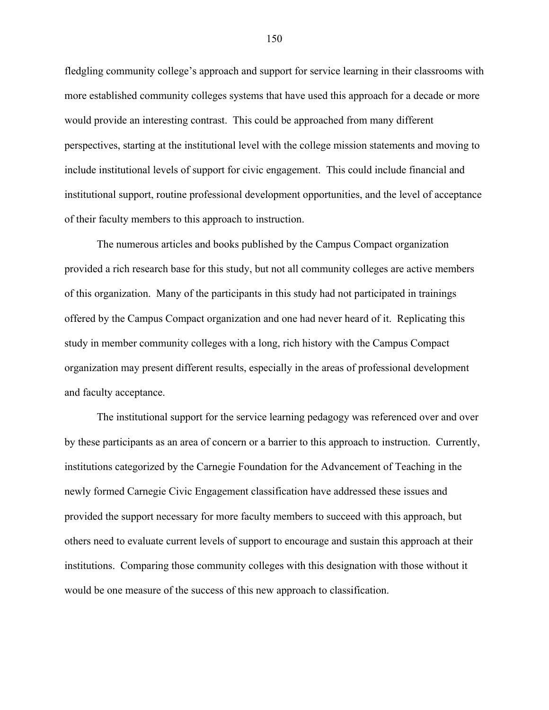fledgling community college's approach and support for service learning in their classrooms with more established community colleges systems that have used this approach for a decade or more would provide an interesting contrast. This could be approached from many different perspectives, starting at the institutional level with the college mission statements and moving to include institutional levels of support for civic engagement. This could include financial and institutional support, routine professional development opportunities, and the level of acceptance of their faculty members to this approach to instruction.

The numerous articles and books published by the Campus Compact organization provided a rich research base for this study, but not all community colleges are active members of this organization. Many of the participants in this study had not participated in trainings offered by the Campus Compact organization and one had never heard of it. Replicating this study in member community colleges with a long, rich history with the Campus Compact organization may present different results, especially in the areas of professional development and faculty acceptance.

The institutional support for the service learning pedagogy was referenced over and over by these participants as an area of concern or a barrier to this approach to instruction. Currently, institutions categorized by the Carnegie Foundation for the Advancement of Teaching in the newly formed Carnegie Civic Engagement classification have addressed these issues and provided the support necessary for more faculty members to succeed with this approach, but others need to evaluate current levels of support to encourage and sustain this approach at their institutions. Comparing those community colleges with this designation with those without it would be one measure of the success of this new approach to classification.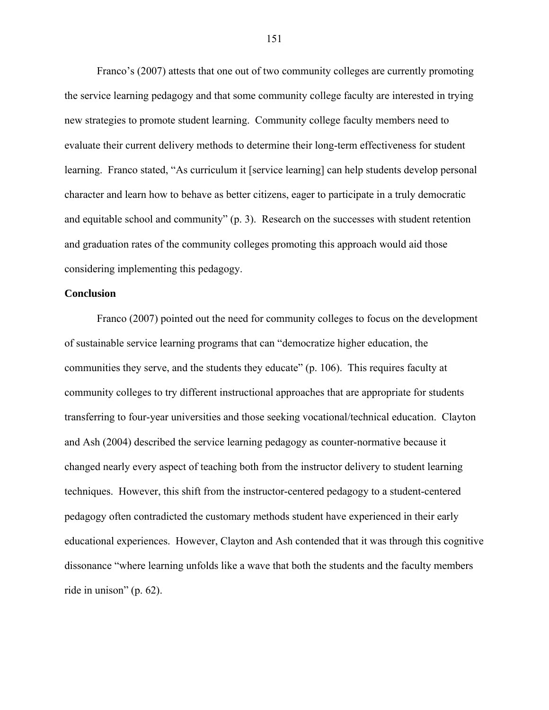Franco's (2007) attests that one out of two community colleges are currently promoting the service learning pedagogy and that some community college faculty are interested in trying new strategies to promote student learning. Community college faculty members need to evaluate their current delivery methods to determine their long-term effectiveness for student learning. Franco stated, "As curriculum it [service learning] can help students develop personal character and learn how to behave as better citizens, eager to participate in a truly democratic and equitable school and community" (p. 3). Research on the successes with student retention and graduation rates of the community colleges promoting this approach would aid those considering implementing this pedagogy.

## **Conclusion**

Franco (2007) pointed out the need for community colleges to focus on the development of sustainable service learning programs that can "democratize higher education, the communities they serve, and the students they educate" (p. 106). This requires faculty at community colleges to try different instructional approaches that are appropriate for students transferring to four-year universities and those seeking vocational/technical education. Clayton and Ash (2004) described the service learning pedagogy as counter-normative because it changed nearly every aspect of teaching both from the instructor delivery to student learning techniques. However, this shift from the instructor-centered pedagogy to a student-centered pedagogy often contradicted the customary methods student have experienced in their early educational experiences. However, Clayton and Ash contended that it was through this cognitive dissonance "where learning unfolds like a wave that both the students and the faculty members ride in unison" (p. 62).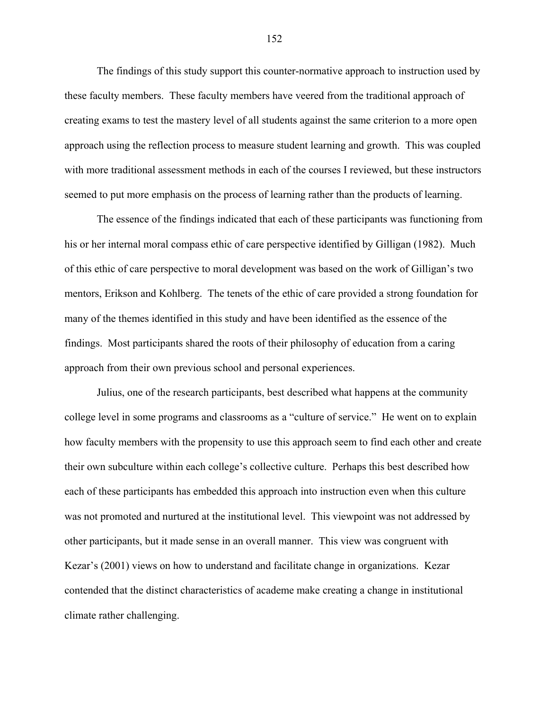The findings of this study support this counter-normative approach to instruction used by these faculty members. These faculty members have veered from the traditional approach of creating exams to test the mastery level of all students against the same criterion to a more open approach using the reflection process to measure student learning and growth. This was coupled with more traditional assessment methods in each of the courses I reviewed, but these instructors seemed to put more emphasis on the process of learning rather than the products of learning.

The essence of the findings indicated that each of these participants was functioning from his or her internal moral compass ethic of care perspective identified by Gilligan (1982). Much of this ethic of care perspective to moral development was based on the work of Gilligan's two mentors, Erikson and Kohlberg. The tenets of the ethic of care provided a strong foundation for many of the themes identified in this study and have been identified as the essence of the findings. Most participants shared the roots of their philosophy of education from a caring approach from their own previous school and personal experiences.

Julius, one of the research participants, best described what happens at the community college level in some programs and classrooms as a "culture of service." He went on to explain how faculty members with the propensity to use this approach seem to find each other and create their own subculture within each college's collective culture. Perhaps this best described how each of these participants has embedded this approach into instruction even when this culture was not promoted and nurtured at the institutional level. This viewpoint was not addressed by other participants, but it made sense in an overall manner. This view was congruent with Kezar's (2001) views on how to understand and facilitate change in organizations. Kezar contended that the distinct characteristics of academe make creating a change in institutional climate rather challenging.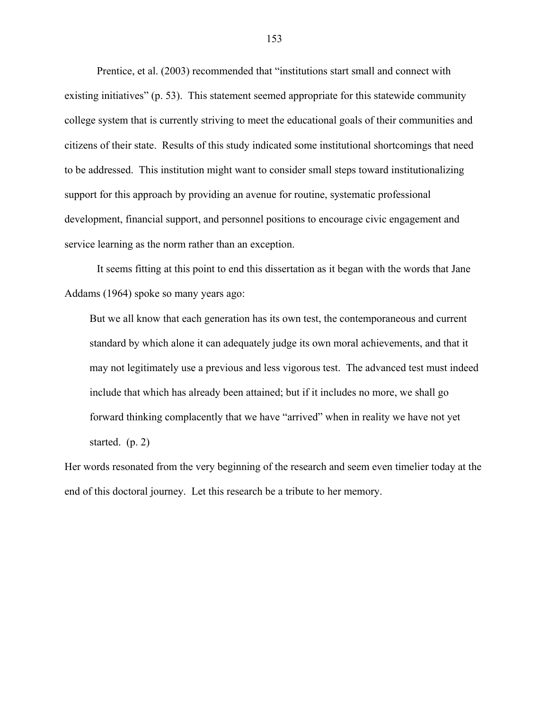Prentice, et al. (2003) recommended that "institutions start small and connect with existing initiatives" (p. 53). This statement seemed appropriate for this statewide community college system that is currently striving to meet the educational goals of their communities and citizens of their state. Results of this study indicated some institutional shortcomings that need to be addressed. This institution might want to consider small steps toward institutionalizing support for this approach by providing an avenue for routine, systematic professional development, financial support, and personnel positions to encourage civic engagement and service learning as the norm rather than an exception.

It seems fitting at this point to end this dissertation as it began with the words that Jane Addams (1964) spoke so many years ago:

But we all know that each generation has its own test, the contemporaneous and current standard by which alone it can adequately judge its own moral achievements, and that it may not legitimately use a previous and less vigorous test. The advanced test must indeed include that which has already been attained; but if it includes no more, we shall go forward thinking complacently that we have "arrived" when in reality we have not yet started. (p. 2)

Her words resonated from the very beginning of the research and seem even timelier today at the end of this doctoral journey. Let this research be a tribute to her memory.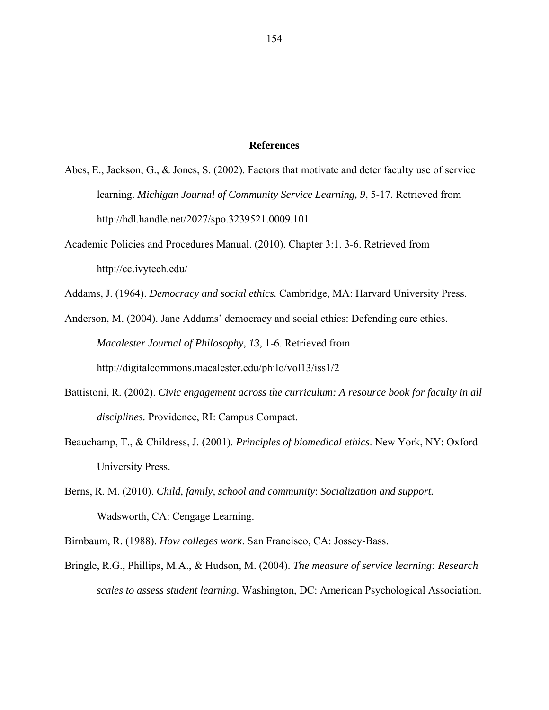### **References**

- Abes, E., Jackson, G., & Jones, S. (2002). Factors that motivate and deter faculty use of service learning. *Michigan Journal of Community Service Learning, 9*, 5-17. Retrieved from http://hdl.handle.net/2027/spo.3239521.0009.101
- Academic Policies and Procedures Manual. (2010). Chapter 3:1. 3-6. Retrieved from http://cc.ivytech.edu/

Addams, J. (1964). *Democracy and social ethics.* Cambridge, MA: Harvard University Press.

Anderson, M. (2004). Jane Addams' democracy and social ethics: Defending care ethics. *Macalester Journal of Philosophy, 13,* 1-6. Retrieved from http://digitalcommons.macalester.edu/philo/vol13/iss1/2

- Battistoni, R. (2002). *Civic engagement across the curriculum: A resource book for faculty in all disciplines.* Providence, RI: Campus Compact.
- Beauchamp, T., & Childress, J. (2001). *Principles of biomedical ethics*. New York, NY: Oxford University Press.
- Berns, R. M. (2010). *Child, family, school and community*: *Socialization and support.*  Wadsworth, CA: Cengage Learning.
- Birnbaum, R. (1988). *How colleges work*. San Francisco, CA: Jossey-Bass.
- Bringle, R.G., Phillips, M.A., & Hudson, M. (2004). *The measure of service learning: Research scales to assess student learning.* Washington, DC: American Psychological Association.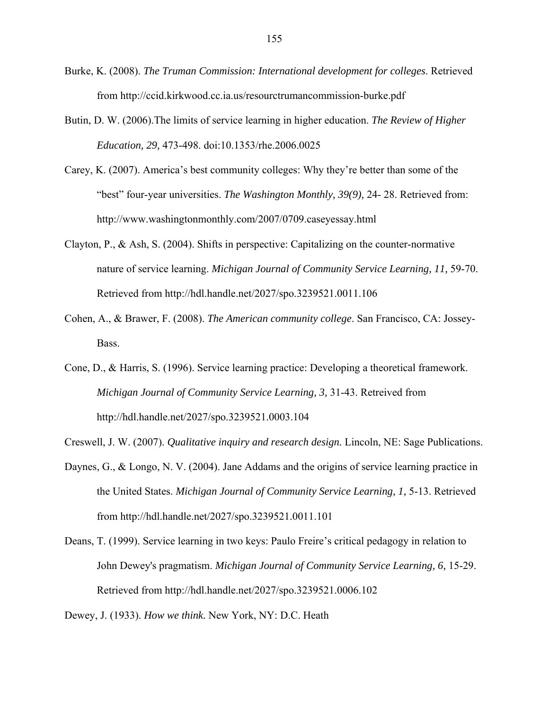- Burke, K. (2008). *The Truman Commission: International development for colleges*. Retrieved from http://ccid.kirkwood.cc.ia.us/resourctrumancommission-burke.pdf
- Butin, D. W. (2006).The limits of service learning in higher education. *The Review of Higher Education, 29,* 473-498. doi:10.1353/rhe.2006.0025
- Carey, K. (2007). America's best community colleges: Why they're better than some of the "best" four-year universities. *The Washington Monthly, 39(9),* 24- 28. Retrieved from: http://www.washingtonmonthly.com/2007/0709.caseyessay.html
- Clayton, P., & Ash, S. (2004). Shifts in perspective: Capitalizing on the counter-normative nature of service learning. *Michigan Journal of Community Service Learning, 11,* 59-70. Retrieved from http://hdl.handle.net/2027/spo.3239521.0011.106
- Cohen, A., & Brawer, F. (2008). *The American community college*. San Francisco, CA: Jossey-Bass.
- Cone, D., & Harris, S. (1996). Service learning practice: Developing a theoretical framework. *Michigan Journal of Community Service Learning, 3,* 31-43. Retreived from http://hdl.handle.net/2027/spo.3239521.0003.104
- Creswell, J. W. (2007). *Qualitative inquiry and research design.* Lincoln, NE: Sage Publications.
- Daynes, G., & Longo, N. V. (2004). Jane Addams and the origins of service learning practice in the United States. *Michigan Journal of Community Service Learning, 1,* 5-13. Retrieved from http://hdl.handle.net/2027/spo.3239521.0011.101
- Deans, T. (1999). Service learning in two keys: Paulo Freire's critical pedagogy in relation to John Dewey's pragmatism. *Michigan Journal of Community Service Learning, 6,* 15-29. Retrieved from http://hdl.handle.net/2027/spo.3239521.0006.102

Dewey, J. (1933). *How we think.* New York, NY: D.C. Heath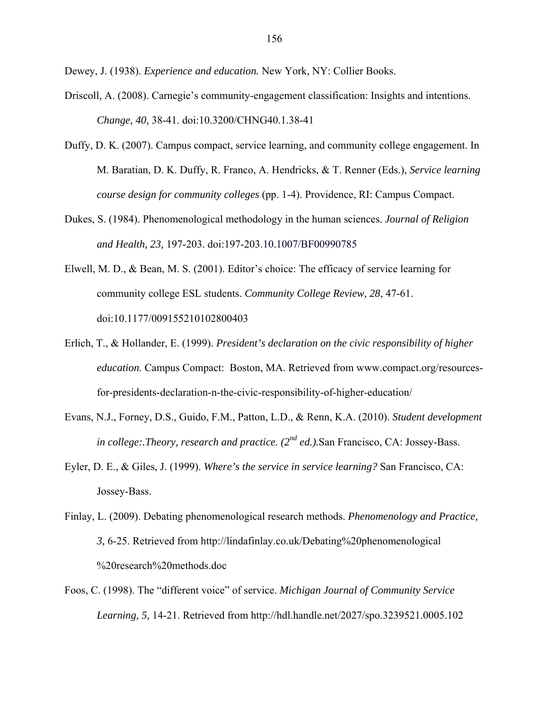Dewey, J. (1938). *Experience and education.* New York, NY: Collier Books.

- Driscoll, A. (2008). Carnegie's community-engagement classification: Insights and intentions. *Change, 40,* 38-41. doi:10.3200/CHNG40.1.38-41
- Duffy, D. K. (2007). Campus compact, service learning, and community college engagement. In M. Baratian, D. K. Duffy, R. Franco, A. Hendricks, & T. Renner (Eds.), *Service learning course design for community colleges* (pp. 1-4). Providence, RI: Campus Compact.
- Dukes, S. (1984). Phenomenological methodology in the human sciences. *Journal of Religion and Health, 23,* 197-203. doi:197-203.10.1007/BF00990785
- Elwell, M. D., & Bean, M. S. (2001). Editor's choice: The efficacy of service learning for community college ESL students. *Community College Review, 28*, 47-61. doi:10.1177/009155210102800403
- Erlich, T., & Hollander, E. (1999). *President's declaration on the civic responsibility of higher education.* Campus Compact: Boston, MA. Retrieved from www.compact.org/resourcesfor-presidents-declaration-n-the-civic-responsibility-of-higher-education/
- Evans, N.J., Forney, D.S., Guido, F.M., Patton, L.D., & Renn, K.A. (2010). *Student development in college:.Theory, research and practice. (2nd ed.).*San Francisco, CA: Jossey-Bass.
- Eyler, D. E., & Giles, J. (1999). *Where's the service in service learning?* San Francisco, CA: Jossey-Bass.
- Finlay, L. (2009). Debating phenomenological research methods. *Phenomenology and Practice, 3,* 6-25. Retrieved from http://lindafinlay.co.uk/Debating%20phenomenological %20research%20methods.doc
- Foos, C. (1998). The "different voice" of service. *Michigan Journal of Community Service Learning, 5,* 14-21. Retrieved from http://hdl.handle.net/2027/spo.3239521.0005.102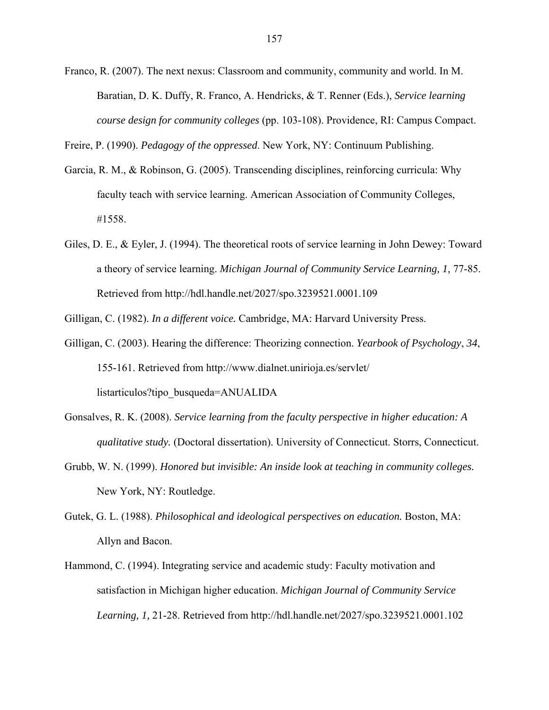Franco, R. (2007). The next nexus: Classroom and community, community and world. In M. Baratian, D. K. Duffy, R. Franco, A. Hendricks, & T. Renner (Eds.), *Service learning course design for community colleges* (pp. 103-108). Providence, RI: Campus Compact.

Freire, P. (1990). *Pedagogy of the oppressed*. New York, NY: Continuum Publishing.

- Garcia, R. M., & Robinson, G. (2005). Transcending disciplines, reinforcing curricula: Why faculty teach with service learning. American Association of Community Colleges, #1558.
- Giles, D. E., & Eyler, J. (1994). The theoretical roots of service learning in John Dewey: Toward a theory of service learning. *Michigan Journal of Community Service Learning, 1,* 77-85. Retrieved from http://hdl.handle.net/2027/spo.3239521.0001.109

Gilligan, C. (1982). *In a different voice.* Cambridge, MA: Harvard University Press.

- Gilligan, C. (2003). Hearing the difference: Theorizing connection. *Yearbook of Psychology*, *34*, 155-161. Retrieved from http://www.dialnet.unirioja.es/servlet/ listarticulos?tipo\_busqueda=ANUALIDA
- Gonsalves, R. K. (2008). *Service learning from the faculty perspective in higher education: A qualitative study.* (Doctoral dissertation). University of Connecticut. Storrs, Connecticut.
- Grubb, W. N. (1999). *Honored but invisible: An inside look at teaching in community colleges.* New York, NY: Routledge.
- Gutek, G. L. (1988). *Philosophical and ideological perspectives on education.* Boston, MA: Allyn and Bacon.
- Hammond, C. (1994). Integrating service and academic study: Faculty motivation and satisfaction in Michigan higher education. *Michigan Journal of Community Service Learning, 1,* 21-28. Retrieved from http://hdl.handle.net/2027/spo.3239521.0001.102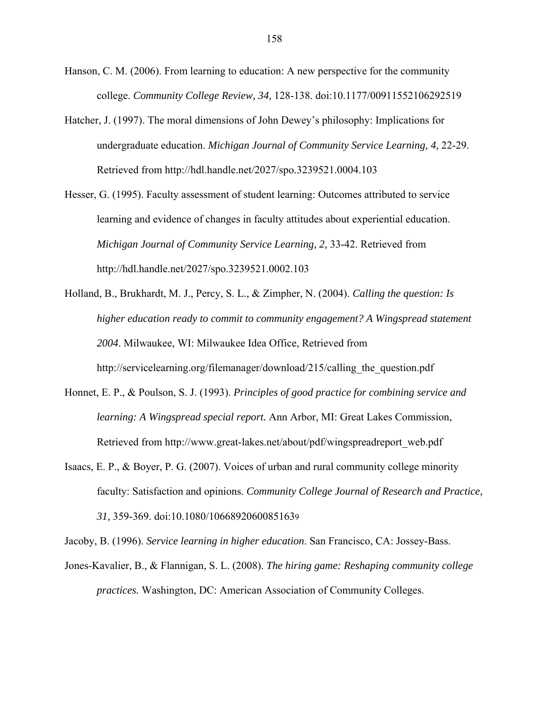- Hanson, C. M. (2006). From learning to education: A new perspective for the community college. *Community College Review, 34,* 128-138. doi:10.1177/00911552106292519
- Hatcher, J. (1997). The moral dimensions of John Dewey's philosophy: Implications for undergraduate education. *Michigan Journal of Community Service Learning, 4,* 22-29. Retrieved from http://hdl.handle.net/2027/spo.3239521.0004.103
- Hesser, G. (1995). Faculty assessment of student learning: Outcomes attributed to service learning and evidence of changes in faculty attitudes about experiential education. *Michigan Journal of Community Service Learning, 2,* 33-42. Retrieved from http://hdl.handle.net/2027/spo.3239521.0002.103
- Holland, B., Brukhardt, M. J., Percy, S. L., & Zimpher, N. (2004). *Calling the question: Is higher education ready to commit to community engagement? A Wingspread statement 2004*. Milwaukee, WI: Milwaukee Idea Office, Retrieved from http://servicelearning.org/filemanager/download/215/calling the question.pdf
- Honnet, E. P., & Poulson, S. J. (1993). *Principles of good practice for combining service and learning: A Wingspread special report.* Ann Arbor, MI: Great Lakes Commission, Retrieved from http://www.great-lakes.net/about/pdf/wingspreadreport\_web.pdf
- Isaacs, E. P., & Boyer, P. G. (2007). Voices of urban and rural community college minority faculty: Satisfaction and opinions. *Community College Journal of Research and Practice, 31,* 359-369. doi:10.1080/10668920600851639

Jacoby, B. (1996). *Service learning in higher education*. San Francisco, CA: Jossey-Bass.

Jones-Kavalier, B., & Flannigan, S. L. (2008). *The hiring game: Reshaping community college practices.* Washington, DC: American Association of Community Colleges.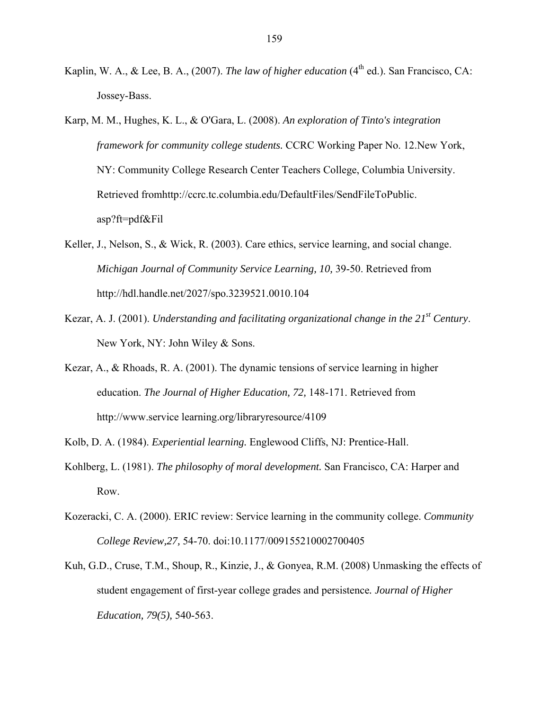- Kaplin, W. A., & Lee, B. A., (2007). *The law of higher education* (4<sup>th</sup> ed.). San Francisco, CA: Jossey-Bass.
- Karp, M. M., Hughes, K. L., & O'Gara, L. (2008). *An exploration of Tinto's integration framework for community college students.* CCRC Working Paper No. 12.New York, NY: Community College Research Center Teachers College, Columbia University. Retrieved fromhttp://ccrc.tc.columbia.edu/DefaultFiles/SendFileToPublic. asp?ft=pdf&Fil
- Keller, J., Nelson, S., & Wick, R. (2003). Care ethics, service learning, and social change. *Michigan Journal of Community Service Learning, 10,* 39-50. Retrieved from http://hdl.handle.net/2027/spo.3239521.0010.104
- Kezar, A. J. (2001). *Understanding and facilitating organizational change in the 21st Century*. New York, NY: John Wiley & Sons.
- Kezar, A., & Rhoads, R. A. (2001). The dynamic tensions of service learning in higher education. *The Journal of Higher Education, 72,* 148-171. Retrieved from http://www.service learning.org/libraryresource/4109
- Kolb, D. A. (1984). *Experiential learning.* Englewood Cliffs, NJ: Prentice-Hall.
- Kohlberg, L. (1981). *The philosophy of moral development.* San Francisco, CA: Harper and Row.
- Kozeracki, C. A. (2000). ERIC review: Service learning in the community college. *Community College Review,27,* 54-70. doi:10.1177/009155210002700405
- Kuh, G.D., Cruse, T.M., Shoup, R., Kinzie, J., & Gonyea, R.M. (2008) Unmasking the effects of student engagement of first-year college grades and persistence*. Journal of Higher Education, 79(5),* 540-563.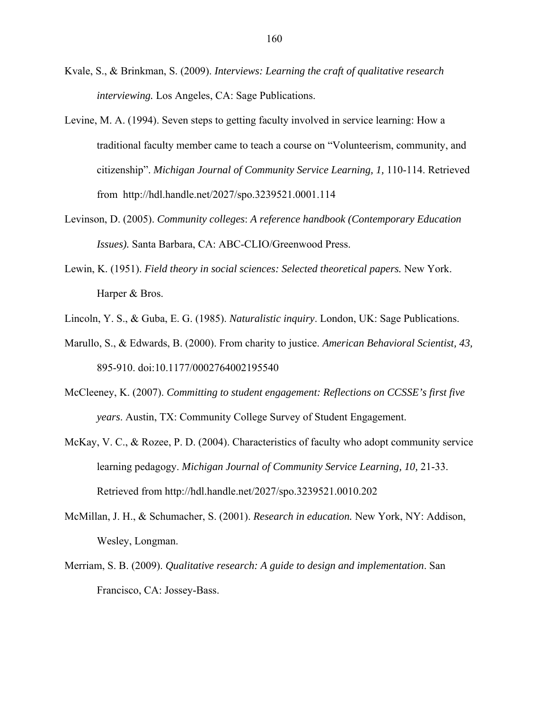- Kvale, S., & Brinkman, S. (2009). *Interviews: Learning the craft of qualitative research interviewing.* Los Angeles, CA: Sage Publications.
- Levine, M. A. (1994). Seven steps to getting faculty involved in service learning: How a traditional faculty member came to teach a course on "Volunteerism, community, and citizenship". *Michigan Journal of Community Service Learning, 1,* 110-114. Retrieved from http://hdl.handle.net/2027/spo.3239521.0001.114
- Levinson, D. (2005). *Community colleges*: *A reference handbook (Contemporary Education Issues).* Santa Barbara, CA: ABC-CLIO/Greenwood Press.
- Lewin, K. (1951). *Field theory in social sciences: Selected theoretical papers.* New York. Harper & Bros.
- Lincoln, Y. S., & Guba, E. G. (1985). *Naturalistic inquiry*. London, UK: Sage Publications.
- Marullo, S., & Edwards, B. (2000). From charity to justice. *American Behavioral Scientist, 43,* 895-910. doi:10.1177/0002764002195540
- McCleeney, K. (2007). *Committing to student engagement: Reflections on CCSSE's first five years*. Austin, TX: Community College Survey of Student Engagement.
- McKay, V. C., & Rozee, P. D. (2004). Characteristics of faculty who adopt community service learning pedagogy. *Michigan Journal of Community Service Learning, 10,* 21-33. Retrieved from http://hdl.handle.net/2027/spo.3239521.0010.202
- McMillan, J. H., & Schumacher, S. (2001). *Research in education.* New York, NY: Addison, Wesley, Longman.
- Merriam, S. B. (2009). *Qualitative research: A guide to design and implementation*. San Francisco, CA: Jossey-Bass.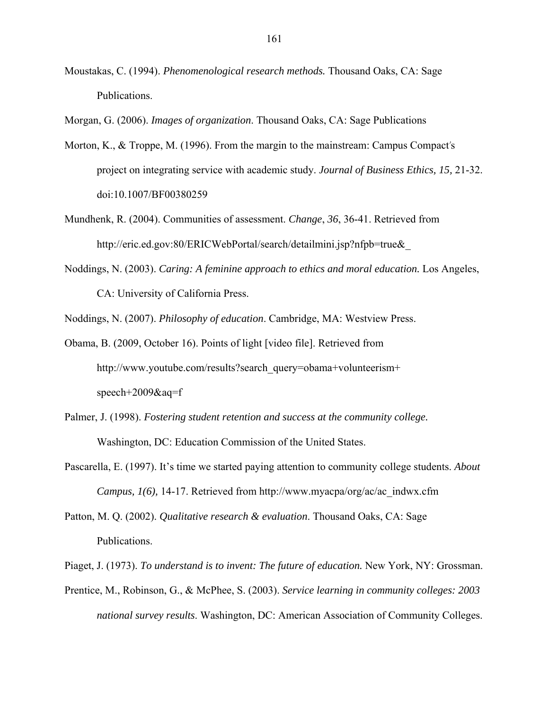Moustakas, C. (1994). *Phenomenological research methods.* Thousand Oaks, CA: Sage Publications.

Morgan, G. (2006). *Images of organization*. Thousand Oaks, CA: Sage Publications

- Morton, K., & Troppe, M. (1996). From the margin to the mainstream: Campus Compact's project on integrating service with academic study. *Journal of Business Ethics, 15,* 21-32. doi:10.1007/BF00380259
- Mundhenk, R. (2004). Communities of assessment. *Change*, *36*, 36-41. Retrieved from http://eric.ed.gov:80/ERICWebPortal/search/detailmini.jsp?nfpb=true&\_
- Noddings, N. (2003). *Caring: A feminine approach to ethics and moral education.* Los Angeles, CA: University of California Press.

Noddings, N. (2007). *Philosophy of education*. Cambridge, MA: Westview Press.

- Obama, B. (2009, October 16). Points of light [video file]. Retrieved from http://www.youtube.com/results?search\_query=obama+volunteerism+ speech+2009&aq=f
- Palmer, J. (1998). *Fostering student retention and success at the community college.* Washington, DC: Education Commission of the United States.
- Pascarella, E. (1997). It's time we started paying attention to community college students. *About Campus, 1(6),* 14-17. Retrieved from http://www.myacpa/org/ac/ac\_indwx.cfm
- Patton, M. Q. (2002). *Qualitative research & evaluation*. Thousand Oaks, CA: Sage Publications.
- Piaget, J. (1973). *To understand is to invent: The future of education.* New York, NY: Grossman.
- Prentice, M., Robinson, G., & McPhee, S. (2003). *Service learning in community colleges: 2003 national survey results*. Washington, DC: American Association of Community Colleges.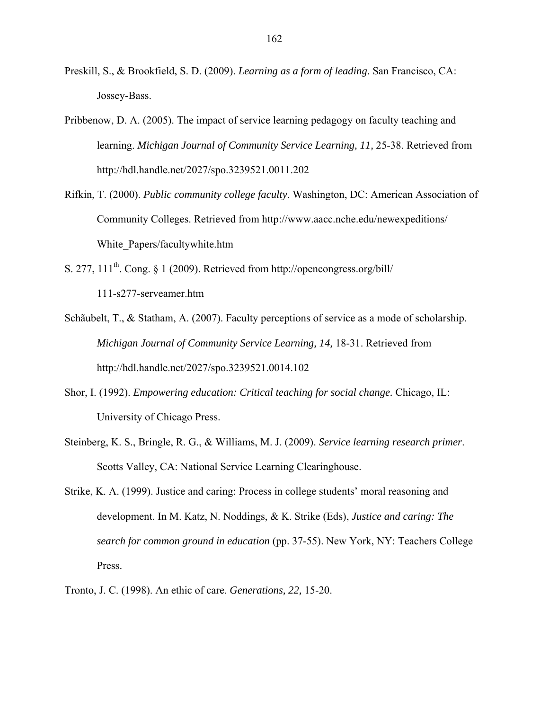- Preskill, S., & Brookfield, S. D. (2009). *Learning as a form of leading*. San Francisco, CA: Jossey-Bass.
- Pribbenow, D. A. (2005). The impact of service learning pedagogy on faculty teaching and learning. *Michigan Journal of Community Service Learning, 11,* 25-38. Retrieved from http://hdl.handle.net/2027/spo.3239521.0011.202
- Rifkin, T. (2000). *Public community college faculty*. Washington, DC: American Association of Community Colleges. Retrieved from http://www.aacc.nche.edu/newexpeditions/ White\_Papers/facultywhite.htm
- S. 277,  $111<sup>th</sup>$ . Cong. § 1 (2009). Retrieved from http://opencongress.org/bill/ 111-s277-serveamer.htm
- Schãubelt, T., & Statham, A. (2007). Faculty perceptions of service as a mode of scholarship. *Michigan Journal of Community Service Learning, 14,* 18-31. Retrieved from http://hdl.handle.net/2027/spo.3239521.0014.102
- Shor, I. (1992). *Empowering education: Critical teaching for social change.* Chicago, IL: University of Chicago Press.
- Steinberg, K. S., Bringle, R. G., & Williams, M. J. (2009). *Service learning research primer*. Scotts Valley, CA: National Service Learning Clearinghouse.
- Strike, K. A. (1999). Justice and caring: Process in college students' moral reasoning and development. In M. Katz, N. Noddings, & K. Strike (Eds), *Justice and caring: The search for common ground in education* (pp. 37-55). New York, NY: Teachers College Press.
- Tronto, J. C. (1998). An ethic of care. *Generations, 22,* 15-20.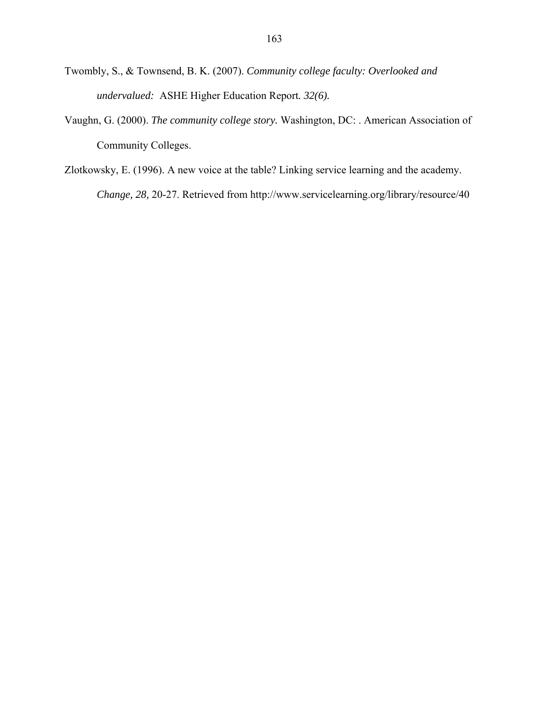- Twombly, S., & Townsend, B. K. (2007). *Community college faculty: Overlooked and undervalued:* ASHE Higher Education Report*. 32(6).*
- Vaughn, G. (2000). *The community college story.* Washington, DC: . American Association of Community Colleges.
- Zlotkowsky, E. (1996). A new voice at the table? Linking service learning and the academy. *Change, 28,* 20-27. Retrieved from http://www.servicelearning.org/library/resource/40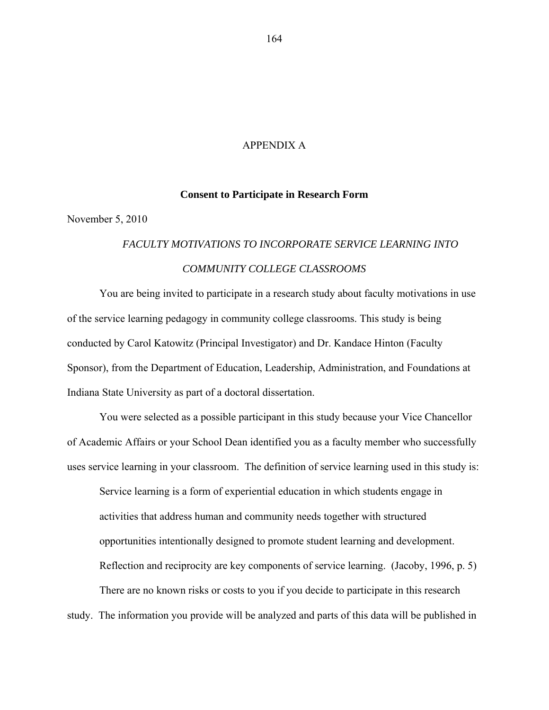## APPENDIX A

### **Consent to Participate in Research Form**

November 5, 2010

# *FACULTY MOTIVATIONS TO INCORPORATE SERVICE LEARNING INTO COMMUNITY COLLEGE CLASSROOMS*

You are being invited to participate in a research study about faculty motivations in use of the service learning pedagogy in community college classrooms. This study is being conducted by Carol Katowitz (Principal Investigator) and Dr. Kandace Hinton (Faculty Sponsor), from the Department of Education, Leadership, Administration, and Foundations at Indiana State University as part of a doctoral dissertation.

You were selected as a possible participant in this study because your Vice Chancellor of Academic Affairs or your School Dean identified you as a faculty member who successfully uses service learning in your classroom. The definition of service learning used in this study is:

Service learning is a form of experiential education in which students engage in activities that address human and community needs together with structured opportunities intentionally designed to promote student learning and development. Reflection and reciprocity are key components of service learning. (Jacoby, 1996, p. 5) There are no known risks or costs to you if you decide to participate in this research

study. The information you provide will be analyzed and parts of this data will be published in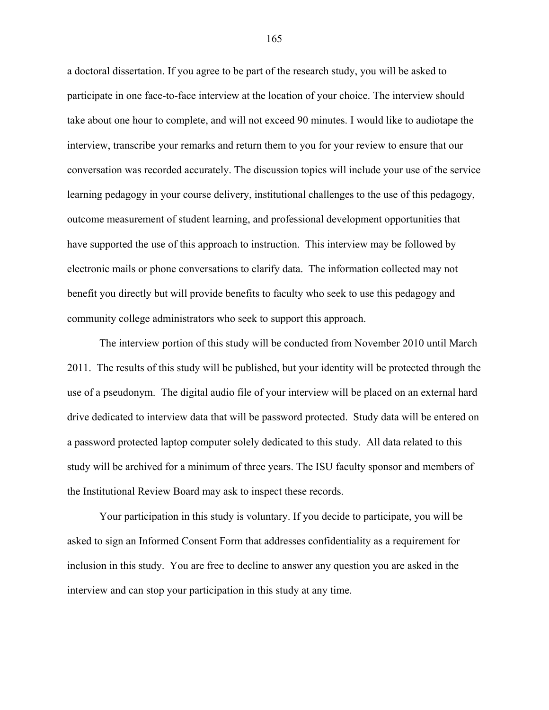a doctoral dissertation. If you agree to be part of the research study, you will be asked to participate in one face-to-face interview at the location of your choice. The interview should take about one hour to complete, and will not exceed 90 minutes. I would like to audiotape the interview, transcribe your remarks and return them to you for your review to ensure that our conversation was recorded accurately. The discussion topics will include your use of the service learning pedagogy in your course delivery, institutional challenges to the use of this pedagogy, outcome measurement of student learning, and professional development opportunities that have supported the use of this approach to instruction. This interview may be followed by electronic mails or phone conversations to clarify data. The information collected may not benefit you directly but will provide benefits to faculty who seek to use this pedagogy and community college administrators who seek to support this approach.

The interview portion of this study will be conducted from November 2010 until March 2011. The results of this study will be published, but your identity will be protected through the use of a pseudonym. The digital audio file of your interview will be placed on an external hard drive dedicated to interview data that will be password protected. Study data will be entered on a password protected laptop computer solely dedicated to this study. All data related to this study will be archived for a minimum of three years. The ISU faculty sponsor and members of the Institutional Review Board may ask to inspect these records.

Your participation in this study is voluntary. If you decide to participate, you will be asked to sign an Informed Consent Form that addresses confidentiality as a requirement for inclusion in this study. You are free to decline to answer any question you are asked in the interview and can stop your participation in this study at any time.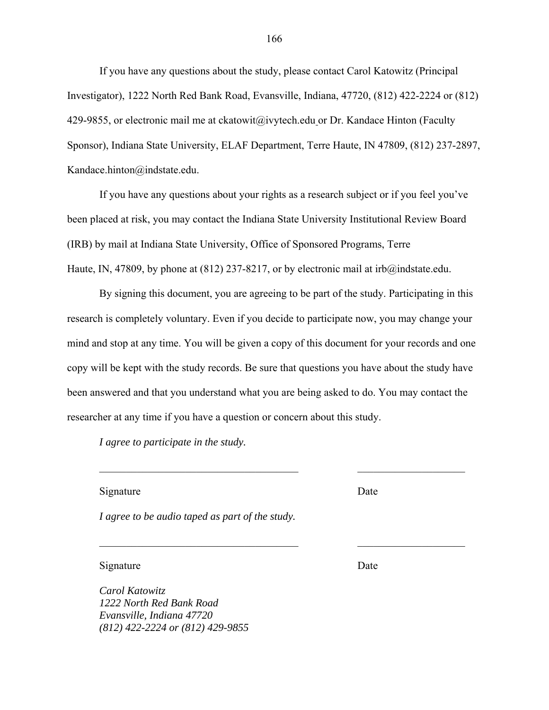If you have any questions about the study, please contact Carol Katowitz (Principal Investigator), 1222 North Red Bank Road, Evansville, Indiana, 47720, (812) 422-2224 or (812) 429-9855, or electronic mail me at ckatowit@ivytech.edu or Dr. Kandace Hinton (Faculty Sponsor), Indiana State University, ELAF Department, Terre Haute, IN 47809, (812) 237-2897, Kandace.hinton@indstate.edu.

If you have any questions about your rights as a research subject or if you feel you've been placed at risk, you may contact the Indiana State University Institutional Review Board (IRB) by mail at Indiana State University, Office of Sponsored Programs, Terre Haute, IN, 47809, by phone at (812) 237-8217, or by electronic mail at irb@indstate.edu.

By signing this document, you are agreeing to be part of the study. Participating in this research is completely voluntary. Even if you decide to participate now, you may change your mind and stop at any time. You will be given a copy of this document for your records and one copy will be kept with the study records. Be sure that questions you have about the study have been answered and that you understand what you are being asked to do. You may contact the researcher at any time if you have a question or concern about this study.

 $\_$  , and the set of the set of the set of the set of the set of the set of the set of the set of the set of the set of the set of the set of the set of the set of the set of the set of the set of the set of the set of th

 $\mathcal{L}_\text{max}$  and the contract of the contract of the contract of the contract of the contract of the contract of

*I agree to participate in the study.* 

Signature Date

*I agree to be audio taped as part of the study.* 

Signature Date

*Carol Katowitz 1222 North Red Bank Road Evansville, Indiana 47720 (812) 422-2224 or (812) 429-9855*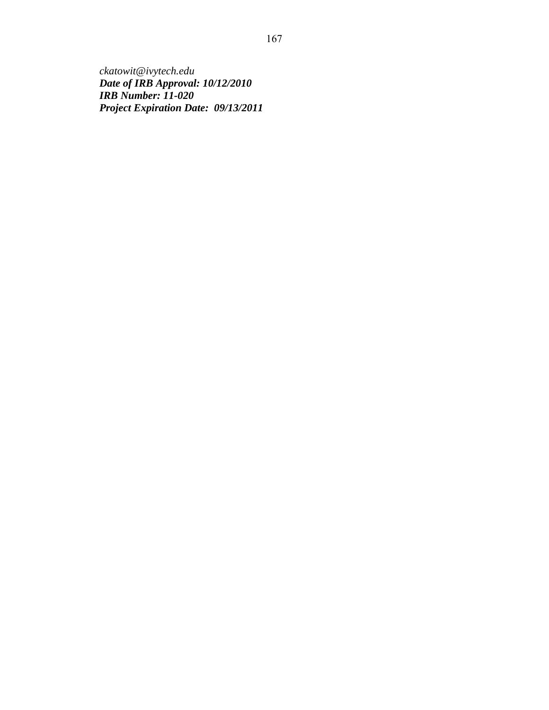*ckatowit@ivytech.edu Date of IRB Approval: 10/12/2010 IRB Number: 11-020 Project Expiration Date: 09/13/2011*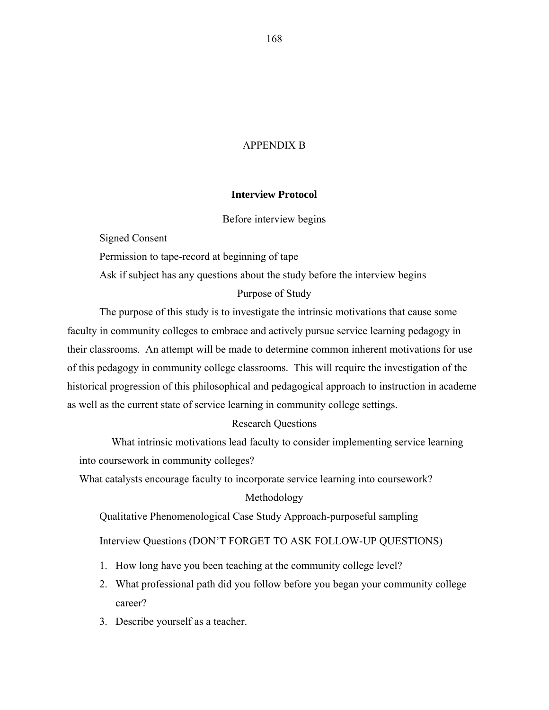## APPENDIX B

## **Interview Protocol**

### Before interview begins

Signed Consent

Permission to tape-record at beginning of tape

Ask if subject has any questions about the study before the interview begins

## Purpose of Study

The purpose of this study is to investigate the intrinsic motivations that cause some faculty in community colleges to embrace and actively pursue service learning pedagogy in their classrooms. An attempt will be made to determine common inherent motivations for use of this pedagogy in community college classrooms. This will require the investigation of the historical progression of this philosophical and pedagogical approach to instruction in academe as well as the current state of service learning in community college settings.

## Research Questions

What intrinsic motivations lead faculty to consider implementing service learning into coursework in community colleges?

What catalysts encourage faculty to incorporate service learning into coursework?

## Methodology

Qualitative Phenomenological Case Study Approach-purposeful sampling

Interview Questions (DON'T FORGET TO ASK FOLLOW-UP QUESTIONS)

- 1. How long have you been teaching at the community college level?
- 2. What professional path did you follow before you began your community college career?
- 3. Describe yourself as a teacher.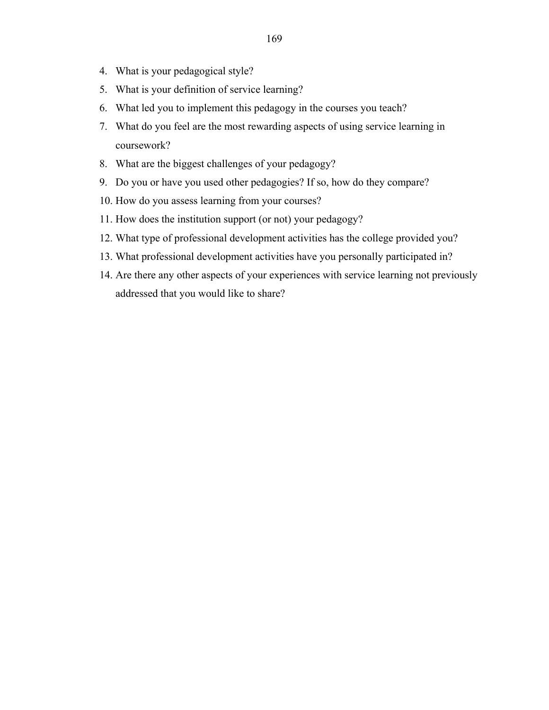- 4. What is your pedagogical style?
- 5. What is your definition of service learning?
- 6. What led you to implement this pedagogy in the courses you teach?
- 7. What do you feel are the most rewarding aspects of using service learning in coursework?
- 8. What are the biggest challenges of your pedagogy?
- 9. Do you or have you used other pedagogies? If so, how do they compare?
- 10. How do you assess learning from your courses?
- 11. How does the institution support (or not) your pedagogy?
- 12. What type of professional development activities has the college provided you?
- 13. What professional development activities have you personally participated in?
- 14. Are there any other aspects of your experiences with service learning not previously addressed that you would like to share?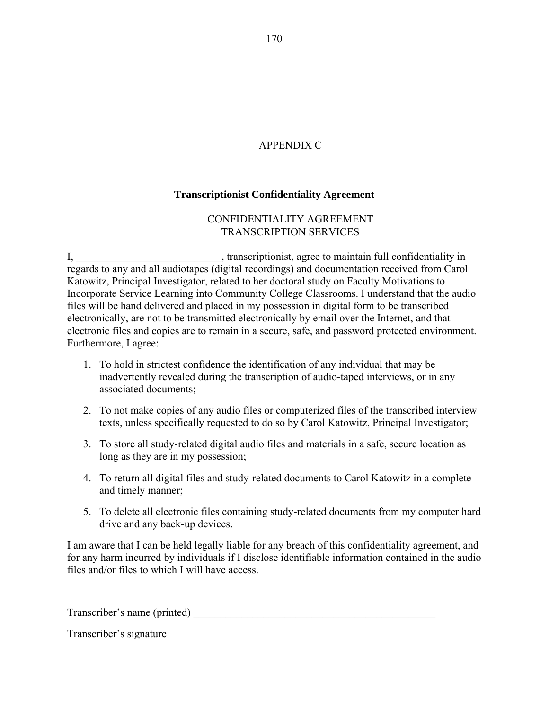# APPENDIX C

# **Transcriptionist Confidentiality Agreement**

# CONFIDENTIALITY AGREEMENT TRANSCRIPTION SERVICES

I, \_\_\_\_\_\_\_\_\_\_\_\_\_\_\_\_\_\_\_\_\_\_\_\_\_\_\_\_, transcriptionist, agree to maintain full confidentiality in regards to any and all audiotapes (digital recordings) and documentation received from Carol Katowitz, Principal Investigator, related to her doctoral study on Faculty Motivations to Incorporate Service Learning into Community College Classrooms. I understand that the audio files will be hand delivered and placed in my possession in digital form to be transcribed electronically, are not to be transmitted electronically by email over the Internet, and that electronic files and copies are to remain in a secure, safe, and password protected environment. Furthermore, I agree:

- 1. To hold in strictest confidence the identification of any individual that may be inadvertently revealed during the transcription of audio-taped interviews, or in any associated documents;
- 2. To not make copies of any audio files or computerized files of the transcribed interview texts, unless specifically requested to do so by Carol Katowitz, Principal Investigator;
- 3. To store all study-related digital audio files and materials in a safe, secure location as long as they are in my possession;
- 4. To return all digital files and study-related documents to Carol Katowitz in a complete and timely manner;
- 5. To delete all electronic files containing study-related documents from my computer hard drive and any back-up devices.

I am aware that I can be held legally liable for any breach of this confidentiality agreement, and for any harm incurred by individuals if I disclose identifiable information contained in the audio files and/or files to which I will have access.

Transcriber's name (printed) \_\_\_\_\_\_\_\_\_\_\_\_\_\_\_\_\_\_\_\_\_\_\_\_\_\_\_\_\_\_\_\_\_\_\_\_\_\_\_\_\_\_\_\_\_

Transcriber's signature \_\_\_\_\_\_\_\_\_\_\_\_\_\_\_\_\_\_\_\_\_\_\_\_\_\_\_\_\_\_\_\_\_\_\_\_\_\_\_\_\_\_\_\_\_\_\_\_\_\_